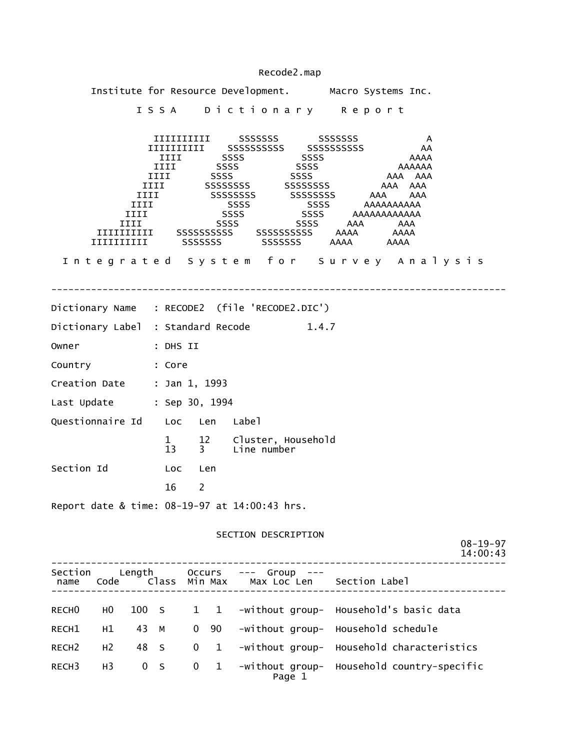|                                |                |                      |                                     |                          |                | Institute for Resource Development. Macro Systems Inc.                                                                                                                              |                                      |  |         |                   |                        |  |                            |
|--------------------------------|----------------|----------------------|-------------------------------------|--------------------------|----------------|-------------------------------------------------------------------------------------------------------------------------------------------------------------------------------------|--------------------------------------|--|---------|-------------------|------------------------|--|----------------------------|
|                                |                |                      |                                     |                          |                | ISSA Dictionary Report                                                                                                                                                              |                                      |  |         |                   |                        |  |                            |
|                                |                | IIII<br>IIII<br>IIII | IIII<br>IIII <b>Alian Septembri</b> |                          |                | IIIIIIIIIII SSSSSSS SSSSSSSS<br>IIII SSSS SSSS<br>IIII SSSSSSSSS SSSSSSSSS<br>SSSSSSSSS SSSSSSSSS AAA<br>SSSS<br>SSSS<br>SSSS SSSS AAA AAA<br>Integrated System for Survey Analysis | SSSS AAAAAAAAAA<br>SSSS AAAAAAAAAAAA |  | AAA AAA | AAAAAA<br>AAA AAA | A<br>AA<br>AAAA<br>AAA |  |                            |
|                                |                |                      |                                     |                          |                |                                                                                                                                                                                     |                                      |  |         |                   |                        |  |                            |
|                                |                |                      |                                     | ______________________   |                | Dictionary Name : RECODE2 (file 'RECODE2.DIC')                                                                                                                                      |                                      |  |         |                   |                        |  |                            |
|                                |                |                      |                                     |                          |                | Dictionary Label : Standard Recode 1.4.7                                                                                                                                            |                                      |  |         |                   |                        |  |                            |
| Owner                          |                | : DHS II             |                                     |                          |                |                                                                                                                                                                                     |                                      |  |         |                   |                        |  |                            |
| Country : Core                 |                |                      |                                     |                          |                |                                                                                                                                                                                     |                                      |  |         |                   |                        |  |                            |
| Creation Date : Jan 1, 1993    |                |                      |                                     |                          |                |                                                                                                                                                                                     |                                      |  |         |                   |                        |  |                            |
| Last Update : Sep 30, 1994     |                |                      |                                     |                          |                |                                                                                                                                                                                     |                                      |  |         |                   |                        |  |                            |
| Questionnaire Id Loc Len Label |                |                      |                                     |                          |                |                                                                                                                                                                                     |                                      |  |         |                   |                        |  |                            |
|                                |                |                      |                                     |                          |                | 1 12 Cluster, Household<br>13 3 Line number                                                                                                                                         |                                      |  |         |                   |                        |  |                            |
| Section Id                     |                |                      |                                     | <b>Example 1</b> Loc Len |                |                                                                                                                                                                                     |                                      |  |         |                   |                        |  |                            |
|                                |                |                      | 16                                  | $\overline{\phantom{a}}$ |                |                                                                                                                                                                                     |                                      |  |         |                   |                        |  |                            |
|                                |                |                      |                                     |                          |                | Report date & time: 08-19-97 at 14:00:43 hrs.                                                                                                                                       |                                      |  |         |                   |                        |  |                            |
|                                |                |                      |                                     |                          |                |                                                                                                                                                                                     |                                      |  |         |                   |                        |  |                            |
|                                |                |                      |                                     |                          |                | SECTION DESCRIPTION                                                                                                                                                                 |                                      |  |         |                   |                        |  | $08 - 19 - 97$<br>14:00:43 |
| name                           |                |                      |                                     |                          |                | Section Length Occurs --- Group ---<br>Code Class Min Max Max Loc Len Section Label                                                                                                 |                                      |  |         |                   |                        |  |                            |
|                                |                |                      |                                     |                          |                | RECHO HO 100 S 1 1 -without group- Household's basic data                                                                                                                           |                                      |  |         |                   |                        |  |                            |
| RECH1                          | H1             | 43 M                 |                                     |                          | $0\quad 90$    | -without group- Household schedule                                                                                                                                                  |                                      |  |         |                   |                        |  |                            |
| RECH <sub>2</sub>              | H <sub>2</sub> | 48 S                 |                                     | $\mathbf 0$              | $\overline{1}$ | -without group- Household characteristics                                                                                                                                           |                                      |  |         |                   |                        |  |                            |
| RECH3                          | H <sub>3</sub> | 0 S                  |                                     | $\mathbf 0$              | $\mathbf{1}$   | -without group- Household country-specific                                                                                                                                          | Page 1                               |  |         |                   |                        |  |                            |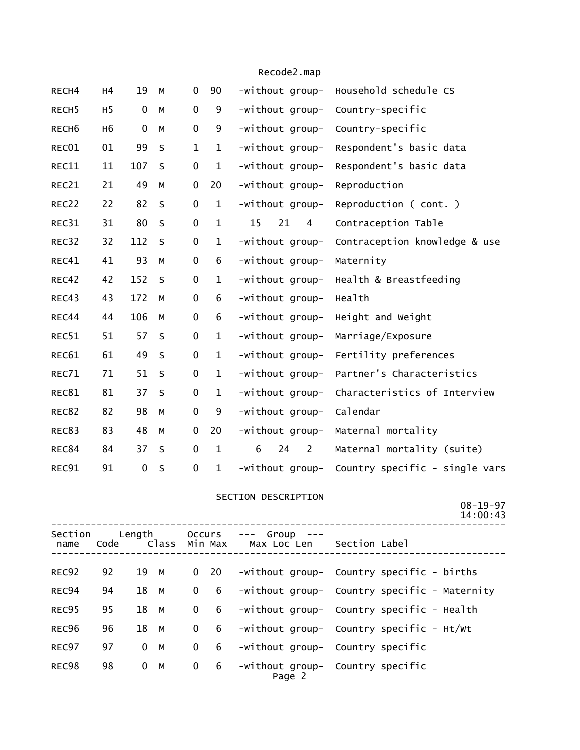| RECH4             | H <sub>4</sub> | 19          | M       | 0            | 90           | -without group-           | Household schedule CS          |
|-------------------|----------------|-------------|---------|--------------|--------------|---------------------------|--------------------------------|
| RECH <sub>5</sub> | H <sub>5</sub> | $\mathbf 0$ | M       | $\pmb{0}$    | 9            | -without group-           | Country-specific               |
| RECH <sub>6</sub> | H <sub>6</sub> | $\mathbf 0$ | M       | $\mathbf 0$  | 9            | -without group-           | Country-specific               |
| REC01             | 01             | 99          | $\sf S$ | $\mathbf{1}$ | $\mathbf{1}$ | -without group-           | Respondent's basic data        |
| REC11             | 11             | 107         | $\sf S$ | $\pmb{0}$    | $\mathbf{1}$ | -without group-           | Respondent's basic data        |
| REC21             | 21             | 49          | M       | $\pmb{0}$    | 20           | -without group-           | Reproduction                   |
| REC22             | 22             | 82          | $\sf S$ | $\pmb{0}$    | $\mathbf{1}$ | -without group-           | Reproduction (cont.)           |
| REC31             | 31             | 80          | $\sf S$ | $\pmb{0}$    | $\mathbf{1}$ | 15<br>21<br>4             | Contraception Table            |
| REC32             | 32             | 112         | $\sf S$ | $\pmb{0}$    | $\mathbf{1}$ | -without group-           | Contraception knowledge & use  |
| REC41             | 41             | 93          | М       | $\pmb{0}$    | 6            | -without group-           | Maternity                      |
| REC42             | 42             | 152         | $\sf S$ | $\pmb{0}$    | $\mathbf{1}$ | -without group-           | Health & Breastfeeding         |
| REC43             | 43             | 172         | M       | $\mathbf 0$  | 6            | -without group-           | Health                         |
| REC44             | 44             | 106         | М       | $\pmb{0}$    | 6            | -without group-           | Height and Weight              |
| REC51             | 51             | 57          | $\sf S$ | $\mathbf 0$  | $\mathbf{1}$ | -without group-           | Marriage/Exposure              |
| REC61             | 61             | 49          | $\sf S$ | 0            | $\mathbf{1}$ | -without group-           | Fertility preferences          |
| REC71             | 71             | 51          | S       | $\mathbf 0$  | $\mathbf{1}$ | -without group-           | Partner's Characteristics      |
| REC81             | 81             | 37          | $\sf S$ | $\pmb{0}$    | $\mathbf{1}$ | -without group-           | Characteristics of Interview   |
| REC82             | 82             | 98          | M       | $\mathbf 0$  | 9            | -without group-           | Calendar                       |
| REC83             | 83             | 48          | М       | $\pmb{0}$    | 20           | -without group-           | Maternal mortality             |
| REC84             | 84             | 37          | S       | $\mathbf 0$  | $\mathbf{1}$ | 6<br>24<br>$\overline{2}$ | Maternal mortality (suite)     |
| REC91             | 91             | $\pmb{0}$   | S       | $\pmb{0}$    | $\mathbf{1}$ | -without group-           | Country specific - single vars |
|                   |                |             |         |              |              |                           |                                |

#### SECTION DESCRIPTION

08-19-97

|                 |                |             |                         |                |                               |               | 14:00:43                                      |  |
|-----------------|----------------|-------------|-------------------------|----------------|-------------------------------|---------------|-----------------------------------------------|--|
| Section<br>name | Length<br>Code |             | Occurs<br>Class Min Max |                | Group<br>$---$<br>Max Loc Len | Section Label |                                               |  |
| REC92           | 92             | 19 M        |                         | $\overline{0}$ | 20                            |               | -without group- Country specific - births     |  |
| REC94           | 94             | 18 M        |                         | $\Omega$       | 6                             |               | -without group- Country specific - Maternity  |  |
| REC95           | 95             | 18 M        |                         | $\Omega$       | 6                             |               | -without group- Country specific - Health     |  |
| REC96           | 96             | 18 M        |                         | $\Omega$       | 6                             |               | $-wit$ hout group- Country specific - $Ht/Wt$ |  |
| REC97           | 97             | $0 \quad M$ |                         | $\mathbf{0}$   | 6                             |               | -without group- Country specific              |  |
| REC98           | 98             | $0 \quad M$ |                         | $\mathbf{0}$   | 6                             | Page 2        | -without group- Country specific              |  |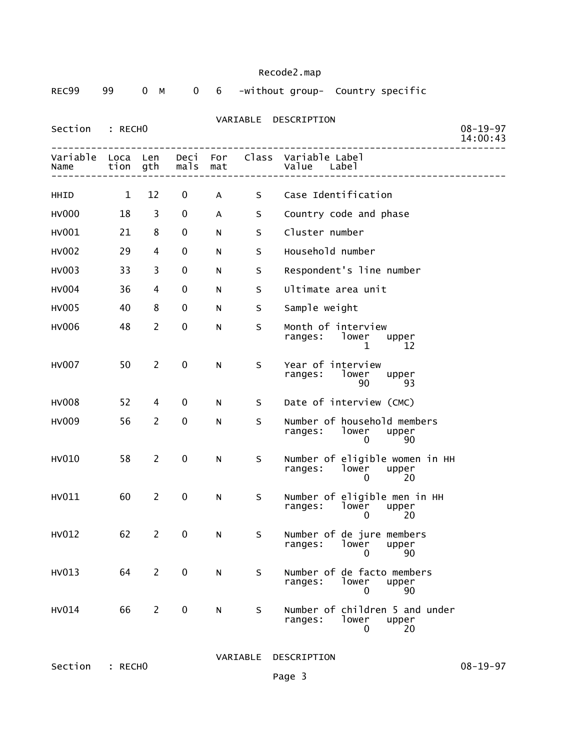|  | Recode2.map |
|--|-------------|
|  |             |

| REC99            | 99           | 0<br>M                | 0            | 6          |    | -without group- Country specific                                         |                            |
|------------------|--------------|-----------------------|--------------|------------|----|--------------------------------------------------------------------------|----------------------------|
| Section          | : RECHO      |                       |              |            |    | VARIABLE DESCRIPTION                                                     | $08 - 19 - 97$<br>14:00:43 |
| Variable<br>Name | Loca<br>tion | Len<br>gth            | Deci<br>mals | For<br>mat |    | Class Variable Label<br>Value<br>Label                                   |                            |
| HHID             | $\mathbf{1}$ | 12                    | 0            | A          | S. | Case Identification                                                      |                            |
| <b>HV000</b>     | 18           | 3                     | 0            | A          | S  | Country code and phase                                                   |                            |
| HV001            | 21           | 8                     | 0            | N          | S  | Cluster number                                                           |                            |
| <b>HV002</b>     | 29           | 4                     | 0            | N          | S  | Household number                                                         |                            |
| HV003            | 33           | 3                     | 0            | N          | S  | Respondent's line number                                                 |                            |
| <b>HV004</b>     | 36           | 4                     | $\mathbf 0$  | N          | S  | Ultimate area unit                                                       |                            |
| HV005            | 40           | 8                     | 0            | N          | S  | Sample weight                                                            |                            |
| <b>HV006</b>     | 48           | $\overline{2}$        | 0            | N          | S  | Month of interview<br>ranges: lower<br>upper<br>1<br>12                  |                            |
| <b>HV007</b>     | 50           | $\overline{2}$        | 0            | N          | S  | Year of interview<br>ranges:<br>lower<br>upper<br>90<br>93               |                            |
| <b>HV008</b>     | 52           | 4                     | 0            | N          | S. | Date of interview (CMC)                                                  |                            |
| HV009            | 56           | $\overline{2}$        | 0            | N          | S  | Number of household members<br>ranges:<br>lower<br>upper<br>90<br>0      |                            |
| HV010            | 58           | $\mathbf{2}^{\prime}$ | $\pmb{0}$    | N          | S  | Number of eligible women in HH<br>lower<br>ranges:<br>upper<br>20<br>0   |                            |
| HV011            | 60           | $\overline{2}$        | 0            | N          | S  | Number of eligible men in HH<br>ranges:<br>lower<br>upper<br>20<br>0     |                            |
| HV012            | 62           | $\overline{2}$        | $\mathbf 0$  | N          | S  | Number of de jure members<br><b>lower</b><br>ranges:<br>upper<br>90<br>0 |                            |
| HV013            | 64           | $\overline{2}$        | $\pmb{0}$    | ${\sf N}$  | S  | Number of de facto members<br>lower<br>ranges:<br>upper<br>90<br>0       |                            |
| HV014            | 66           | $\overline{2}$        | $\pmb{0}$    | ${\sf N}$  | S  | Number of children 5 and under<br>ranges:<br>lower<br>upper<br>20<br>0   |                            |

VARIABLE DESCRIPTION

Section : RECHO MANIABLE DESCRIPTION 08-19-97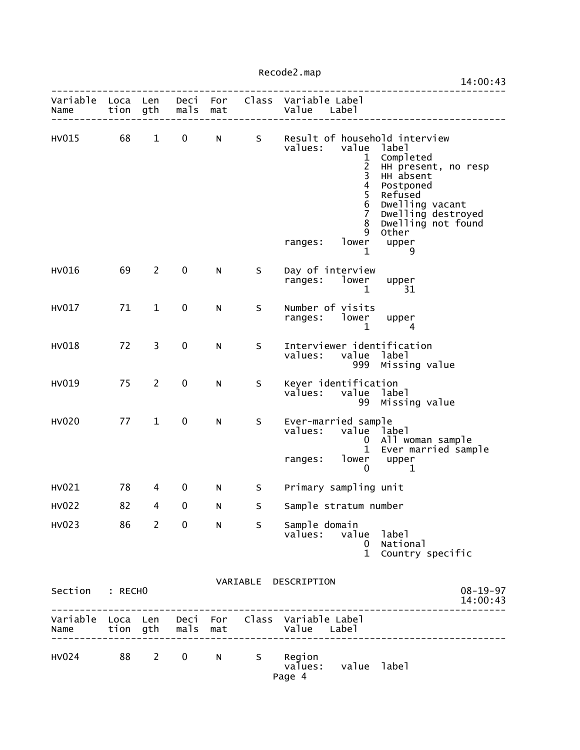|                           |    |                         |             |              |   |                                                 |                                                                                                                  | 14:00:43                                                                                                                                                                                              |
|---------------------------|----|-------------------------|-------------|--------------|---|-------------------------------------------------|------------------------------------------------------------------------------------------------------------------|-------------------------------------------------------------------------------------------------------------------------------------------------------------------------------------------------------|
| Variable Loca Len<br>Name |    | tion gth                | mals        | mat          |   | Deci For Class Variable Label<br>Value Label    |                                                                                                                  |                                                                                                                                                                                                       |
| HV015                     | 68 | $\mathbf{1}$            | $\mathbf 0$ | $N$ and $N$  | S | values:<br>ranges:                              | value<br>1<br>$\overline{c}$<br>3<br>$\overline{\mathbf{4}}$<br>5<br>6<br>$\overline{7}$<br>8<br>9<br>lower<br>1 | Result of household interview<br>label<br>Completed<br>HH present, no resp<br>HH absent<br>Postponed<br>Refused<br>Dwelling vacant<br>Dwelling destroyed<br>Dwelling not found<br>Other<br>upper<br>9 |
| HV016                     | 69 | $\overline{2}$          | 0           | N            | S | Day of interview<br>ranges: lower               | 1                                                                                                                | upper<br>31                                                                                                                                                                                           |
| HV017                     | 71 | $\mathbf{1}$            | 0           | N            | S | Number of visits<br>ranges: lower upper         | 1                                                                                                                | 4                                                                                                                                                                                                     |
| HV018                     | 72 | $\overline{3}$          | 0           | N            | S | values: value label                             | 999                                                                                                              | Interviewer identification<br>Missing value                                                                                                                                                           |
| HV019                     | 75 | $\overline{2}$          | 0           | N            | S | Keyer identification<br>values: value label     |                                                                                                                  | 99 Missing value                                                                                                                                                                                      |
| <b>HV020</b>              | 77 | $\mathbf{1}$            | 0           | $\mathsf{N}$ | S | Ever-married sample<br>values:<br>ranges:       | value label<br>$\mathbf{1}$<br>lower<br>0                                                                        | 0 All woman sample<br>Ever married sample<br>upper<br>1                                                                                                                                               |
| HV021                     | 78 | $\overline{4}$          | $\mathbf 0$ | N            | S | Primary sampling unit                           |                                                                                                                  |                                                                                                                                                                                                       |
| <b>HV022</b>              | 82 | 4                       | 0           | N            | S | Sample stratum number                           |                                                                                                                  |                                                                                                                                                                                                       |
| HV023                     | 86 | $\overline{\mathbf{c}}$ | $\mathbf 0$ | $\mathsf{N}$ | S | Sample domain<br>values: value label            | $\mathbf{1}$                                                                                                     | 0 National<br>Country specific                                                                                                                                                                        |
| Section : RECHO           |    |                         |             |              |   | VARIABLE DESCRIPTION                            |                                                                                                                  | $08 - 19 - 97$<br>14:00:43                                                                                                                                                                            |
|                           |    |                         |             |              |   | Variable Loca Len Deci For Class Variable Label |                                                                                                                  | _______________________                                                                                                                                                                               |
| HV024 88                  |    | $2^{\circ}$             | $\mathbf 0$ | $N$ and $N$  | S | Region<br>values:                               | value label                                                                                                      |                                                                                                                                                                                                       |

Page 4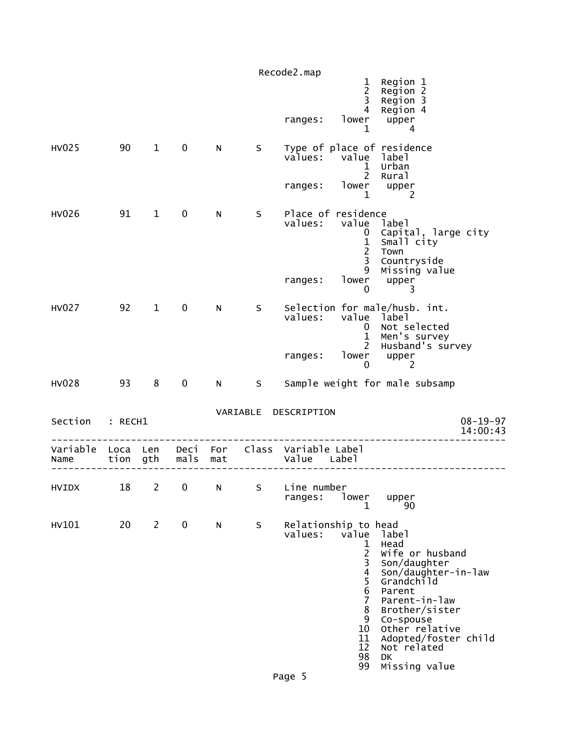|    |                |                                             |     |      |                      | 1<br>$\overline{2}$                                                                            | Region 1<br>Region 2                                                                           |                                                                                                                                                                                                                                                                                                                                                                                                   |
|----|----------------|---------------------------------------------|-----|------|----------------------|------------------------------------------------------------------------------------------------|------------------------------------------------------------------------------------------------|---------------------------------------------------------------------------------------------------------------------------------------------------------------------------------------------------------------------------------------------------------------------------------------------------------------------------------------------------------------------------------------------------|
|    |                |                                             |     |      | ranges:              | $\overline{4}$<br>lower<br>1                                                                   | Region 4<br>upper<br>4                                                                         |                                                                                                                                                                                                                                                                                                                                                                                                   |
| 90 | $\mathbf{1}$   | $\mathbf 0$                                 | N   | S    | values:              | $\mathbf{1}$<br>$2^{\circ}$                                                                    | label<br>Urban<br>Rural                                                                        |                                                                                                                                                                                                                                                                                                                                                                                                   |
|    |                |                                             |     |      | ranges:              | $\mathbf{1}$                                                                                   | upper<br>2                                                                                     |                                                                                                                                                                                                                                                                                                                                                                                                   |
| 91 | $\mathbf{1}$   | $\mathbf 0$                                 | N   | S    | values:              | 0<br>$\mathbf{1}$<br>$\overline{2}$<br>3<br>9                                                  | label<br>Small city<br>Town<br>Countryside<br>Missing value                                    |                                                                                                                                                                                                                                                                                                                                                                                                   |
|    |                |                                             |     |      |                      | 0                                                                                              | 3                                                                                              |                                                                                                                                                                                                                                                                                                                                                                                                   |
|    |                | $\mathbf 0$                                 | N   | S    | values:              | 0                                                                                              | label<br>Not selected<br>Men's survey                                                          |                                                                                                                                                                                                                                                                                                                                                                                                   |
|    |                |                                             |     |      | ranges:              | 0                                                                                              | upper<br>2                                                                                     |                                                                                                                                                                                                                                                                                                                                                                                                   |
| 93 | 8              | $\mathbf 0$                                 | N   | S.   |                      |                                                                                                |                                                                                                |                                                                                                                                                                                                                                                                                                                                                                                                   |
|    |                |                                             |     |      |                      |                                                                                                |                                                                                                | $08 - 19 - 97$<br>14:00:43                                                                                                                                                                                                                                                                                                                                                                        |
|    |                |                                             | mat |      |                      |                                                                                                |                                                                                                |                                                                                                                                                                                                                                                                                                                                                                                                   |
| 18 | $\mathbf{2}$   | $\mathbf 0$                                 | N.  |      | ranges:              | lower<br>$\mathbf 1$                                                                           | upper<br>90                                                                                    |                                                                                                                                                                                                                                                                                                                                                                                                   |
| 20 | $\overline{2}$ | 0                                           | N   | S    | values:              | value<br>1<br>$\overline{c}$<br>3<br>4<br>5<br>6<br>$\overline{7}$<br>8<br>9<br>10<br>11<br>12 | label<br>Head<br>Son/daughter<br>Parent<br>Parent-in-law<br>Co-spouse<br>Not related<br>DK     |                                                                                                                                                                                                                                                                                                                                                                                                   |
|    | 92             | $\mathbf{1}$<br>: RECH1<br>Loca Len<br>tion | gth | mals | VARIABLE<br>Deci For | Recode2.map<br>ranges:<br>DESCRIPTION                                                          | $\overline{\mathbf{3}}$<br>lower<br>Class Variable Label<br>Value Label<br>S Line number<br>98 | Region 3<br>Type of place of residence<br>value<br>lower<br>Place of residence<br>value<br>Capital, large city<br>upper<br>Selection for male/husb. int.<br>value<br>$\mathbf{1}$<br>Husband's survey<br>2<br>lower<br>Sample weight for male subsamp<br>Relationship to head<br>Wife or husband<br>Son/daughter-in-law<br>Grandchild<br>Brother/sister<br>Other relative<br>Adopted/foster child |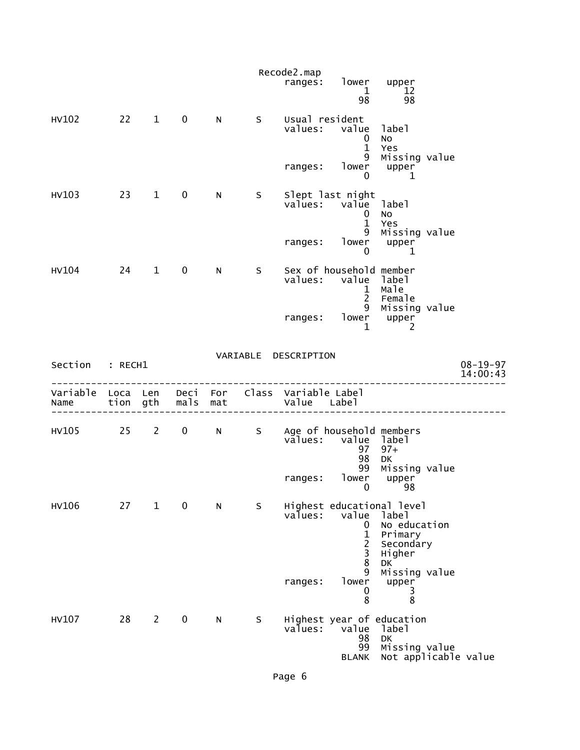|                           |    |                |                   |     |    | Recode2.map<br>ranges:                       | lower upper<br>1<br>98                                                        | 12<br>98                                                                                                    |                            |
|---------------------------|----|----------------|-------------------|-----|----|----------------------------------------------|-------------------------------------------------------------------------------|-------------------------------------------------------------------------------------------------------------|----------------------------|
| HV102                     |    | $22 \t 1$      | $\mathbf 0$       | N   | S  | Usual resident<br>values:                    | value<br>$\mathbf 0$<br>$\mathbf{1}$                                          | label<br>No<br>Yes                                                                                          |                            |
|                           |    |                |                   |     |    | ranges:                                      | 9<br>lower<br>0                                                               | Missing value<br>upper<br>1                                                                                 |                            |
| HV103                     |    | $23 \t 1$      | $\mathbf 0$       | N   | S  |                                              | Slept last night<br>values: value label<br>0<br>$\mathbf{1}$<br>9             | No<br>Yes                                                                                                   |                            |
|                           |    |                |                   |     |    | ranges:                                      | lower<br>0                                                                    | Missing value<br>upper<br>1                                                                                 |                            |
| HV104                     | 24 | $\mathbf{1}$   | $\mathbf 0$       | N.  | S  | values:                                      | Sex of household member<br>$\mathbf{1}$<br>$2^{\circ}$                        | value label<br>male<br>Female<br>9 Missing value                                                            |                            |
|                           |    |                |                   |     |    | ranges:                                      | $\mathbf{1}$                                                                  | lower upper<br>$\overline{2}$                                                                               |                            |
| Section : RECH1           |    |                |                   |     |    | VARIABLE DESCRIPTION                         |                                                                               |                                                                                                             | $08 - 19 - 97$<br>14:00:43 |
| Variable Loca Len<br>Name |    | tion gth       | mals              | mat |    | Deci For Class Variable Label<br>Value Label |                                                                               |                                                                                                             |                            |
| HV105                     | 25 | $2^{\sim}$     | $0 \qquad \qquad$ | N   |    | S Age of household members<br>values:        | 97<br>98<br>99                                                                | value label<br>$97+$<br>DK<br>Missing value                                                                 |                            |
|                           |    |                |                   |     |    | ranges:                                      | lower                                                                         | upper<br>$0$ 98                                                                                             |                            |
| HV106                     | 27 | $\mathbf{1}$   | $\mathbf 0$       | N   | S. | values:                                      | value<br>0<br>$\mathbf{1}$<br>$\begin{array}{c} 2 \\ 3 \\ 8 \end{array}$<br>9 | Highest educational level<br>label<br>No education<br>Primary<br>Secondary<br>Higher<br>DK<br>Missing value |                            |
|                           |    |                |                   |     |    | ranges:                                      | lower<br>0<br>8                                                               | upper<br>3<br>$\overline{8}$                                                                                |                            |
| HV107                     | 28 | $\overline{2}$ | $\mathbf 0$       | N   | S  | values:                                      | value<br>98<br>99<br><b>BLANK</b>                                             | Highest year of education<br>label<br>DK<br>Missing value<br>Not applicable value                           |                            |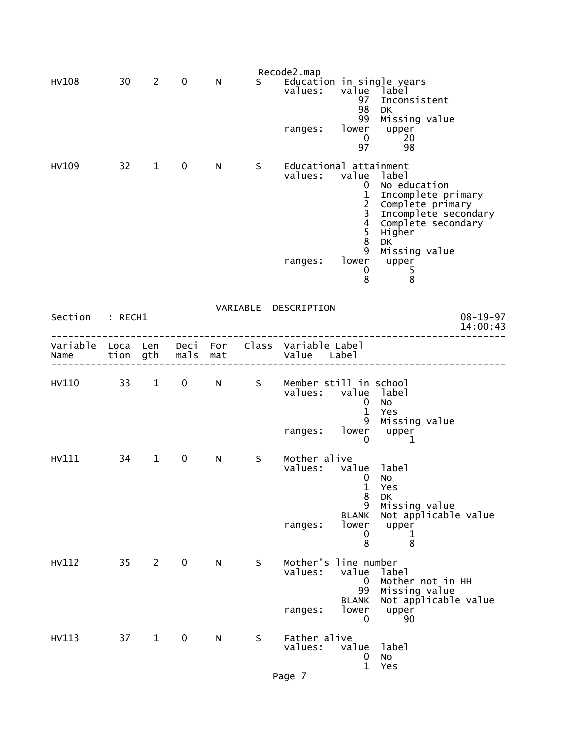|                           |         |                        |             |                 |    | Recode2.map                         |                                                                                                                                                                            |                                                                                                                                                                   |
|---------------------------|---------|------------------------|-------------|-----------------|----|-------------------------------------|----------------------------------------------------------------------------------------------------------------------------------------------------------------------------|-------------------------------------------------------------------------------------------------------------------------------------------------------------------|
| <b>HV108</b>              | 30      | $\overline{2}$         | 0           | N               | S. | values:<br>ranges:                  | value<br>97<br>98<br>99<br>lower<br>$\mathbf 0$<br>97                                                                                                                      | Education in single years<br>Iabel -<br>Inconsistent<br>DK<br>Missing value<br>upper<br>20<br>98                                                                  |
| HV109                     | $32 -$  | $\mathbf 1$            | $\mathbf 0$ | N               | S  | values:<br>ranges:                  | Educational attainment<br>value<br>$\mathbf{0}$<br>$\begin{array}{c} 1 \\ 2 \\ 3 \end{array}$<br>$\overline{\mathbf{4}}$<br>5<br>$\bf 8$<br>9<br>lower<br>$\mathbf 0$<br>8 | label<br>No education<br>Incomplete primary<br>Complete primary<br>Incomplete secondary<br>Complete secondary<br>Higher<br>DK<br>Missing value<br>upper<br>5<br>8 |
| Section                   | : RECH1 |                        |             |                 |    | VARIABLE DESCRIPTION                |                                                                                                                                                                            | $08 - 19 - 97$<br>14:00:43                                                                                                                                        |
| Variable Loca Len<br>Name |         | tion gth               | mals        | Deci For<br>mat |    | Class Variable Label<br>Value Label |                                                                                                                                                                            |                                                                                                                                                                   |
| HV110                     | 33      | $1 \quad \blacksquare$ | $\mathbf 0$ | N               | S  | values:                             | Member still in school<br>value label<br>$\mathbf 0$<br>$\mathbf{1}$<br>9                                                                                                  | <b>NO</b><br>Yes                                                                                                                                                  |
|                           |         |                        |             |                 |    | ranges:                             | lower<br>0                                                                                                                                                                 | Missing value<br>upper<br>1                                                                                                                                       |
| HV111                     | 34      | $\mathbf{1}$           | $\mathbf 0$ | N               | S  | Mother alive<br>values:<br>ranges:  | value<br>0<br>$\mathbf{1}$<br>8<br>9<br><b>BLANK</b><br>lower                                                                                                              | label<br>NO<br>Yes<br>DK<br>Missing value<br>Not applicable value<br>upper                                                                                        |
|                           |         |                        |             |                 |    |                                     | 0<br>8                                                                                                                                                                     | 1<br>8                                                                                                                                                            |
| HV112                     | $35 -$  | $2^{\sim}$             | $\mathbf 0$ | N               | S  | values:                             | Mother's line number<br>value<br>0<br>99<br><b>BLANK</b><br>lower                                                                                                          | label<br>Mother not in HH<br>Missing value<br>Not applicable value                                                                                                |
|                           |         |                        |             |                 |    | ranges:                             | $\mathbf 0$                                                                                                                                                                | upper<br>90                                                                                                                                                       |
| HV113                     | 37      | $\mathbf{1}$           | $\mathbf 0$ | N.              | S  | Father alive<br>values:             | value<br>$\mathbf 0$<br>$\mathbf{1}$                                                                                                                                       | label<br>$\rm No$<br>Yes                                                                                                                                          |
|                           |         |                        |             |                 |    | Page 7                              |                                                                                                                                                                            |                                                                                                                                                                   |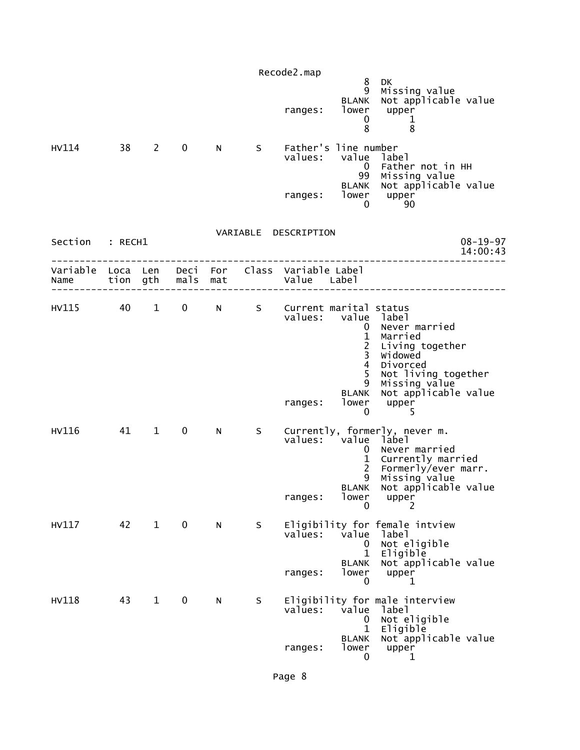|                           |         |                |             |     |   | Recode2.map                                  |                                                                                             |                                                                                                                                                                 |
|---------------------------|---------|----------------|-------------|-----|---|----------------------------------------------|---------------------------------------------------------------------------------------------|-----------------------------------------------------------------------------------------------------------------------------------------------------------------|
|                           |         |                |             |     |   | ranges:                                      | 8<br>9<br><b>BLANK</b><br>lower<br>0<br>8                                                   | DK<br>Missing value<br>Not applicable value<br>upper<br>1<br>8                                                                                                  |
| HV114                     | 38      | $\overline{2}$ | $\mathbf 0$ | N   | S | values:                                      | Father's line number<br>value<br>$\overline{0}$<br>99<br>BLANK                              | label<br>Father not in HH<br>Missing value<br>Not applicable value                                                                                              |
|                           |         |                |             |     |   | ranges:                                      | lower<br>0                                                                                  | upper<br>90                                                                                                                                                     |
| Section                   | : RECH1 |                |             |     |   | VARIABLE DESCRIPTION                         |                                                                                             | $08 - 19 - 97$<br>14:00:43                                                                                                                                      |
| Variable Loca Len<br>Name |         | tion gth       | mals        | mat |   | Deci For Class Variable Label<br>Value Label |                                                                                             |                                                                                                                                                                 |
| HV115                     | 40      | $\mathbf{1}$   | $\mathbf 0$ | N   | S | Current marital status<br>values:<br>ranges: | 0<br>$\mathbf 1$<br>$\frac{2}{3}$<br>$\overline{4}$<br>5<br>9<br><b>BLANK</b><br>lower<br>0 | value label<br>Never married<br>Married<br>Living together<br>Widowed<br>Divorced<br>Not living together<br>Missing value<br>Not applicable value<br>upper<br>5 |
| HV116                     | 41      | $\mathbf{1}$   | $\mathbf 0$ | N   | S | values: value label<br>ranges:               | $\mathbf{0}$<br>$\mathbf{1}$<br>2 <sup>7</sup><br>9<br><b>BLANK</b><br>lower<br>0           | Currently, formerly, never m.<br>Never married<br>Currently married<br>Formerly/ever marr.<br>Missing value<br>Not applicable value<br>upper<br>2               |
| HV117                     | 42      | $\mathbf{1}$   | $\mathbf 0$ | N   | S | values:<br>ranges:                           | value<br>$\mathbf{0}$<br>$\mathbf 1$<br><b>BLANK</b><br>lower<br>0                          | Eligibility for female intview<br>label<br>Not eligible<br>Eligible<br>Not applicable value<br>upper<br>1                                                       |
| <b>HV118</b>              | 43      | $\mathbf{1}$   | 0           | N   | S | values:<br>ranges:                           | value<br>$\mathbf 0$<br>$\mathbf{1}$<br><b>BLANK</b><br>lower<br>0                          | Eligibility for male interview<br>label<br>Not eligible<br>Eligible<br>Not applicable value<br>upper<br>1                                                       |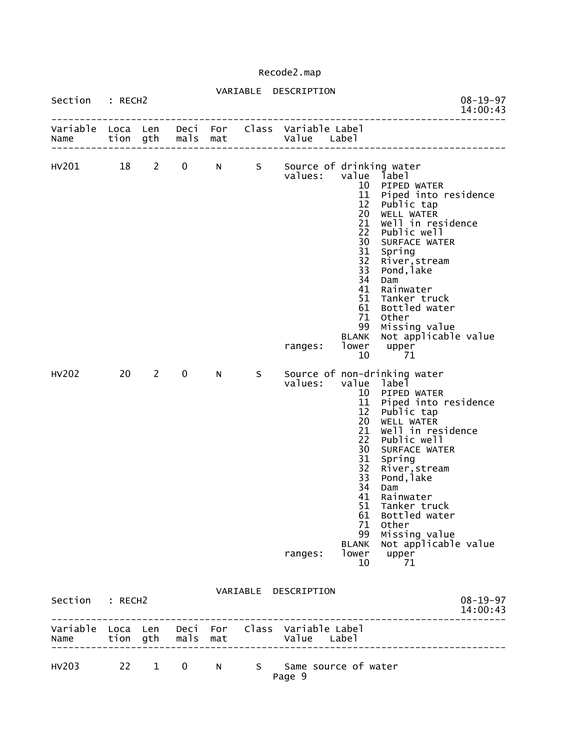| Section : RECH2 |    |              |                   |             |   | VARIABLE DESCRIPTION                                           |                                                                                                                                            |                                                                                                                                                                                                                                                                                                                     | $08 - 19 - 97$<br>14:00:43 |
|-----------------|----|--------------|-------------------|-------------|---|----------------------------------------------------------------|--------------------------------------------------------------------------------------------------------------------------------------------|---------------------------------------------------------------------------------------------------------------------------------------------------------------------------------------------------------------------------------------------------------------------------------------------------------------------|----------------------------|
| Name            |    |              | tion gth mals mat |             |   | Variable Loca Len Deci For Class Variable Label<br>Value Label |                                                                                                                                            |                                                                                                                                                                                                                                                                                                                     |                            |
| HV201 18        |    | $\mathbf{2}$ | $\mathbf{0}$      | $N$ and $N$ |   | S Source of drinking water<br>values:<br>ranges:               | value label<br>12<br>20<br>21<br>22<br>30<br>31<br>32<br>33<br>34<br>41<br>51<br>61<br>71<br>99<br><b>BLANK</b><br>lower<br>10             | 10 PIPED WATER<br>11 Piped into residence<br>Public tap<br>WELL WATER<br>Well in residence<br>Public well<br>SURFACE WATER<br>Spring<br>River, stream<br>Pond, lake<br>Dam<br>Rainwater<br>Tanker truck<br>Bottled water<br>Other<br>Missing value<br>Not applicable value<br>upper<br>71                           |                            |
| HV202           | 20 | $\mathbf{2}$ | $\mathbf 0$       | N           | S | values:<br>ranges:                                             | value label<br>10<br>11<br>12<br>20<br>21<br>22<br>30<br>31<br>32<br>33<br>34<br>41<br>51<br>61<br>71<br>99<br><b>BLANK</b><br>lower<br>10 | Source of non-drinking water<br>PIPED WATER<br>Piped into residence<br>Public tap<br>WELL WATER<br>Well in residence<br>Public well<br>SURFACE WATER<br>Spring<br>River, stream<br>Pond, lake<br>Dam<br>Rainwater<br>Tanker truck<br>Bottled water<br>Other<br>Missing value<br>Not applicable value<br>upper<br>71 |                            |
| Section : RECH2 |    |              |                   |             |   | VARIABLE DESCRIPTION                                           |                                                                                                                                            |                                                                                                                                                                                                                                                                                                                     | $08 - 19 - 97$<br>14:00:43 |
| Name            |    |              | tion gth mals mat |             |   | Variable Loca Len Deci For Class Variable Label<br>Value Label |                                                                                                                                            |                                                                                                                                                                                                                                                                                                                     |                            |

| HV203 |  |  |        | 22 1 0 N S Same source of water |
|-------|--|--|--------|---------------------------------|
|       |  |  | Page 9 |                                 |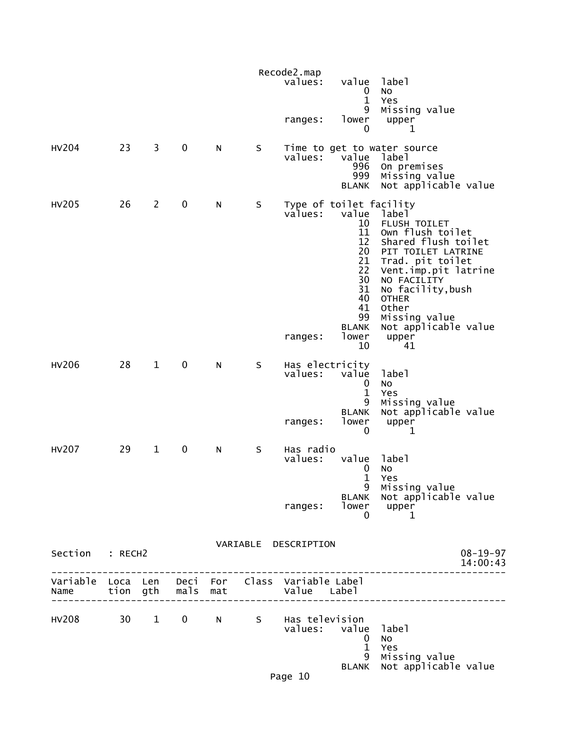|                                                         |                 |                |             |           |   | Recode2.map<br>values:                | value<br>0<br>$\mathbf{1}$<br>9                                                                                                   | label<br>No<br>Yes<br>Missing value                                                                                                                                                                                                                     |
|---------------------------------------------------------|-----------------|----------------|-------------|-----------|---|---------------------------------------|-----------------------------------------------------------------------------------------------------------------------------------|---------------------------------------------------------------------------------------------------------------------------------------------------------------------------------------------------------------------------------------------------------|
|                                                         |                 |                |             |           |   | ranges:                               | lower<br>0                                                                                                                        | upper<br>1                                                                                                                                                                                                                                              |
| <b>HV204</b>                                            | 23              | 3              | 0           | N         | S | values:                               | value<br>996<br>999<br><b>BLANK</b>                                                                                               | Time to get to water source<br>label<br>On premises<br>Missing value<br>Not applicable value                                                                                                                                                            |
| HV205                                                   | 26              | $\overline{2}$ | 0           | ${\sf N}$ | S | values:<br>ranges:                    | Type of toilet facility<br>value<br>10<br>11<br>12<br>20<br>21<br>22<br>30<br>31<br>40<br>41<br>99<br><b>BLANK</b><br>lower<br>10 | label<br>FLUSH TOILET<br>Own flush toilet<br>Shared flush toilet<br>PIT TOILET LATRINE<br>Trad. pit toilet<br>Vent.imp.pit latrine<br>NO FACILITY<br>No facility, bush<br><b>OTHER</b><br>Other<br>Missing value<br>Not applicable value<br>upper<br>41 |
| <b>HV206</b>                                            | 28              | $\mathbf{1}$   | 0           | N         | S | Has electricity<br>values:<br>ranges: | value<br>0<br>$\mathbf{1}$<br>9<br><b>BLANK</b><br>lower<br>0                                                                     | label<br>No<br>Yes<br>Missing value<br>Not applicable value<br>upper<br>1                                                                                                                                                                               |
| <b>HV207</b>                                            | 29              | $\mathbf{1}$   | 0           | N         | S | Has radio<br>values:<br>ranges:       | value<br>0<br>$\mathbf{1}$<br>9<br>lower<br>0                                                                                     | label<br>No<br>Yes<br>Missing value<br>BLANK Not applicable value<br>upper<br>1                                                                                                                                                                         |
| Section : RECH2                                         |                 |                |             |           |   | VARIABLE DESCRIPTION                  |                                                                                                                                   | $08 - 19 - 97$<br>14:00:43                                                                                                                                                                                                                              |
| Variable Loca Len Deci For Class Variable Label<br>Name |                 | tion gth       | mals        | mat       |   | Value Label                           |                                                                                                                                   |                                                                                                                                                                                                                                                         |
| HV208                                                   | 30 <sub>2</sub> | $\mathbf{1}$   | $\mathbf 0$ | N         |   | S Has television<br>values:           | value<br>0<br>$\mathbf{1}$<br>9<br>BLANK                                                                                          | label<br><b>NO</b><br>Yes<br>Missing value<br>Not applicable value                                                                                                                                                                                      |
|                                                         |                 |                |             |           |   | Page 10                               |                                                                                                                                   |                                                                                                                                                                                                                                                         |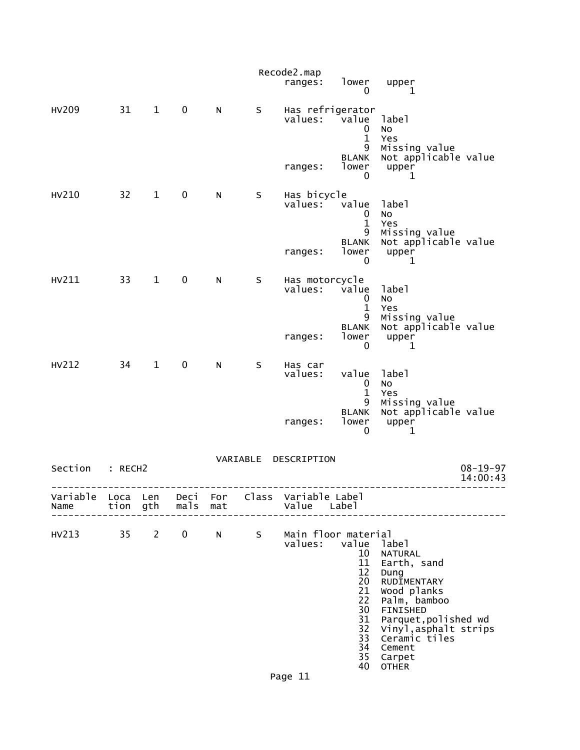|                  |              |              |              |            |          | Recode2.map<br>ranges:         | lower<br>0                                                                                         | upper<br>1                                                                                                                                                                                                     |                            |
|------------------|--------------|--------------|--------------|------------|----------|--------------------------------|----------------------------------------------------------------------------------------------------|----------------------------------------------------------------------------------------------------------------------------------------------------------------------------------------------------------------|----------------------------|
| <b>HV209</b>     | 31           | $\mathbf{1}$ | $\mathbf 0$  | N          | S        | Has refrigerator<br>values:    | value<br>0<br>$\mathbf{1}$<br>9                                                                    | label<br>No<br>Yes<br>Missing value                                                                                                                                                                            |                            |
|                  |              |              |              |            |          | ranges:                        | <b>BLANK</b><br>lower<br>0                                                                         | Not applicable value<br>upper<br>1                                                                                                                                                                             |                            |
| HV210            | 32           | $\mathbf{1}$ | 0            | N          | S        | Has bicycle<br>values:         | value<br>0<br>$\mathbf{1}$<br>9                                                                    | label<br>No<br>Yes<br>Missing value                                                                                                                                                                            |                            |
|                  |              |              |              |            |          | ranges:                        | <b>BLANK</b><br>lower<br>0                                                                         | Not applicable value<br>upper<br>1                                                                                                                                                                             |                            |
| HV211            | 33           | $\mathbf{1}$ | $\pmb{0}$    | N          | S        | Has motorcycle<br>values:      | value<br>0<br>$\mathbf{1}$<br>9                                                                    | label<br><b>NO</b><br>Yes<br>Missing value                                                                                                                                                                     |                            |
|                  |              |              |              |            |          | ranges:                        | <b>BLANK</b><br>lower<br>0                                                                         | Not applicable value<br>upper<br>1                                                                                                                                                                             |                            |
| HV212            | 34           | $\mathbf{1}$ | $\mathbf 0$  | N          | S        | Has car<br>values:             | value<br>0<br>$\mathbf{1}$                                                                         | label<br>No<br>Yes                                                                                                                                                                                             |                            |
|                  |              |              |              |            |          | ranges:                        | 9<br><b>BLANK</b><br>lower<br>0                                                                    | Missing value<br>Not applicable value<br>upper<br>1                                                                                                                                                            |                            |
| Section          | : RECH2      |              |              |            | VARIABLE | DESCRIPTION                    |                                                                                                    |                                                                                                                                                                                                                | $08 - 19 - 97$<br>14:00:43 |
| Variable<br>Name | Loca<br>tion | Len<br>gth   | Deci<br>mals | For<br>mat | Class    | Variable Label<br>Value        | Label                                                                                              |                                                                                                                                                                                                                |                            |
| HV213            | 35           | $\mathbf{2}$ | 0            | N          | S        | Main floor material<br>values: | value<br>10<br>11<br>$12 \overline{ }$<br>20<br>21<br>22<br>30<br>31<br>32<br>33<br>34<br>35<br>40 | label<br><b>NATURAL</b><br>Earth, sand<br>Dung<br>RUDIMENTARY<br>Wood planks<br>Palm, bamboo<br>FINISHED<br>Parquet, polished wd<br>Vinyl, asphalt strips<br>Ceramic tiles<br>Cement<br>Carpet<br><b>OTHER</b> |                            |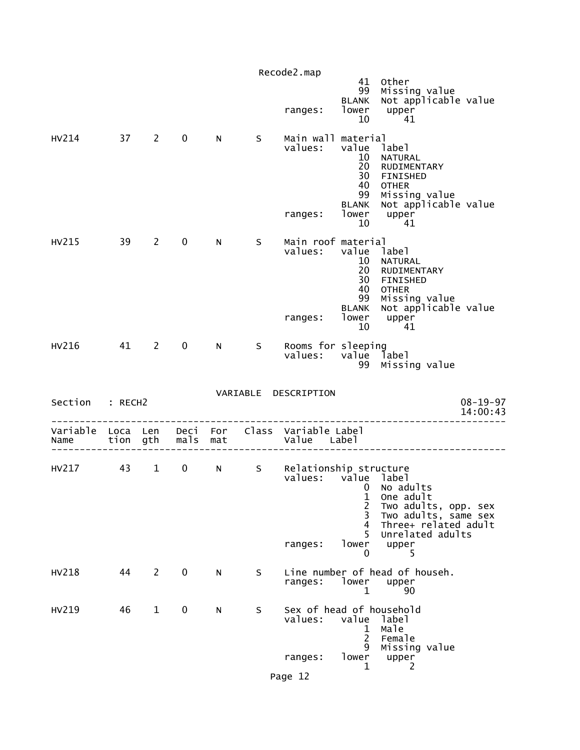|                 |      |                        |                   |           |              | Recode2.map                                                                         | 99                                                                           | 41 Other                                                                                                                           |                            |
|-----------------|------|------------------------|-------------------|-----------|--------------|-------------------------------------------------------------------------------------|------------------------------------------------------------------------------|------------------------------------------------------------------------------------------------------------------------------------|----------------------------|
|                 |      |                        |                   |           |              | ranges:                                                                             | <b>BLANK</b>                                                                 | Missing value<br>Not applicable value<br>$\begin{bmatrix} 1 & 0 & 0 \\ 0 & 0 & 0 \\ 0 & 0 & 4 \end{bmatrix}$                       |                            |
| HV214 37 2      |      |                        | $\mathbf 0$       | N         | S            | Main wall material<br>values:<br>ranges: lower upper<br>10 11                       | value label<br>10 <sup>°</sup><br>20<br>30<br>40<br>99<br><b>BLANK</b><br>10 | NATURAL<br>RUDIMENTARY<br>FINISHED<br><b>OTHER</b><br>Missing value<br>Not applicable value<br>41                                  |                            |
| HV215           | 39 2 |                        | $\mathbf 0$       | N         | $\mathsf{S}$ | Main roof material<br>values: value label<br>ranges:                                | 10<br>20<br>30<br>40<br>99<br><b>BLANK</b><br>10                             | NATURAL<br>RUDIMENTARY<br>FINISHED<br><b>OTHER</b><br>Missing value<br>Not applicable value<br>lower upper<br>41                   |                            |
| HV216           | 41 2 |                        | $\mathbf{0}$      | N         | $\mathsf{S}$ | Rooms for sleeping<br>values: value label                                           | 99                                                                           | Missing value                                                                                                                      |                            |
| Section : RECH2 |      |                        |                   |           |              | VARIABLE DESCRIPTION                                                                |                                                                              |                                                                                                                                    | $08 - 19 - 97$<br>14:00:43 |
| Name            |      |                        |                   |           |              | Variable Loca Len Deci For Class Variable Label<br>tion gth mals mat by value Label |                                                                              |                                                                                                                                    |                            |
| HV217 43        |      | $1 \quad \blacksquare$ | $0 \qquad \qquad$ |           |              | N S Relationship structure<br>values: value label<br>ranges:                        | 1<br>$\overline{c}$<br>3<br>4<br>5<br>lower<br>0                             | 0 No adults<br>One adult<br>Two adults, opp. sex<br>Two adults, same sex<br>Three+ related adult<br>Unrelated adults<br>upper<br>5 |                            |
| HV218           | 44   | $\overline{2}$         | $\mathbf 0$       | ${\sf N}$ | S            | ranges:                                                                             | lower<br>1                                                                   | Line number of head of househ.<br>upper<br>90                                                                                      |                            |
| HV219           | 46   | $\mathbf{1}$           | 0                 | N         | S            | Sex of head of household<br>values:                                                 | value<br>1                                                                   | label<br>Male                                                                                                                      |                            |
|                 |      |                        |                   |           |              | ranges:                                                                             | $\overline{2}$<br>9<br>lower<br>1                                            | Female<br>Missing value<br>upper<br>2                                                                                              |                            |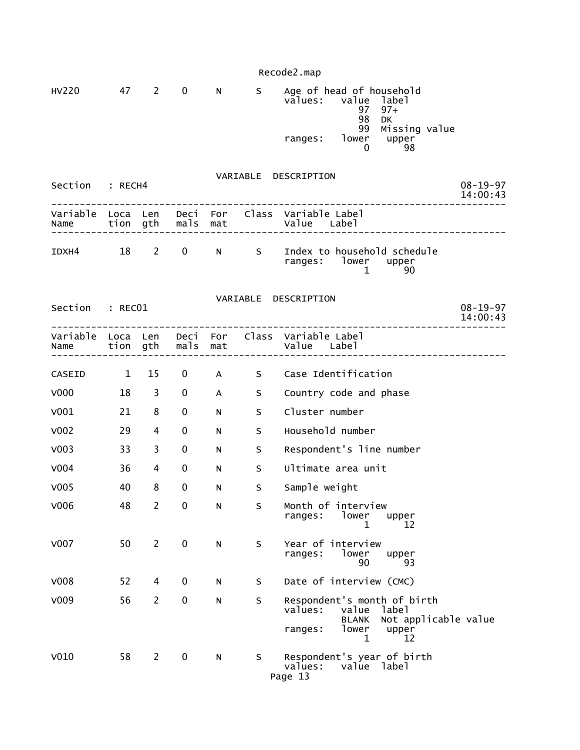Recode2.map HV220 47 2 0 N S Age of head of household<br>values: value label value label<br>97 97+ 97 97+ en de la construction de la construction de la construction de la construction de la construction de la constr 99 Missing value<br>ranges: lower upper ranges: lower upper  $\sim$  0 98 VARIABLE DESCRIPTION Section : RECH4 08-19-97<br>14:00:43 14:00:43 -------------------------------------------------------------------------------- Variable Loca Len Deci For Class Variable Label Name tion gth mals mat Value Label -------------------------------------------------------------------------------- IDXH4 18 2 0 N S Index to household schedule ranges: lower upper<br>1 90  $1$  90 VARIABLE DESCRIPTION Section : RECO1 08-19-97<br>14:00:43 14:00:43 -------------------------------------------------------------------------------- Variable Loca Len Deci For Class Variable Label mals mat value Label -------------------------------------------------------------------------------- CASEID 1 15 0 A S Case Identification V000 18 3 0 A S Country code and phase V001 21 8 0 N S Cluster number V002 29 4 0 N S Household number V003 33 3 0 N S Respondent's line number V004 36 4 0 N S Ultimate area unit V005 40 8 0 N S Sample weight V006 48 2 0 N S Month of interview ranges: lower upper<br>12 12 1 12 V007 50 2 0 N S Year of interview lower upper<br>90 93  $90$  93 V008 52 4 0 N S Date of interview (CMC) V009 56 2 0 N S Respondent's month of birth values: value label (1999) values: value label (1999) value label (1999) value label (1999) value  $\sim$  BLANK Not applicable value ranges: lower upper<br>12 1 12 V010 58 2 0 N S Respondent's year of birth values: value label Page 13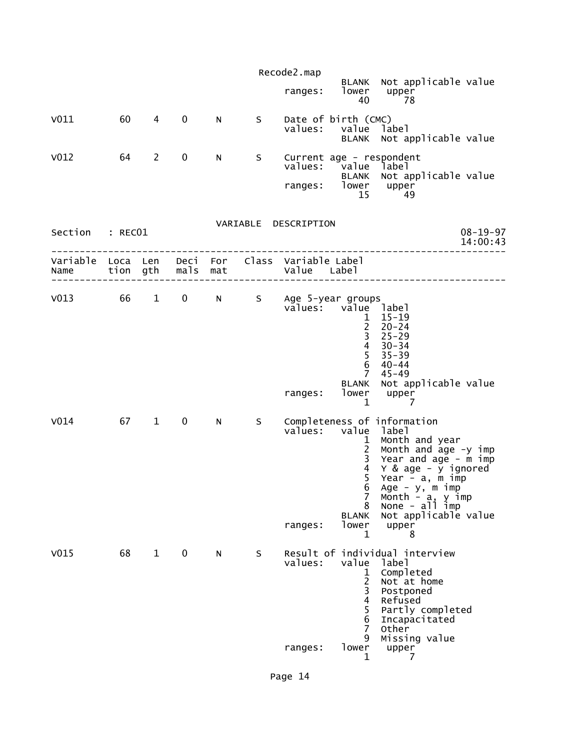|                                             |    |                        |             |    |   | Recode2.map                                  |                                                                                                          |                                                                                                                                                                                                                                                                          |
|---------------------------------------------|----|------------------------|-------------|----|---|----------------------------------------------|----------------------------------------------------------------------------------------------------------|--------------------------------------------------------------------------------------------------------------------------------------------------------------------------------------------------------------------------------------------------------------------------|
|                                             |    |                        |             |    |   | ranges:                                      | lower<br>40                                                                                              | BLANK Not applicable value<br>upper<br>78                                                                                                                                                                                                                                |
| V011                                        | 60 | 4                      | $\mathbf 0$ | N. | S | values:                                      | Date of birth (CMC)<br>value<br><b>BLANK</b>                                                             | label<br>Not applicable value                                                                                                                                                                                                                                            |
| V <sub>012</sub>                            | 64 | $\overline{2}$         | $\mathbf 0$ | N  | S | ranges:                                      | values: value label<br>lower<br>15                                                                       | Current age - respondent<br>BLANK Not applicable value<br>upper<br>49                                                                                                                                                                                                    |
| Section : RECO1                             |    |                        |             |    |   | VARIABLE DESCRIPTION                         |                                                                                                          | $08 - 19 - 97$<br>14:00:43                                                                                                                                                                                                                                               |
| Variable Loca Len<br>Name tion gth mals mat |    |                        |             |    |   | Deci For Class Variable Label<br>Value Label |                                                                                                          |                                                                                                                                                                                                                                                                          |
| V013 66 1 0 N S Age 5-year groups           |    |                        |             |    |   |                                              | values: value label<br>2 <sup>7</sup><br>$\overline{3}$<br>$\overline{4}$<br>5<br>6<br>$7^{\circ}$       | $1 15 - 19$<br>$20 - 24$<br>$25 - 29$<br>$30 - 34$<br>$35 - 39$<br>40-44<br>45–49                                                                                                                                                                                        |
|                                             |    |                        |             |    |   | ranges:                                      | <b>BLANK</b><br>lower<br>$\mathbf 1$                                                                     | Not applicable value<br>upper<br>7                                                                                                                                                                                                                                       |
| V <sub>014</sub>                            | 67 | $1 \quad \blacksquare$ | $\mathbf 0$ | N  | S | values:<br>ranges:                           | value<br>1<br>$2^{\circ}$<br>$\mathbf{3}$<br>$\overline{4}$<br>5<br>7<br>8<br><b>BLANK</b><br>lower<br>1 | Completeness of information<br>label<br>Month and year<br>Month and $\bar{a}$ ge -y imp<br>Year and $\bar{a}$ ge - m imp<br>Y & age - y ignored<br>Year - a, m imp<br>6 Age $-$ y, m imp<br>Month $-$ a, y imp<br>None $-$ all imp<br>Not applicable value<br>upper<br>8 |
| V <sub>015</sub>                            | 68 | $\mathbf{1}$           | $\mathbf 0$ | N  | S | values:<br>ranges:                           | value<br>1<br>$\overline{c}$<br>$\frac{1}{4}$<br>5<br>6<br>$\overline{7}$<br>9<br>lower<br>1             | Result of individual interview<br>label<br>Completed<br>Not at home<br>Postponed<br>Refused<br>Partly completed<br>Incapacitated<br>Other<br>Missing value<br>upper<br>7                                                                                                 |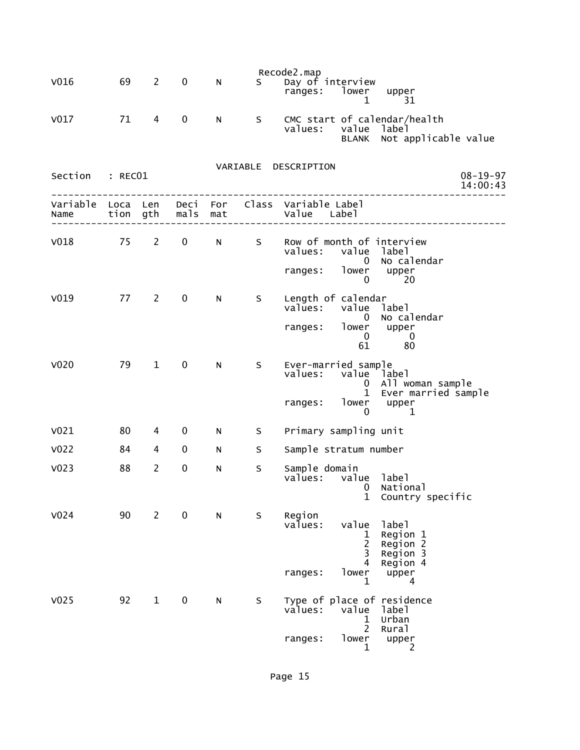| V <sub>016</sub> | 69 | $\mathbf{2}$   | $\mathbf 0$ | N         | $S$ and $S$ | Recode2.map<br>Day of interview<br>ranges: lower upper<br>31<br>1                                                                           |                            |
|------------------|----|----------------|-------------|-----------|-------------|---------------------------------------------------------------------------------------------------------------------------------------------|----------------------------|
| V <sub>017</sub> | 71 | 4              | $\mathbf 0$ | N         | S           | CMC start of calendar/health<br>values: value label<br>BLANK Not applicable value                                                           |                            |
| Section : RECO1  |    |                |             |           |             | VARIABLE DESCRIPTION                                                                                                                        | $08 - 19 - 97$<br>14:00:43 |
|                  |    |                |             |           |             | Variable Loca Len Deci For Class Variable Label                                                                                             |                            |
|                  |    |                |             |           |             | V018 75 2 0 N S Row of month of interview<br>values: value label<br>0 No calendar<br>ranges: lower upper<br>0<br>-20                        |                            |
| V <sub>019</sub> |    | 77 2           | $\mathbf 0$ | N.        | S           | Length of calendar<br>values: value label<br>0 No calendar<br>ranges: lower upper<br>$\overline{0}$<br>$\overline{\phantom{0}}$<br>61<br>80 |                            |
| V <sub>020</sub> | 79 | $\mathbf{1}$   | 0           | N         | S           | Ever-married sample<br>values: value label<br>0 All woman sample<br>1 Ever married sample<br>ranges: lower upper<br>0<br>1                  |                            |
| V <sub>021</sub> | 80 | 4              | 0           | N         | $S_{\perp}$ | Primary sampling unit                                                                                                                       |                            |
| V <sub>022</sub> | 84 | 4              | 0           | N         | S           | Sample stratum number                                                                                                                       |                            |
| V <sub>023</sub> | 88 | $\overline{2}$ | $\mathbf 0$ | N         | S           | Sample domain<br>values: value label<br>Mational Distribution of the National<br>$\mathbf 1$<br>Country specific                            |                            |
| V <sub>024</sub> | 90 | $\overline{2}$ | $\pmb{0}$   | ${\sf N}$ | S           | Region<br>value<br>values:<br>label<br>Region 1<br>1<br>$\overline{c}$<br>Region<br>$\overline{2}$<br>3<br>Region 3<br>4<br>Region 4        |                            |
|                  |    |                |             |           |             | lower<br>ranges:<br>upper<br>1<br>4                                                                                                         |                            |
| V <sub>025</sub> | 92 | $\mathbf{1}$   | $\pmb{0}$   | N         | S           | Type of place of residence<br>values:<br>value<br>label<br>Urban<br>ı<br>$\overline{2}$<br>Rural                                            |                            |
|                  |    |                |             |           |             | lower<br>ranges:<br>upper<br>1<br>2                                                                                                         |                            |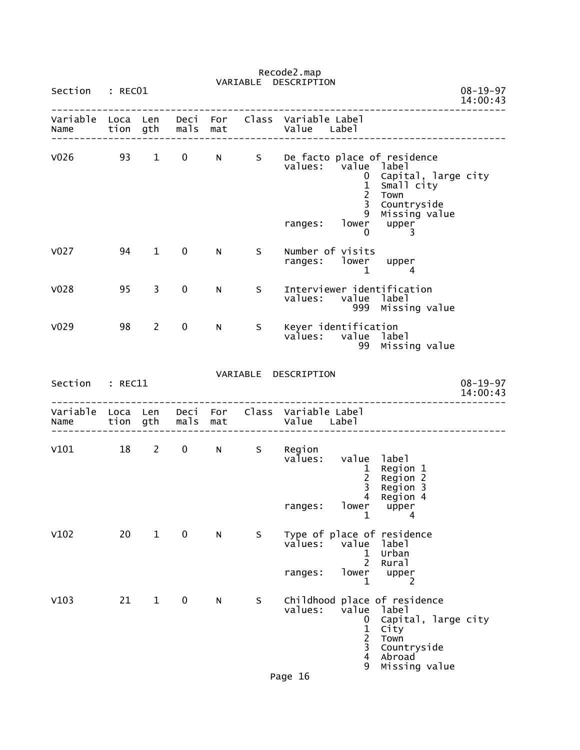|                        |         |                |                     |    |   | VARIABLE DESCRIPTION                                                                                                                                                                                                   |                            |
|------------------------|---------|----------------|---------------------|----|---|------------------------------------------------------------------------------------------------------------------------------------------------------------------------------------------------------------------------|----------------------------|
| Section                | : RECO1 |                |                     |    |   |                                                                                                                                                                                                                        | $08 - 19 - 97$<br>14:00:43 |
| Name tion gth mals mat |         |                |                     |    |   | Variable Loca Len Deci For Class Variable Label<br>Value Label                                                                                                                                                         |                            |
|                        |         |                |                     |    |   | V026 93 1 0 N S De facto place of residence<br>values: value label<br>Capital, large city<br>$\mathbf{0}$<br>$\mathbf{1}$<br>Small city<br>$\overline{2}$<br>Town<br>$\mathbf{3}$<br>Countryside<br>9<br>Missing value |                            |
|                        |         |                |                     |    |   | ranges: lower upper<br>$\begin{matrix} 0 & \cdots & \end{matrix}$<br>3                                                                                                                                                 |                            |
| V <sub>027</sub>       | 94      | $\mathbf 1$    | $\mathbf 0$         | N  | S | Number of visits<br>ranges: lower upper<br>$\mathbf{1}$<br>$\overline{4}$                                                                                                                                              |                            |
| V <sub>028</sub>       | 95      | $\overline{3}$ | 0                   | N. | S | Interviewer identification<br>values: value label<br>999 Missing value                                                                                                                                                 |                            |
| V <sub>029</sub>       | 98      | $\overline{2}$ | $\mathbf 0$         | N. | S | Keyer identification<br>values: value label<br>99 Missing value                                                                                                                                                        |                            |
|                        |         |                |                     |    |   | VARIABLE DESCRIPTION                                                                                                                                                                                                   |                            |
| Section : REC11        |         |                |                     |    |   |                                                                                                                                                                                                                        | $08 - 19 - 97$<br>14:00:43 |
| Name                   |         |                | tion gth  mals  mat |    |   | Variable Loca Len Deci For Class Variable Label<br>Value Label                                                                                                                                                         |                            |
| V101 18 2 0 N S Region |         |                |                     |    |   | values: value label<br>$\mathbf{1}$<br>Region 1<br>$\frac{2}{3}$<br>Region 2<br>Region 3                                                                                                                               |                            |
|                        |         |                |                     |    |   | $\overline{4}$<br>Region 4<br>lower<br>ranges:<br>upper<br>1<br>4                                                                                                                                                      |                            |
| V102                   | 20      | $\mathbf{1}$   | $\mathbf 0$         | N  | S | Type of place of residence<br>values:<br>value<br>label<br>Urban<br>1<br>$\overline{2}$                                                                                                                                |                            |
|                        |         |                |                     |    |   | Rural<br>lower<br>upper<br>ranges:<br>1<br>2                                                                                                                                                                           |                            |
| V103                   | 21      | $\mathbf{1}$   | $\mathbf 0$         | N  | S | Childhood place of residence<br>value<br>values:<br>label<br>Capital, large city<br>0<br>$\frac{1}{2}$<br>City<br>Town<br>Countryside<br>$\overline{\mathbf{4}}$<br>Abroad<br>Missing value<br>9                       |                            |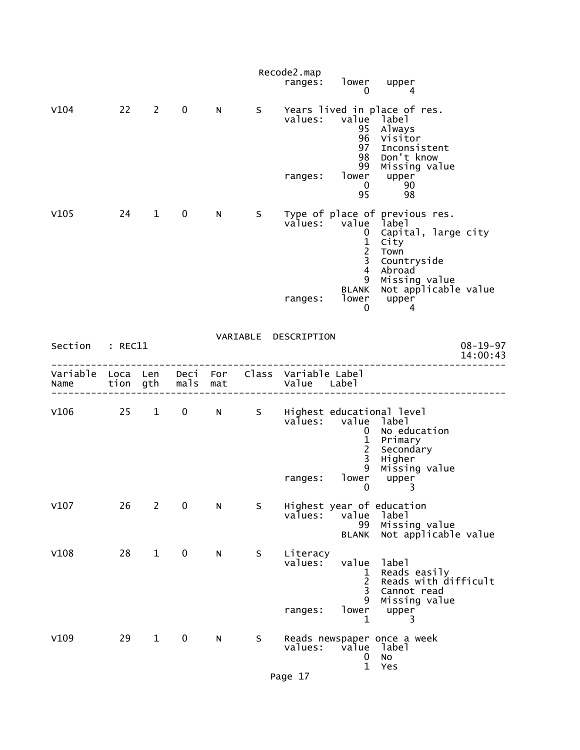|                                                         |    |              |             |   |     | Recode2.map<br>ranges:         | lower<br>0                                                                                                       | upper<br>4                                                                                                                                                  |                            |
|---------------------------------------------------------|----|--------------|-------------|---|-----|--------------------------------|------------------------------------------------------------------------------------------------------------------|-------------------------------------------------------------------------------------------------------------------------------------------------------------|----------------------------|
| V104                                                    |    | $22 \t2$     | $\mathbf 0$ | N | S   | ranges:                        | values: value label<br>95<br>96<br>97<br>98<br>99<br>$\mathbf{0}$<br>95                                          | Years lived in place of res.<br>Always<br>Visitor<br>Inconsistent<br>Don't know<br>Missing value<br>lower upper<br>90<br>98                                 |                            |
| V105                                                    | 24 | $\mathbf{1}$ | $\mathbf 0$ | N | S - | ranges:                        | values: value label<br>$\mathbf{0}$<br>$\mathbf{1}$<br>$\frac{2}{3}$<br>$\overline{4}$<br>9<br><b>BLANK</b><br>0 | Type of place of previous res.<br>Capital, large city<br>City<br>Town<br>Countryside<br>Abroad<br>Missing value<br>Not applicable value<br>lower upper<br>4 |                            |
| Section : REC11                                         |    |              |             |   |     | VARIABLE DESCRIPTION           |                                                                                                                  |                                                                                                                                                             | $08 - 19 - 97$<br>14:00:43 |
| Variable Loca Len Deci For Class Variable Label<br>Name |    |              |             |   |     |                                |                                                                                                                  |                                                                                                                                                             |                            |
|                                                         |    |              |             |   |     | ranges:                        | values: value label<br>$\mathbf{0}$<br>$\frac{1}{2}$<br>$\overline{3}$<br>9<br>lower<br>0                        | V106 25 1 0 N S Highest educational level<br>No education<br>Primary<br>Secondary<br>Higher<br>Missing value<br>upper<br>3                                  |                            |
| V107                                                    | 26 | $\mathbf{2}$ | 0           | N | S   | values:                        | value<br>99<br>BLANK                                                                                             | Highest year of education<br>label<br>Missing value<br>Not applicable value                                                                                 |                            |
| V108                                                    | 28 | $\mathbf{1}$ | $\mathbf 0$ | N | S   | Literacy<br>values:<br>ranges: | value<br>1<br>$\overline{2}$<br>3<br>9<br>lower<br>$\mathbf 1$                                                   | label<br>Reads easily<br>Reads with difficult<br>Cannot read<br>Missing value<br>upper<br>3                                                                 |                            |
| V109                                                    | 29 | $\mathbf{1}$ | $\mathbf 0$ | N | S   | values:                        | value<br>0<br>$\mathbf 1$                                                                                        | Reads newspaper once a week<br>label<br><b>NO</b><br>Yes                                                                                                    |                            |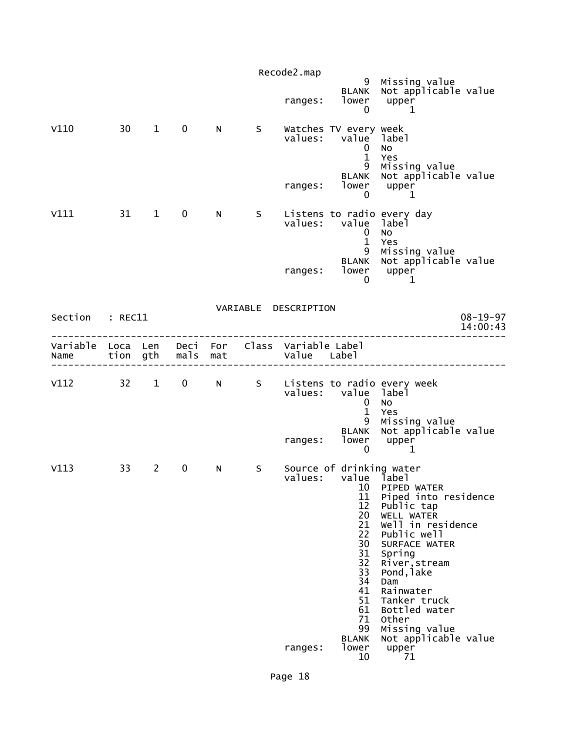|                  |                  |                        |              |            |    | Recode2.map<br>ranges:              | 9<br><b>BLANK</b><br>lower<br>0                                                                                                                                  | Missing value<br>Not applicable value<br>upper<br>1                                                                                                                                                                                                                                          |                            |
|------------------|------------------|------------------------|--------------|------------|----|-------------------------------------|------------------------------------------------------------------------------------------------------------------------------------------------------------------|----------------------------------------------------------------------------------------------------------------------------------------------------------------------------------------------------------------------------------------------------------------------------------------------|----------------------------|
| V110             | 30 <sup>7</sup>  | $1 \quad \blacksquare$ | $\mathbf 0$  | N.         | S. | values:<br>ranges:                  | Watches TV every week<br>value label<br>0<br>$\mathbf{1}$<br>9<br><b>BLANK</b><br>lower<br>0                                                                     | <b>NO</b><br>Yes<br>Missing value<br>Not applicable value<br>upper<br>$\mathbf 1$                                                                                                                                                                                                            |                            |
| V111             | 31               | $\mathbf{1}$           | $\mathbf 0$  | N.         | S. | values:<br>ranges:                  | value label<br>0<br>$\mathbf{1}$<br>9<br><b>BLANK</b><br>lower<br>0                                                                                              | Listens to radio every day<br><b>NO</b><br>Yes<br>Missing value<br>Not applicable value<br>upper<br>1                                                                                                                                                                                        |                            |
| Section          | $:$ REC11        |                        |              |            |    | VARIABLE DESCRIPTION                |                                                                                                                                                                  |                                                                                                                                                                                                                                                                                              | $08 - 19 - 97$<br>14:00:43 |
| Variable<br>Name | Loca Len<br>tion | gth                    | Deci<br>mals | For<br>mat |    | Class Variable Label<br>Value Label |                                                                                                                                                                  |                                                                                                                                                                                                                                                                                              |                            |
| V112             | 32               | $1 \quad \blacksquare$ | $\mathbf 0$  | N          | S  | values:<br>ranges:                  | value label<br>0<br>$\mathbf{1}$<br>9<br><b>BLANK</b><br>lower<br>0                                                                                              | Listens to radio every week<br>No<br>Yes<br>Missing value<br>Not applicable value<br>upper<br>1                                                                                                                                                                                              |                            |
| V113             | 33               | $\overline{2}$         | $\mathbf 0$  | N          | S. | values:<br>ranges:                  | Source of drinking water<br>value<br>10<br>11<br>12<br>20<br>21<br>22<br>30<br>31<br>32<br>33<br>34<br>41<br>51<br>61<br>71<br>99<br><b>BLANK</b><br>lower<br>10 | label<br>PIPED WATER<br>Piped into residence<br>Public tap<br>WELL WATER<br>Well in residence<br>Public well<br>SURFACE WATER<br>Spring<br>River, stream<br>Pond, lake<br>Dam<br>Rainwater<br>Tanker truck<br>Bottled water<br>Other<br>Missing value<br>Not applicable value<br>upper<br>71 |                            |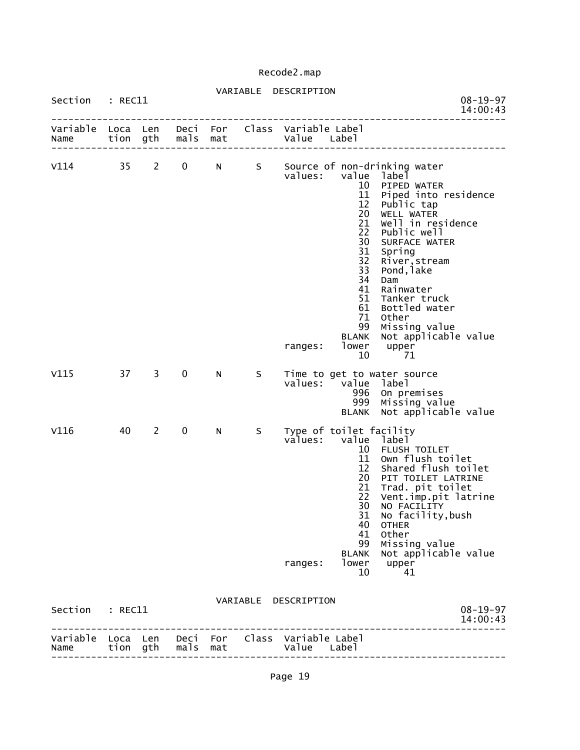# VARIABLE DESCRIPTION

| Section          | $:$ REC11        |                |              |            |   | $08 - 19 - 97$<br>14:00:43                                                                                                                                                                                                                                                                                                                                                                                                                                                                 |
|------------------|------------------|----------------|--------------|------------|---|--------------------------------------------------------------------------------------------------------------------------------------------------------------------------------------------------------------------------------------------------------------------------------------------------------------------------------------------------------------------------------------------------------------------------------------------------------------------------------------------|
| Variable<br>Name | Loca Len<br>tion | gth            | Deci<br>mals | For<br>mat |   | Class Variable Label<br>Value<br>Label                                                                                                                                                                                                                                                                                                                                                                                                                                                     |
| V114             | 35               | $\overline{2}$ | 0            | N          | S | Source of non-drinking water<br>values:<br>value<br>label<br>10<br>PIPED WATER<br>11<br>Piped into residence<br>12<br>Public tap<br>20<br>WELL WATER<br>21<br>Well in residence<br>22<br>Public well<br>30<br>SURFACE WATER<br>31<br>Spring<br>32<br>River, stream<br>33<br>Pond, lake<br>34<br>Dam<br>41<br>Rainwater<br>51<br>Tanker truck<br>61<br>Bottled water<br>71<br>Other<br>99<br>Missing value<br>Not applicable value<br><b>BLANK</b><br>lower<br>upper<br>ranges:<br>10<br>71 |
| V115             | 37               | $\overline{3}$ | $\pmb{0}$    | N          | S | Time to get to water source<br>values:<br>value<br>label<br>996<br>On premises<br>999<br>Missing value<br>Not applicable value<br><b>BLANK</b>                                                                                                                                                                                                                                                                                                                                             |
| V116             | 40               | $\overline{2}$ | 0            | N          | S | Type of toilet facility<br>values:<br>value<br>label<br>FLUSH TOILET<br>10<br>11<br>Own flush toilet<br>12<br>Shared flush toilet<br>20<br>PIT TOILET LATRINE<br>21<br>Trad. pit toilet<br>22<br>Vent.imp.pit latrine<br>30<br>NO FACILITY<br>31<br>No facility, bush<br>40<br><b>OTHER</b><br>41<br>Other<br>99<br>Missing value<br>Not applicable value<br><b>BLANK</b><br>lower<br>upper<br>ranges:<br>10<br>41                                                                         |
| Section          | : REC11          |                |              |            |   | VARIABLE DESCRIPTION<br>$08 - 19 - 97$<br>14:00:43                                                                                                                                                                                                                                                                                                                                                                                                                                         |
| Variable<br>Name | Loca<br>tion gth | Len            | Deci<br>mals | For<br>mat |   | Class Variable Label<br>Value Label                                                                                                                                                                                                                                                                                                                                                                                                                                                        |

--------------------------------------------------------------------------------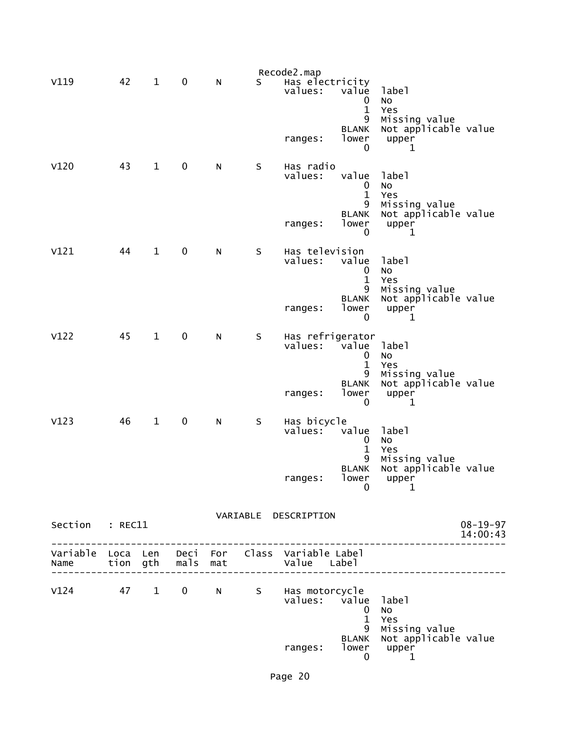|                 |    |              |           |   |         | Recode2.map                                                                           |                                         |                                                                 |                            |
|-----------------|----|--------------|-----------|---|---------|---------------------------------------------------------------------------------------|-----------------------------------------|-----------------------------------------------------------------|----------------------------|
| V119            | 42 | $\mathbf{1}$ | 0         | N | S       | Has electricity<br>values:                                                            | value<br>0<br>1<br>9                    | label<br><b>NO</b><br>Yes                                       |                            |
|                 |    |              |           |   |         | ranges:                                                                               | <b>BLANK</b><br>lower<br>0              | Missing value<br>Not applicable value<br>upper<br>1             |                            |
| V120            | 43 | $\mathbf{1}$ | $\pmb{0}$ | N | $\sf S$ | Has radio<br>values:                                                                  | value<br>0<br>$\mathbf{1}$<br>9         | label<br>No<br>Yes<br>Missing value                             |                            |
|                 |    |              |           |   |         | ranges:                                                                               | <b>BLANK</b><br>lower<br>0              | Not applicable value<br>upper<br>1                              |                            |
| V121            | 44 | $\mathbf{1}$ | $\pmb{0}$ | N | $\sf S$ | Has television<br>values:                                                             | value<br>0<br>1                         | label<br>No<br>Yes                                              |                            |
|                 |    |              |           |   |         | ranges:                                                                               | 9<br><b>BLANK</b><br>lower<br>0         | Missing value<br>Not applicable value<br>upper<br>1             |                            |
| V122            | 45 | $\mathbf{1}$ | $\pmb{0}$ | N | S       | Has refrigerator<br>values:                                                           | value<br>$\mathbf 0$<br>1<br>9          | label<br><b>NO</b><br>Yes<br>Missing value                      |                            |
|                 |    |              |           |   |         | ranges:                                                                               | <b>BLANK</b><br>lower<br>0              | Not applicable value<br>upper<br>1                              |                            |
| V123            | 46 | $\mathbf{1}$ | $\pmb{0}$ | N | S       | Has bicycle<br>values:                                                                | value<br>0<br>1                         | label<br>No<br>Yes                                              |                            |
|                 |    |              |           |   |         | ranges:                                                                               | 9<br><b>BLANK</b><br>lower<br>$\pmb{0}$ | Missing value<br>Not applicable value<br>upper<br>1             |                            |
|                 |    |              |           |   |         | VARIABLE DESCRIPTION                                                                  |                                         |                                                                 |                            |
| Section : REC11 |    |              |           |   |         |                                                                                       |                                         | __________________                                              | $08 - 19 - 97$<br>14:00:43 |
|                 |    |              |           |   |         | Variable Loca Len Deci For Class Variable Label<br>Name tion gth mals mat Value Label |                                         |                                                                 |                            |
|                 |    |              |           |   |         | V124 47 1 0 N S Has motorcycle<br>values: value label                                 | $\mathbf 0$<br>$\mathbf{1}$             | <b>NO</b><br>Yes                                                |                            |
|                 |    |              |           |   |         | ranges:                                                                               | 9<br>$\mathbf 0$                        | Missing value<br>BLANK Not applicable value<br>lower upper<br>1 |                            |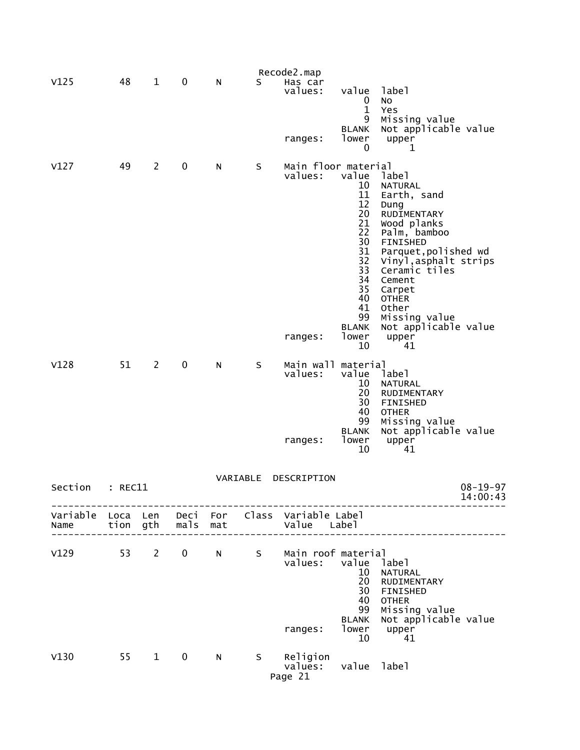|         |         |                        |             |     |          | Recode2.map                                                    |                                                                                                                                |                                                                                                                                                                                                                                                                                        |                            |
|---------|---------|------------------------|-------------|-----|----------|----------------------------------------------------------------|--------------------------------------------------------------------------------------------------------------------------------|----------------------------------------------------------------------------------------------------------------------------------------------------------------------------------------------------------------------------------------------------------------------------------------|----------------------------|
| V125    | 48      | $\mathbf{1}$           | 0           | N   | S        | Has car<br>values:<br>ranges:                                  | value<br>0<br>$\mathbf{1}$<br>9<br><b>BLANK</b><br>lower                                                                       | label<br>No<br>Yes<br>Missing value<br>Not applicable value<br>upper                                                                                                                                                                                                                   |                            |
|         |         |                        |             |     |          |                                                                | 0                                                                                                                              | 1                                                                                                                                                                                                                                                                                      |                            |
| V127    | 49      | $\overline{2}$         | 0           | N   | S        | Main floor material<br>values:<br>ranges:                      | value<br>10<br>11<br>12<br>20<br>21<br>22<br>30<br>31<br>32<br>33<br>34<br>35<br>40<br>41<br>99<br><b>BLANK</b><br>lower<br>10 | label<br><b>NATURAL</b><br>Earth, sand<br>Dung<br>RUDIMENTARY<br>Wood planks<br>Palm, bamboo<br><b>FINISHED</b><br>Parquet, polished wd<br>Vinyl, asphalt strips<br>Ceramic tiles<br>Cement<br>Carpet<br><b>OTHER</b><br>Other<br>Missing value<br>Not applicable value<br>upper<br>41 |                            |
| V128    | 51      | $\overline{2}$         | 0           | N   | S        | Main wall material<br>values:<br>ranges:                       | value<br>10<br>20<br>30<br>40<br>99<br><b>BLANK</b><br>lower<br>10                                                             | labe <sub>1</sub><br><b>NATURAL</b><br>RUDIMENTARY<br><b>FINISHED</b><br><b>OTHER</b><br>Missing value<br>Not applicable value<br>upper<br>41                                                                                                                                          |                            |
| Section | : REC11 |                        |             |     | VARIABLE | DESCRIPTION                                                    |                                                                                                                                |                                                                                                                                                                                                                                                                                        | $08 - 19 - 97$<br>14:00:43 |
| Name    |         | tion gth               | mals        | mat |          | Variable Loca Len Deci For Class Variable Label<br>Value Label |                                                                                                                                |                                                                                                                                                                                                                                                                                        |                            |
| V129    | 53      | $\overline{2}$         | $\mathbf 0$ | N   | S        | Main roof material<br>values:<br>ranges:                       | value<br>10<br>20<br>30<br>40<br>99<br>BLANK<br>lower<br>10                                                                    | label<br><b>NATURAL</b><br>RUDIMENTARY<br><b>FINISHED</b><br><b>OTHER</b><br>Missing value<br>Not applicable value<br>upper<br>41                                                                                                                                                      |                            |
| V130    | 55      | $1 \quad \blacksquare$ | $\mathbf 0$ | N   |          | S Religion<br>values:<br>Page 21                               | value                                                                                                                          | label                                                                                                                                                                                                                                                                                  |                            |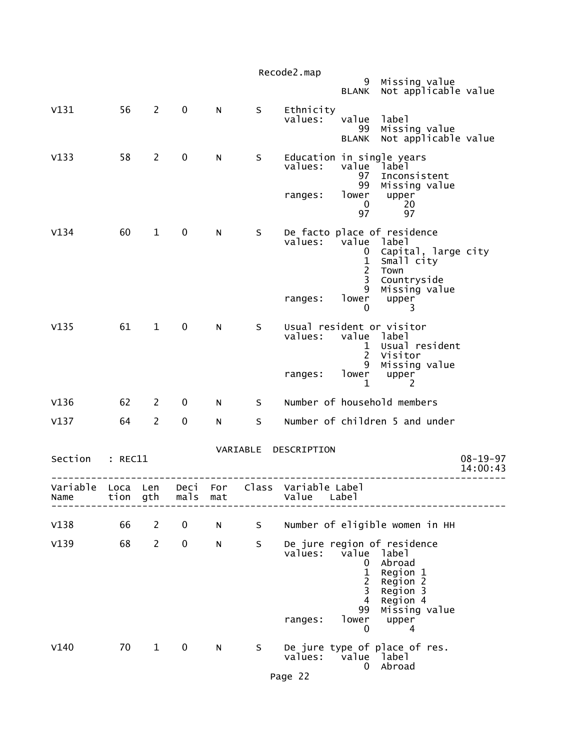|                           |         |                       |             |        |        | Recode2.map<br>Missing value<br>9<br>Not applicable value<br><b>BLANK</b>                                                                                                                                                      |                            |
|---------------------------|---------|-----------------------|-------------|--------|--------|--------------------------------------------------------------------------------------------------------------------------------------------------------------------------------------------------------------------------------|----------------------------|
| V131                      | 56      | $\overline{2}$        | $\mathbf 0$ | N      | S      | Ethnicity<br>values:<br>value<br>label<br>Missing value<br>99<br>Not applicable value<br><b>BLANK</b>                                                                                                                          |                            |
| V133                      | 58      | $\overline{2}$        | $\pmb{0}$   | N      | S      | Education in single years<br>values:<br>value label<br>97<br>Inconsistent<br>99<br>Missing value<br>lower<br>upper<br>ranges:<br>$\mathbf 0$<br>20<br>97<br>97                                                                 |                            |
| V134                      | 60      | $\mathbf 1$           | 0           | N      | S      | De facto place of residence<br>values:<br>value<br>label<br>Capital, large city<br>0<br>$\mathbf{1}$<br>Small city<br>$\overline{c}$<br>Town<br>$\mathsf{3}$<br>Countryside<br>9<br>Missing value<br>lower<br>ranges:<br>upper |                            |
| V135                      | 61      | $\mathbf{1}$          | $\mathbf 0$ | N      | S      | 0<br>3<br>Usual resident or visitor<br>values:<br>value label<br>Usual resident<br>$\mathbf{1}$<br>$\overline{2}$<br>Visitor<br>9<br>Missing value<br>lower<br>ranges:<br>upper                                                |                            |
| V136                      | 62      | $\mathbf{2}^{\prime}$ | 0           |        |        | $\mathbf 1$<br>2<br>Number of household members                                                                                                                                                                                |                            |
| V137                      | 64      | $\overline{2}$        | $\mathbf 0$ | N<br>N | S<br>S | Number of children 5 and under                                                                                                                                                                                                 |                            |
|                           |         |                       |             |        |        |                                                                                                                                                                                                                                |                            |
| Section                   | : REC11 |                       |             |        |        | VARIABLE DESCRIPTION                                                                                                                                                                                                           | $08 - 19 - 97$<br>14:00:43 |
| Variable Loca Len<br>Name | tion    | gth                   | mals        | mat    |        | Deci For Class Variable Label<br>Value<br>Labe <sub>1</sub>                                                                                                                                                                    |                            |
| V138                      | 66      | 2                     | 0           | N      | S      | Number of eligible women in HH                                                                                                                                                                                                 |                            |
| V139                      | 68      | $\overline{c}$        | 0           | N      | S      | De jure region of residence<br>values:<br>value<br>label<br>Abroad<br>0<br>1<br>Region 1<br>2<br>Region 2<br>3<br>Region 3<br>4<br>Region 4<br>99<br>Missing value<br>lower<br>ranges:<br>upper<br>0<br>4                      |                            |
| V140                      | 70      | $\mathbf 1$           | 0           | N      | S      | De jure type of place of res.<br>values:<br>value<br>label<br>Abroad<br>0                                                                                                                                                      |                            |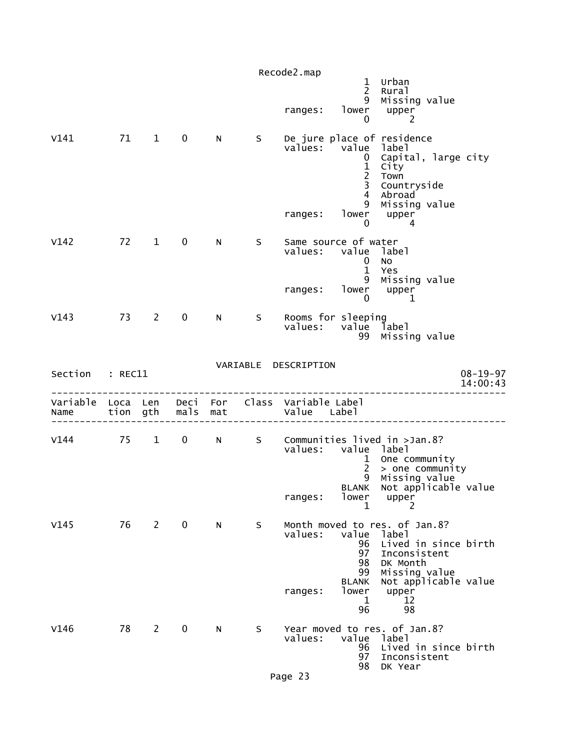|                  |          |                        |             |                 |     | Recode2.map                         | $\mathbf{1}$<br>$\overline{2}$                            | Urban<br>Rural                                                                                                                     |
|------------------|----------|------------------------|-------------|-----------------|-----|-------------------------------------|-----------------------------------------------------------|------------------------------------------------------------------------------------------------------------------------------------|
|                  |          |                        |             |                 |     | ranges:                             | 9<br>lower<br>$\mathbf 0$                                 | Missing value<br>upper<br>2                                                                                                        |
| V141             | 71 1     |                        | $\mathbf 0$ | N.              | S.  |                                     | $\mathbf{0}$<br>$\frac{1}{2}$<br>3<br>$\overline{4}$<br>9 | De jure place of residence<br>values: value label<br>Capital, large city<br>City<br>Town<br>Countryside<br>Abroad<br>Missing value |
|                  |          |                        |             |                 |     | ranges:                             | $\mathbf 0$                                               | lower upper<br>4                                                                                                                   |
| V142             |          | 72 1                   | $\mathbf 0$ | N               | S.  | Same source of water<br>values:     | value label<br>0<br>$\mathbf{1}$<br>9                     | No<br>Yes<br>Missing value                                                                                                         |
|                  |          |                        |             |                 |     | ranges:                             | 0                                                         | lower upper<br>1                                                                                                                   |
| V143             | 73       | $2^{\sim}$             | $\mathbf 0$ | N <sub>1</sub>  | S   | Rooms for sleeping<br>values:       | value label<br>99                                         | Missing value                                                                                                                      |
| Section          | : REC11  |                        |             |                 |     | VARIABLE DESCRIPTION                |                                                           | $08 - 19 - 97$<br>14:00:43                                                                                                         |
| Variable<br>Name | Loca Len | tion gth               | mals        | Deci For<br>mat |     | Class Variable Label<br>Value Label |                                                           |                                                                                                                                    |
| $V144$ 75        |          | $1 \quad \blacksquare$ | $\mathbf 0$ |                 |     | values: value label                 | $\mathbf{1}$<br>$2^{\circ}$                               | N S Communities lived in >Jan.8?<br>One community<br>> one community                                                               |
|                  |          |                        |             |                 |     | ranges:                             | 9<br>lower<br>1                                           | Missing value<br>BLANK Not applicable value<br>upper<br>2                                                                          |
| V145             |          | 76 2 0                 |             | N               | S.  | values:                             | value<br>96<br>97<br>98<br>99                             | Month moved to res. of Jan.8?<br>label<br>Lived in since birth<br>Inconsistent<br>DK Month<br>Missing value                        |
|                  |          |                        |             |                 |     | ranges:                             | <b>BLANK</b><br>lower<br>$\mathbf{1}$<br>96               | Not applicable value<br>upper<br>12<br>98                                                                                          |
| V146             | 78       | $\overline{2}$         | $\mathbf 0$ | N               | S – | values:                             | value label<br>96<br>97                                   | Year moved to res. of Jan.8?<br>Lived in since birth<br>Inconsistent                                                               |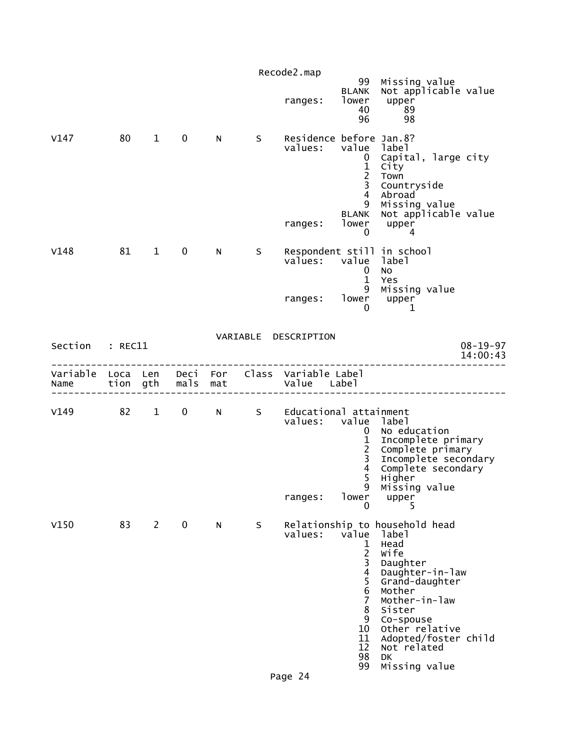|                  |          |                        |                   |          |    | Recode2.map                                                  | 99                                                                                                                                                 | Missing value                                                                                                                                                                                                                                     |                            |
|------------------|----------|------------------------|-------------------|----------|----|--------------------------------------------------------------|----------------------------------------------------------------------------------------------------------------------------------------------------|---------------------------------------------------------------------------------------------------------------------------------------------------------------------------------------------------------------------------------------------------|----------------------------|
|                  |          |                        |                   |          |    | ranges:                                                      | <b>BLANK</b><br>lower<br>40<br>96                                                                                                                  | Not applicable value<br>upper<br>89<br>98                                                                                                                                                                                                         |                            |
| V147             | 80       | $\mathbf{1}$           | $\mathbf 0$       | N.       | S  | Residence before Jan.8?<br>values:<br>ranges:                | value<br>$\mathbf{0}$<br>$\frac{1}{2}$<br>$\overline{4}$<br>9<br><b>BLANK</b><br>lower<br>0                                                        | label<br>Capital, large city<br>City<br>Town<br>Countryside<br>Abroad<br>Missing value<br>Not applicable value<br>upper<br>4                                                                                                                      |                            |
| V148             | 81       | $\mathbf{1}$           | $\mathbf 0$       | N        | S. | values:<br>ranges:                                           | value<br>$\mathbf 0$<br>$\mathbf{1}$<br>9<br>lower<br>0                                                                                            | Respondent still in school<br>label<br>No<br>Yes<br>Missing value<br>upper<br>1                                                                                                                                                                   |                            |
|                  |          |                        |                   |          |    | VARIABLE DESCRIPTION                                         |                                                                                                                                                    |                                                                                                                                                                                                                                                   |                            |
| Section : REC11  |          |                        |                   |          |    |                                                              |                                                                                                                                                    |                                                                                                                                                                                                                                                   | $08 - 19 - 97$<br>14:00:43 |
| Variable<br>Name | Loca Len | tion gth               | mals mat          | Deci For |    | Class Variable Label<br>Value Label                          |                                                                                                                                                    |                                                                                                                                                                                                                                                   |                            |
| V149             | 82       | $1 \quad \blacksquare$ | $0 \qquad \qquad$ |          |    | N S Educational attainment<br>values: value label<br>ranges: | $\mathbf{0}$<br>$\frac{1}{2}$<br>$\overline{\mathbf{4}}$<br>5<br>9<br>lower<br>0                                                                   | No education<br>Incomplete primary<br>Complete primary<br>Incomplete secondary<br>Complete secondary<br>Higher<br>Missing value<br>upper<br>5                                                                                                     |                            |
| V150             | 83       | $\overline{2}$         | 0                 | N.       | S  | values:                                                      | value<br>1<br>$\overline{2}$<br>3<br>$\overline{\mathbf{4}}$<br>5<br>$\begin{array}{c} 6 \\ 7 \end{array}$<br>8<br>9<br>10<br>11<br>12<br>98<br>99 | Relationship to household head<br>label<br>Head<br>Wife<br>Daughter<br>Daughter-in-law<br>Grand-daughter<br>Mother<br>Mother-in-law<br>Sister<br>Co-spouse<br>Other relative<br>Adopted/foster child<br>Not related<br><b>DK</b><br>Missing value |                            |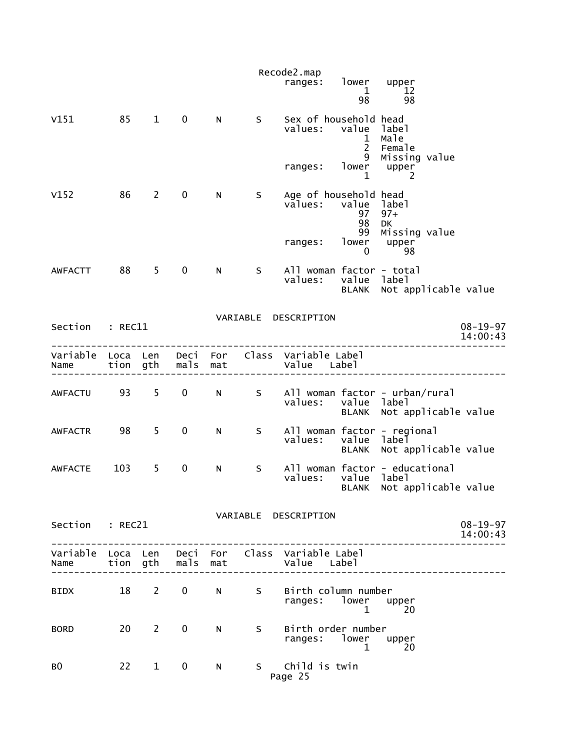|                        |                      |                |              |             |    | Recode2.map<br>ranges:                                         | lower                               | upper                                                           |
|------------------------|----------------------|----------------|--------------|-------------|----|----------------------------------------------------------------|-------------------------------------|-----------------------------------------------------------------|
|                        |                      |                |              |             |    |                                                                | $\mathbf{1}$<br>98                  | 12<br>98                                                        |
| V151                   | 85                   | $\mathbf{1}$   | 0            | N           | S  | Sex of household head<br>values:                               | value<br>$\mathbf 1$<br>$2^{\circ}$ | label<br>Male<br>Female                                         |
|                        |                      |                |              |             |    | ranges:                                                        | 9<br>lower<br>1                     | Missing value<br>upper<br>2                                     |
| V152                   | 86                   | $2^{\sim}$     | $\mathbf 0$  | N           | S  | Age of household head<br>values:                               | value label<br>97<br>98<br>99       | $97+$<br>DK<br>Missing value                                    |
|                        |                      |                |              |             |    | ranges:                                                        | lower<br>0                          | upper<br>98                                                     |
| <b>AWFACTT</b>         | 88                   | 5 <sup>5</sup> | 0            | N           | S  | All woman factor - total<br>values:                            | value label<br><b>BLANK</b>         | Not applicable value                                            |
|                        |                      |                |              |             |    | VARIABLE DESCRIPTION                                           |                                     |                                                                 |
| Section                | : REC11              |                |              |             |    |                                                                |                                     | $08 - 19 - 97$<br>14:00:43                                      |
| Variable<br>Name       | Loca Len<br>tion gth |                | Deci<br>mals | For<br>mat  |    | Class Variable Label<br>Value Label                            |                                     |                                                                 |
| <b>AWFACTU</b>         | 93                   | 5              | $\mathbf 0$  | N           | S. | values:                                                        | value label<br>BLANK                | All woman factor - urban/rural<br>Not applicable value          |
| <b>AWFACTR</b>         | 98                   | 5              | 0            | N           | S  | values:                                                        | value label<br><b>BLANK</b>         | All woman factor - regional<br>Not applicable value             |
| <b>AWFACTE</b>         | 103                  | 5              | 0            | ${\sf N}$   | S  | values:                                                        | value label                         | All woman factor - educational<br>BLANK Not applicable value    |
| Section : REC21        |                      |                |              |             |    | VARIABLE DESCRIPTION                                           |                                     | $08 - 19 - 97$<br>14:00:43<br>. _ _ _ _ _ _ _ _ _ _ _ _ _ _ _ _ |
| Name tion gth mals mat |                      |                |              |             |    | Variable Loca Len Deci For Class Variable Label<br>Value Label |                                     |                                                                 |
| <b>BIDX</b>            |                      | 18 2           | $\mathbf{0}$ | $N$ and $N$ | S  | Birth column number<br>ranges: lower                           | $\mathbf{1}$                        | upper<br>20                                                     |
| <b>BORD</b>            |                      | $20 \qquad 2$  | $\mathbf 0$  | N           |    | S Birth order number<br>ranges: lower upper                    | $\mathbf{1}$                        | 20                                                              |
| BO.                    |                      | $22 \t 1$      | $\mathbf 0$  | N           |    | S Child is twin<br>Page 25                                     |                                     |                                                                 |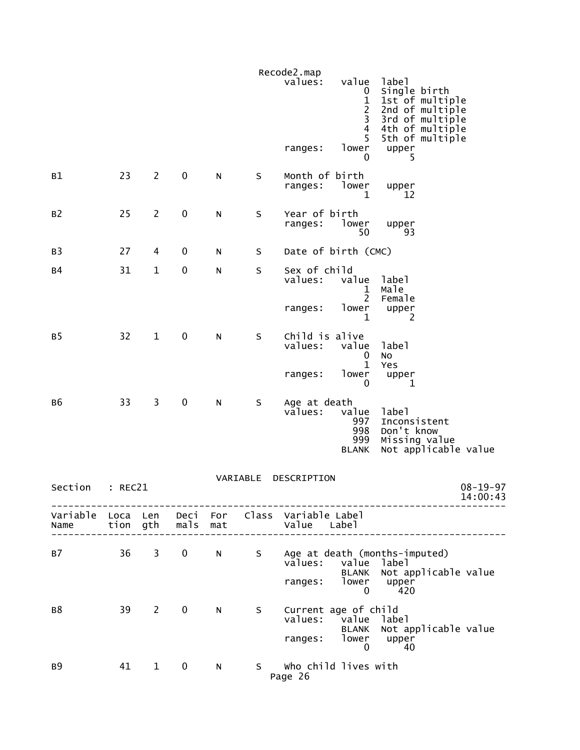|                  |         |                |                  |           |          | Recode2.map<br>values:                          | value<br>0<br>$\frac{1}{2}$                | label<br>Single birth<br>1st of multiple<br>2nd of multiple                  |
|------------------|---------|----------------|------------------|-----------|----------|-------------------------------------------------|--------------------------------------------|------------------------------------------------------------------------------|
|                  |         |                |                  |           |          | ranges:                                         | $\overline{4}$<br>5<br>lower<br>0          | 3rd of multiple<br>4th of multiple<br>5th of multiple<br>upper<br>5          |
| B1               | 23      | $\overline{c}$ | 0                | ${\sf N}$ | $\sf S$  | Month of birth<br>ranges:                       | lower<br>1                                 | upper<br>12                                                                  |
| B <sub>2</sub>   | 25      | $\overline{2}$ | $\pmb{0}$        | ${\sf N}$ | $\sf S$  | Year of birth<br>ranges:                        | lower<br>50                                | upper<br>93                                                                  |
| B <sub>3</sub>   | 27      | 4              | 0                | ${\sf N}$ | S        | Date of birth (CMC)                             |                                            |                                                                              |
| <b>B4</b>        | 31      | $\mathbf{1}$   | $\boldsymbol{0}$ | N         | S        | Sex of child<br>values:                         | value<br>1<br>$\overline{2}$               | label<br>Male                                                                |
|                  |         |                |                  |           |          | ranges:                                         | lower<br>1                                 | Female<br>upper<br>2                                                         |
| <b>B5</b>        | 32      | $\mathbf{1}$   | $\pmb{0}$        | ${\sf N}$ | S        | Child is alive<br>values:                       | value<br>0                                 | label<br>No                                                                  |
|                  |         |                |                  |           |          | ranges:                                         | $\mathbf{1}$<br>lower<br>$\mathbf{0}$      | Yes<br>upper<br>$\mathbf{1}$                                                 |
| <b>B6</b>        | 33      | 3              | $\pmb{0}$        | N         | S        | Age at death<br>values:                         | value<br>997<br>998<br>999<br><b>BLANK</b> | label<br>Inconsistent<br>Don't know<br>Missing value<br>Not applicable value |
|                  |         |                |                  |           | VARIABLE | DESCRIPTION                                     |                                            |                                                                              |
| Section          | : RFC21 |                |                  |           |          |                                                 |                                            | $08 - 19 - 97$<br>14:00:43                                                   |
| Variable<br>Name |         |                | tion gth mals    | mat       |          | Loca Len Deci For Class Variable-Label<br>value | Labe <sub>1</sub>                          |                                                                              |
| B7               | 36      | $\mathbf{3}$   | $\mathbf 0$      | N.        | S        | values: value                                   | <b>BLANK</b>                               | Age at death (months-imputed)<br>label<br>Not applicable value               |
|                  |         |                |                  |           |          | ranges:                                         | lower<br>$\mathbf 0$                       | upper<br>420                                                                 |
| в8               | 39      | $2^{\sim}$     | $\mathbf 0$      | N         | S        | Current age of child<br>values: value           | <b>BLANK</b>                               | label<br>Not applicable value                                                |
|                  |         |                |                  |           |          | ranges: lower                                   | $\mathbf 0$                                | upper<br>40                                                                  |
| B9               | 41      | $\mathbf{1}$   | $\bf{0}$         | N         | S.       | Who child lives with<br>Page 26                 |                                            |                                                                              |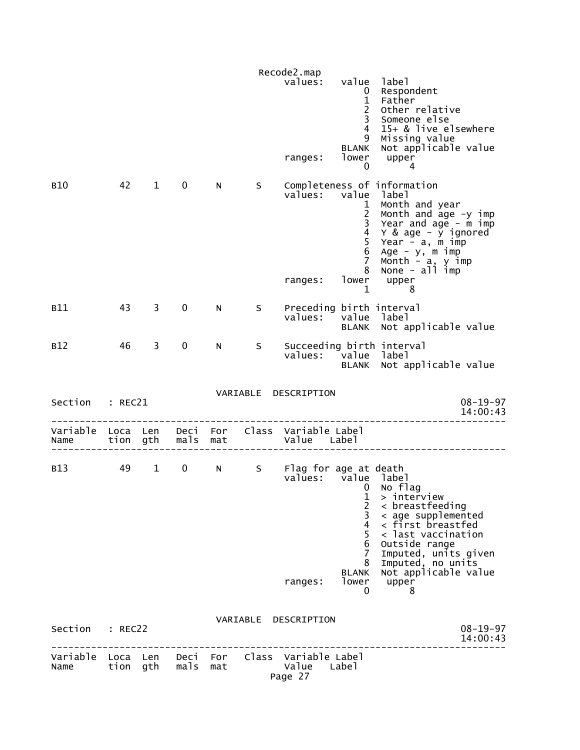|                  |          |                        |                               |   |          | Recode2.map<br>values:              | value label<br>0<br>$\frac{1}{2}$<br>$\overline{3}$<br>$\overline{4}$<br>9<br><b>BLANK</b> | Respondent<br>Father<br>Other relative<br>Someone else<br>15+ & live elsewhere<br>Missing value<br>Not applicable value                                                                    |
|------------------|----------|------------------------|-------------------------------|---|----------|-------------------------------------|--------------------------------------------------------------------------------------------|--------------------------------------------------------------------------------------------------------------------------------------------------------------------------------------------|
| <b>B10</b>       | 42       | $1 \quad$              | $\mathbf 0$                   | N | S –      | ranges:<br>values: value            | lower<br>0<br>$\mathbf{1}$<br>$\frac{2}{3}$                                                | upper<br>4<br>Completeness of information<br>label<br>Month and year<br>Month and age -y imp<br>Year and age - m imp                                                                       |
|                  |          |                        |                               |   |          | ranges:                             | $\overline{4}$<br>5<br>6<br>7 <sup>7</sup><br>8<br>$\mathbf 1$                             | Y & age - y ignored<br>Year - a, m imp<br>Age - y, m imp<br>Month - a, y imp<br>None - all imp<br>lower upper<br>8                                                                         |
| B11              | 43       | 3                      | $\mathbf 0$                   | N | S        | Preceding birth interval<br>values: |                                                                                            | value label<br>BLANK Not applicable value                                                                                                                                                  |
| <b>B12</b>       | 46       | $\mathbf{3}$           | 0                             | N | S        | values: value label                 |                                                                                            | Succeeding birth interval<br>BLANK Not applicable value                                                                                                                                    |
| Section : REC21  |          |                        |                               |   |          | VARIABLE DESCRIPTION                |                                                                                            | $08 - 19 - 97$<br>14:00:43                                                                                                                                                                 |
| Variable<br>Name | Loca Len |                        | Deci For<br>tion gth mals mat |   |          | Class Variable Label<br>Value Label |                                                                                            |                                                                                                                                                                                            |
| <b>B13</b>       | 49       | $1 \quad \blacksquare$ | $\mathbf{0}$                  | N | S        | Flag for age at death               |                                                                                            |                                                                                                                                                                                            |
|                  |          |                        |                               |   |          | values: value label                 | 1<br>$\overline{c}$<br>3<br>4<br>5<br>6<br>7<br>8                                          | 0 No flag<br>> interview<br>$\langle$ breastfeeding<br>$\langle$ age supplemented<br>< first breastfed<br>< last vaccination<br>Outside range<br>Imputed, units given<br>Imputed, no units |
|                  |          |                        |                               |   |          | ranges:                             | <b>BLANK</b><br>lower<br>0                                                                 | Not applicable value<br>upper<br>8                                                                                                                                                         |
| Section          | : REC22  |                        |                               |   | VARIABLE | DESCRIPTION                         |                                                                                            | $08 - 19 - 97$<br>14:00:43                                                                                                                                                                 |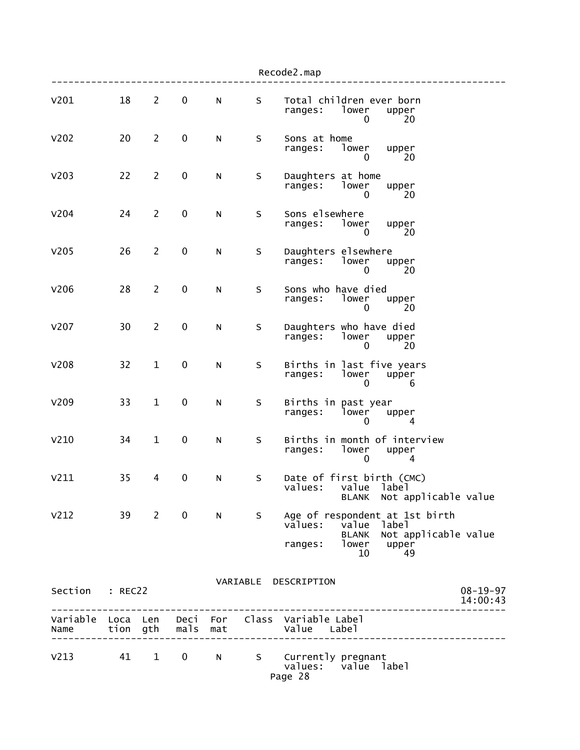|                  |    |                        |               |           |         | Recode2.map                                                                                                                                 |  |
|------------------|----|------------------------|---------------|-----------|---------|---------------------------------------------------------------------------------------------------------------------------------------------|--|
| V201             | 18 | $\overline{2}$         | $\pmb{0}$     | ${\sf N}$ | S       | Total children ever born<br>lower<br>ranges:<br>upper<br>20<br>0                                                                            |  |
| V202             | 20 | $\overline{2}$         | $\pmb{0}$     | N         | $\sf S$ | Sons at home<br>lower<br>ranges:<br>upper<br>20<br>0                                                                                        |  |
| V203             | 22 | $\overline{2}$         | $\pmb{0}$     | N         | S       | Daughters at home<br>ranges:<br>lower<br>upper<br>20<br>0                                                                                   |  |
| V204             | 24 | $\overline{2}$         | $\pmb{0}$     | N         | S       | Sons elsewhere<br>lower<br>ranges:<br>upper<br>0<br>20                                                                                      |  |
| V <sub>205</sub> | 26 | $\overline{2}$         | $\pmb{0}$     | N         | S       | Daughters elsewhere<br>lower<br>ranges:<br>upper<br>20<br>0                                                                                 |  |
| V206             | 28 | $\overline{2}$         | $\pmb{0}$     | N         | $\sf S$ | Sons who have died<br>lower<br>ranges:<br>upper<br>20<br>0                                                                                  |  |
| v207             | 30 | $\overline{2}$         | 0             | N         | S       | Daughters who have died<br>ranges:<br>lower<br>upper<br>0<br>20                                                                             |  |
| <b>V208</b>      | 32 | $\mathbf{1}$           | $\pmb{0}$     | ${\sf N}$ | S       | Births in last five years<br>lower<br>ranges:<br>upper<br>0<br>6                                                                            |  |
| V209             | 33 | $\mathbf{1}$           | $\pmb{0}$     | N         | S       | Births in past year<br>ranges:<br>lower<br>upper<br>4<br>$\Omega$                                                                           |  |
| V <sub>210</sub> | 34 | $\mathbf{1}$           | $\pmb{0}$     | ${\sf N}$ | S       | Births in month of interview<br>ranges:<br>lower<br>upper<br>0<br>4                                                                         |  |
| V211             | 35 | 4                      | $\pmb{0}$     | N         | S       | Date of first birth (CMC)<br>values: value label<br>Not applicable value<br>BLANK                                                           |  |
| V <sub>212</sub> |    | 39 2                   | $\mathbf 0$   | N         |         | S Age of respondent at 1st birth<br>values:<br>value<br>label<br>Not applicable value<br><b>BLANK</b><br>lower upper<br>ranges:<br>10<br>49 |  |
| Section : REC22  |    |                        |               |           |         | VARIABLE DESCRIPTION<br>$08 - 19 - 97$<br>14:00:43                                                                                          |  |
| Name             |    |                        | tion gth mals | mat       |         | _____________<br>Variable Loca Len Deci For Class Variable Label<br>Value Label<br>______________________                                   |  |
| V <sub>213</sub> | 41 | $1 \quad \blacksquare$ | $\mathbf 0$   | N         |         | S Currently pregnant<br>values: value label<br>Page 28                                                                                      |  |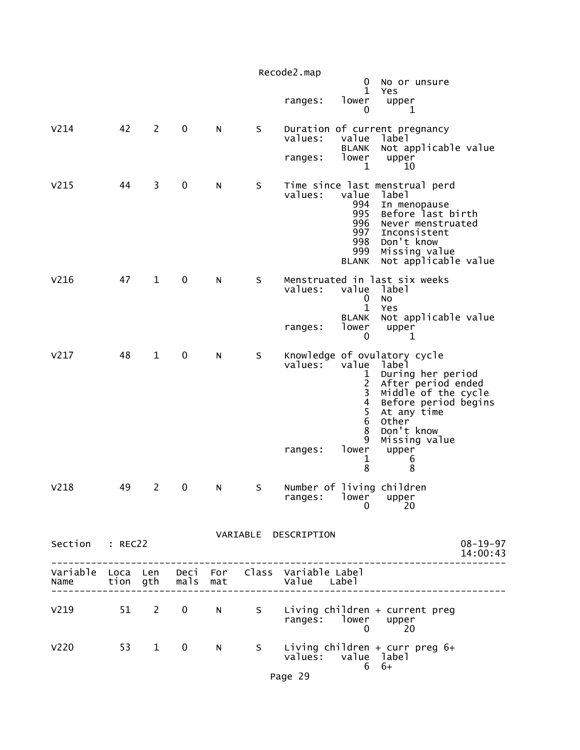|                  |    |                |                   |   |      | Recode2.map<br>0<br>No or unsure                                                                                                                                                                                                                                                             |                            |
|------------------|----|----------------|-------------------|---|------|----------------------------------------------------------------------------------------------------------------------------------------------------------------------------------------------------------------------------------------------------------------------------------------------|----------------------------|
|                  |    |                |                   |   |      | 1<br>Yes<br>lower<br>upper<br>ranges:<br>0<br>1                                                                                                                                                                                                                                              |                            |
| V <sub>214</sub> | 42 | $\overline{2}$ | $\mathbf 0$       | N | S    | Duration of current pregnancy<br>values:<br>value<br>label<br>Not applicable value<br><b>BLANK</b>                                                                                                                                                                                           |                            |
|                  |    |                |                   |   |      | lower<br>upper<br>ranges:<br>1<br>10                                                                                                                                                                                                                                                         |                            |
| V <sub>215</sub> | 44 | 3              | $\mathbf 0$       | N | S    | Time since last menstrual perd<br>values:<br>value<br>label<br>994<br>In menopause<br>Before last birth<br>995<br>996<br>Never menstruated<br>997<br>Inconsistent<br>998<br>Don't know<br>999<br>Missing value<br>Not applicable value<br>BLANK                                              |                            |
| V <sub>216</sub> | 47 | $\mathbf{1}$   | 0                 | N | S    | Menstruated in last six weeks<br>value<br>values:<br>label<br>No<br>0<br>$\mathbf{1}$<br>Yes<br>Not applicable value<br><b>BLANK</b>                                                                                                                                                         |                            |
|                  |    |                |                   |   |      | lower<br>ranges:<br>upper<br>0<br>1                                                                                                                                                                                                                                                          |                            |
| V <sub>217</sub> | 48 | $\mathbf{1}$   | $\mathbf 0$       | N | S    | Knowledge of ovulatory cycle<br>value<br>values:<br>label<br>During her period<br>After period ended<br>Middle of the cycle<br>1<br>$\overline{c}$<br>3<br>$\overline{\mathbf{4}}$<br>Before period begins<br>5<br>At any time<br>6<br><b>Other</b><br>8<br>Don't know<br>9<br>Missing value |                            |
|                  |    |                |                   |   |      | lower<br>ranges:<br>upper<br>1<br>6<br>8<br>8                                                                                                                                                                                                                                                |                            |
| V218             | 49 | $\overline{c}$ | 0                 | N | S    | Number of living children<br>ranges: lower upper<br>20<br>0                                                                                                                                                                                                                                  |                            |
| Section : REC22  |    |                |                   |   |      | VARIABLE DESCRIPTION                                                                                                                                                                                                                                                                         | $08 - 19 - 97$<br>14:00:43 |
| Name             |    |                | tion gth mals mat |   |      | Variable Loca Len Deci For Class Variable Label<br>Value Label                                                                                                                                                                                                                               |                            |
| $V219$ $51$ 2    |    |                | $\mathbf{0}$      |   |      | N S Living children + current preg<br>ranges: lower upper<br>$\Omega$<br>20                                                                                                                                                                                                                  |                            |
| V <sub>220</sub> |    | 53 1           | 0                 | N | S in | Living children + curr preg $6+$<br>values: value label<br>$6+$<br>6                                                                                                                                                                                                                         |                            |

Page 29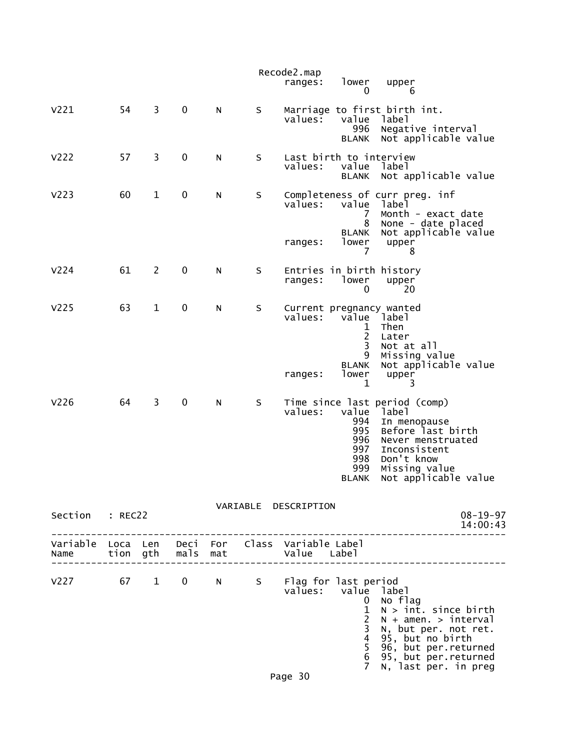|                                                         |    |                |                     |   |   | Recode2.map<br>ranges:                    | lower<br>0                                                                                      | upper<br>6                                                                                                                                                                                |
|---------------------------------------------------------|----|----------------|---------------------|---|---|-------------------------------------------|-------------------------------------------------------------------------------------------------|-------------------------------------------------------------------------------------------------------------------------------------------------------------------------------------------|
| V <sub>221</sub>                                        | 54 | 3              | $\mathbf 0$         | N | S | values:                                   | value<br>996<br><b>BLANK</b>                                                                    | Marriage to first birth int.<br>label<br>Negative interval<br>Not applicable value                                                                                                        |
| V <sub>222</sub>                                        | 57 | 3              | $\pmb{0}$           | N | S | Last birth to interview<br>values:        | value<br><b>BLANK</b>                                                                           | label<br>Not applicable value                                                                                                                                                             |
| V <sub>2</sub> 23                                       | 60 | $\mathbf{1}$   | $\pmb{0}$           | N | S | values:                                   | value<br>7<br>8                                                                                 | Completeness of curr preg. inf<br>label<br>Month - exact date<br>None - date placed                                                                                                       |
|                                                         |    |                |                     |   |   | ranges:                                   | <b>BLANK</b><br>lower<br>7                                                                      | Not applicable value<br>upper<br>8                                                                                                                                                        |
| V <sub>224</sub>                                        | 61 | $\overline{2}$ | 0                   | N | S | ranges:                                   | lower<br>0                                                                                      | Entries in birth history<br>upper<br>20                                                                                                                                                   |
| V <sub>225</sub>                                        | 63 | $\mathbf{1}$   | $\mathbf 0$         | N | S | Current pregnancy wanted<br>values:       | value<br>1<br>$\overline{c}$<br>3<br>9<br><b>BLANK</b>                                          | label<br>Then<br>Later<br>Not at all<br>Missing value<br>Not applicable value                                                                                                             |
|                                                         |    |                |                     |   |   | ranges:                                   | lower<br>1                                                                                      | upper<br>3                                                                                                                                                                                |
| V <sub>226</sub>                                        | 64 | 3              | 0                   | N | S | values:                                   | value<br>994<br>995<br>996<br>997<br>998<br>999<br><b>BLANK</b>                                 | Time since last period (comp)<br>label<br>In menopause<br>Before last birth<br>Never menstruated<br>Inconsistent<br>Don't know<br>Missing value<br>Not applicable value                   |
| Section : REC22                                         |    |                |                     |   |   | VARIABLE DESCRIPTION                      |                                                                                                 | $08 - 19 - 97$<br>14:00:43                                                                                                                                                                |
| Variable Loca Len Deci For Class Variable Label<br>Name |    |                | tion gth  mals  mat |   |   | Value Label                               |                                                                                                 |                                                                                                                                                                                           |
| $V227$ 67 1 0                                           |    |                |                     |   |   | N S Flag for last period<br>values: value | 0<br>$\mathbf{1}$<br>$\overline{2}$<br>3<br>$\overline{\mathbf{4}}$<br>5<br>6<br>$\overline{7}$ | label<br>No flag<br>$N > int.$ since birth<br>$N + amen. > interval$<br>N, but per. not ret.<br>95, but no birth<br>96, but per. returned<br>95, but per returned<br>N, last per. in preg |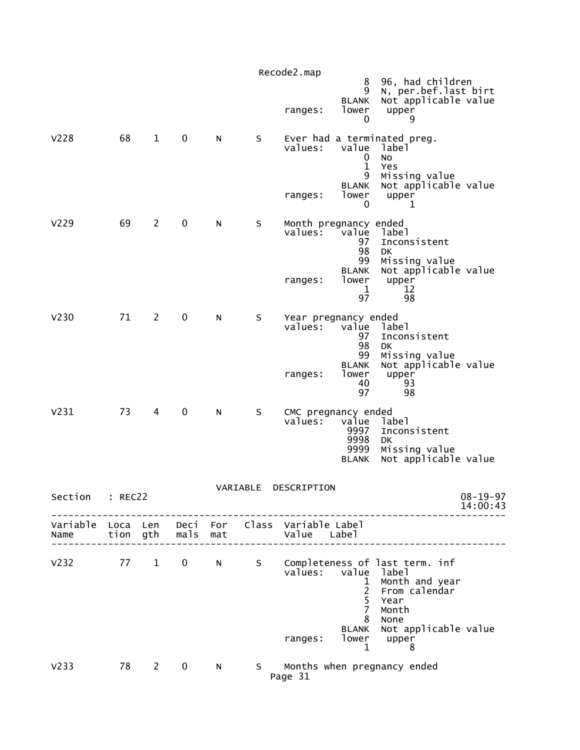|                  |                  |                |              |            |          | Recode2.map                   | 8<br>9                                                                            | 96, had children<br>N, per.bef.last birt                                                                                             |                            |
|------------------|------------------|----------------|--------------|------------|----------|-------------------------------|-----------------------------------------------------------------------------------|--------------------------------------------------------------------------------------------------------------------------------------|----------------------------|
|                  |                  |                |              |            |          | ranges:                       | <b>BLANK</b><br>lower<br>0                                                        | Not applicable value<br>upper<br>9                                                                                                   |                            |
| V <sub>228</sub> | 68               | $\mathbf{1}$   | $\mathbf 0$  | N          | $\sf S$  | values:<br>ranges:            | value<br>0<br>$\mathbf{1}$<br>9<br><b>BLANK</b><br>lower                          | Ever had a terminated preg.<br>label<br><b>NO</b><br>Yes<br>Missing value<br>Not applicable value<br>upper                           |                            |
| V <sub>229</sub> | 69               | $\mathbf{2}$   | $\mathbf 0$  | N          | S        | values:                       | 0<br>Month pregnancy ended<br>value<br>97<br>98                                   | 1<br>label<br>Inconsistent<br>DK                                                                                                     |                            |
|                  |                  |                |              |            |          | ranges:                       | 99<br><b>BLANK</b><br>lower<br>1<br>97                                            | Missing value<br>Not applicable value<br>upper<br>12<br>98                                                                           |                            |
| V <sub>230</sub> | 71               | $\overline{2}$ | 0            | N          | S        | values:                       | Year pregnancy ended<br>value<br>97<br>98<br>99                                   | label<br>Inconsistent<br>DK<br>Missing value                                                                                         |                            |
|                  |                  |                |              |            |          | ranges:                       | <b>BLANK</b><br>lower<br>40<br>97                                                 | Not applicable value<br>upper<br>93<br>98                                                                                            |                            |
| V <sub>231</sub> | 73               | 4              | $\mathbf 0$  | N          | $\sf S$  | values:                       | CMC pregnancy ended<br>value<br>9997<br>9998<br>9999<br><b>BLANK</b>              | label<br>Inconsistent<br>DK<br>Missing value<br>Not applicable value                                                                 |                            |
| Section          | : REC22          |                |              |            | VARIABLE | DESCRIPTION                   |                                                                                   |                                                                                                                                      | $08 - 19 - 97$<br>14:00:43 |
| Variable<br>Name | Loca Len<br>tion | gth            | Deci<br>mals | For<br>mat |          | Class Variable Label<br>Value | Label                                                                             |                                                                                                                                      |                            |
| V <sub>232</sub> | 77               | $\mathbf{1}$   | 0            | N          | S.       | values:<br>ranges:            | value<br>1<br>$\overline{2}$<br>5<br>$\overline{7}$<br>8<br><b>BLANK</b><br>lower | Completeness of last term. inf<br>label<br>Month and year<br>From calendar<br>Year<br>Month<br>None<br>Not applicable value<br>upper |                            |
| V <sub>233</sub> | 78               | $\overline{2}$ | 0            | N          | S.       | Page 31                       | 1                                                                                 | 8<br>Months when pregnancy ended                                                                                                     |                            |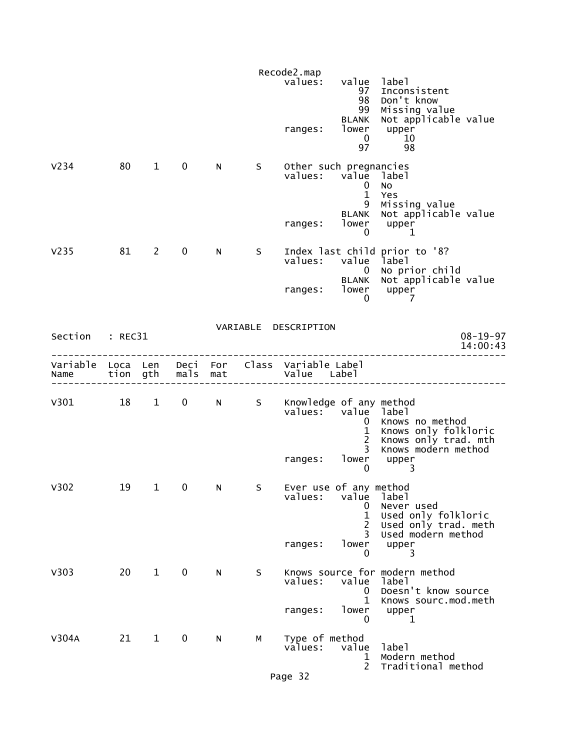|                  |    |              |               |     |              | Recode2.map                                                    |                                                      |                                                                                          |
|------------------|----|--------------|---------------|-----|--------------|----------------------------------------------------------------|------------------------------------------------------|------------------------------------------------------------------------------------------|
|                  |    |              |               |     |              | values:                                                        | value label<br>97<br>98<br>99<br>BLANK               | Inconsistent<br>Don't know<br>Missing value<br>Not applicable value                      |
|                  |    |              |               |     |              | ranges:                                                        | lower<br>$\mathbf 0$<br>97                           | upper<br>10<br>98                                                                        |
| V <sub>234</sub> | 80 | $\mathbf{1}$ | 0             | N.  | S            | Other such pregnancies<br>values: value                        | $\mathbf{0}$<br>$\mathbf{1}$<br>9                    | label<br>No<br>Yes<br>Missing value                                                      |
|                  |    |              |               |     |              | ranges:                                                        | <b>BLANK</b><br>lower<br>0                           | Not applicable value<br>upper<br>1                                                       |
| V <sub>235</sub> | 81 | $2^{\circ}$  | $\mathbf 0$   | N.  | S            | values:                                                        | value<br>$\overline{0}$                              | Index last child prior to '8?<br>1abe1<br>No prior child                                 |
|                  |    |              |               |     |              | ranges:                                                        | BLANK<br>lower<br>0                                  | Not applicable value<br>upper<br>7                                                       |
| Section : REC31  |    |              |               |     |              | VARIABLE DESCRIPTION                                           |                                                      | $08 - 19 - 97$<br>14:00:43                                                               |
| Name             |    |              | tion gth mals | mat |              | Variable Loca Len Deci For Class Variable Label<br>Value Label |                                                      |                                                                                          |
| V301 18 1 0 N S  |    |              |               |     |              | Knowledge of any method<br>values: value label                 | 0<br>$\mathbf 1$<br>$\overline{2}$<br>$\overline{3}$ | Knows no method<br>Knows only folkloric<br>Knows only trad. mth<br>Knows modern method   |
|                  |    |              |               |     |              | ranges:                                                        | lower<br>0                                           | upper<br>3                                                                               |
| V302             | 19 | $\mathbf{1}$ | 0             | N   | <sub>S</sub> | Ever use of any method<br>values:                              | value<br>0<br>$\mathbf{1}$<br>$\overline{2}$<br>3    | label<br>Never used<br>Used only folkloric<br>Used only trad. meth<br>Used modern method |
|                  |    |              |               |     |              | ranges:                                                        | lower<br>0                                           | upper<br>3                                                                               |
| V303             | 20 | $\mathbf{1}$ | $\mathbf 0$   | N   | S            | values:                                                        | value<br>0<br>1                                      | Knows source for modern method<br>label<br>Doesn't know source<br>Knows sourc.mod.meth   |
|                  |    |              |               |     |              | ranges:                                                        | lower<br>0                                           | upper<br>1                                                                               |
| V304A            | 21 | $\mathbf{1}$ | 0             | N   | М            | Type of method<br>values:                                      | value<br>1<br>$\overline{2}$                         | label<br>Modern method<br>Traditional method                                             |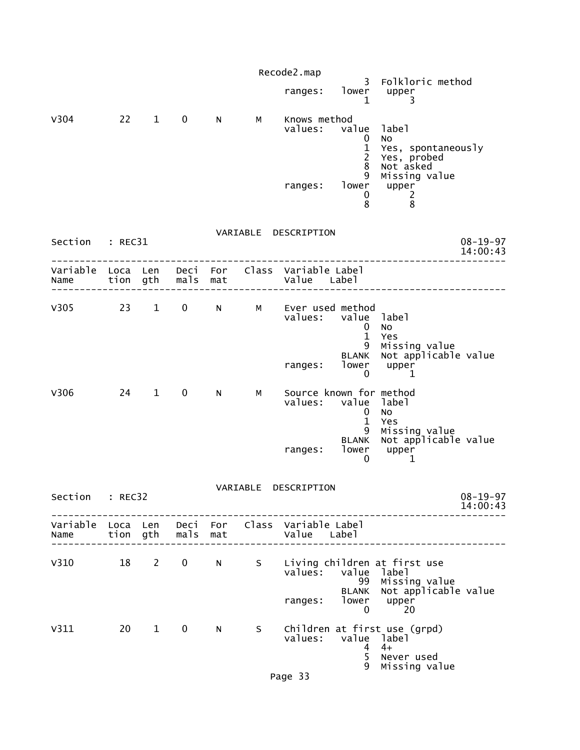|                 |           |                |              |     |          | Recode2.map                                                                               |                                                                        |                                                                                                          |                            |
|-----------------|-----------|----------------|--------------|-----|----------|-------------------------------------------------------------------------------------------|------------------------------------------------------------------------|----------------------------------------------------------------------------------------------------------|----------------------------|
|                 |           |                |              |     |          | ranges: lower upper                                                                       | $\mathbf 1$                                                            | 3 Folkloric method<br>3                                                                                  |                            |
| V304            | 22 1 0    |                |              | N   | M        | Knows method<br>values: value label<br>ranges: lower upper                                | $\mathbf 0$<br>$\mathbf{1}$<br>$\overline{2}$<br>8<br>9<br>$\mathbf 0$ | <b>NO</b><br>Yes, spontaneously<br>Yes, probed<br>Not asked<br>Missing value<br>$\overline{\phantom{a}}$ |                            |
|                 |           |                |              |     |          |                                                                                           | 8                                                                      | 8                                                                                                        |                            |
| Section : REC31 |           |                |              |     |          | VARIABLE DESCRIPTION                                                                      |                                                                        |                                                                                                          | $08 - 19 - 97$<br>14:00:43 |
|                 |           |                |              |     |          | Variable Loca Len Deci For Class Variable-Label<br>Name tion gth mals mat and Value Label |                                                                        |                                                                                                          |                            |
|                 |           |                |              |     |          | V305 23 1 0 N M Ever used method<br>values: value label                                   | $\mathbf 0$<br>$\mathbf{1}$                                            | No<br>Yes                                                                                                |                            |
|                 |           |                |              |     |          | ranges: lower upper                                                                       | 9<br>$\mathbf{0}$                                                      | Missing value<br>BLANK Not applicable value<br>1                                                         |                            |
| V306            | $24 \t 1$ |                | $\mathbf{0}$ | N   | <b>M</b> | Source known for method<br>values: value label                                            | $\mathbf{0}$<br>$\mathbf{1}$                                           | No<br>Yes                                                                                                |                            |
|                 |           |                |              |     |          | ranges: lower upper                                                                       | 0                                                                      | 9 Missing value<br>BLANK Not applicable value<br>1                                                       |                            |
| Section         | : REC32   |                |              |     |          | VARIABLE DESCRIPTION                                                                      |                                                                        |                                                                                                          | $08 - 19 - 97$<br>14:00:43 |
| Name            |           | tion gth       | mals         | mat |          | Variable Loca Len Deci For Class Variable Label<br>Value Label                            |                                                                        |                                                                                                          |                            |
| V310            | 18        | $\overline{2}$ | $\mathbf 0$  | N   | S        | $value$ s:<br>ranges:                                                                     | value<br>99<br><b>BLANK</b><br>lower                                   | Living children at first use<br>label<br>Missing value<br>Not applicable value<br>upper                  |                            |
| V311            | 20        | $\mathbf{1}$   | $\mathbf 0$  | N   | S.       | values:<br>Page 33                                                                        | $\mathbf{0}$<br>value label<br>4<br>5<br>9                             | 20<br>Children at first use (grpd)<br>$4+$<br>Never used<br>Missing value                                |                            |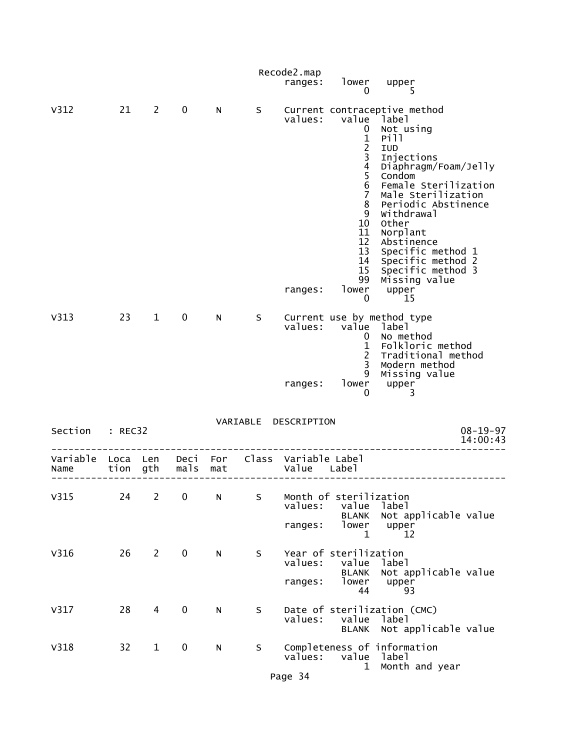|                                    |         |                |             |     |    | Recode2.map                         |                                                                                                                                                                   |                                                                                                                                                                                                                                                                                                                                         |
|------------------------------------|---------|----------------|-------------|-----|----|-------------------------------------|-------------------------------------------------------------------------------------------------------------------------------------------------------------------|-----------------------------------------------------------------------------------------------------------------------------------------------------------------------------------------------------------------------------------------------------------------------------------------------------------------------------------------|
|                                    |         |                |             |     |    | ranges:                             | lower<br>0                                                                                                                                                        | upper<br>5                                                                                                                                                                                                                                                                                                                              |
| V312                               | 21      | $\overline{2}$ | $\mathbf 0$ | N   | S  | values:<br>ranges:                  | value<br>0<br>$\frac{1}{2}$<br>$\frac{4}{5}$<br>$\,$ 6<br>$\overline{7}$<br>8<br>9<br>10<br>11<br>12<br>13<br>14<br>15 <sub>1</sub><br>99<br>lower<br>$\mathbf 0$ | Current contraceptive method<br>label<br>Not using<br>Pill<br>IUD<br>Injections<br>Diaphragm/Foam/Jelly<br>Condom<br>Female Sterilization<br>Male Sterilization<br>Periodic Abstinence<br>Withdrawal<br>Other<br>Norplant<br>Abstinence<br>Specific method 1<br>Specific method 2<br>Specific method 3<br>Missing value<br>upper<br>-15 |
| V313                               | 23      | $\mathbf{1}$   | 0           | N   | S. | values:<br>ranges:                  | value<br>0<br>$\mathbf{1}$<br>$\overline{c}$<br>3<br>9<br>lower<br>0                                                                                              | Current use by method type<br>label<br>No method<br>Folkloric method<br>Traditional method<br>Modern method<br>Missing value<br>upper<br>3                                                                                                                                                                                              |
| Section                            | : REC32 |                |             |     |    | VARIABLE DESCRIPTION                |                                                                                                                                                                   | $08 - 19 - 97$<br>14:00:43                                                                                                                                                                                                                                                                                                              |
| Variable Loca Len Deci For<br>Name | tion    | gth            | mals        | mat |    | Class Variable Label<br>Value Label |                                                                                                                                                                   |                                                                                                                                                                                                                                                                                                                                         |
| V315                               | 24      | $\overline{c}$ | 0           | N   | S  | values:<br>ranges:                  | Month of sterilization<br>value<br><b>BLANK</b><br>lower<br>1                                                                                                     | label<br>Not applicable value<br>upper<br>12                                                                                                                                                                                                                                                                                            |
| V316                               | 26      | $\overline{2}$ | $\mathbf 0$ | N   | S  | values:<br>ranges:                  | Year of sterilization<br>value<br><b>BLANK</b><br>lower<br>44                                                                                                     | label<br>Not applicable value<br>upper<br>93                                                                                                                                                                                                                                                                                            |
| V317                               | 28      | 4              | 0           | N   | S  | values:                             | value<br><b>BLANK</b>                                                                                                                                             | Date of sterilization (CMC)<br>label<br>Not applicable value                                                                                                                                                                                                                                                                            |
| V318                               | 32      | $\mathbf{1}$   | 0           | N   | S  | values:<br>Page 34                  | value<br>$\mathbf 1$                                                                                                                                              | Completeness of information<br>label<br>Month and year                                                                                                                                                                                                                                                                                  |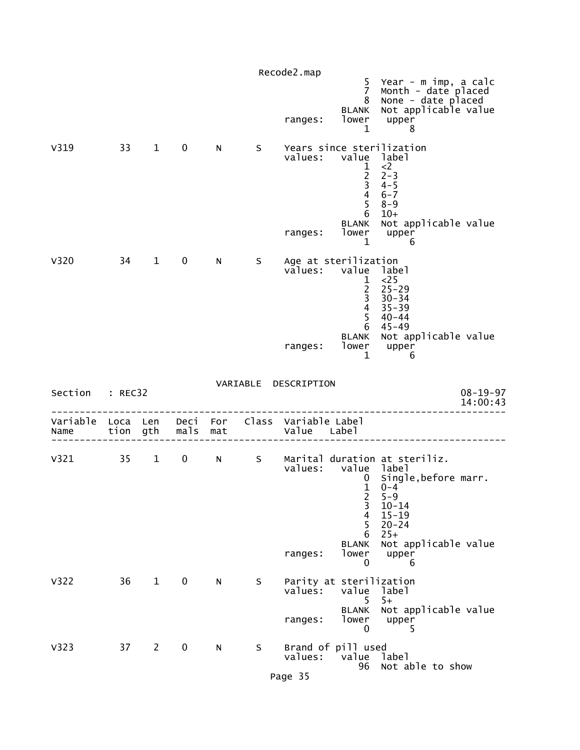|                  |    |              |             |    |              | Recode2.map                                                                               |                                                           |                                                                                                           |
|------------------|----|--------------|-------------|----|--------------|-------------------------------------------------------------------------------------------|-----------------------------------------------------------|-----------------------------------------------------------------------------------------------------------|
|                  |    |              |             |    |              | ranges:                                                                                   | $\overline{7}$<br>8<br>BLANK<br>lower<br>1                | 5 Year - m imp, a calc<br>Month - date placed<br>None - date placed<br>Not applicable value<br>upper<br>8 |
| V319             | 33 | $\mathbf{1}$ | $\mathbf 0$ | N  | $S_{\perp}$  | Years since sterilization<br>values: value label                                          | $\begin{array}{c} 1 \\ 2 \\ 3 \\ 4 \end{array}$<br>5<br>6 | $<$ 2<br>$2 - 3$<br>$4 - 5$<br>$6 - 7$<br>$8 - 9$<br>$10+$                                                |
|                  |    |              |             |    |              | ranges:                                                                                   | lower<br>1                                                | BLANK Not applicable value<br>upper<br>6                                                                  |
| V320             | 34 | $\mathbf{1}$ | $\mathbf 0$ | N, | $\mathsf{S}$ | Age at sterilization<br>values: value                                                     | $\mathbf{1}$<br>$\frac{2}{3}$<br>$\overline{4}$<br>5<br>6 | label<br>$<$ 25<br>$25 - 29$<br>$30 - 34$<br>$35 - 39$<br>$40 - 44$<br>$45 - 49$                          |
|                  |    |              |             |    |              | ranges:                                                                                   | lower<br>$\mathbf{1}$                                     | BLANK Not applicable value<br>upper<br>6                                                                  |
| Section : REC32  |    |              |             |    |              | VARIABLE DESCRIPTION                                                                      |                                                           | $08 - 19 - 97$<br>14:00:43                                                                                |
|                  |    |              |             |    |              | Variable Loca Len Deci For Class Variable Label<br>Name tion gth mals mat the Value Label |                                                           |                                                                                                           |
|                  |    |              |             |    |              | values: value label                                                                       | 0<br>$\mathbf{1}$<br>2                                    | V321 35 1 0 N S Marital duration at steriliz.<br>Single, before marr.<br>$0 - 4$<br>$5 - 9$               |
|                  |    |              |             |    |              |                                                                                           | 3<br>$\overline{4}$<br>5                                  | $10 - 14$<br>$15 - 19$<br>$20 - 24$                                                                       |
|                  |    |              |             |    |              | ranges:                                                                                   | 6<br><b>BLANK</b><br>lower<br>0                           | $25+$<br>Not applicable value<br>upper<br>6                                                               |
| V322             | 36 | $\mathbf{1}$ | 0           | N  | S            | Parity at sterilization<br>values:                                                        | value<br>5                                                | label<br>$5+$                                                                                             |
|                  |    |              |             |    |              | ranges:                                                                                   | <b>BLANK</b><br>lower<br>0                                | Not applicable value<br>upper<br>5                                                                        |
| V <sub>323</sub> | 37 | $\mathbf{2}$ | 0           | N  | S            | Brand of pill used<br>values:<br>Page 35                                                  | value<br>96                                               | label<br>Not able to show                                                                                 |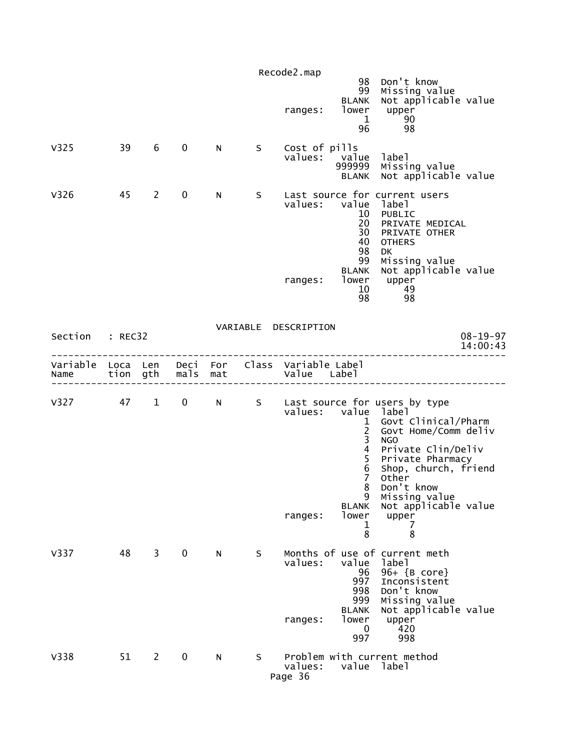|                        |    |             |              |   |     | Recode2.map<br>98 Don't know                                                                                                                                                                                                                                                                                                                                                                                                        |  |
|------------------------|----|-------------|--------------|---|-----|-------------------------------------------------------------------------------------------------------------------------------------------------------------------------------------------------------------------------------------------------------------------------------------------------------------------------------------------------------------------------------------------------------------------------------------|--|
|                        |    |             |              |   |     | 99 Missing value<br>Not applicable value<br><b>BLANK</b><br>lower<br>upper<br>ranges:<br>$\mathbf 1$<br>- 90<br>96<br>98                                                                                                                                                                                                                                                                                                            |  |
| V <sub>325</sub>       | 39 | 6           | $\mathbf{0}$ | N | S – | Cost of pills<br>values:<br>value label<br>Missing value<br>999999<br>BLANK Not applicable value                                                                                                                                                                                                                                                                                                                                    |  |
| V326                   | 45 | 2           | $\mathbf 0$  | N | S – | Last source for current users<br>values:<br>value label<br>10 PUBLIC<br>20<br>PRIVATE MEDICAL<br>30 PRIVATE OTHER<br>40<br><b>OTHERS</b><br>98<br><b>DK</b><br>99<br>Missing value                                                                                                                                                                                                                                                  |  |
|                        |    |             |              |   |     | Not applicable value<br><b>BLANK</b><br>lower<br>ranges:<br>upper<br>10<br>-49<br>98<br>98                                                                                                                                                                                                                                                                                                                                          |  |
| Section : REC32        |    |             |              |   |     | VARIABLE DESCRIPTION<br>$08 - 19 - 97$<br>14:00:43                                                                                                                                                                                                                                                                                                                                                                                  |  |
| Name tion gth mals mat |    |             |              |   |     | Variable Loca Len Deci For Class Variable Label<br>Value Label                                                                                                                                                                                                                                                                                                                                                                      |  |
|                        |    |             |              |   |     | V327 47 1 0 N S Last source for users by type<br>values: value label<br>Govt Clinical/Pharm<br>$\mathbf{1}$<br>$\overline{2}$<br>Govt Home/Comm deliv<br>3<br><b>NGO</b><br>$\overline{4}$<br>Private Clin/Deliv<br>5<br>Private Pharmacy<br>6<br>Shop, church, friend<br>$\overline{7}$<br>Other<br>8<br>Don't know<br>Missing value<br>9<br>Not applicable value<br><b>BLANK</b><br>lower<br>upper<br>ranges:<br>1<br>7<br>8<br>8 |  |
| V337                   | 48 | $3^{\circ}$ | $\mathbf 0$  | N | S.  | Months of use of current meth<br>values:<br>value<br>label<br>96<br>96+ {B core}<br>997<br>Inconsistent<br>Don't know<br>998<br>999<br>Missing value<br>Not applicable value<br><b>BLANK</b><br>lower<br>upper<br>ranges:<br>420<br>0<br>997<br>998                                                                                                                                                                                 |  |
| V338                   | 51 | $2^{\sim}$  | $\mathbf 0$  | N | S   | Problem with current method<br>values:<br>value label<br>Page 36                                                                                                                                                                                                                                                                                                                                                                    |  |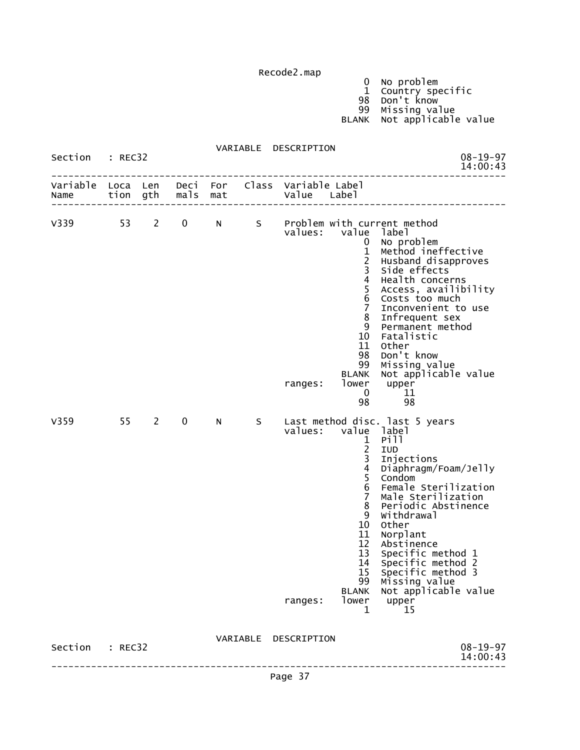Recode2.map

 0 No problem 1 Country specific 98 Don't know 99 Missing value

BLANK Not applicable value

 VARIABLE DESCRIPTION Section : REC32 08-19-97<br>14:00:43 14:00:43 -------------------------------------------------------------------------------- Variable Loca Len Deci For Class Variable Label Name tion gth mals mat Value Label -------------------------------------------------------------------------------- V339 53 2 0 N S Problem with current method<br>values: value label value label 0 No problem 1 Method ineffective 2 Husband disapproves 3 Side effects 4 Health concerns 5 Access, availibility 6 Costs too much 7 Inconvenient to use 8 Infrequent sex 9 Permanent method 10 Fatalistic 11 Other 98 Don't know 99 Missing value BLANK Not applicable value ranges: lower upper<br>0 11  $\sim$  0 11 98 98 V359 55 2 0 N S Last method disc. last 5 years values: value label 1 Pill 2014 1 Pill 2014 1 Pill 2014 1 Pill 2014 1 Pill 2014 1 Pill 2014 1 Pill 2014 1 Pill 2014 1 Pill 2014 1 P 2 IUD 3 Injections 4 Diaphragm/Foam/Jelly 5 Condom 6 Female Sterilization 7 Male Sterilization 8 Periodic Abstinence 9 Withdrawal 10 Other 11 Norplant<br>12 Abstinene 12 Abstinence<br>13 Specific me Specific method 1 14 Specific method 2 15 Specific method 3 99 Missing value BLANK Not applicable value ranges: lower upper<br>15 15 1 15  $\frac{1}{1}$  15 VARIABLE DESCRIPTION Section : REC32 08-19-97<br>14:00:43 14:00:43 --------------------------------------------------------------------------------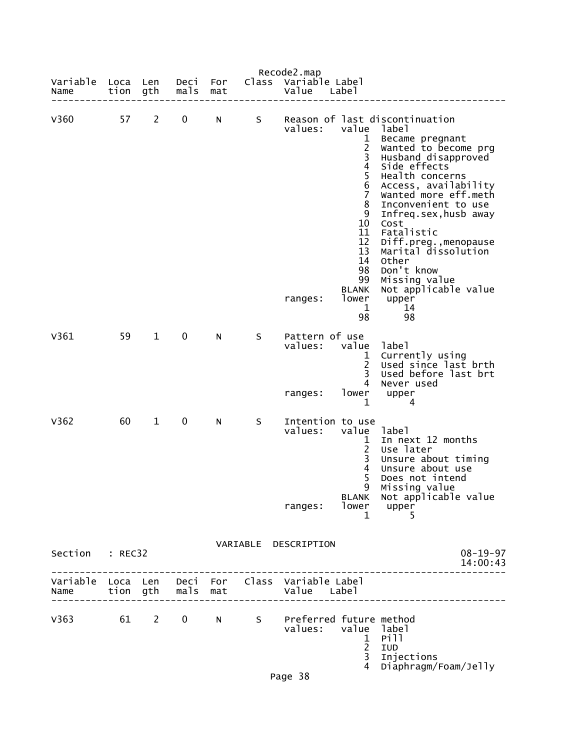| Variable<br>Name                                        | Loca<br>tion | Len<br>gth   | Deci<br>mals | For<br>mat | Class | Recode2.map<br>Variable Label<br>Value | Labe <sup>1</sup>                                                                                                                      |                                                                                                                                                                                                                                                                                                                                                                                    |
|---------------------------------------------------------|--------------|--------------|--------------|------------|-------|----------------------------------------|----------------------------------------------------------------------------------------------------------------------------------------|------------------------------------------------------------------------------------------------------------------------------------------------------------------------------------------------------------------------------------------------------------------------------------------------------------------------------------------------------------------------------------|
| V360                                                    | 57           | $\mathbf{2}$ | 0            | N          | S     | values:                                | value<br>1<br>$\overline{c}$<br>3<br>$\overline{4}$<br>5<br>6<br>7<br>8<br>9<br>10<br>11<br>12<br>13<br>14<br>98<br>99<br><b>BLANK</b> | Reason of last discontinuation<br>label<br>Became pregnant<br>wanted to become prg<br>Husband disapproved<br>Side effects<br>Health concerns<br>Access, availability<br>Wanted more eff.meth<br>Inconvenient to use<br>Infreq.sex, husb away<br>Cost<br>Fatalistic<br>Diff.preg., menopause<br>Marital dissolution<br>Other<br>Don't know<br>Missing value<br>Not applicable value |
|                                                         |              |              |              |            |       | ranges:                                | lower<br>1<br>98                                                                                                                       | upper<br>14<br>98                                                                                                                                                                                                                                                                                                                                                                  |
| V361                                                    | 59           | $\mathbf{1}$ | 0            | N          | S     | Pattern of use<br>values:<br>ranges:   | value<br>1<br>2<br>3<br>4<br>lower                                                                                                     | label<br>Currently using<br>Used since last brth<br>Used before last brt<br>Never used<br>upper                                                                                                                                                                                                                                                                                    |
|                                                         |              |              |              |            |       |                                        | 1                                                                                                                                      | 4                                                                                                                                                                                                                                                                                                                                                                                  |
| V362                                                    | 60           | $\mathbf 1$  | 0            | N          | S     | Intention to use<br>values:            | value<br>1<br>$\overline{2}$<br>3<br>$\overline{4}$<br>5                                                                               | label<br>In next 12 months<br>Use later<br>Unsure about timing<br>Unsure about use<br>Does not intend<br>9 Missing value<br>BLANK Not applicable value                                                                                                                                                                                                                             |
|                                                         |              |              |              |            |       | ranges:                                | $\mathbf{1}$                                                                                                                           | lower upper<br>5                                                                                                                                                                                                                                                                                                                                                                   |
| Section : REC32                                         |              |              |              |            |       | VARIABLE DESCRIPTION                   |                                                                                                                                        | $08 - 19 - 97$<br>14:00:43                                                                                                                                                                                                                                                                                                                                                         |
| Variable Loca Len Deci For Class Variable Label<br>Name |              |              |              |            |       | tion gth mals mat by value Label       |                                                                                                                                        |                                                                                                                                                                                                                                                                                                                                                                                    |
| V363 61 2 0 N S Preferred future method                 |              |              |              |            |       | Page 38                                | values: value label<br>$\mathbf{1}$<br>$\overline{2}$<br>$\overline{3}$<br>4                                                           | Pill<br>IUD<br>Injections<br>Diaphragm/Foam/Jelly                                                                                                                                                                                                                                                                                                                                  |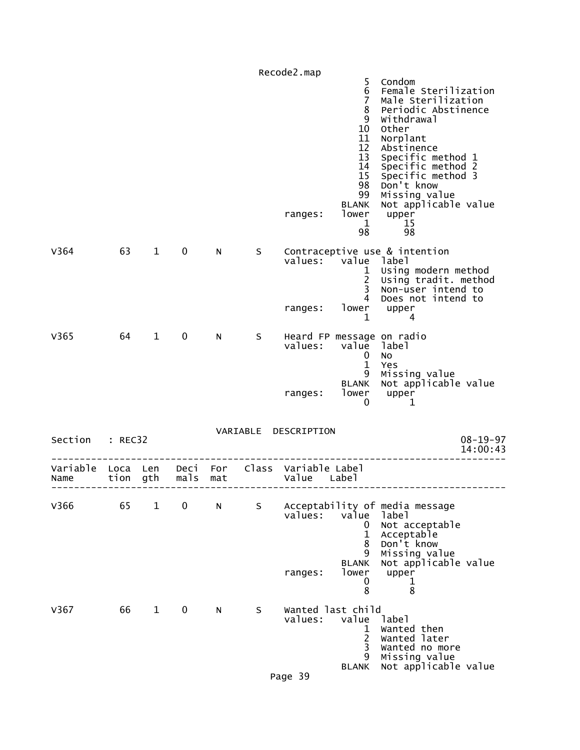|                 |      |              |             |     |    | Recode2.map                                                    |                                                                                                                                   |                                                                                                                                                                                                                                                                         |
|-----------------|------|--------------|-------------|-----|----|----------------------------------------------------------------|-----------------------------------------------------------------------------------------------------------------------------------|-------------------------------------------------------------------------------------------------------------------------------------------------------------------------------------------------------------------------------------------------------------------------|
|                 |      |              |             |     |    | ranges:                                                        | 5<br>6<br>$\overline{7}$<br>8<br>9<br>10<br>11<br>12<br>13<br>14<br>15<br>98<br>99<br><b>BLANK</b><br>lower<br>$\mathbf{1}$<br>98 | Condom<br>Female Sterilization<br>Male Sterilization<br>Periodic Abstinence<br>Withdrawal<br>Other<br>Norplant<br>Abstinence<br>Specific method 1<br>Specific method 2<br>Specific method 3<br>Don't know<br>Missing value<br>Not applicable value<br>upper<br>15<br>98 |
| V364            | 63   | $\mathbf{1}$ | $\mathbf 0$ | N   | S. | values: value label<br>ranges:                                 | $\mathbf{1}$<br>$\overline{2}$<br>3 <sup>7</sup><br>$\overline{4}$<br>1                                                           | Contraceptive use & intention<br>Using modern method<br>Using tradit. method<br>Non-user intend to<br>Does not intend to<br>lower upper<br>4                                                                                                                            |
| V365            | 64   | $\mathbf{1}$ | $\mathbf 0$ | N   | S  | values:<br>ranges:                                             | value label<br>$\mathbf 0$<br>$\mathbf{1}$<br>9<br><b>BLANK</b><br>lower<br>0                                                     | Heard FP message on radio<br>No<br>Yes<br>Missing value<br>Not applicable value<br>upper<br>1                                                                                                                                                                           |
| Section : REC32 |      |              |             |     |    | VARIABLE DESCRIPTION                                           |                                                                                                                                   | $08 - 19 - 97$<br>14:00:43                                                                                                                                                                                                                                              |
| Name            | tion | gth          | mals        | mat |    | Variable Loca Len Deci For Class Variable Label<br>Value Label |                                                                                                                                   |                                                                                                                                                                                                                                                                         |
| V366            | 65   | $\mathbf{1}$ | $\mathbf 0$ | N   | S  | values:<br>ranges:                                             | value<br>0<br>$\mathbf{1}$<br>8<br>9<br><b>BLANK</b><br>lower<br>0                                                                | Acceptability of media message<br>label<br>Not acceptable<br>Acceptable<br>Don't know<br>Missing value<br>Not applicable value<br>upper<br>ı                                                                                                                            |
| V367            | 66   | $\mathbf{1}$ | $\mathbf 0$ | N   | S  | Wanted last child<br>values:<br>Page 39                        | 8<br>value<br>1<br>2<br>3<br>9<br><b>BLANK</b>                                                                                    | 8<br>label<br>Wanted then<br>Wanted later<br>Wanted no more<br>Missing value<br>Not applicable value                                                                                                                                                                    |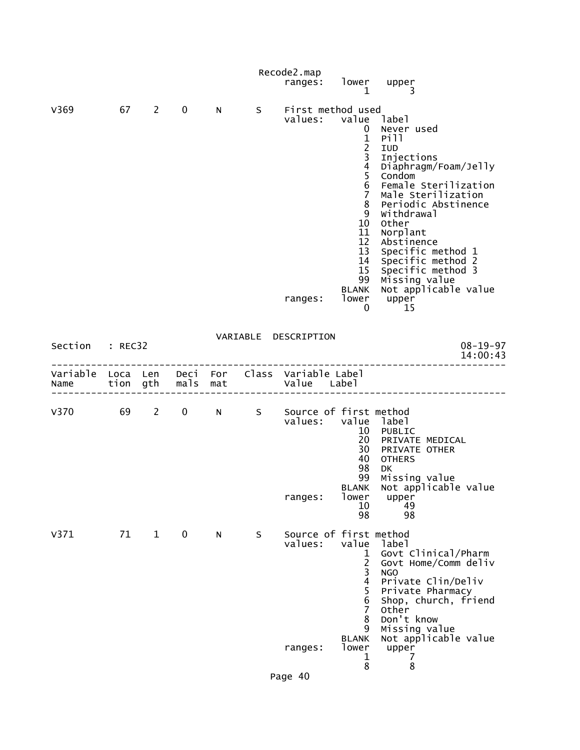|    |              |                 |      |   | ranges: |                                                                                                   |                                                                                                                                                                                                      |                                                                                                                                                                                                                                                                                                                                                                                                                                                                                                                           |
|----|--------------|-----------------|------|---|---------|---------------------------------------------------------------------------------------------------|------------------------------------------------------------------------------------------------------------------------------------------------------------------------------------------------------|---------------------------------------------------------------------------------------------------------------------------------------------------------------------------------------------------------------------------------------------------------------------------------------------------------------------------------------------------------------------------------------------------------------------------------------------------------------------------------------------------------------------------|
|    |              |                 |      |   |         |                                                                                                   |                                                                                                                                                                                                      |                                                                                                                                                                                                                                                                                                                                                                                                                                                                                                                           |
|    |              | $\mathbf{0}$    |      |   |         | $\frac{4}{5}$<br>6                                                                                | Pill<br>IUD<br>Injections<br>Diaphragm/Foam/Jelly<br>Condom<br>Female Sterilization<br>Male Sterilization<br>Periodic Abstinence<br>Withdrawal<br>Other<br>Norplant<br>Abstinence                    |                                                                                                                                                                                                                                                                                                                                                                                                                                                                                                                           |
|    |              |                 |      |   |         |                                                                                                   |                                                                                                                                                                                                      |                                                                                                                                                                                                                                                                                                                                                                                                                                                                                                                           |
|    |              |                 |      |   |         |                                                                                                   | $08 - 19 - 97$<br>14:00:43                                                                                                                                                                           |                                                                                                                                                                                                                                                                                                                                                                                                                                                                                                                           |
|    |              |                 |      |   |         |                                                                                                   |                                                                                                                                                                                                      |                                                                                                                                                                                                                                                                                                                                                                                                                                                                                                                           |
|    |              |                 |      |   | ranges: | lower<br>10<br>98                                                                                 | PUBLIC<br>PRIVATE MEDICAL<br>PRIVATE OTHER<br><b>OTHERS</b><br>DK.<br>Missing value<br>Not applicable value<br>upper<br>49<br>98                                                                     |                                                                                                                                                                                                                                                                                                                                                                                                                                                                                                                           |
| 71 | $\mathbf{1}$ | 0               | N    | S | values: | value<br>$\overline{c}$<br>$\overline{\mathbf{3}}$<br>$\overline{\mathbf{4}}$<br>5<br>6<br>7<br>8 | label<br>Govt Clinical/Pharm<br>Govt Home/Comm deliv<br>NGO<br>Private Clin/Deliv<br>Private Pharmacy<br>Shop, church, friend<br><b>Other</b><br>Don't know<br>Missing value<br>Not applicable value |                                                                                                                                                                                                                                                                                                                                                                                                                                                                                                                           |
|    |              | Section : REC32 | 67 2 | N |         | Recode2.map<br>VARIABLE DESCRIPTION                                                               | Variable Loca Len Deci For Class Variable Label<br>Name tion gth mals mat Value Label<br>9                                                                                                           | lower upper<br>$\mathbf{1}$<br>S First method used<br>values: value label<br>0 Never used<br>$\mathbf{1}$<br>$\frac{2}{3}$<br>7 <sup>7</sup><br>8<br>9<br>10 <sup>°</sup><br>11<br>12 <sup>2</sup><br>13 Specific method 1<br>14 Specific method 2<br>15 Specific method 3<br>99 Missing value<br>BLANK Not applicable value<br>ranges: lower upper<br>15 0<br>V370 69 2 0 N S Source of first method<br>values: value label<br>10<br>20<br>30<br>40<br>98<br>99<br><b>BLANK</b><br>Source of first method<br>$\mathbf 1$ |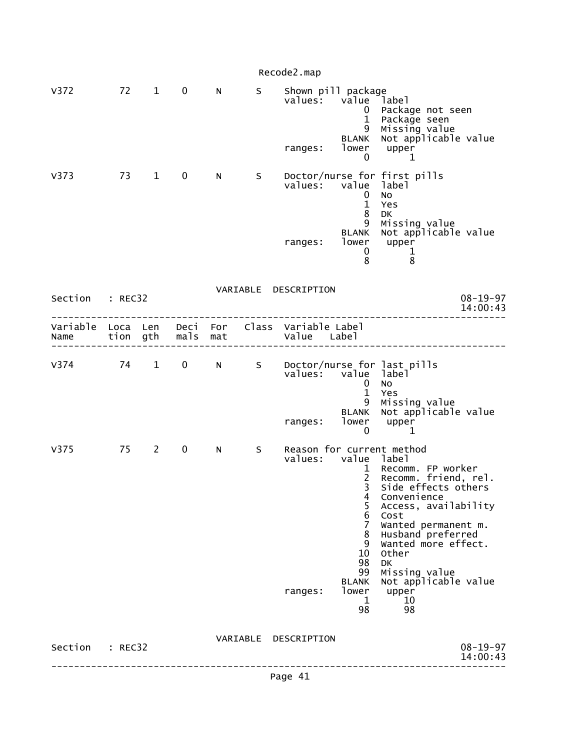|                  |                  |            |              |            |   | Recode2.map                              |                                                                                                                                                                    |                                                                                                                                                                                                                                                                                                     |
|------------------|------------------|------------|--------------|------------|---|------------------------------------------|--------------------------------------------------------------------------------------------------------------------------------------------------------------------|-----------------------------------------------------------------------------------------------------------------------------------------------------------------------------------------------------------------------------------------------------------------------------------------------------|
| V372             |                  | 72 1       | $\mathbf 0$  | N          | S | Shown pill package<br>values:<br>ranges: | value<br>$0^{\circ}$<br>$\mathbf{1}$<br>9<br><b>BLANK</b><br>lower<br>$\mathbf 0$                                                                                  | Iabel <sup>-</sup><br>Package not seen<br>Package seen<br>Missing value<br>Not applicable value<br>upper<br>1                                                                                                                                                                                       |
| V373             | 73               | $1 \quad$  | $\mathbf 0$  | N.         | S | values:<br>ranges:                       | value<br>0<br>$\mathbf{1}$<br>8<br>9<br>BLANK<br>lower<br>0<br>8                                                                                                   | Doctor/nurse for first pills<br>label<br>No<br>Yes<br>DK<br>Missing value<br>Not applicable value<br>upper<br>$\mathbf 1$<br>8                                                                                                                                                                      |
| Section          | : REC32          |            |              |            |   | VARIABLE DESCRIPTION                     |                                                                                                                                                                    | $08 - 19 - 97$<br>14:00:43                                                                                                                                                                                                                                                                          |
| Variable<br>Name | Loca Len<br>tion | gth        | Deci<br>mals | For<br>mat |   | Class Variable Label<br>Value Label      |                                                                                                                                                                    |                                                                                                                                                                                                                                                                                                     |
| V374             | 74               | $1 \quad$  | $\mathbf 0$  | N          | S | values: value label<br>ranges:           | 0<br>$\mathbf{1}$<br>9<br><b>BLANK</b><br>lower<br>$\mathbf 0$                                                                                                     | Doctor/nurse for last pills<br>No<br>Yes<br>Missing value<br>Not applicable value<br>upper<br>1                                                                                                                                                                                                     |
| V375             | 75               | $2^{\sim}$ | $\mathbf 0$  | N          | S | values:<br>ranges:                       | value label<br>$\mathbf{1}$<br>$\overline{2}$<br>3<br>4<br>5<br>$\,6$<br>$\overline{7}$<br>8<br>9<br>10<br>98<br>99<br><b>BLANK</b><br>lower<br>$\mathbf{1}$<br>98 | Reason for current method<br>Recomm. FP worker<br>Recomm. friend, rel.<br>Side effects others<br>Convenience<br>Access, availability<br>Cost<br>Wanted permanent m.<br>Husband preferred<br>Wanted more effect.<br>Other<br><b>DK</b><br>Missing value<br>Not applicable value<br>upper<br>10<br>98 |
| Section : REC32  |                  |            |              |            |   | VARIABLE DESCRIPTION                     |                                                                                                                                                                    | $08 - 19 - 97$<br>14:00:43                                                                                                                                                                                                                                                                          |
|                  |                  |            |              |            |   | Page 41                                  |                                                                                                                                                                    |                                                                                                                                                                                                                                                                                                     |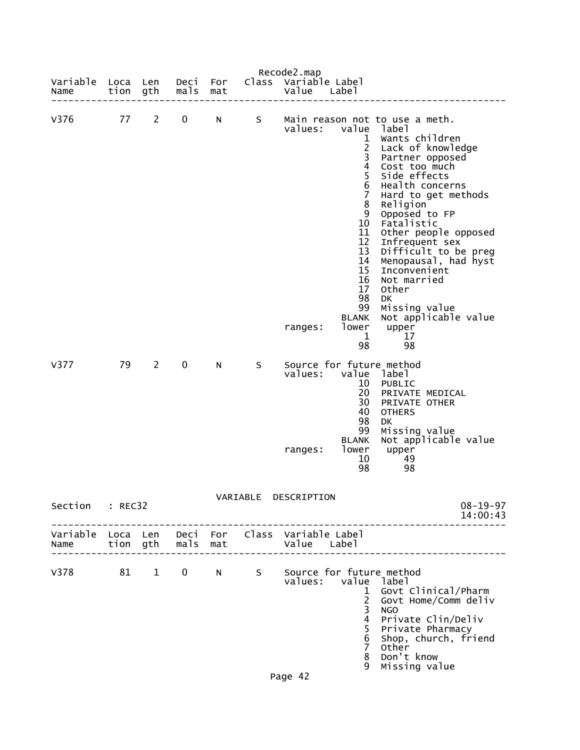|                    |              |                |              |            |       | Recode2.map                                                    |                                                                                                                                                                              |                                                                                                                                                                                                                                                                                                                                                                                                                                      |
|--------------------|--------------|----------------|--------------|------------|-------|----------------------------------------------------------------|------------------------------------------------------------------------------------------------------------------------------------------------------------------------------|--------------------------------------------------------------------------------------------------------------------------------------------------------------------------------------------------------------------------------------------------------------------------------------------------------------------------------------------------------------------------------------------------------------------------------------|
| Variable<br>Name   | Loca<br>tion | Len<br>gth     | Deci<br>mals | For<br>mat | Class | Variable Label<br>Value                                        | Label                                                                                                                                                                        |                                                                                                                                                                                                                                                                                                                                                                                                                                      |
| V376               | 77           | $\mathbf{2}$   | 0            | N          | S     | values:<br>ranges:                                             | value<br>1<br>$\overline{2}$<br>3<br>$\overline{4}$<br>5<br>6<br>7<br>8<br>9<br>10<br>11<br>12<br>13<br>14<br>15<br>16<br>17<br>98<br>99<br><b>BLANK</b><br>lower<br>1<br>98 | Main reason not to use a meth.<br>label<br>Wants children<br>Lack of knowledge<br>Partner opposed<br>Cost too much<br>Side effects<br>Health concerns<br>Hard to get methods<br>Religion<br>Opposed to FP<br>Fatalistic<br>Other people opposed<br>Infrequent sex<br>Difficult to be preg<br>Menopausal, had hyst<br>Inconvenient<br>Not married<br>Other<br><b>DK</b><br>Missing value<br>Not applicable value<br>upper<br>17<br>98 |
| V377               | 79           | $\overline{2}$ | 0            | N          | S     | values:<br>ranges:                                             | value<br>10<br>20<br>30<br>40<br>98<br>99<br><b>BLANK</b><br>lower<br>10<br>98                                                                                               | Source for future method<br>label<br>PUBLIC<br>PRIVATE MEDICAL<br>PRIVATE OTHER<br><b>OTHERS</b><br>DK<br>Missing value<br>Not applicable value<br>upper<br>49<br>98                                                                                                                                                                                                                                                                 |
|                    |              |                |              |            |       | VARIABLE DESCRIPTION                                           |                                                                                                                                                                              |                                                                                                                                                                                                                                                                                                                                                                                                                                      |
| Section : REC32    |              |                |              |            |       |                                                                |                                                                                                                                                                              | $08 - 19 - 97$<br>14:00:43<br>- - - - - - - - - - - - -                                                                                                                                                                                                                                                                                                                                                                              |
| Name tion gth mals |              |                |              | mat        |       | Variable Loca Len Deci For Class Variable Label<br>Value Label |                                                                                                                                                                              |                                                                                                                                                                                                                                                                                                                                                                                                                                      |
| V378               |              |                | 81 1 0 N     |            | S     | Source for future method<br>values: value                      | $\mathbf{1}$<br>$\overline{2}$<br>3<br>$\overline{4}$<br>5<br>$\,$ 6<br>$\overline{7}$<br>8<br>9                                                                             | label<br>Govt Clinical/Pharm<br>Govt Home/Comm deliv<br><b>NGO</b><br>Private Clin/Deliv<br>Private Pharmacy<br>Shop, church, friend<br><b>Other</b><br>Don't know<br>Missing value                                                                                                                                                                                                                                                  |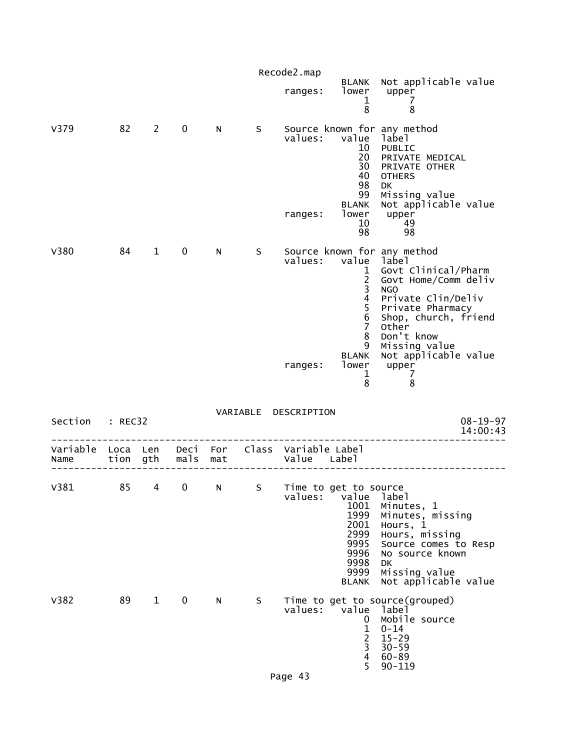|                  |                  |              |                  |     |    | Recode2.map                         |                                                                                                                                      |                                                                                                                                                                                                                                                        |                            |
|------------------|------------------|--------------|------------------|-----|----|-------------------------------------|--------------------------------------------------------------------------------------------------------------------------------------|--------------------------------------------------------------------------------------------------------------------------------------------------------------------------------------------------------------------------------------------------------|----------------------------|
|                  |                  |              |                  |     |    | ranges:                             | BLANK<br>lower<br>1<br>8                                                                                                             | Not applicable value<br>upper<br>7<br>8                                                                                                                                                                                                                |                            |
| V379             | 82               | 2            | 0                | N   | S. | values:<br>ranges:                  | value<br>10<br>20<br>30<br>40<br>98<br>99<br><b>BLANK</b><br>lower<br>10<br>98                                                       | Source known for any method<br>label<br>PUBLIC<br>PRIVATE MEDICAL<br>PRIVATE OTHER<br><b>OTHERS</b><br>DK<br>Missing value<br>Not applicable value<br>upper<br>49<br>98                                                                                |                            |
| V380             | 84               | $\mathbf{1}$ | 0                | N   | S  | values:<br>ranges:                  | value<br>$\mathbf{1}$<br>$\begin{array}{c} 2 \\ 3 \\ 4 \end{array}$<br>5<br>$rac{6}{7}$<br>8<br>9<br><b>BLANK</b><br>lower<br>1<br>8 | Source known for any method<br>label<br>Govt Clinical/Pharm<br>Govt Home/Comm deliv<br><b>NGO</b><br>Private Clin/Deliv<br>Private Pharmacy<br>Shop, church, friend<br>Other<br>Don't know<br>Missing value<br>Not applicable value<br>upper<br>7<br>8 |                            |
| Section          | : REC32          |              |                  |     |    | VARIABLE DESCRIPTION                |                                                                                                                                      |                                                                                                                                                                                                                                                        | $08 - 19 - 97$<br>14:00:43 |
| Variable<br>Name | Loca Len<br>tion | gth          | Deci For<br>mals | mat |    | Class Variable Label<br>Value Label |                                                                                                                                      |                                                                                                                                                                                                                                                        |                            |
| V381             | 85               | 4            | 0                | N   | S  | Time to get to source<br>values:    | value<br>1001<br>1999<br>2001<br>2999<br>9995<br>9996<br>9998<br>9999<br><b>BLANK</b>                                                | label<br>Minutes, 1<br>Minutes, missing<br>Hours, $1$<br>Hours, missing<br>Source comes to Resp<br>No source known<br>DK<br>Missing value<br>Not applicable value                                                                                      |                            |
| V382             | 89               | $\mathbf{1}$ | 0                | N   | S. | values:                             | value<br>0<br>1<br>$\overline{2}$<br>3<br>4<br>5                                                                                     | Time to get to source(grouped)<br>label<br>Mobile source<br>$0 - 14$<br>$15 - 29$<br>$30 - 59$<br>$60 - 89$<br>$90 - 119$                                                                                                                              |                            |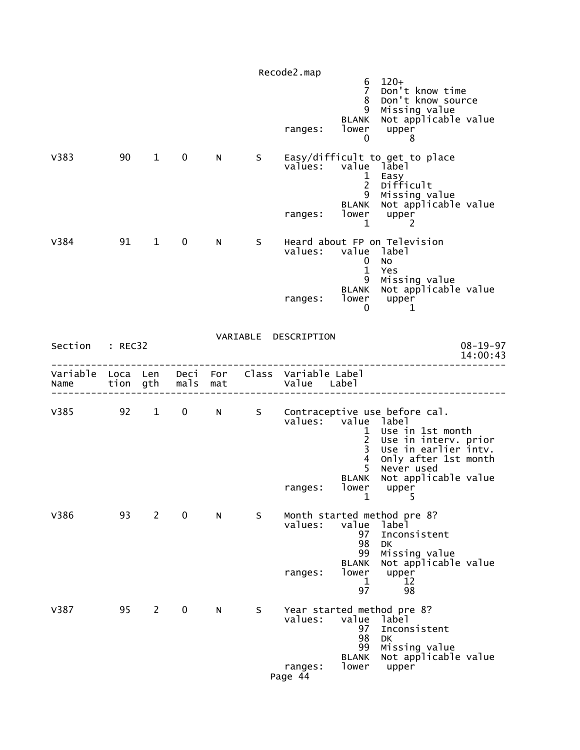|                 |    |                        |             |   |    | Recode2.map<br>ranges:                                                                    | 6<br>$\overline{7}$<br>8<br>9<br><b>BLANK</b><br>lower<br>0                            | $120+$<br>Don't know time<br>Don't know source<br>Missing value<br>Not applicable value<br>upper<br>8                                                                                                       |                            |
|-----------------|----|------------------------|-------------|---|----|-------------------------------------------------------------------------------------------|----------------------------------------------------------------------------------------|-------------------------------------------------------------------------------------------------------------------------------------------------------------------------------------------------------------|----------------------------|
| V383            | 90 | $\mathbf{1}$           | $\mathbf 0$ | N |    | values: value label<br>ranges: lower upper                                                | $\mathbf{1}$<br>$2^{\circ}$<br>9<br><b>BLANK</b><br>$\mathbf{1}$                       | S Easy/difficult to get to place<br>Easy<br>Difficult<br>Missing value<br>Not applicable value<br>2                                                                                                         |                            |
| V384            | 91 | $1 \quad \blacksquare$ | $\mathbf 0$ | N | S. | values: value label<br>ranges:                                                            | $\bf{0}$<br>$\mathbf{1}$<br>9<br>$\Omega$                                              | Heard about FP on Television<br><b>NO</b><br>Yes<br>Missing value<br>BLANK Not applicable value<br>lower upper<br>1                                                                                         |                            |
| Section : REC32 |    |                        |             |   |    | VARIABLE DESCRIPTION                                                                      |                                                                                        |                                                                                                                                                                                                             | $08 - 19 - 97$<br>14:00:43 |
|                 |    |                        |             |   |    | Variable Loca Len Deci For Class Variable Label<br>Name tion gth mals mat and value Label |                                                                                        |                                                                                                                                                                                                             |                            |
|                 |    |                        |             |   |    | values: value label<br>ranges:                                                            | $\mathbf{1}$<br>$\frac{2}{3}$<br>$\overline{4}$<br>5 <sup>1</sup><br><b>BLANK</b><br>1 | V385 92 1 0 N S Contraceptive use before cal.<br>Use in 1st month<br>Use in interv. prior<br>Use in earlier intv.<br>Only after 1st month<br>Never used<br>Not applicable value<br>lower uppe <u>r</u><br>5 |                            |
| V386            | 93 | $\overline{2}$         | $\mathbf 0$ | N | S  | values:<br>ranges:                                                                        | value<br>97<br>98<br>99<br><b>BLANK</b><br>lower<br>1<br>97                            | Month started method pre 8?<br>label<br>Inconsistent<br>DK<br>Missing value<br>Not applicable value<br>upper<br>12<br>98                                                                                    |                            |
| V387            | 95 | $2^{\circ}$            | $\mathbf 0$ | N | S  | values:<br>ranges:<br>Page 44                                                             | value<br>97<br>98<br>99<br><b>BLANK</b><br>lower                                       | Year started method pre 8?<br>labe <sub>1</sub><br>Inconsistent<br><b>DK</b><br>Missing value<br>Not applicable value<br>upper                                                                              |                            |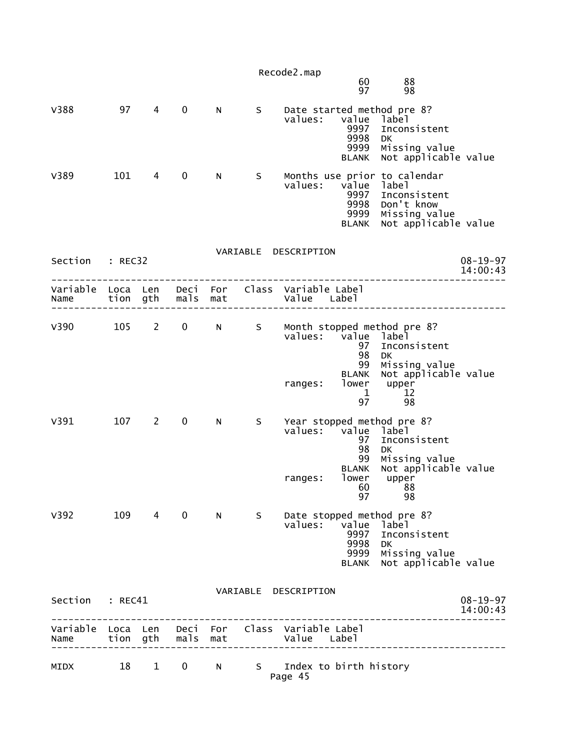|                  |                  |                        |                   |                 |       | Recode2.map                                                    |                                                              |                                                                                                                            |                            |
|------------------|------------------|------------------------|-------------------|-----------------|-------|----------------------------------------------------------------|--------------------------------------------------------------|----------------------------------------------------------------------------------------------------------------------------|----------------------------|
|                  |                  |                        |                   |                 |       |                                                                | 60<br>97                                                     | 88<br>98                                                                                                                   |                            |
| V388             | 97               | 4                      | 0                 | N               | S     | values:                                                        | value<br>9997<br>9998<br>9999<br><b>BLANK</b>                | Date started method pre 8?<br>label<br>Inconsistent<br><b>DK</b><br>Missing value<br>Not applicable value                  |                            |
| V389             | 101              | 4                      | 0                 | N.              | S.    | values:                                                        | value<br>9997<br>9998<br>9999<br><b>BLANK</b>                | Months use prior to calendar<br>label<br>Inconsistent<br>Don't know<br>Missing value<br>Not applicable value               |                            |
| Section          | : REC32          |                        |                   |                 |       | VARIABLE DESCRIPTION                                           |                                                              |                                                                                                                            | $08 - 19 - 97$             |
|                  |                  |                        |                   |                 |       |                                                                |                                                              |                                                                                                                            | 14:00:43                   |
| Variable<br>Name | Loca Len<br>tion | gth                    | mals              | Deci For<br>mat |       | Class Variable Label<br>Value Label                            |                                                              |                                                                                                                            |                            |
| V390             | 105              | $2 \quad$              | $\mathbf 0$       |                 |       |                                                                |                                                              | Month stopped method pre 8?                                                                                                |                            |
|                  |                  |                        |                   | N               | S     | values: value label<br>ranges:                                 | 97<br>98<br>99<br><b>BLANK</b><br>lower<br>$\mathbf 1$<br>97 | Inconsistent<br>DK<br>Missing value<br>Not applicable value<br>upper<br>12<br>98                                           |                            |
| V391             | 107              | $2^{\circ}$            | 0                 | N               | S.    | values: value<br>ranges:                                       | 97<br>98<br>99<br><b>BLANK</b><br>lower<br>97                | Year stopped method pre 8?<br>label<br>Inconsistent<br>DK<br>Missing value<br>Not applicable value<br>upper<br>60 88<br>98 |                            |
| v392             |                  | 109 4                  | $\mathbf 0$       |                 | $N_S$ | values:                                                        | value<br>9997<br>9998<br>9999<br><b>BLANK</b>                | Date stopped method pre 8?<br>label<br>Inconsistent<br>DK<br>Missing value<br>Not applicable value                         |                            |
| Section : REC41  |                  |                        |                   |                 |       | VARIABLE DESCRIPTION                                           |                                                              |                                                                                                                            | $08 - 19 - 97$<br>14:00:43 |
| Name             |                  |                        | tion gth mals mat |                 |       | Variable Loca Len Deci For Class Variable Label<br>Value Label |                                                              |                                                                                                                            |                            |
| MIDX             | 18               | $1 \quad \blacksquare$ | $\mathbf{0}$      |                 |       | N S Index to birth history<br>Page 45                          |                                                              |                                                                                                                            |                            |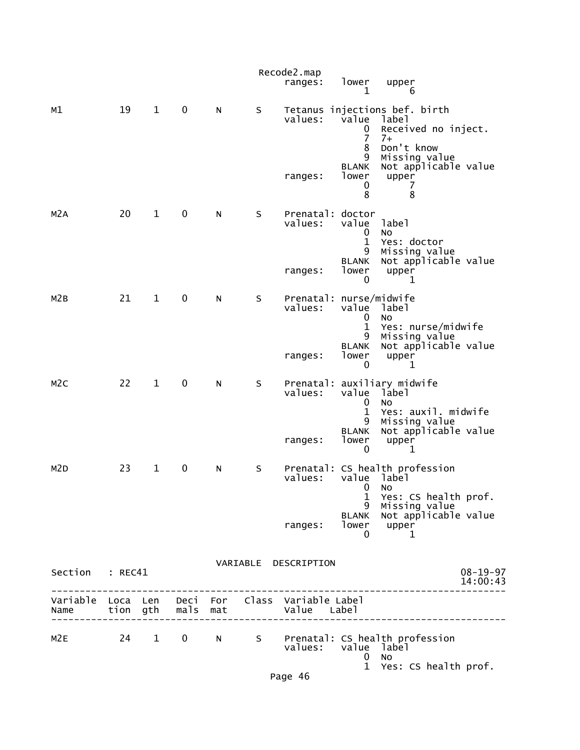|                  |                  |              |              |            |    | Recode2.map<br>ranges:                        | lower<br>$\mathbf 1$                                                          | upper<br>6                                                                                                                                      |                            |
|------------------|------------------|--------------|--------------|------------|----|-----------------------------------------------|-------------------------------------------------------------------------------|-------------------------------------------------------------------------------------------------------------------------------------------------|----------------------------|
| м1               | 19               | $\mathbf{1}$ | $\mathbf 0$  | N          | S  | values:<br>ranges:                            | value<br>0<br>$\overline{7}$<br>8<br>9<br><b>BLANK</b><br>lower<br>0<br>8     | Tetanus injections bef. birth<br>label<br>Received no inject.<br>$7+$<br>Don't know<br>Missing value<br>Not applicable value<br>upper<br>7<br>8 |                            |
| M <sub>2</sub> A | 20               | $\mathbf{1}$ | $\pmb{0}$    | N          | S  | Prenatal: doctor<br>values:<br>ranges:        | value<br>0<br>$\mathbf{1}$<br>9<br><b>BLANK</b><br>lower<br>0                 | label<br><b>NO</b><br>Yes: doctor<br>Missing value<br>Not applicable value<br>upper<br>1                                                        |                            |
| M2B              | 21               | $\mathbf{1}$ | 0            | N          | S  | Prenatal: nurse/midwife<br>values:<br>ranges: | value label<br>$\mathbf 0$<br>$\mathbf{1}$<br>9<br><b>BLANK</b><br>lower<br>0 | <b>NO</b><br>Yes: nurse/midwife<br>Missing value<br>Not applicable value<br>upper<br>1                                                          |                            |
| M <sub>2</sub> C | 22               | $\mathbf{1}$ | $\pmb{0}$    | N          | S  | values:<br>ranges:                            | value<br>0<br>$\mathbf 1$<br>9<br><b>BLANK</b><br>lower<br>0                  | Prenatal: auxiliary midwife<br>label<br><b>NO</b><br>Yes: auxil. midwife<br>Missing value<br>Not applicable value<br>upper<br>1                 |                            |
| M <sub>2</sub> D | 23               | $\mathbf 1$  | 0            | ${\sf N}$  | S  | values:<br>ranges:                            | value label<br>1<br>9<br><b>BLANK</b><br>lower<br>0                           | Prenatal: CS health profession<br>$0$ No<br>Yes: CS health prof.<br>Missing value<br>Not applicable value<br>upper<br>1                         |                            |
| Section          | : REC41          |              |              |            |    | VARIABLE DESCRIPTION                          |                                                                               |                                                                                                                                                 | $08 - 19 - 97$<br>14:00:43 |
| Variable<br>Name | Loca Len<br>tion | gth          | Deci<br>mals | For<br>mat |    | Class Variable Label<br>Value Label           |                                                                               |                                                                                                                                                 |                            |
| M <sub>2E</sub>  | 24               | $\mathbf{1}$ | $\mathbf 0$  | N          | S. | values:                                       | value label<br>0<br>$\mathbf{1}$                                              | Prenatal: CS health profession<br>No<br>Yes: CS health prof.                                                                                    |                            |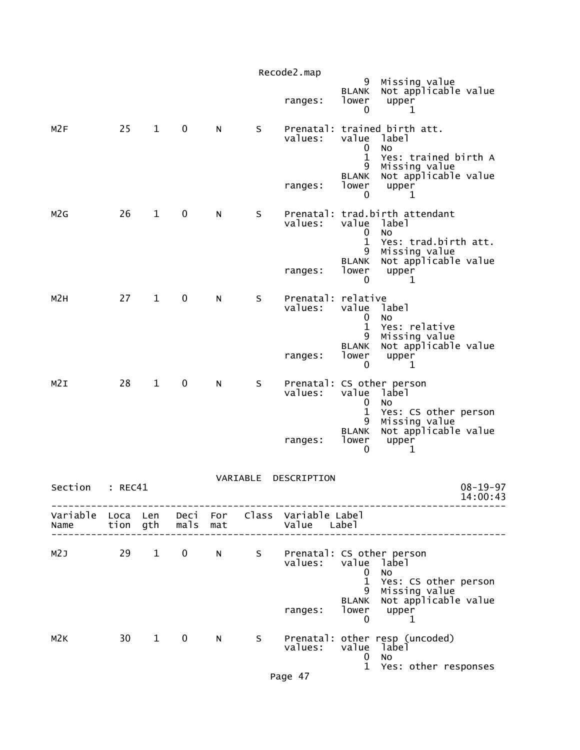|                                    |         |                        |                   |   |          | Recode2.map                                          | 9                                               | Missing value                                                         |
|------------------------------------|---------|------------------------|-------------------|---|----------|------------------------------------------------------|-------------------------------------------------|-----------------------------------------------------------------------|
|                                    |         |                        |                   |   |          | ranges:                                              | <b>BLANK</b><br>lower<br>0                      | Not applicable value<br>upper<br>1                                    |
| M <sub>2F</sub>                    | 25      | $\mathbf{1}$           | 0                 | N | S        | values:                                              | value<br>0<br>$\mathbf{1}$                      | Prenatal: trained birth att.<br>label<br>No<br>Yes: trained birth A   |
|                                    |         |                        |                   |   |          | ranges:                                              | 9<br><b>BLANK</b><br>lower<br>0                 | Missing value<br>Not applicable value<br>upper<br>1                   |
| M <sub>2</sub> G                   | 26      | $\mathbf{1}$           | 0                 | N | S        | values:                                              | value<br>0<br>$\mathbf{1}$                      | Prenatal: trad.birth attendant<br>label<br>No<br>Yes: trad.birth att. |
|                                    |         |                        |                   |   |          | ranges:                                              | 9<br><b>BLANK</b><br>lower<br>0                 | Missing value<br>Not applicable value<br>upper<br>ı                   |
| M <sub>2</sub> H                   | 27      | $\mathbf{1}$           | 0                 | N | S        | Prenatal: relative<br>values:                        | value<br>0                                      | label<br>No                                                           |
|                                    |         |                        |                   |   |          | ranges:                                              | $\mathbf{1}$<br>9<br><b>BLANK</b><br>lower<br>0 | Yes: relative<br>Missing value<br>Not applicable value<br>upper<br>1  |
| M2I                                | 28      | $\mathbf{1}$           | $\mathbf 0$       | N | S        | values:                                              | value<br>0<br>$\mathbf 1$                       | Prenatal: CS other person<br>label<br>No<br>Yes: CS other person      |
|                                    |         |                        |                   |   |          | ranges:                                              | 9<br><b>BLANK</b><br>lower<br>0                 | Missing value<br>Not applicable value<br>upper<br>1                   |
| Section                            | : REC41 |                        |                   |   | VARIABLE | DESCRIPTION                                          |                                                 | $08 - 19 - 97$<br>14:00:43                                            |
| Variable Loca Len Deci For<br>Name |         |                        | tion gth mals mat |   |          | Class Variable Label<br>Value Label                  |                                                 |                                                                       |
| M2J                                | 29      | $1 \quad \blacksquare$ | $\mathbf{0}$      |   |          | N S Prenatal: CS other person<br>values: value label | $\mathbf{0}$<br>$\mathbf{1}$<br>9               | No<br>Yes: CS other person<br>Missing value                           |
|                                    |         |                        |                   |   |          | ranges:                                              | <b>BLANK</b><br>$\mathbf 0$                     | Not applicable value<br>lower upper<br>$\mathbf{1}$                   |
| M2K                                |         | 30 1                   | $\mathbf 0$       | N | S        | values:                                              | value<br>0<br>$\mathbf{1}$                      | Prenatal: other resp (uncoded)<br>label<br>No<br>Yes: other responses |
|                                    |         |                        |                   |   |          |                                                      |                                                 |                                                                       |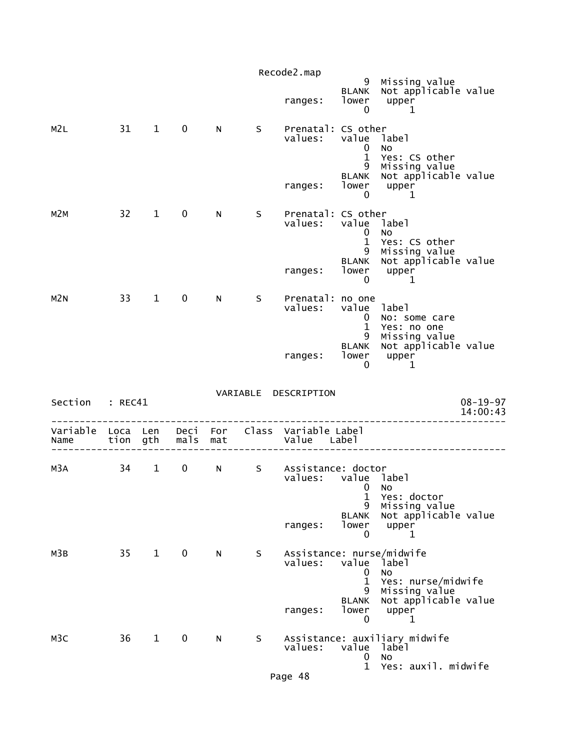|                  |          |                        |                   |    |    | Recode2.map                                                                                                                                                                                                                                                                       |                                         |                                                                      |                            |
|------------------|----------|------------------------|-------------------|----|----|-----------------------------------------------------------------------------------------------------------------------------------------------------------------------------------------------------------------------------------------------------------------------------------|-----------------------------------------|----------------------------------------------------------------------|----------------------------|
|                  |          |                        |                   |    |    | ranges:                                                                                                                                                                                                                                                                           | <b>BLANK</b><br>lower<br>$\mathbf 0$    | 9  Missing value<br>WK   Not applicable value<br>upper<br>1          |                            |
| M2L              |          | 31 1                   | $\mathbf 0$       | N. | S. | Prenatal: CS other<br>values:                                                                                                                                                                                                                                                     | value label<br>$\bf{0}$<br>$\mathbf{1}$ | NO<br>Yes: CS other<br>9 Missing value<br>BLANK Not applicable value |                            |
|                  |          |                        |                   |    |    | ranges:                                                                                                                                                                                                                                                                           | lower<br>$\mathbf{0}$                   | upper<br>$\sim$ 1                                                    |                            |
| M2M              | 32       | $\mathbf 1$            | $\mathbf 0$       | N  | S. | Prenatal: CS other<br>values:                                                                                                                                                                                                                                                     | value label<br>0<br>$\mathbf{1}$<br>9   | <b>NO</b><br>Yes: CS other<br>Missing value<br>Not applicable value  |                            |
|                  |          |                        |                   |    |    | ranges:                                                                                                                                                                                                                                                                           | <b>BLANK</b><br>lower<br>0              | upper<br>$\overline{\phantom{a}}$                                    |                            |
| M2N              |          | 33 1                   | $\mathbf 0$       | N  | S. | Prenatal: no one<br>values:                                                                                                                                                                                                                                                       | value label<br>$\bf{0}$<br>$\mathbf{1}$ | No: some care<br>Yes: no one                                         |                            |
|                  |          |                        |                   |    |    | ranges:                                                                                                                                                                                                                                                                           | 9<br><b>BLANK</b><br>lower              | Missing value<br>Not applicable value<br>upper<br>1                  |                            |
|                  |          |                        |                   |    |    |                                                                                                                                                                                                                                                                                   | 0                                       |                                                                      |                            |
| Section : REC41  |          |                        |                   |    |    | VARIABLE DESCRIPTION                                                                                                                                                                                                                                                              |                                         |                                                                      | $08 - 19 - 97$<br>14:00:43 |
| Variable<br>Name | Loca Len |                        | tion gth mals mat |    |    | Deci For Class Variable Label<br>Value Label                                                                                                                                                                                                                                      |                                         |                                                                      |                            |
| M3A              | 34       | $1 \quad \blacksquare$ | $\mathbf 0$       | N  | S  | Assistance: doctor<br>values: value label<br><u>and the contract of the contract of the contract of the contract of the contract of the contract of the contract of the contract of the contract of the contract of the contract of the contract of the contract of the contr</u> | 1                                       | Yes: doctor                                                          |                            |
|                  |          |                        |                   |    |    | ranges:                                                                                                                                                                                                                                                                           | 9<br><b>BLANK</b><br>lower<br>0         | Missing value<br>Not applicable value<br>upper<br>1                  |                            |
| M3B              | 35       | $1 \quad \blacksquare$ | $\mathbf 0$       | N. | S. | Assistance: nurse/midwife<br>values:                                                                                                                                                                                                                                              | value<br>0<br>$\mathbf 1$<br>9          | label<br><b>NO</b><br>Yes: nurse/midwife                             |                            |
|                  |          |                        |                   |    |    | ranges:                                                                                                                                                                                                                                                                           | <b>BLANK</b><br>lower<br>0              | Missing value<br>Not applicable value<br>upper<br>$\mathbf{1}$       |                            |
| M3C              | 36       | $\mathbf{1}$           | $\mathbf 0$       | N  | S  | values:                                                                                                                                                                                                                                                                           | value<br>0<br>$\mathbf{1}$              | Assistance: auxiliary midwife<br>label<br>No<br>Yes: auxil. midwife  |                            |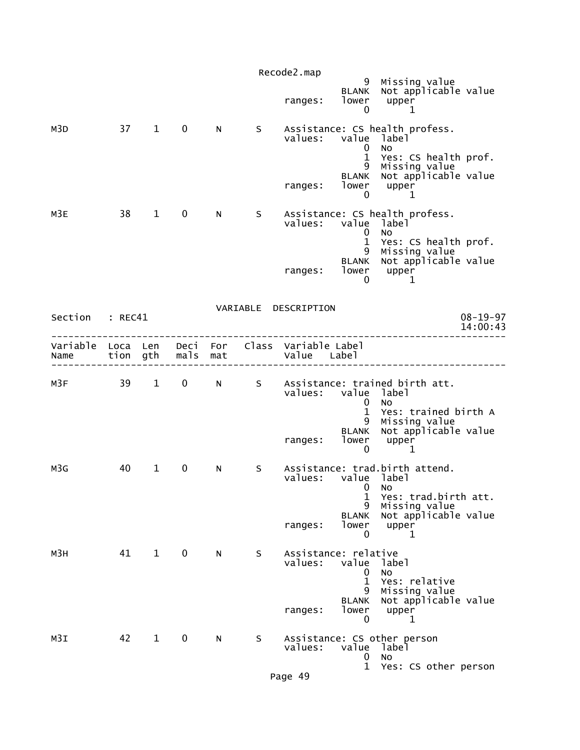|                  |                  |                        |              |            |    | Recode2.map                                |                                                                     |                                                                                                                            |                            |
|------------------|------------------|------------------------|--------------|------------|----|--------------------------------------------|---------------------------------------------------------------------|----------------------------------------------------------------------------------------------------------------------------|----------------------------|
|                  |                  |                        |              |            |    | ranges:                                    | 9<br><b>BLANK</b><br>lower<br>$\mathbf 0$                           | Missing value<br>Not applicable value<br>upper<br>1                                                                        |                            |
| M3D              |                  | 37 1                   | $\mathbf 0$  | N          | S. | values:<br>ranges:                         | value label<br>0<br>$\mathbf{1}$<br>9<br><b>BLANK</b><br>lower<br>0 | Assistance: CS health profess.<br><b>NO</b><br>Yes: CS health prof.<br>Missing value<br>Not applicable value<br>upper<br>1 |                            |
| M3E              | 38               | $\mathbf{1}$           | $\mathbf 0$  | N          | S. | values:<br>ranges:                         | value label<br>0<br>$\mathbf{1}$<br>9<br><b>BLANK</b><br>lower      | Assistance: CS health profess.<br><b>NO</b><br>Yes: CS health prof.<br>Missing value<br>Not applicable value<br>upper      |                            |
| Section          | : REC41          |                        |              |            |    | VARIABLE DESCRIPTION                       | 0                                                                   | 1                                                                                                                          | $08 - 19 - 97$<br>14:00:43 |
| Variable<br>Name | Loca Len<br>tion | gth                    | Deci<br>mals | For<br>mat |    | Class Variable Label<br>Value Label        |                                                                     |                                                                                                                            |                            |
| M3F              | 39               | $\mathbf{1}$           | $\mathbf 0$  | N          | S  | values: value label<br>ranges:             | 0<br>$\mathbf{1}$<br>9<br><b>BLANK</b><br>lower<br>$\mathbf 0$      | Assistance: trained birth att.<br><b>NO</b><br>Yes: trained birth A<br>Missing value<br>Not applicable value<br>upper<br>1 |                            |
| M3G              | 40               | $\mathbf{1}$           | 0            | N          | S  | values:<br>ranges:                         | value label<br>$\mathbf{0}$<br>1<br>9<br><b>BLANK</b><br>lower<br>0 | Assistance: trad.birth attend.<br>No<br>Yes: trad.birth att.<br>Missing value<br>Not applicable value<br>upper<br>1        |                            |
| м3н              | 41               | $1 \quad \blacksquare$ | $\mathbf 0$  | N          | S  | Assistance: relative<br>values:<br>ranges: | value<br>0<br>$\mathbf 1$<br>9<br><b>BLANK</b><br>lower<br>0        | label<br>No<br>Yes: relative<br>Missing value<br>Not applicable value<br>upper<br>$\mathbf 1$                              |                            |
| M3I              | 42               | $\mathbf{1}$           | $\mathbf 0$  | N          | S  | values:                                    | value<br>0<br>$\mathbf{1}$                                          | Assistance: CS other person<br>label<br>No<br>Yes: CS other person                                                         |                            |
|                  |                  |                        |              |            |    | Page 49                                    |                                                                     |                                                                                                                            |                            |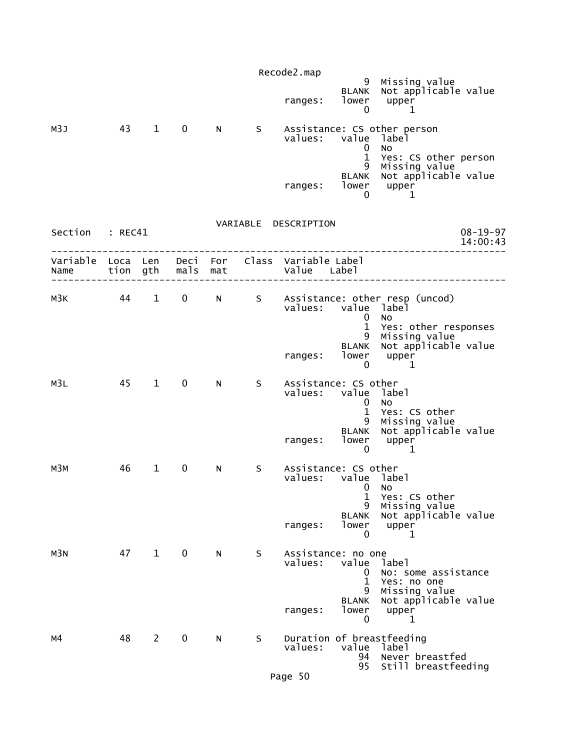|                 | Recode2.map |              |                   |   |    |                                                                |                                         |                                                                                           |  |  |  |  |
|-----------------|-------------|--------------|-------------------|---|----|----------------------------------------------------------------|-----------------------------------------|-------------------------------------------------------------------------------------------|--|--|--|--|
|                 |             |              |                   |   |    | ranges:                                                        | $\mathbf 0$                             | 9 Missing value<br>BLANK Not applicable value<br>$lower$ upper<br>1                       |  |  |  |  |
| M3J             | 43          |              | $1 \quad 0$       | N |    | values: value label                                            | 0<br>$\mathbf{1}$                       | S Assistance: CS other person<br><b>NO</b><br>Yes: CS other person<br>9 Missing value     |  |  |  |  |
|                 |             |              |                   |   |    | ranges:                                                        | 0                                       | BLANK Not applicable value<br>$\begin{bmatrix} 1 & 0 & 0 \\ 0 & 1 & 1 \end{bmatrix}$<br>1 |  |  |  |  |
| Section : REC41 |             |              |                   |   |    | VARIABLE DESCRIPTION                                           |                                         | $08 - 19 - 97$<br>14:00:43                                                                |  |  |  |  |
| Name            |             |              | tion gth mals mat |   |    | Variable Loca Len Deci For Class Variable Label<br>Value Label |                                         |                                                                                           |  |  |  |  |
| мЗк             |             |              |                   |   |    | values: value label                                            | $\mathbf{0}$                            | 44 1 0 N S Assistance: other resp (uncod)<br><b>NO</b><br>1 Yes: other responses          |  |  |  |  |
|                 |             |              |                   |   |    | ranges:                                                        | 0                                       | 9 Missing value<br>BLANK Not applicable value<br>lower upper<br>$\mathbf{1}$              |  |  |  |  |
| M3L             |             | 45 1         | $\mathbf 0$       | N | S  | Assistance: CS other<br>values: value label                    | $\mathbf{0}$<br>$\mathbf{1}$            | No<br>Yes: CS other                                                                       |  |  |  |  |
|                 |             |              |                   |   |    |                                                                | $\mathbf 0$                             | 9 Missing value<br>BLANK Not applicable value<br>ranges: lower upper<br>0 1<br>1          |  |  |  |  |
| мЗм             | 46          | $\mathbf{1}$ | $\mathbf 0$       | N | S. | Assistance: CS other<br>values:                                | value label<br>$\overline{0}$<br>1<br>9 | <b>NO</b><br>Yes: CS other<br>Missing value                                               |  |  |  |  |
|                 |             |              |                   |   |    | ranges:                                                        | <b>BLANK</b><br>lower<br>0              | Not applicable value<br>upper<br>1                                                        |  |  |  |  |
| M3N             | 47          | $\mathbf{1}$ | $\mathbf 0$       | N | S  | Assistance: no one<br>values:                                  | value<br>0<br>$\mathbf{1}$<br>9         | label<br>No: some assistance<br>Yes: no one<br>Missing value                              |  |  |  |  |
|                 |             |              |                   |   |    | ranges:                                                        | <b>BLANK</b><br>lower<br>0              | Not applicable value<br>upper<br>1                                                        |  |  |  |  |
| м4              | 48          | $\mathbf{2}$ | 0                 | N | S  | values:                                                        | value<br>94<br>95                       | Duration of breastfeeding<br>label<br>Never breastfed<br>Still breastfeeding              |  |  |  |  |
|                 |             |              |                   |   |    | Page 50                                                        |                                         |                                                                                           |  |  |  |  |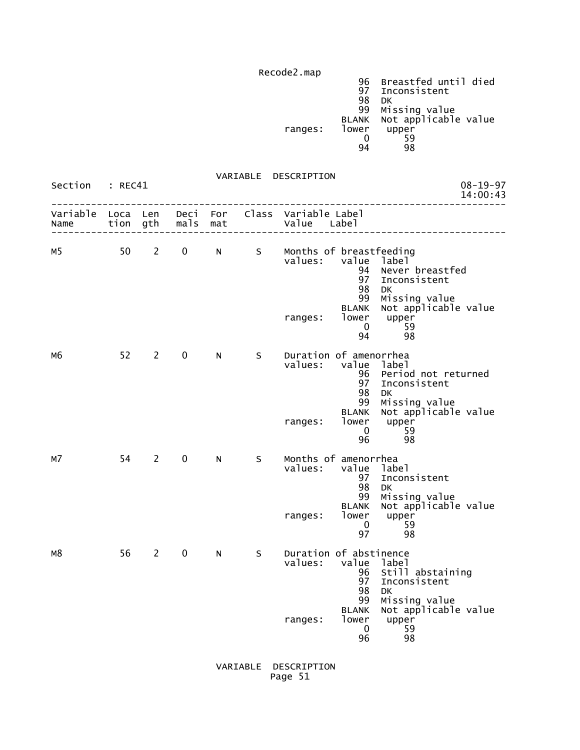Recode2.map 96 Breastfed until died 97 Inconsistent en de la construction de la construction de la construction de la construction de la construction de la constr 99 Missing value BLANK Not applicable value ranges: lower upper<br>0 59  $\sim$  0  $\sim$  59 94 98

 VARIABLE DESCRIPTION Section : REC41 08-19-97<br>14:00:43 14:00:43 -------------------------------------------------------------------------------- Variable Loca Len Deci For Class Variable Label Name tion gth mals mat Value Label -------------------------------------------------------------------------------- M5 50 2 0 N S Months of breastfeeding<br>values: value label value label 94 Never breastfed<br>97 Inconsistent 97 Inconsistent 98 DK 99 Missing value BLANK Not applicable value<br>lower upper ranges: lower upper<br>59 0  $0 \t 59$  94 98 M6 52 2 0 N S Duration of amenorrhea<br>values: value label values: value label 96 Period not returned 97 Inconsistent en de la construction de la construction de la construction de la construction de la construction de la constr 99 Missing value BLANK Not applicable value<br>lower upper ranges: lower upper<br>59  $0 \t 59$  $\sim$  96  $\sim$  98  $\sim$  98 M7 54 2 0 N S Months of amenorrhea<br>values: value labe value label 97 Inconsistent en de la construction de la construction de la construction de la construction de la construction de la constr 99 Missing value BLANK Not applicable value ranges: lower upper<br>0 59  $\sim$  0  $\sim$  59 97 98 M8 56 2 0 N S Duration of abstinence values: value label 96 Still abstaining<br>97 Inconsistent 97 Inconsistent 98 DK<br>99 Mis 99 Missing value BLANK Not applicable value ranges: lower upper<br>59 0  $0 \t 59$  $\sim$  96  $\sim$  98  $\sim$  98

> VARIABLE DESCRIPTION Page 51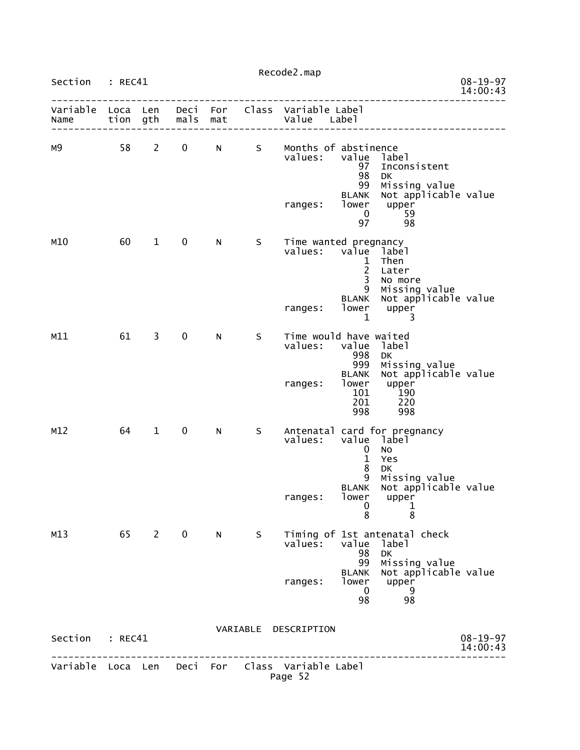|                        |      |              |             |                |    | Recode2.map                                                    |                                                                                                      |                                                                                                                                          |                            |
|------------------------|------|--------------|-------------|----------------|----|----------------------------------------------------------------|------------------------------------------------------------------------------------------------------|------------------------------------------------------------------------------------------------------------------------------------------|----------------------------|
| Section : REC41        |      |              |             |                |    |                                                                |                                                                                                      |                                                                                                                                          | $08 - 19 - 97$<br>14:00:43 |
| Name tion gth mals mat |      |              |             |                |    | Variable Loca Len Deci For Class Variable Label<br>Value Label |                                                                                                      |                                                                                                                                          |                            |
| м9                     | 58 2 |              |             |                |    | 0 N S Months of abstinence<br>values:<br>ranges: lower upper   | value label<br>97<br>98<br>99<br><b>BLANK</b><br>- 0<br>97                                           | Inconsistent<br><b>DK</b><br>Missing value<br>Not applicable value<br>59<br>98                                                           |                            |
| M10                    | 60   | $1 \quad$    | $\mathbf 0$ | N -            | S  | Time wanted pregnancy<br>values:<br>ranges:                    | value label<br>$\mathbf{1}$<br>$\overline{2}$<br>$\overline{3}$<br>9<br><b>BLANK</b><br>$\mathbf{1}$ | Then<br>Later<br>No more<br>Missing value<br>Not applicable value<br>lower upper<br>3                                                    |                            |
| M11                    | 61   | $3^{\circ}$  | $\mathbf 0$ | N.             | S  | Time would have waited<br>values:<br>ranges:                   | value<br>998<br>999<br><b>BLANK</b><br>lower<br>101<br>201                                           | label<br>DK<br>Missing value<br>Not applicable value<br>upper<br>190<br>190<br>220<br>998 998                                            |                            |
| M12                    | 64   | $\mathbf{1}$ | $\mathbf 0$ | N <sub>1</sub> | S  | values:<br>ranges:                                             | $\mathbf 0$<br>$\mathbf{1}$<br>8<br>$\mathbf 0$<br>8                                                 | Antenatal card for pregnancy<br>value label<br>No<br>Yes<br>DK<br>9 Missing value<br>BLANK Not applicable value<br>lower upper<br>1<br>8 |                            |
| M13                    |      | 65 2         | $\mathbf 0$ | N              | S. | values:<br>ranges:                                             | value<br>98<br>99<br><b>BLANK</b><br>lower<br>$\overline{0}$                                         | Timing of 1st antenatal check<br>label<br>DK<br>Missing value<br>Not applicable value<br>upper<br>- 9<br>98                              |                            |
| Section : REC41        |      |              |             |                |    | VARIABLE DESCRIPTION                                           |                                                                                                      | ________________                                                                                                                         | $08 - 19 - 97$<br>14:00:43 |
|                        |      |              |             |                |    | Variable Loca Len Deci For Class Variable Label<br>Page 52     |                                                                                                      |                                                                                                                                          |                            |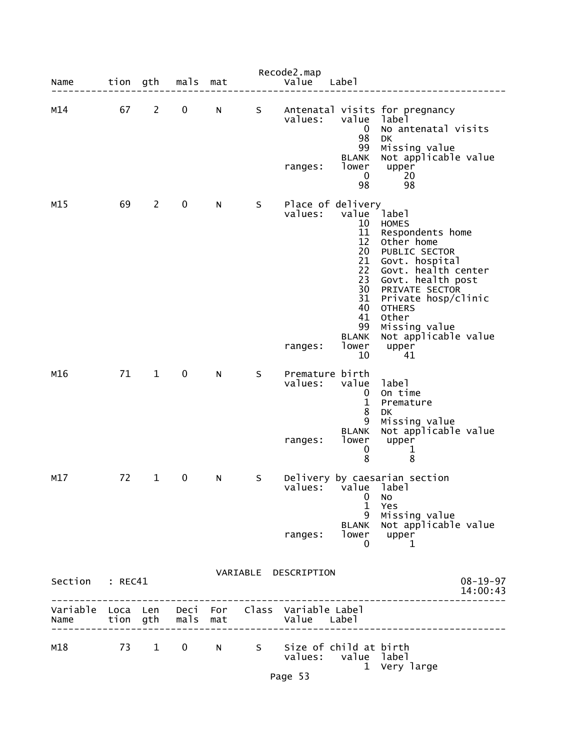| Name                                                    | tion gth |                | mals                | mat |   | Recode2.map<br>Value       | Labe <sub>1</sub>                                                                                                                 |                                                                                                                                                                                                                                                                   |                            |
|---------------------------------------------------------|----------|----------------|---------------------|-----|---|----------------------------|-----------------------------------------------------------------------------------------------------------------------------------|-------------------------------------------------------------------------------------------------------------------------------------------------------------------------------------------------------------------------------------------------------------------|----------------------------|
| M14                                                     | 67       | $\overline{2}$ | 0                   | N   | S | values:                    | value<br>$\mathbf 0$<br>98                                                                                                        | Antenatal visits for pregnancy<br>label<br>No antenatal visits<br>DK                                                                                                                                                                                              |                            |
|                                                         |          |                |                     |     |   | ranges:                    | 99<br><b>BLANK</b><br>lower<br>$\mathbf 0$<br>98                                                                                  | Missing value<br>Not applicable value<br>upper<br>20<br>98                                                                                                                                                                                                        |                            |
| M15                                                     | 69       | $2^{\circ}$    | 0                   | N   | S | values:<br>ranges:         | Place of delivery<br>value<br>10<br>11<br>12<br>20<br>21<br>22<br>23<br>30<br>31<br>40<br>41<br>99<br><b>BLANK</b><br>lower<br>10 | label<br><b>HOMES</b><br>Respondents home<br>Other home<br>PUBLIC SECTOR<br>Govt. hospital<br>Govt. health center<br>Govt. health post<br>PRIVATE SECTOR<br>Private hosp/clinic<br><b>OTHERS</b><br>Other<br>Missing value<br>Not applicable value<br>upper<br>41 |                            |
| M16                                                     | 71       | $\mathbf{1}$   | 0                   | N   | S | Premature birth<br>values: | value<br>0<br>$\mathbf{1}$<br>8<br>9                                                                                              | label<br>On time<br>Premature<br>DK<br>Missing value                                                                                                                                                                                                              |                            |
|                                                         |          |                |                     |     |   | ranges:                    | <b>BLANK</b><br>lower<br>0<br>8                                                                                                   | Not applicable value<br>upper<br>1<br>8                                                                                                                                                                                                                           |                            |
| M17                                                     | 72       | $\mathbf{1}$   | 0                   | N   | S |                            | values: value label<br>0<br>$\mathbf{1}$<br>9<br><b>BLANK</b>                                                                     | Delivery by caesarian section<br>NO.<br>Yes<br>Missing value<br>Not applicable value                                                                                                                                                                              |                            |
|                                                         |          |                |                     |     |   | ranges:                    | 0                                                                                                                                 | $\frac{1}{2}$ dower upper<br>1                                                                                                                                                                                                                                    |                            |
| Section : REC41                                         |          |                |                     |     |   | VARIABLE DESCRIPTION       |                                                                                                                                   |                                                                                                                                                                                                                                                                   | $08 - 19 - 97$<br>14:00:43 |
| Variable Loca Len Deci For Class Variable Label<br>Name |          |                | tion gth  mals  mat |     |   | Value Label                |                                                                                                                                   |                                                                                                                                                                                                                                                                   |                            |
| M18                                                     |          |                | 73 1 0 N            |     |   |                            | S Size of child at birth<br>values: value label                                                                                   | 1 Very large                                                                                                                                                                                                                                                      |                            |
|                                                         |          |                |                     |     |   | Page 53                    |                                                                                                                                   |                                                                                                                                                                                                                                                                   |                            |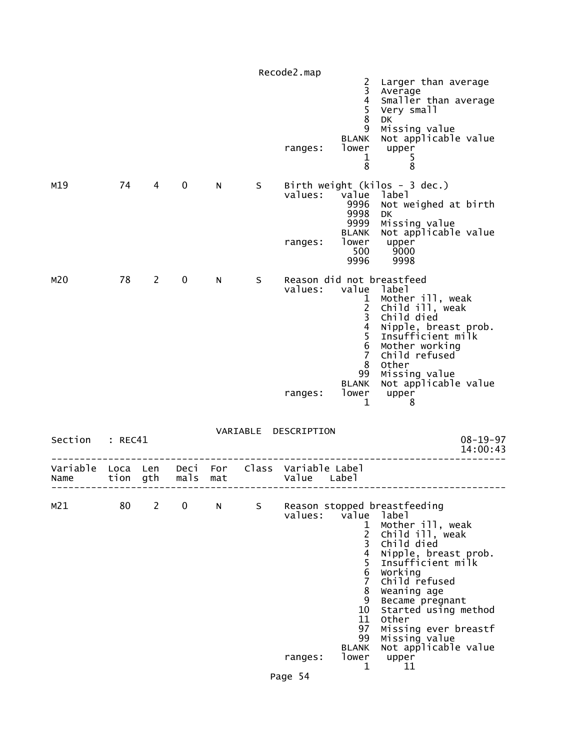|                 |    |              |              |                                                                                                                                                                                                                                |   | Recode2.map                                                                         |                                                                                                                                    |                                                                                                                                                                                                                                                                                                               |
|-----------------|----|--------------|--------------|--------------------------------------------------------------------------------------------------------------------------------------------------------------------------------------------------------------------------------|---|-------------------------------------------------------------------------------------|------------------------------------------------------------------------------------------------------------------------------------|---------------------------------------------------------------------------------------------------------------------------------------------------------------------------------------------------------------------------------------------------------------------------------------------------------------|
|                 |    |              |              |                                                                                                                                                                                                                                |   | ranges:                                                                             | 2<br>3<br>$\frac{4}{5}$<br>$\bf 8$<br>9<br><b>BLANK</b><br>lower<br>$\mathbf{1}$<br>8                                              | Larger than average<br>Average<br>Smaller than average<br>Very small<br>DK<br>Missing value<br>Not applicable value<br>upper<br>5<br>8                                                                                                                                                                        |
| M19             | 74 | $4 \quad$    | $\mathbf 0$  | N a                                                                                                                                                                                                                            | S | values:<br>ranges:                                                                  | value<br>9996<br>9998<br>9999<br><b>BLANK</b><br>500<br>9996                                                                       | Birth weight (kilos - 3 dec.)<br>label<br>Not weighed at birth<br>DK.<br>Missing value<br>Not applicable value<br>lower upper<br>9000<br>9998                                                                                                                                                                 |
| M20             |    | 78 2         | $\mathbf{0}$ | N and the set of the set of the set of the set of the set of the set of the set of the set of the set of the set of the set of the set of the set of the set of the set of the set of the set of the set of the set of the set | S | values: value label<br>ranges:                                                      | $\mathbf{1}$<br>$\frac{2}{3}$<br>$\overline{4}$<br>5<br>$6\phantom{1}6$<br>$\overline{7}$<br>8<br>99<br><b>BLANK</b><br>lower<br>1 | Reason did not breastfeed<br>Mother ill, weak<br>Child ill, weak<br>Child died<br>Nipple, breast prob.<br>Insufficient milk<br>Mother working<br>Child refused<br>Other<br>Missing value<br>Not applicable value<br>upper<br>8                                                                                |
| Section : REC41 |    |              |              |                                                                                                                                                                                                                                |   | VARIABLE DESCRIPTION                                                                |                                                                                                                                    | $08 - 19 - 97$<br>14:00:43                                                                                                                                                                                                                                                                                    |
| Name            |    |              |              |                                                                                                                                                                                                                                |   | Variable Loca Len Deci For Class Variable Label<br>tion gth mals mat by value Label |                                                                                                                                    |                                                                                                                                                                                                                                                                                                               |
| M21             | 80 | $\mathbf{2}$ | 0            | N                                                                                                                                                                                                                              | S | values:<br>ranges:                                                                  | value label<br>1<br>$\overline{2}$<br>3<br>4<br>5<br>6<br>7<br>8<br>9<br>10<br>11<br>97<br>99<br><b>BLANK</b><br>lower<br>1        | Reason stopped breastfeeding<br>Mother ill, weak<br>Child ill, weak<br>Child died<br>Nipple, breast prob.<br>Insufficient milk<br>Working<br>Child refused<br>Weaning age<br>Became pregnant<br>Started using method<br>Other<br>Missing ever breastf<br>Missing value<br>Not applicable value<br>upper<br>11 |

Page 54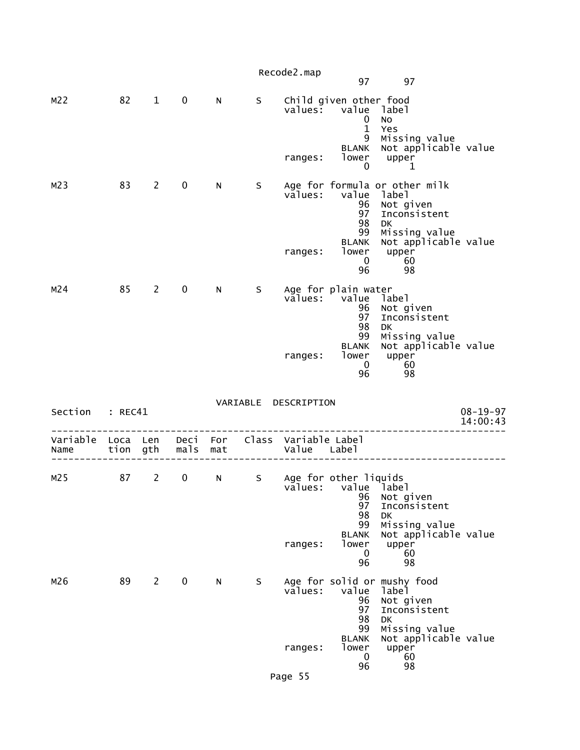|                  |                  |                |              |            |   | Recode2.map                         | 97                                                                                                 | 97                                                                                                                                             |                            |
|------------------|------------------|----------------|--------------|------------|---|-------------------------------------|----------------------------------------------------------------------------------------------------|------------------------------------------------------------------------------------------------------------------------------------------------|----------------------------|
| M <sub>2</sub>   | 82               | $\mathbf{1}$   | $\mathbf 0$  | N          | S | values:<br>ranges:                  | Child given other food<br>value<br>0<br>$\mathbf{1}$<br>9<br><b>BLANK</b><br>lower<br>0            | label<br>No<br>Yes<br>Missing value<br>Not applicable value<br>upper<br>1                                                                      |                            |
| M <sub>2</sub>   | 83               | $2^{\sim}$     | $\mathbf 0$  | N          | S | values:<br>ranges:                  | value<br>96<br>97<br>98<br>99<br><b>BLANK</b><br>lower<br>0<br>96                                  | Age for formula or other milk<br>label<br>Not given<br>Inconsistent<br><b>DK</b><br>Missing value<br>Not applicable value<br>upper<br>60<br>98 |                            |
| M24              | 85               | $2^{\sim}$     | $\mathbf 0$  | N          | S | values:<br>ranges:                  | Age for plain water<br>value<br>96<br>97<br>98<br>99<br><b>BLANK</b><br>lower<br>$\mathbf 0$<br>96 | label<br>Not given<br>Inconsistent<br>DK<br>Missing value<br>Not applicable value<br>upper<br>60<br>98                                         |                            |
| Section          | : REC41          |                |              |            |   | VARIABLE DESCRIPTION                |                                                                                                    |                                                                                                                                                | $08 - 19 - 97$<br>14:00:43 |
| Variable<br>Name | Loca Len<br>tion | gth            | Deci<br>mals | For<br>mat |   | Class Variable Label<br>Value Label |                                                                                                    |                                                                                                                                                |                            |
| M25              | 87               | $\overline{2}$ | 0            | N          | S | values:<br>ranges:                  | Age for other liquids<br>value label<br>96<br>97<br>98<br>99<br><b>BLANK</b><br>lower<br>0<br>96   | Not given<br>Inconsistent<br><b>DK</b><br>Missing value<br>Not applicable value<br>upper<br>60<br>98                                           |                            |
| M26              | 89               | $\mathbf{2}$   | 0            | N          | S | values:<br>ranges:<br>Page 55       | value<br>96<br>97<br>98<br>99<br><b>BLANK</b><br>lower<br>$\mathbf 0$<br>96                        | Age for solid or mushy food<br>label<br>Not given<br>Inconsistent<br>DK<br>Missing value<br>Not applicable value<br>upper<br>60<br>98          |                            |
|                  |                  |                |              |            |   |                                     |                                                                                                    |                                                                                                                                                |                            |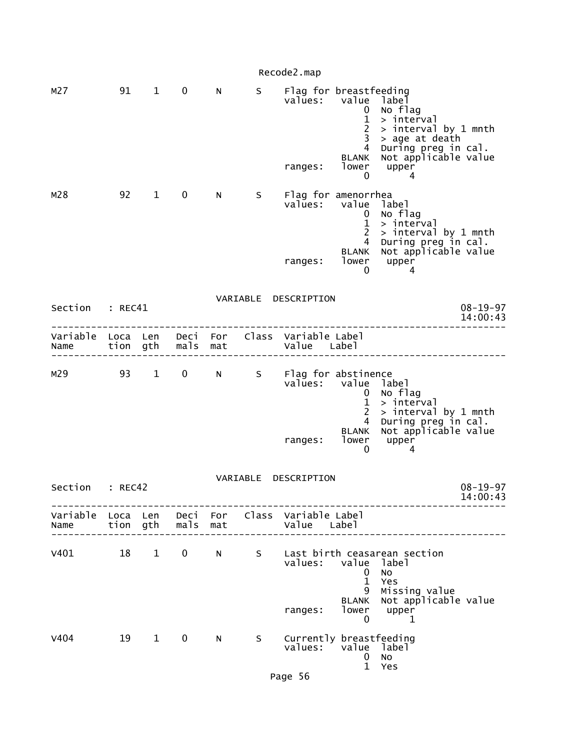|                        |                  |              |              |            |             | Recode2.map                                                    |                                                                                                        |                                                                                                                                       |                            |
|------------------------|------------------|--------------|--------------|------------|-------------|----------------------------------------------------------------|--------------------------------------------------------------------------------------------------------|---------------------------------------------------------------------------------------------------------------------------------------|----------------------------|
| M <sub>27</sub>        | 91               | $\mathbf{1}$ | $\mathbf 0$  | N          | S           | Flag for breastfeeding<br>values:<br>ranges:                   | value<br>0<br>$\mathbf{1}$<br>$\overline{c}$<br>3<br>$\overline{4}$<br><b>BLANK</b><br>lower<br>0      | label<br>No flag<br>> interval<br>> interval by 1 mnth<br>> age at death<br>During preg in cal.<br>Not applicable value<br>upper<br>4 |                            |
| M28                    | 92               | $\mathbf{1}$ | 0            | N.         | S.          | Flag for amenorrhea<br>values:<br>ranges:                      | value<br>0<br>$\mathbf{1}$<br>$\overline{c}$<br>$\overline{4}$<br><b>BLANK</b><br>lower<br>$\mathbf 0$ | label<br>No flag<br>> interval<br>> interval by 1 mnth<br>During preg in cal.<br>Not applicable value<br>upper<br>4                   |                            |
| Section                | : REC41          |              |              |            |             | VARIABLE DESCRIPTION                                           |                                                                                                        |                                                                                                                                       | $08 - 19 - 97$<br>14:00:43 |
| Variable<br>Name       | Loca Len<br>tion | gth          | Deci<br>mals | For<br>mat |             | Class Variable Label<br>Value Label                            |                                                                                                        |                                                                                                                                       |                            |
| M29                    | 93               | $\mathbf{1}$ | $\mathbf 0$  | N          | S           | Flag for abstinence<br>values: value                           | 0<br>$\mathbf{1}$<br>$\overline{2}$<br>4                                                               | label<br>No flag<br>> interval<br>> interval by 1 mnth<br>During preg in cal.<br>Not applicable value                                 |                            |
|                        |                  |              |              |            |             | ranges:                                                        | BLANK<br>lower<br>0                                                                                    | upper<br>4                                                                                                                            |                            |
| Section                | : REC42          |              |              |            | VARIABLE    | DESCRIPTION                                                    |                                                                                                        |                                                                                                                                       | $08 - 19 - 97$<br>14:00:43 |
| Name tion gth mals mat |                  |              |              |            |             | Variable Loca Len Deci For Class Variable Label<br>Value Label |                                                                                                        |                                                                                                                                       |                            |
| v401 18 1              |                  |              | $\mathbf{0}$ |            | $N$ and $N$ | values: value<br>ranges:                                       | $\mathbf{0}$<br>$\mathbf{1}$<br>9<br><b>BLANK</b><br>$\overline{0}$                                    | S Last birth ceasarean section<br>label<br>No<br>Yes<br>Missing value<br>Not applicable value<br>lower upper<br>1                     |                            |
| V404                   |                  | 19 1         | $\mathbf 0$  | N -        | S.          | Currently breastfeeding<br>values:                             | value label<br>$\mathbf{0}$<br>$\mathbf{1}$                                                            | No<br>Yes                                                                                                                             |                            |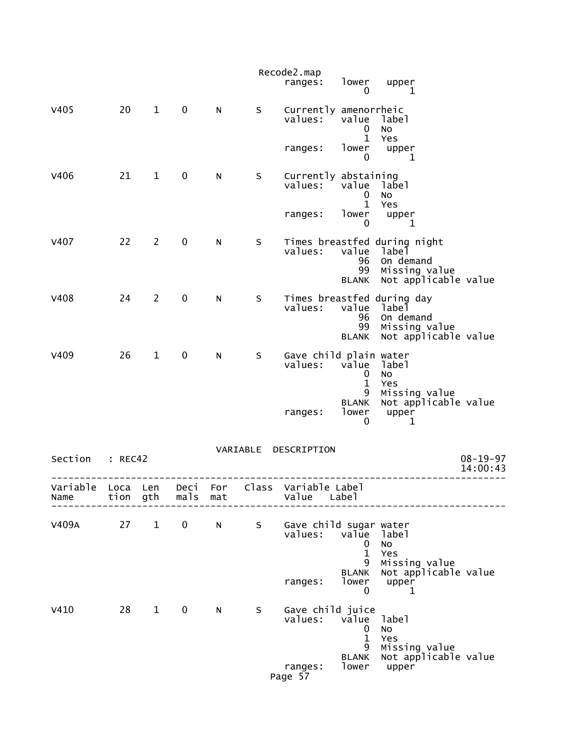|                  |              |              |              |            |          | Recode2.map<br>ranges:            | lower<br>0                               | upper<br>1                                                                                  |                            |
|------------------|--------------|--------------|--------------|------------|----------|-----------------------------------|------------------------------------------|---------------------------------------------------------------------------------------------|----------------------------|
| V405             | 20           | $\mathbf{1}$ | $\pmb{0}$    | N          | S        | Currently amenorrheic<br>values:  | value<br>0<br>$\mathbf{1}$               | label<br>No<br>Yes                                                                          |                            |
|                  |              |              |              |            |          | ranges:                           | lower<br>0                               | upper<br>1                                                                                  |                            |
| V406             | 21           | $\mathbf{1}$ | $\pmb{0}$    | N          | S        | Currently abstaining<br>values:   | value<br>0<br>$\mathbf{1}$               | label<br><b>NO</b><br>Yes                                                                   |                            |
|                  |              |              |              |            |          | ranges:                           | lower<br>0                               | upper<br>1                                                                                  |                            |
| <b>V407</b>      | 22           | 2            | 0            | N          | S        | values:                           | value<br>96<br>99<br><b>BLANK</b>        | Times breastfed during night<br>label<br>On demand<br>Missing value<br>Not applicable value |                            |
| <b>V408</b>      | 24           | $\mathbf{2}$ | 0            | N          | S        | values:                           | value<br>96<br>99<br><b>BLANK</b>        | Times breastfed during day<br>label<br>On demand<br>Missing value<br>Not applicable value   |                            |
| V409             | 26           | $\mathbf{1}$ | 0            | N          | S        | Gave child plain water<br>values: | value<br>$\mathbf 0$<br>$\mathbf 1$<br>9 | label<br><b>NO</b><br>Yes<br>Missing value                                                  |                            |
|                  |              |              |              |            |          | ranges:                           | <b>BLANK</b><br>lower<br>0               | Not applicable value<br>upper<br>1                                                          |                            |
| Section          | : REC42      |              |              |            | VARIABLE | DESCRIPTION                       |                                          |                                                                                             | $08 - 19 - 97$<br>14:00:43 |
| Variable<br>Name | Loca<br>tion | Len<br>gth   | Deci<br>mals | For<br>mat | Class    | Variable Label<br>Value           | Label                                    |                                                                                             |                            |
| V409A            | 27           | $\mathbf{1}$ | 0            | N          | S        | Gave child sugar water<br>values: | value<br>0<br>1                          | label<br><b>NO</b><br>Yes                                                                   |                            |
|                  |              |              |              |            |          | ranges:                           | 9<br><b>BLANK</b><br>lower<br>0          | Missing value<br>Not applicable value<br>upper<br>1                                         |                            |
| V410             | 28           | $\mathbf{1}$ | $\mathbf 0$  | N          | S        | Gave child juice<br>values:       | value<br>0<br>1<br>9                     | label<br>No<br>Yes                                                                          |                            |
|                  |              |              |              |            |          | ranges:<br>Page 57                | <b>BLANK</b><br>lower                    | Missing value<br>Not applicable value<br>upper                                              |                            |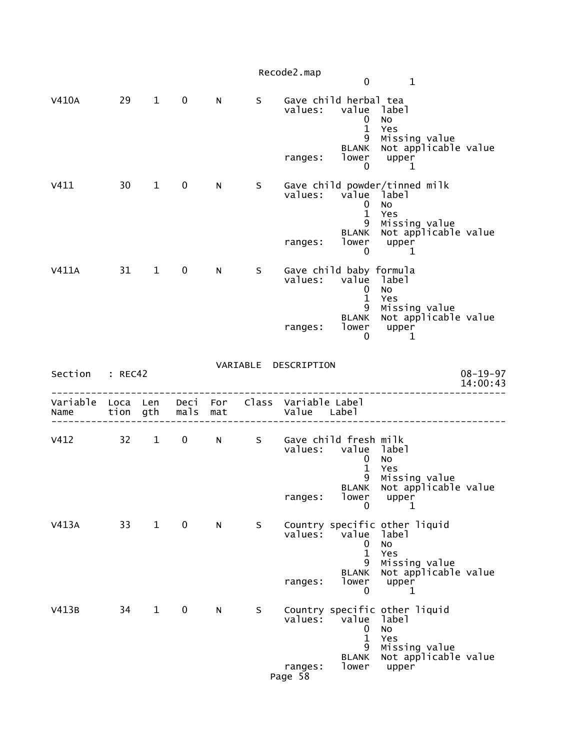|                  |              |              |              |            |    | Recode2.map                         |                                                                                                  |                                                                                                              |                            |
|------------------|--------------|--------------|--------------|------------|----|-------------------------------------|--------------------------------------------------------------------------------------------------|--------------------------------------------------------------------------------------------------------------|----------------------------|
|                  |              |              |              |            |    |                                     | $\mathbf 0$                                                                                      | $\mathbf{1}$                                                                                                 |                            |
| <b>V410A</b>     | 29           | $\mathbf{1}$ | $\mathbf 0$  | N          | S  | values:<br>ranges:                  | Gave child herbal tea<br>value<br>0<br>$\mathbf{1}$<br>9<br><b>BLANK</b><br>lower<br>$\mathbf 0$ | label<br><b>NO</b><br>Yes<br>Missing value<br>Not applicable value<br>upper<br>1                             |                            |
| V411             | 30           | $\mathbf{1}$ | $\mathbf 0$  | N          | S  | values:<br>ranges:                  | value<br>0<br>$\mathbf{1}$<br>9<br><b>BLANK</b><br>lower                                         | Gave child powder/tinned milk<br>label<br><b>NO</b><br>Yes<br>Missing value<br>Not applicable value<br>upper |                            |
| V411A            | 31           | $\mathbf{1}$ | $\mathbf 0$  | N          | S  | values:<br>ranges:                  | 0<br>Gave child baby formula<br>value<br>0<br>$\mathbf{1}$<br>9<br><b>BLANK</b><br>lower         | 1<br>label<br>No<br>Yes<br>Missing value<br>Not applicable value<br>upper                                    |                            |
| Section          | : REC42      |              |              |            |    | VARIABLE DESCRIPTION                | 0                                                                                                | 1                                                                                                            | $08 - 19 - 97$<br>14:00:43 |
| Variable<br>Name | Loca<br>tion | Len<br>gth   | Deci<br>mals | For<br>mat |    | Class Variable Label<br>Value Label |                                                                                                  |                                                                                                              |                            |
| V412             | 32           | $\mathbf{1}$ | $\mathbf 0$  | N          | S. | values:<br>ranges:                  | Gave child fresh milk<br>value<br>0<br>$\mathbf{1}$<br>9<br><b>BLANK</b><br>lower                | label<br>No<br>Yes<br>Missing value<br>Not applicable value<br>upper                                         |                            |
| V413A            | 33           | $\mathbf{1}$ | $\mathbf 0$  | N          | S  | values:                             | 0<br>value<br>0<br>$\mathbf{1}$<br>9                                                             | 1<br>Country specific other liquid<br>label<br>No<br>Yes<br>Missing value                                    |                            |
|                  |              |              |              |            |    | ranges:                             | <b>BLANK</b><br>lower<br>0                                                                       | Not applicable value<br>upper<br>1                                                                           |                            |
| V413B            | 34           | $\mathbf{1}$ | $\mathbf 0$  | N          | S  | values:                             | value<br>0<br>$\mathbf{1}$<br>9<br><b>BLANK</b>                                                  | Country specific other liquid<br>label<br>No<br>Yes<br>Missing value                                         |                            |
|                  |              |              |              |            |    | ranges:<br>Page 58                  | lower                                                                                            | Not applicable value<br>upper                                                                                |                            |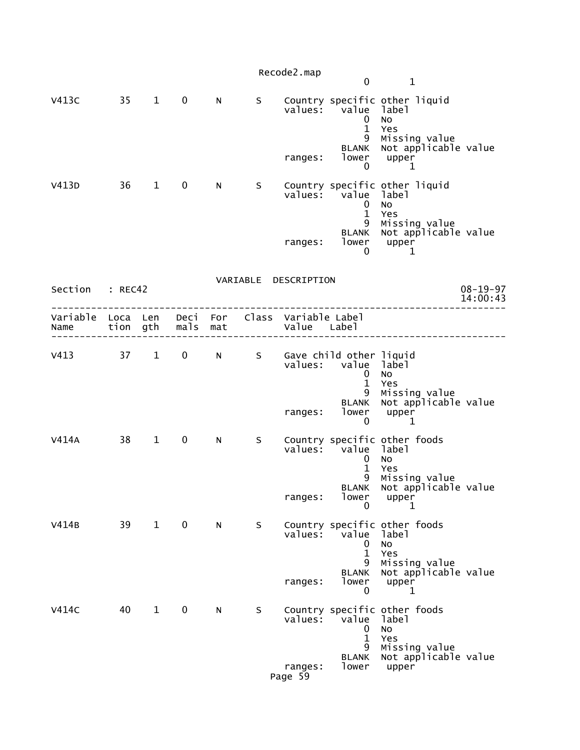|                                                                           |           |              |              |    |    | Recode2.map          | $\mathbf 0$                                        | $\mathbf{1}$                                                    |                            |
|---------------------------------------------------------------------------|-----------|--------------|--------------|----|----|----------------------|----------------------------------------------------|-----------------------------------------------------------------|----------------------------|
| V413C                                                                     | 35 1      |              | $\mathbf 0$  | N. | S  |                      | values: value label<br>$\mathbf 0$<br>$\mathbf{1}$ | Country specific other liquid<br><b>NO</b><br>Yes               |                            |
|                                                                           |           |              |              |    |    | ranges:              | 9<br><b>BLANK</b><br>lower<br>$\mathbf{0}$         | Missing value<br>Not applicable value<br>upper<br>1             |                            |
| V413D                                                                     | $36 \t 1$ |              | $\mathbf{0}$ | N. | S. |                      | values: value label<br>$\mathbf 0$<br>$\mathbf{1}$ | Country specific other liquid<br>No<br>Yes                      |                            |
|                                                                           |           |              |              |    |    | ranges:              | 9<br>0                                             | Missing value<br>BLANK Not applicable value<br>lower upper<br>1 |                            |
| Section : REC42                                                           |           |              |              |    |    | VARIABLE DESCRIPTION |                                                    |                                                                 | $08 - 19 - 97$<br>14:00:43 |
| Variable Loca Len Deci For Class Variable Label<br>Name tion gth mals mat |           |              |              |    |    | Value Label          |                                                    |                                                                 |                            |
| v413 37 1 0 N S Gave child other liquid                                   |           |              |              |    |    |                      | values: value label<br>$\mathbf 0$<br>$\mathbf{1}$ | <b>NO</b><br>Yes                                                |                            |
|                                                                           |           |              |              |    |    | ranges:              | 9<br><b>BLANK</b><br>lower<br>$\overline{0}$       | Missing value<br>Not applicable value<br>upper<br>1             |                            |
| V414A                                                                     | 38        | $\mathbf{1}$ | $\mathbf 0$  | N  | S. |                      | values: value label<br>$\mathbf 0$<br>$\mathbf{1}$ | Country specific other foods<br>No<br>Yes                       |                            |
|                                                                           |           |              |              |    |    | ranges:              | lower<br>$\mathbf{0}$                              | 9 Missing value<br>BLANK Not applicable value<br>upper<br>1     |                            |
| V414B                                                                     | 39        | $\mathbf{1}$ | $\mathbf 0$  | N  | S  |                      | values: value<br>0<br>$\mathbf{1}$                 | Country specific other foods<br>label<br>No<br>Yes              |                            |
|                                                                           |           |              |              |    |    | ranges:              | 9<br><b>BLANK</b><br>lower<br>0                    | Missing value<br>Not applicable value<br>upper<br>1             |                            |
| V414C                                                                     | 40        | $\mathbf{1}$ | $\mathbf 0$  | N  | S  |                      | values: value<br>0<br>$\mathbf{1}$                 | Country specific other foods<br>label<br>No<br>Yes              |                            |
|                                                                           |           |              |              |    |    | ranges:<br>Page 59   | 9<br>BLANK<br>lower                                | Missing value<br>Not applicable value<br>upper                  |                            |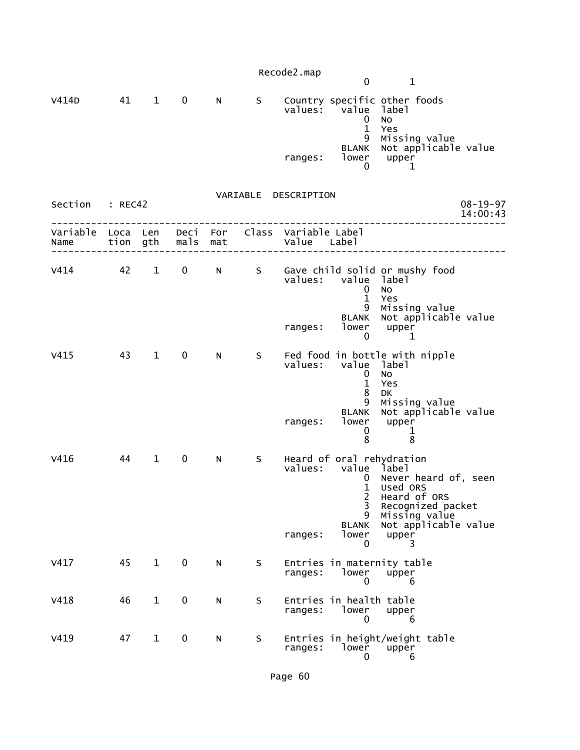|                  |                  |              |             |                 |   | Recode2.map                         | $\mathbf 0$                                             | $\mathbf{1}$                                                                                                                                  |                            |
|------------------|------------------|--------------|-------------|-----------------|---|-------------------------------------|---------------------------------------------------------|-----------------------------------------------------------------------------------------------------------------------------------------------|----------------------------|
| V414D            | 41               | $\mathbf{1}$ | $\mathbf 0$ | N               | S | values:                             | value<br>0<br>$\mathbf{1}$                              | Country specific other foods<br>label<br>No<br>Yes                                                                                            |                            |
|                  |                  |              |             |                 |   | ranges:                             | 9<br>BLANK<br>lower<br>0                                | Missing value<br>Not applicable value<br>upper<br>1                                                                                           |                            |
| Section          | : REC42          |              |             |                 |   | VARIABLE DESCRIPTION                |                                                         |                                                                                                                                               | $08 - 19 - 97$<br>14:00:43 |
| Variable<br>Name | Loca Len<br>tion | gth          | mals        | Deci For<br>mat |   | Class Variable Label<br>Value Label |                                                         |                                                                                                                                               |                            |
| $V414$ 42        |                  | $\mathbf{1}$ | $\mathbf 0$ | N               | S | values:                             | value label<br>0<br>$\mathbf{1}$<br>9                   | Gave child solid or mushy food<br>No<br>Yes<br>Missing value                                                                                  |                            |
|                  |                  |              |             |                 |   | ranges:                             | <b>BLANK</b><br>lower<br>$\mathbf 0$                    | Not applicable value<br>upper<br>1                                                                                                            |                            |
| V415             | 43               | $\mathbf{1}$ | $\mathbf 0$ | N               | S |                                     | values: value label<br>$\mathbf 0$<br>$\mathbf{1}$<br>8 | Fed food in bottle with nipple<br><b>NO</b><br>Yes<br>DK                                                                                      |                            |
|                  |                  |              |             |                 |   | ranges:                             | 9<br><b>BLANK</b><br>lower<br>0<br>8                    | Missing value<br>Not applicable value<br>upper<br>$\mathbf 1$<br>8                                                                            |                            |
| V416             | 44               | $\mathbf 1$  | 0           | N               | S | values:                             | value label<br>0<br>2<br>3<br>9<br><b>BLANK</b>         | Heard of oral rehydration<br>Never heard of, seen<br>1 Used ORS<br>Heard of ORS<br>Recognized packet<br>Missing value<br>Not applicable value |                            |
|                  |                  |              |             |                 |   | ranges:                             | lower<br>0                                              | upper<br>3.                                                                                                                                   |                            |
| V417             | 45               | $\mathbf{1}$ | $\pmb{0}$   | N               | S | ranges:                             | lower<br>0                                              | Entries in maternity table<br>upper<br>6                                                                                                      |                            |
| V418             | 46               | $\mathbf{1}$ | 0           | N               | S | ranges:                             | Entries in health table<br>lower<br>0                   | upper<br>6                                                                                                                                    |                            |
| V419             | 47               | $\mathbf{1}$ | 0           | N               | S | ranges:                             | lower<br>0                                              | Entries in height/weight table<br>upper<br>6                                                                                                  |                            |

Page 60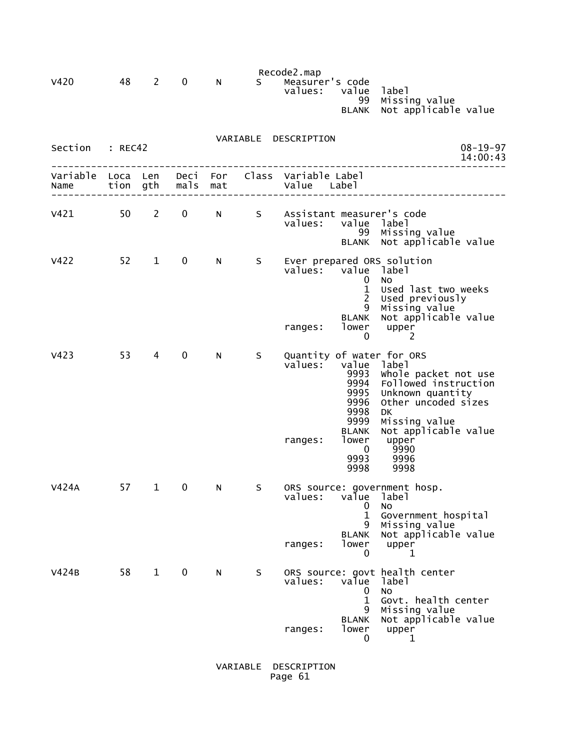|                  |              |              |              |            |          | Recode2.map                           |                                                                       |                                                                                                                                                  |
|------------------|--------------|--------------|--------------|------------|----------|---------------------------------------|-----------------------------------------------------------------------|--------------------------------------------------------------------------------------------------------------------------------------------------|
| <b>V420</b>      | 48           | 2            | 0            | N          | S.       | Measurer's code<br>values:            | value<br>99<br><b>BLANK</b>                                           | label<br>Missing value<br>Not applicable value                                                                                                   |
| Section          | : REC42      |              |              |            | VARIABLE | DESCRIPTION                           |                                                                       | $08 - 19 - 97$<br>14:00:43                                                                                                                       |
| Variable<br>Name | Loca<br>tion | Len<br>gth   | Deci<br>mals | For<br>mat | Class    | Variable Label<br>Value               | Label                                                                 |                                                                                                                                                  |
| V421             | 50           | $\mathbf{2}$ | 0            | N          | S        | Assistant measurer's code<br>values:  | value<br>99<br><b>BLANK</b>                                           | label<br>Missing value<br>Not applicable value                                                                                                   |
| V422             | 52           | $\mathbf{1}$ | 0            | N          | S        | Ever prepared ORS solution<br>values: | value<br>0<br>$\mathbf 1$<br>2<br>9<br><b>BLANK</b>                   | label<br>No<br>Used last two weeks<br>Used previously<br>Missing value<br>Not applicable value                                                   |
|                  | 53           |              |              |            |          | ranges:                               | lower<br>0                                                            | upper<br>2                                                                                                                                       |
| V423             |              | 4            | 0            | N          | S        | Quantity of water for ORS<br>values:  | value<br>9993<br>9994<br>9995<br>9996<br>9998<br>9999<br><b>BLANK</b> | label<br>whole packet not use<br>Followed instruction<br>Unknown quantity<br>Other uncoded sizes<br>DK.<br>Missing value<br>Not applicable value |
|                  |              |              |              |            |          | ranges:                               | lower<br>0<br>9993<br>9998                                            | upper<br>9990<br>9996<br>9998                                                                                                                    |
| V424A            | 57           | 1            | 0            | N          | S        | values:                               | value<br>0<br>$\mathbf{1}$<br>9                                       | ORS source: government hosp.<br>label<br>No<br>Government hospital<br>Missing value                                                              |
|                  |              |              |              |            |          | ranges:                               | <b>BLANK</b><br>lower<br>0                                            | Not applicable value<br>upper<br>1                                                                                                               |
| V424B            | 58           | $\mathbf{1}$ | $\mathbf 0$  | N          | S        | values:                               | value<br>0<br>$\mathbf{1}$<br>9                                       | ORS source: govt health center<br>label<br>No<br>Govt. health center<br>Missing value                                                            |
|                  |              |              |              |            |          | ranges:                               | <b>BLANK</b><br>lower<br>0                                            | Not applicable value<br>upper<br>1                                                                                                               |

 VARIABLE DESCRIPTION Page 61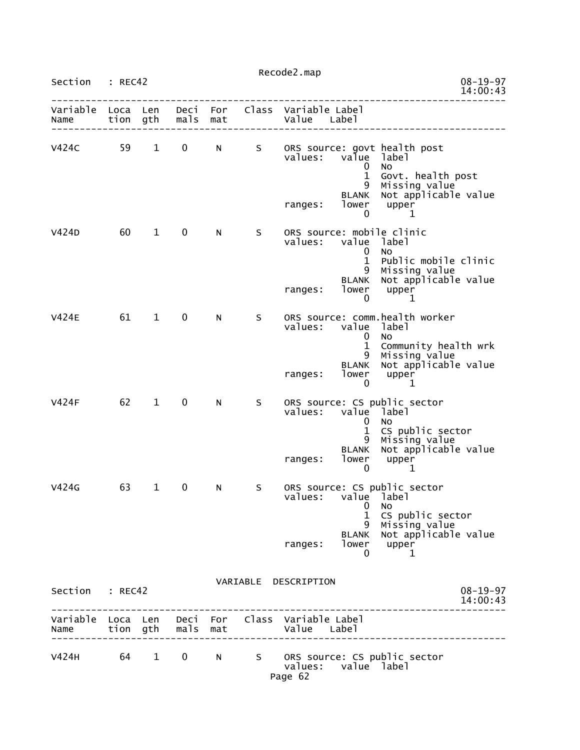|                  |                  | Recode2.map  |              |            |       |                                                                                                                                                                                                             |
|------------------|------------------|--------------|--------------|------------|-------|-------------------------------------------------------------------------------------------------------------------------------------------------------------------------------------------------------------|
| Section          | : REC42          |              |              |            |       | $08 - 19 - 97$<br>14:00:43                                                                                                                                                                                  |
| Variable<br>Name | Loca Len<br>tion | gth          | Deci<br>mals | For<br>mat | Class | Variable Label<br>Value Label                                                                                                                                                                               |
| V424C            | 59               | $\mathbf{1}$ | 0            | N          | S     | ORS source: govt health post<br>values:<br>value<br>label<br>0<br>No.<br>1<br>Govt. health post<br>Missing value<br>9<br>Not applicable value<br><b>BLANK</b><br>lower<br>upper<br>ranges:<br>0<br>1        |
| V424D            | 60               | $\mathbf{1}$ | 0            | N          | S     | ORS source: mobile clinic<br>value<br>values:<br>label<br>0<br>No.<br>1<br>Public mobile clinic<br>9<br>Missing value<br>Not applicable value<br><b>BLANK</b><br>lower<br>upper<br>ranges:<br>0<br>1        |
| <b>V424E</b>     | 61               | $\mathbf{1}$ | 0            | N          | S     | ORS source: comm.health worker<br>values:<br>value<br>label<br>0<br>No<br>1<br>Community health wrk<br>9<br>Missing value<br>Not applicable value<br><b>BLANK</b><br>lower<br>ranges:<br>upper<br>0<br>1    |
| <b>V424F</b>     | 62               | $\mathbf{1}$ | 0            | N          | S     | ORS source: CS public sector<br>value<br>label<br>values:<br>0<br>No<br>CS public sector<br>1<br>9<br>Missing value<br>Not applicable value<br><b>BLANK</b><br>lower<br>upper<br>ranges:<br>0<br>1          |
| V424G            | 63               | $\mathbf{1}$ | 0            | N          | S     | ORS source: CS public sector<br>values:<br>value label<br>0<br>NO.<br>$\mathbf{1}$<br>CS public sector<br>9<br>Missing value<br>BLANK Not applicable value<br>lower upper<br>ranges:<br>$\overline{0}$<br>1 |
| Section : REC42  |                  |              |              |            |       | VARIABLE DESCRIPTION<br>$08 - 19 - 97$<br>14:00:43                                                                                                                                                          |
|                  |                  |              |              |            |       | Variable Loca Len Deci For Class Variable Label                                                                                                                                                             |
|                  |                  |              |              |            |       | V424H 64 1 0 N S ORS source: CS public sector<br>values: value label<br>Page 62                                                                                                                             |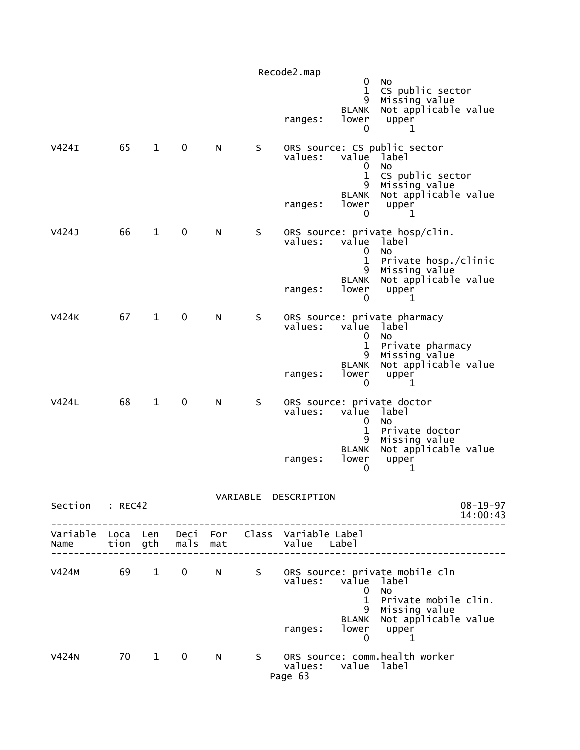|                           |         |              |                       |            |    | Recode2.map                         |                                                                         |                                                                                                                               |                            |
|---------------------------|---------|--------------|-----------------------|------------|----|-------------------------------------|-------------------------------------------------------------------------|-------------------------------------------------------------------------------------------------------------------------------|----------------------------|
|                           |         |              |                       |            |    | ranges:                             | 0<br>$\mathbf 1$<br>9<br><b>BLANK</b><br>lower<br>0                     | <b>NO</b><br>CS public sector<br>Missing value<br>Not applicable value<br>upper<br>1                                          |                            |
| V424I                     | 65      | $\mathbf{1}$ | 0                     | N          | S  | values:<br>ranges:                  | value<br>0<br>$\mathbf{1}$<br>9<br><b>BLANK</b><br>lower<br>0           | ORS source: CS public sector<br>label<br>No<br>CS public sector<br>Missing value<br>Not applicable value<br>upper<br>ı        |                            |
| V424J                     | 66      | $\mathbf{1}$ | 0                     | N          | S  | values:<br>ranges:                  | value<br>0<br>1<br>9<br><b>BLANK</b><br>lower<br>0                      | ORS source: private hosp/clin.<br>label<br>No<br>Private hosp./clinic<br>Missing value<br>Not applicable value<br>upper<br>1  |                            |
| V424K                     | 67      | $\mathbf{1}$ | 0                     | N          | S  | values:<br>ranges:                  | value<br>0<br>1<br>9<br><b>BLANK</b><br>lower<br>0                      | ORS source: private pharmacy<br>label<br>NO<br>Private pharmacy<br>Missing value<br>Not applicable value<br>upper<br>1        |                            |
| V424L                     | 68      | $\mathbf{1}$ | 0                     | N          | S  | values:<br>ranges:                  | value label<br>0<br>$\mathbf 1$<br>9<br><b>BLANK</b><br>lower<br>0      | ORS source: private doctor<br>NO<br>Private doctor<br>Missing value<br>Not applicable value<br>upper<br>1                     |                            |
| Section                   | : REC42 |              |                       |            |    | VARIABLE DESCRIPTION                |                                                                         |                                                                                                                               | $08 - 19 - 97$<br>14:00:43 |
| Variable Loca Len<br>Name |         |              | Deci<br>tion gth mals | For<br>mat |    | Class Variable Label<br>Value Label |                                                                         |                                                                                                                               |                            |
| V424M                     | 69      | $\mathbf{1}$ | 0                     | N          | S. | values:<br>ranges:                  | value<br>0<br>$\mathbf{1}$<br>9<br><b>BLANK</b><br>lower<br>$\mathbf 0$ | ORS source: private mobile cln<br>label<br>No.<br>Private mobile clin.<br>Missing value<br>Not applicable value<br>upper<br>1 |                            |
| V424N                     | 70      | $1 \quad$    | $\mathbf 0$           | N          | S. | values:<br>Page 63                  | value label                                                             | ORS source: comm.health worker                                                                                                |                            |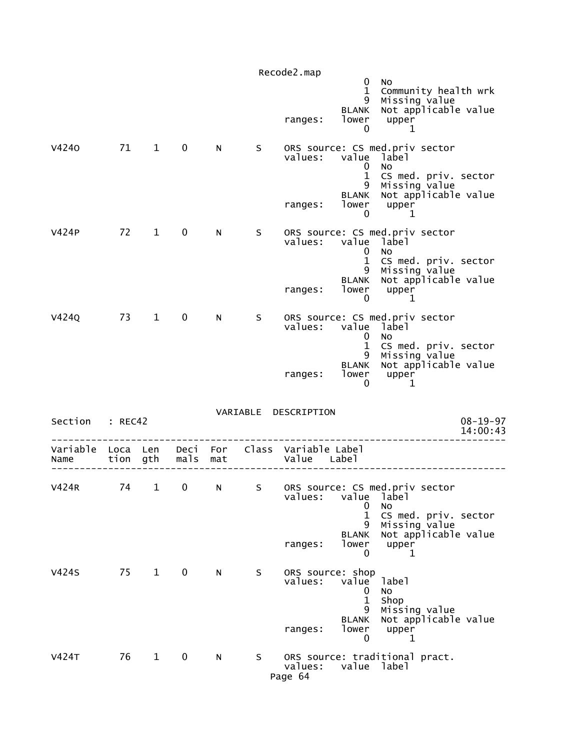|                  |                  |              |              |            |    | Recode2.map                            |                                                               |                                                                                                                               |                            |
|------------------|------------------|--------------|--------------|------------|----|----------------------------------------|---------------------------------------------------------------|-------------------------------------------------------------------------------------------------------------------------------|----------------------------|
|                  |                  |              |              |            |    | ranges:                                | 0<br>$\mathbf 1$<br>9<br><b>BLANK</b><br>lower<br>0           | No.<br>Community health wrk<br>Missing value<br>Not applicable value<br>upper<br>1                                            |                            |
| V4240            | 71               | $\mathbf{1}$ | 0            | N          | S  | values:<br>ranges:                     | value<br>0<br>$\mathbf 1$<br>9<br><b>BLANK</b><br>lower<br>0  | ORS source: CS med.priv sector<br>label<br>No.<br>CS med. priv. sector<br>Missing value<br>Not applicable value<br>upper<br>1 |                            |
| V424P            | 72               | 1            | 0            | N          | S  | values:<br>ranges:                     | value<br>$\bf{0}$<br>1<br>9<br><b>BLANK</b><br>lower<br>0     | ORS source: CS med.priv sector<br>label<br>No<br>CS med. priv. sector<br>Missing value<br>Not applicable value<br>upper<br>1  |                            |
| V424Q            | 73               | $\mathbf{1}$ | 0            | N          | S  | values:<br>ranges:                     | value<br>0<br>$\mathbf{1}$<br>9<br>BLANK<br>lower<br>0        | ORS source: CS med.priv sector<br>label<br>No<br>CS med. priv. sector<br>Missing value<br>Not applicable value<br>upper<br>1  |                            |
| Section          | : REC42          |              |              |            |    | VARIABLE DESCRIPTION                   |                                                               |                                                                                                                               | $08 - 19 - 97$<br>14:00:43 |
| Variable<br>Name | Loca Len<br>tion | gth          | Deci<br>mals | For<br>mat |    | Class Variable Label<br>Value          | Labe1                                                         |                                                                                                                               |                            |
| <b>V424R</b>     | 74               | 1            | 0            | N          | S  | values:<br>ranges:                     | value<br>0<br>$\mathbf{1}$<br>9<br><b>BLANK</b><br>lower<br>0 | ORS source: CS med.priv sector<br>label<br>No<br>CS med. priv. sector<br>Missing value<br>Not applicable value<br>upper<br>1  |                            |
| <b>V424S</b>     | 75               | $\mathbf{1}$ | $\mathbf 0$  | N          | S  | ORS source: shop<br>values:<br>ranges: | value<br>0<br>$\mathbf{1}$<br>9<br><b>BLANK</b><br>lower<br>0 | label<br>No<br>Shop<br>Missing value<br>Not applicable value<br>upper<br>1                                                    |                            |
| V424T            | 76               | 1            | $\mathbf 0$  | N          | S. | values:<br>Page 64                     | value label                                                   | ORS source: traditional pract.                                                                                                |                            |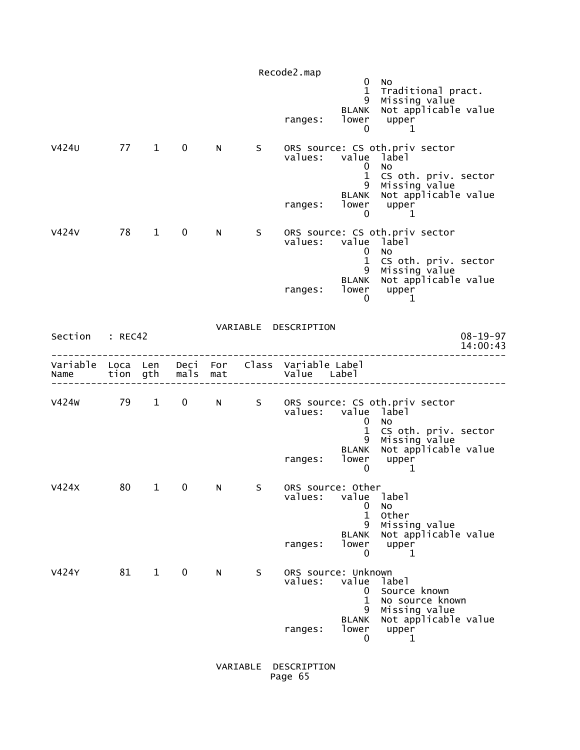|                           |          |              |              |          |              | Recode2.map<br>ranges:                    | 0<br>$\mathbf{1}$<br>9<br>BLANK<br>lower<br>0                                      | No<br>Traditional pract.<br>Missing value<br>Not applicable value<br>upper<br>1                                           |                            |
|---------------------------|----------|--------------|--------------|----------|--------------|-------------------------------------------|------------------------------------------------------------------------------------|---------------------------------------------------------------------------------------------------------------------------|----------------------------|
| V424U                     | 77       | $\mathbf{1}$ | $\mathbf 0$  | N        | S            | values:<br>ranges:                        | value label<br>0<br>$\mathbf{1}$<br>9<br><b>BLANK</b><br>lower                     | ORS source: CS oth.priv sector<br>No<br>CS oth. priv. sector<br>Missing value<br>Not applicable value<br>upper            |                            |
| V424V                     | 78       | $\mathbf{1}$ | $\mathbf 0$  | N        | S            | values:<br>ranges:                        | $\mathbf 0$<br>value label<br>0<br>$\mathbf{1}$<br>9<br><b>BLANK</b><br>lower<br>0 | 1<br>ORS source: CS oth.priv sector<br>No.<br>CS oth. priv. sector<br>Missing value<br>Not applicable value<br>upper<br>1 |                            |
| Section : REC42           |          |              |              |          |              | VARIABLE DESCRIPTION                      |                                                                                    |                                                                                                                           | $08 - 19 - 97$<br>14:00:43 |
| Variable Loca Len<br>Name | tion gth |              | mals mat     | Deci For |              | Class Variable Label<br>Value Label       |                                                                                    |                                                                                                                           |                            |
| v424w                     | 79 1     |              | $\mathbf{0}$ | N        | $\mathsf{S}$ | values:<br>ranges:                        | value label<br>0<br>$\mathbf{1}$<br>9<br><b>BLANK</b><br>lower<br>0                | ORS source: CS oth.priv sector<br>No.<br>CS oth. priv. sector<br>Missing value<br>Not applicable value<br>upper<br>1      |                            |
| V424X                     | 80       | $\mathbf 1$  | 0            | N        | S            | ORS source: Other<br>values:<br>ranges:   | value<br>0<br>$\mathbf{1}$<br>9<br><b>BLANK</b><br>lower<br>0                      | label<br>No<br>Other<br>Missing value<br>Not applicable value<br>upper<br>1                                               |                            |
| V424Y                     | 81       | $\mathbf{1}$ | $\mathbf 0$  | N        | S            | ORS source: Unknown<br>values:<br>ranges: | value<br>0<br>$\mathbf{1}$<br>9<br><b>BLANK</b><br>lower<br>0                      | label<br>Source known<br>No source known<br>Missing value<br>Not applicable value<br>upper<br>1                           |                            |

 VARIABLE DESCRIPTION Page 65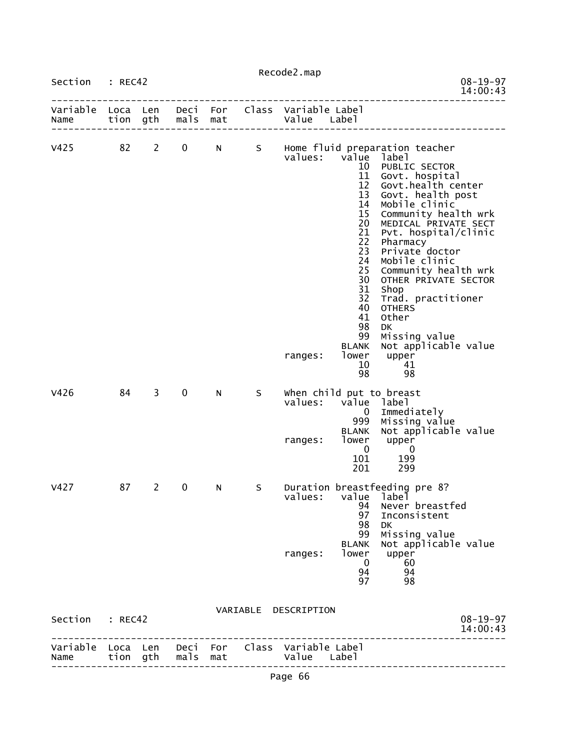| Section : REC42           |    |                |                   |     |    | Recode2.map                                                    |                                                                                                                                                                           | $08 - 19 - 97$                                                                                                                                                                                                                                                                                                                                                                                                                              |
|---------------------------|----|----------------|-------------------|-----|----|----------------------------------------------------------------|---------------------------------------------------------------------------------------------------------------------------------------------------------------------------|---------------------------------------------------------------------------------------------------------------------------------------------------------------------------------------------------------------------------------------------------------------------------------------------------------------------------------------------------------------------------------------------------------------------------------------------|
| Variable Loca Len<br>Name |    | tion gth       | mals              | mat |    | Deci For Class Variable Label<br>Value Label                   |                                                                                                                                                                           | 14:00:43                                                                                                                                                                                                                                                                                                                                                                                                                                    |
| v425                      | 82 | $2^{\circ}$    | 0                 | N   |    | values:<br>ranges:                                             | value<br>10<br>11<br>12<br>13<br>14<br>15 <sub>1</sub><br>20<br>21<br>22<br>23<br>24<br>25<br>30<br>31<br>32<br>40<br>41<br>98<br>99<br><b>BLANK</b><br>lower<br>10<br>98 | S Home fluid preparation teacher<br>label<br>PUBLIC SECTOR<br>Govt. hospital<br>Govt.health center<br>Govt. health post<br>Mobile clinic<br>Community health wrk<br>MEDICAL PRIVATE SECT<br>Pvt. hospital/clinic<br>Pharmacy<br>Private doctor<br>Mobile clinic<br>Community health wrk<br>OTHER PRIVATE SECTOR<br>Shop<br>Trad. practitioner<br><b>OTHERS</b><br>Other<br>DK<br>Missing value<br>Not applicable value<br>upper<br>41<br>98 |
| V426                      | 84 | $\overline{3}$ | $\mathbf 0$       | N   | S  | when child put to breast<br>values:<br>ranges:                 | value<br>$\mathbf{0}$<br>999<br><b>BLANK</b><br>lower<br>$\mathbf{0}$<br>101<br>201                                                                                       | label<br>Immediately<br>Missing value<br>Not applicable value<br>upper<br>0<br>199<br>299                                                                                                                                                                                                                                                                                                                                                   |
| V427                      | 87 | $\mathbf{2}$   | 0                 | N   | S. | values:<br>ranges:                                             | value<br>94<br>97<br>98<br>99<br><b>BLANK</b><br>lower<br>- 0<br>94<br>97                                                                                                 | Duration breastfeeding pre 8?<br>label<br>Never breastfed<br>Inconsistent<br>DK.<br>Missing value<br>Not applicable value<br>upper<br>60<br>94<br>98                                                                                                                                                                                                                                                                                        |
| Section : REC42           |    |                |                   |     |    | VARIABLE DESCRIPTION                                           |                                                                                                                                                                           | $08 - 19 - 97$<br>14:00:43                                                                                                                                                                                                                                                                                                                                                                                                                  |
| Name                      |    |                | tion gth mals mat |     |    | Variable Loca Len Deci For Class Variable Label<br>Value Label |                                                                                                                                                                           | ------------------                                                                                                                                                                                                                                                                                                                                                                                                                          |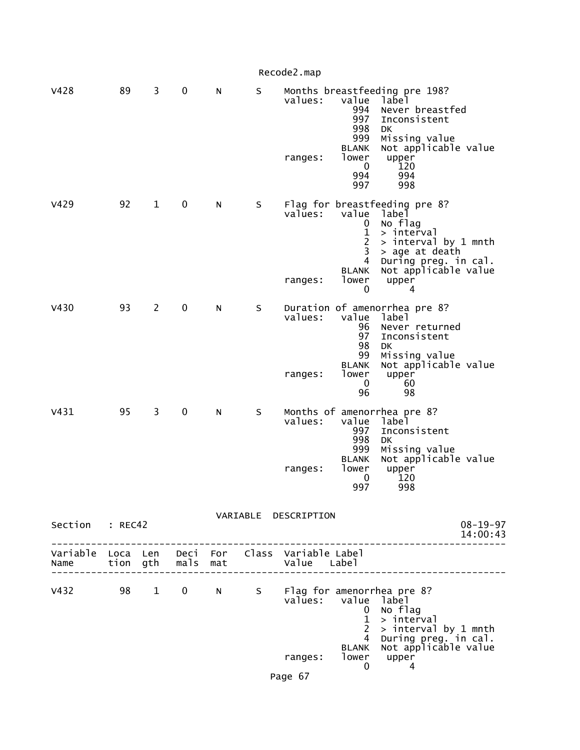|                                                                                           |    |                |             |   |         | Recode2.map                   |                                                                                                            |                                                                                                                                                                         |                            |
|-------------------------------------------------------------------------------------------|----|----------------|-------------|---|---------|-------------------------------|------------------------------------------------------------------------------------------------------------|-------------------------------------------------------------------------------------------------------------------------------------------------------------------------|----------------------------|
| V428                                                                                      | 89 | 3              | $\mathbf 0$ | N | $\sf S$ | values:<br>ranges:            | value<br>994<br>997<br>998<br>999<br><b>BLANK</b><br>lower<br>0<br>994<br>997                              | Months breastfeeding pre 198?<br>label<br>Never breastfed<br>Inconsistent<br>DК<br>Missing value<br>Not applicable value<br>upper<br>120<br>994<br>998                  |                            |
| V429                                                                                      | 92 | $\mathbf{1}$   | $\mathbf 0$ | N | S       | values:<br>ranges:            | value<br>0<br>$\mathbf{1}$<br>$\overline{c}$<br>3<br>4<br><b>BLANK</b><br>lower<br>0                       | Flag for breastfeeding pre 8?<br>label<br>No flag<br>> interval<br>> interval by 1 mnth<br>> age at death<br>During preg. in cal.<br>Not applicable value<br>upper<br>4 |                            |
| V430                                                                                      | 93 | $\overline{2}$ | $\mathbf 0$ | N | S       | values:<br>ranges:            | value<br>96<br>97<br>98<br>99<br><b>BLANK</b><br>lower<br>$\mathbf 0$<br>96                                | Duration of amenorrhea pre 8?<br>label<br>Never returned<br>Inconsistent<br>DК<br>Missing value<br>Not applicable value<br>upper<br>60<br>98                            |                            |
| V431                                                                                      | 95 | 3              | 0           | N | S       | values:<br>ranges:            | value<br>997<br>998<br>999<br><b>BLANK</b><br>lower<br>0<br>997                                            | Months of amenorrhea pre 8?<br>label<br>Inconsistent<br>DK<br>Missing value<br>Not applicable value<br>upper<br>120<br>998                                              |                            |
| Section : REC42                                                                           |    |                |             |   |         | VARIABLE DESCRIPTION          |                                                                                                            |                                                                                                                                                                         | $08 - 19 - 97$<br>14:00:43 |
| Variable Loca Len Deci For Class Variable-Label<br>Name tion gth mals mat and Value Label |    |                |             |   |         |                               |                                                                                                            |                                                                                                                                                                         |                            |
|                                                                                           |    |                |             |   |         | valūes:<br>ranges:<br>Page 67 | value label<br>$\mathbf{0}$<br>$\mathbf{1}$<br>$2^{\circ}$<br>$\overline{4}$<br><b>BLANK</b><br>lower<br>0 | V432 98 1 0 N S Flag for amenorrhea pre 8?<br>No flag<br>> interval<br>> interval by 1 mnth<br>During preg. in cal.<br>Not applicable value<br>upper<br>4               |                            |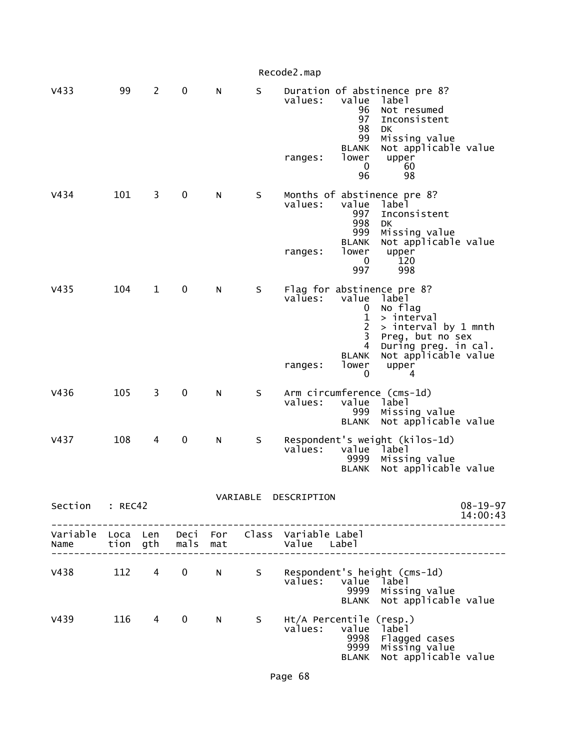|                  |     |              |                   |           |         | Recode2.map                                                                                                                                                                                                                                                               |  |
|------------------|-----|--------------|-------------------|-----------|---------|---------------------------------------------------------------------------------------------------------------------------------------------------------------------------------------------------------------------------------------------------------------------------|--|
| V433             | 99  | $\mathbf{2}$ | $\pmb{0}$         | N         | S       | Duration of abstinence pre 8?<br>value<br>values:<br>label<br>96<br>Not resumed<br>97<br>Inconsistent<br>98<br>DK<br>99<br>Missing value<br>Not applicable value<br><b>BLANK</b><br>lower<br>upper<br>ranges:<br>0<br>60<br>98<br>96                                      |  |
| V434             | 101 | 3            | $\pmb{0}$         | N         | $\sf S$ | Months of abstinence pre 8?<br>values:<br>value<br>label<br>Inconsistent<br>997<br>998<br>DK<br>999<br>Missing value<br>Not applicable value<br><b>BLANK</b><br>lower<br>upper<br>ranges:<br>120<br>0<br>997<br>998                                                       |  |
| V <sub>435</sub> | 104 | $\mathbf 1$  | 0                 | N         | S       | Flag for abstinence pre 8?<br>values:<br>value<br>label<br>No flag<br>0<br>1<br>> interval<br>$\overline{2}$<br>> interval by 1 mnth<br>3<br>Preg, but no sex<br>4<br>During preg. in cal.<br>Not applicable value<br><b>BLANK</b><br>lower<br>ranges:<br>upper<br>0<br>4 |  |
| V436             | 105 | 3            | $\boldsymbol{0}$  | N         | S       | Arm circumference (cms-1d)<br>values:<br>value<br>label<br>999<br>Missing value<br>Not applicable value<br><b>BLANK</b>                                                                                                                                                   |  |
| V437             | 108 | 4            | 0                 | ${\sf N}$ | S       | Respondent's weight (kilos-1d)<br>values:<br>value<br><sup>-</sup> label<br>9999<br>Missing value<br>Not applicable value<br><b>BLANK</b>                                                                                                                                 |  |
| Section : REC42  |     |              |                   |           |         | VARIABLE DESCRIPTION<br>$08 - 19 - 97$<br>14:00:43                                                                                                                                                                                                                        |  |
| Name             |     |              | tion gth mals mat |           |         | . _ _ _ _ _ _ _ _ _ _ _ _ _ _ _ _<br>Variable Loca Len Deci For Class Variable Label<br>Value Label                                                                                                                                                                       |  |
| V438             |     | 112 4        | $\mathbf 0$       | N.        | S       | Respondent's height (cms-1d)<br>values:<br>value<br>Iabel i<br>9999<br>Missing value<br>Not applicable value<br><b>BLANK</b>                                                                                                                                              |  |
| V439             |     | 116 4        | $\mathbf 0$       | N.        | S –     | Ht/A Percentile (resp.)<br>values:<br>value<br>label<br>9998<br>Flagged cases<br>Missing value<br>9999<br>Not applicable value<br><b>BLANK</b>                                                                                                                            |  |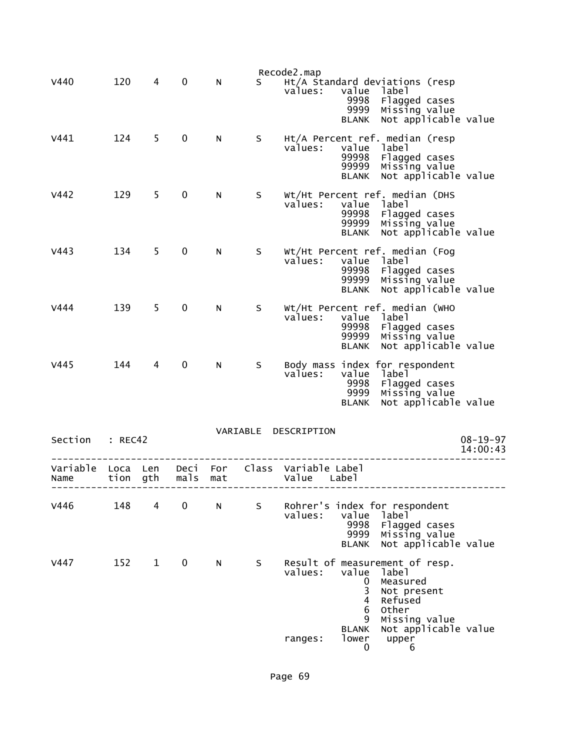| V440             | 120          | 4            | $\mathbf 0$  | N          | S.       | Recode2.map<br>Ht/A Standard deviations (resp<br>value<br>values:<br>label<br>Flagged cases<br>9998<br>9999<br>Missing value<br>Not applicable value<br><b>BLANK</b> |
|------------------|--------------|--------------|--------------|------------|----------|----------------------------------------------------------------------------------------------------------------------------------------------------------------------|
| V441             | 124          | 5            | $\mathbf 0$  | N          | S        | Ht/A Percent ref. median (resp<br>values:<br>label<br>value<br>99998<br>Flagged cases<br>99999<br>Missing value<br>Not applicable value<br><b>BLANK</b>              |
| V442             | 129          | 5            | $\mathbf 0$  | N          | S        | Wt/Ht Percent ref. median (DHS<br>values:<br>value<br>label<br>99998<br>Flagged cases<br>99999<br>Missing value<br>Not applicable value<br><b>BLANK</b>              |
| V443             | 134          | 5.           | $\mathbf 0$  | N          | S        | Wt/Ht Percent ref. median (Fog<br>values:<br>value<br>label<br>99998<br>Flagged cases<br>99999<br>Missing value<br>Not applicable value<br><b>BLANK</b>              |
| V444             | 139          | 5            | 0            | N          | S        | Wt/Ht Percent ref. median (WHO<br>values:<br>label<br>value<br>99998<br>Flagged cases<br>99999<br>Missing value<br>Not applicable value<br><b>BLANK</b>              |
| V445             | 144          | 4            | $\mathbf 0$  | N          | S        | Body mass index for respondent<br>values:<br>label<br>value<br>9998<br>Flagged cases<br>9999<br>Missing value<br>Not applicable value<br><b>BLANK</b>                |
| Section          | : REC42      |              |              |            | VARIABLE | DESCRIPTION<br>$08 - 19 - 97$<br>14:00:43                                                                                                                            |
| Variable<br>Name | Loca<br>tion | Len<br>gth   | Deci<br>mals | For<br>mat | Class    | Variable Label<br>Value<br>Labe]                                                                                                                                     |
| V446             | 148          | 4            | 0            | N          | S.       | Rohrer's index for respondent<br>values:<br>value<br>label <sup>1</sup><br>9998<br>Flagged cases<br>Missing value<br>9999<br>Not applicable value<br><b>BLANK</b>    |
| V447             | 152          | $\mathbf{1}$ | 0            | N          | S        | Result of measurement of resp.<br>values:<br>value<br>label<br>Measured<br>0<br>3<br>Not present<br>4<br>Refused<br>Other<br>6                                       |
|                  |              |              |              |            |          | Missing value<br>9<br>Not applicable value<br><b>BLANK</b><br>lower<br>upper<br>ranges:<br>0<br>6                                                                    |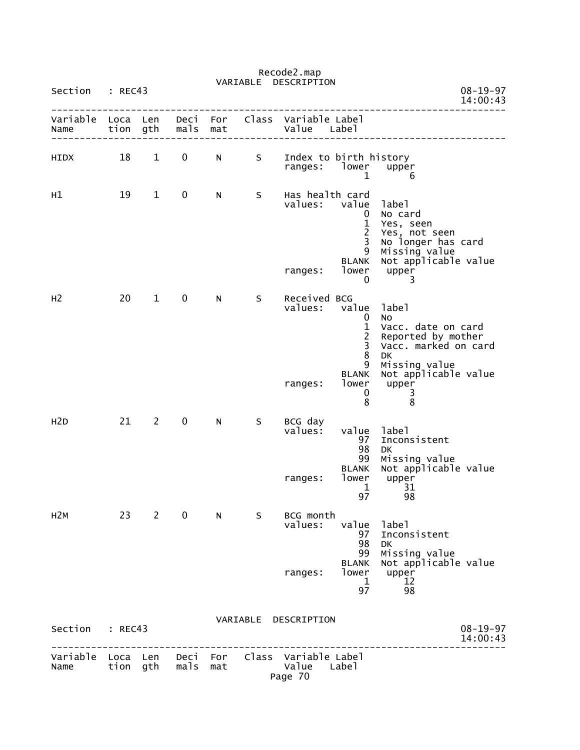|                  |              |                |               |            | VARIABLE | Recode2.map<br>DESCRIPTION                                          |                                                                                          |                                                                                                                                                          |                            |
|------------------|--------------|----------------|---------------|------------|----------|---------------------------------------------------------------------|------------------------------------------------------------------------------------------|----------------------------------------------------------------------------------------------------------------------------------------------------------|----------------------------|
| Section          | : REC43      |                |               |            |          |                                                                     |                                                                                          |                                                                                                                                                          | $08 - 19 - 97$<br>14:00:43 |
| Variable<br>Name | Loca<br>tion | Len<br>gth     | Deci<br>mals  | For<br>mat | Class    | Variable Label<br>Value                                             | Label                                                                                    |                                                                                                                                                          |                            |
| HIDX             | 18           | $\mathbf{1}$   | 0             | N          | S        | Index to birth history<br>ranges:                                   | lower<br>1                                                                               | upper<br>6                                                                                                                                               |                            |
| н1               | 19           | $\mathbf{1}$   | 0             | N          | S        | Has health card<br>values:<br>ranges:                               | value<br>0<br>$\mathbf{1}$<br>$\overline{c}$<br>3<br>9<br><b>BLANK</b><br>lower<br>0     | label<br>No card<br>Yes, seen<br>Yes, not seen<br>No longer has card<br>Missing value<br>Not applicable value<br>upper<br>3                              |                            |
| H <sub>2</sub>   | 20           | $\mathbf{1}$   | $\mathbf 0$   | N          | S        | Received BCG<br>values:<br>ranges:                                  | value<br>0<br>$\mathbf{1}$<br>$\frac{2}{3}$<br>8<br>9<br><b>BLANK</b><br>lower<br>0<br>8 | label<br>No<br>Vacc. date on card<br>Reported by mother<br>Vacc. marked on card<br><b>DK</b><br>Missing value<br>Not applicable value<br>upper<br>3<br>8 |                            |
| H <sub>2</sub> D | 21           | $\overline{2}$ | $\mathbf 0$   | N          | S        | BCG day<br>values:<br>ranges:                                       | value<br>97<br>98<br>99<br><b>BLANK</b><br>lower<br>$\mathbf{1}$<br>97                   | label<br>Inconsistent<br>DK<br>Missing value<br>Not applicable value<br>upper<br>31<br>98                                                                |                            |
| H <sub>2</sub> M |              | $23 \t2$       | $\mathbf 0$   | N          | S –      | BCG month<br>values:<br>ranges:                                     | value<br>97<br>98<br>99<br><b>BLANK</b><br>lower<br>$\mathbf{1}$<br>97                   | label<br>Inconsistent<br><b>DK</b><br>Missing value<br>Not applicable value<br>upper<br>12<br>98                                                         |                            |
| Section          | : REC43      |                |               |            |          | VARIABLE DESCRIPTION                                                |                                                                                          |                                                                                                                                                          | $08 - 19 - 97$<br>14:00:43 |
| Name             |              |                | tion gth mals | mat        |          | Variable Loca Len Deci For Class Variable Label<br>Value<br>Page 70 | Label                                                                                    |                                                                                                                                                          |                            |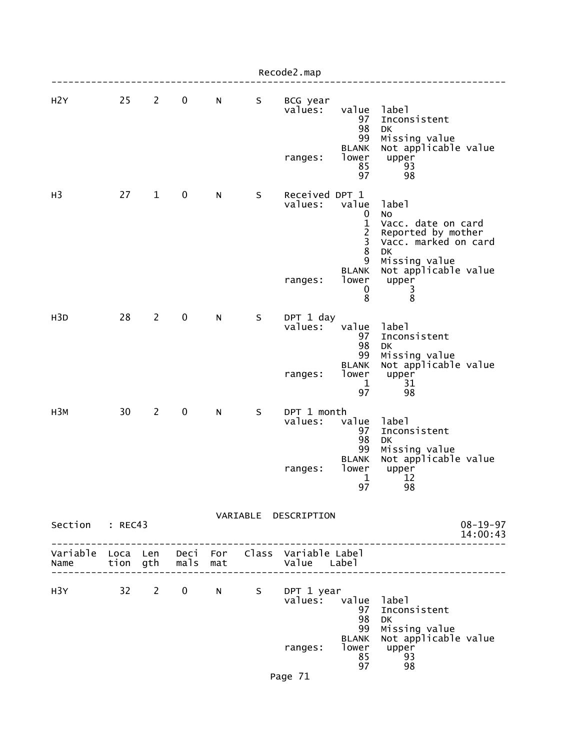|                                                         |    |                |             |   |   | Recode2.map                          |                                                                                                |                                                                                                                                                          |
|---------------------------------------------------------|----|----------------|-------------|---|---|--------------------------------------|------------------------------------------------------------------------------------------------|----------------------------------------------------------------------------------------------------------------------------------------------------------|
| H2Y                                                     | 25 | $\overline{2}$ | $\mathbf 0$ | N | S | BCG year<br>values:<br>ranges:       | value<br>97<br>98<br>99<br><b>BLANK</b><br>lower<br>85<br>97                                   | label<br>Inconsistent<br>DK<br>Missing value<br>Not applicable value<br>upper<br>93<br>98                                                                |
| H <sub>3</sub>                                          | 27 | $\mathbf{1}$   | $\mathbf 0$ | N | S | Received DPT 1<br>values:<br>ranges: | value<br>0<br>$\mathbf{1}$<br>$\overline{2}$<br>3<br>8<br>9<br><b>BLANK</b><br>lower<br>0<br>8 | label<br>No<br>Vacc. date on card<br>Reported by mother<br>Vacc. marked on card<br><b>DK</b><br>Missing value<br>Not applicable value<br>upper<br>3<br>8 |
| H <sub>3</sub> D                                        | 28 | $\overline{2}$ | $\mathbf 0$ | N | S | DPT 1 day<br>values:<br>ranges:      | value<br>97<br>98<br>99<br><b>BLANK</b><br>lower<br>1<br>97                                    | label<br>Inconsistent<br><b>DK</b><br>Missing value<br>Not applicable value<br>upper<br>31<br>98                                                         |
| H <sub>3M</sub>                                         | 30 | $\overline{2}$ | $\mathbf 0$ | N | S | DPT 1 month<br>values:<br>ranges:    | value<br>97<br>98<br>99<br><b>BLANK</b><br>lower<br>$\mathbf 1$<br>97                          | label<br>Inconsistent<br>DK<br>Missing value<br>Not applicable value<br>upper<br>12<br>98                                                                |
| Section : REC43                                         |    |                |             |   |   | VARIABLE DESCRIPTION                 |                                                                                                | $08 - 19 - 97$<br>14:00:43<br>----------------                                                                                                           |
| Variable Loca Len Deci For Class Variable Label<br>Name |    |                |             |   |   |                                      |                                                                                                |                                                                                                                                                          |
| H3Y 32 2 0 N S DPT 1 year                               |    |                |             |   |   | values: value label<br>ranges:       | 97<br>98<br>99<br><b>BLANK</b><br>lower<br>85<br>97                                            | Inconsistent<br>DK<br>Missing value<br>Not applicable value<br>.<br>upper<br>sa<br>93<br>98                                                              |

Page 71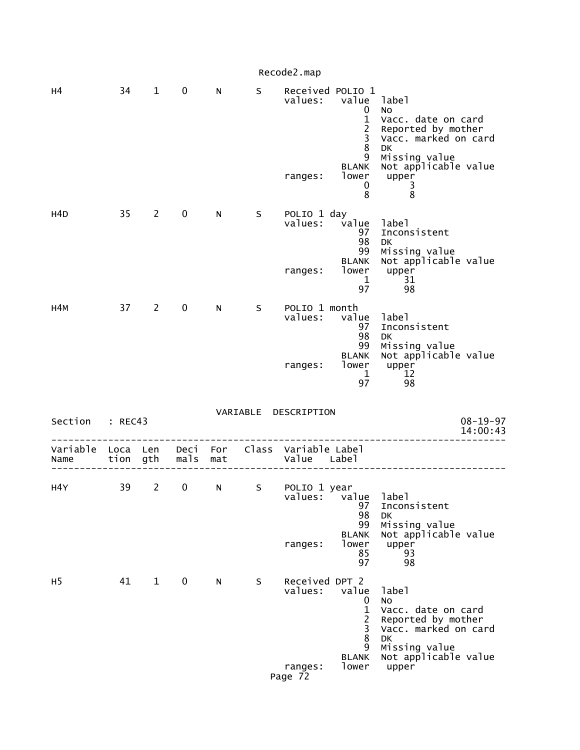|                                                         |    |                       |             |    |    | Recode2.map                                     |                                                                                                             |                                                                                                                                                       |
|---------------------------------------------------------|----|-----------------------|-------------|----|----|-------------------------------------------------|-------------------------------------------------------------------------------------------------------------|-------------------------------------------------------------------------------------------------------------------------------------------------------|
| н4                                                      | 34 | $\mathbf{1}$          | $\mathbf 0$ | N  | S  | Received POLIO 1<br>values:<br>ranges:          | value label<br>0<br>$\mathbf{1}$<br>$\frac{2}{3}$<br>$\overline{8}$<br>9<br><b>BLANK</b><br>lower<br>0<br>8 | No<br>Vacc. date on card<br>Reported by mother<br>Vacc. marked on card<br>DK<br>Missing value<br>Not applicable value<br>upper<br>3<br>$\overline{8}$ |
| H4D                                                     | 35 | $2^{\circ}$           | $\mathbf 0$ | N  | S  | POLIO 1 day<br>values:<br>ranges:               | value<br>97<br>98<br>99<br><b>BLANK</b><br>lower<br>$\mathbf 1$<br>97                                       | label<br>Inconsistent<br><b>DK</b><br>Missing value<br>Not applicable value<br>upper<br>31<br>98                                                      |
| H4M                                                     |    | 37 2                  | $\mathbf 0$ | N  | S. | POLIO 1 month<br>values:<br>ranges:             | value<br>97<br>98<br>99<br><b>BLANK</b><br>lower<br>$\mathbf{1}$<br>97                                      | label<br>Inconsistent<br>DK<br>Missing value<br>Not applicable value<br>upper<br>12<br>98                                                             |
| Section : REC43                                         |    |                       |             |    |    | VARIABLE DESCRIPTION                            |                                                                                                             | $08 - 19 - 97$<br>14:00:43                                                                                                                            |
| Variable Loca Len Deci For Class Variable Label<br>Name |    | tion $\frac{1}{9}$ th | mals mat    |    |    | Value Label                                     |                                                                                                             |                                                                                                                                                       |
| H4Y                                                     | 39 | $\overline{2}$        |             |    |    | 0 N S POLIO 1 year<br>values:<br>ranges:        | value<br>97<br>98<br>99<br><b>BLANK</b><br>lower<br>85<br>97                                                | label<br>Inconsistent<br><b>DK</b><br>Missing value<br>Not applicable value<br>upper<br>93<br>98                                                      |
| H <sub>5</sub>                                          | 41 | $\mathbf{1}$          | $\mathbf 0$ | N. | S  | Received DPT 2<br>values:<br>ranges:<br>Page 72 | value<br>0<br>$\mathbf{1}$<br>$\overline{2}$<br>3<br>8<br>9<br><b>BLANK</b><br>lower                        | label<br>No<br>Vacc. date on card<br>Reported by mother<br>Vacc. marked on card<br><b>DK</b><br>Missing value<br>Not applicable value<br>upper        |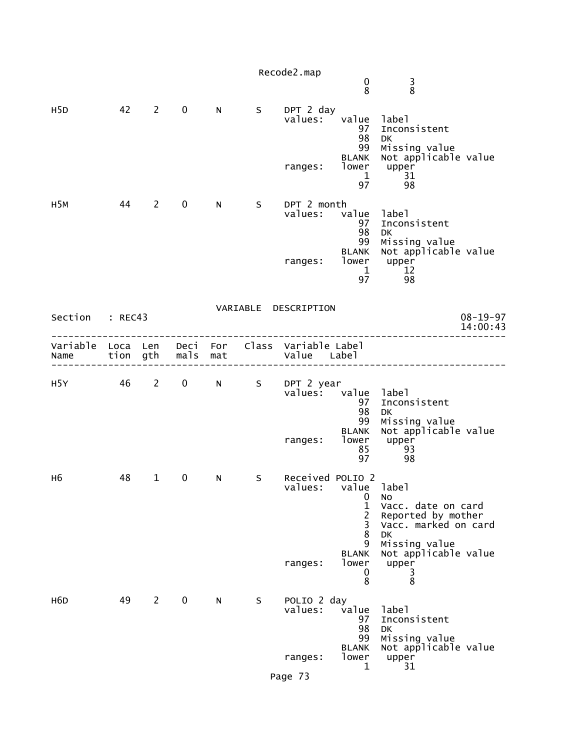|                           |          |                |             |     |    | Recode2.map                                  | 0<br>8                                      | $\frac{3}{8}$                                                          |
|---------------------------|----------|----------------|-------------|-----|----|----------------------------------------------|---------------------------------------------|------------------------------------------------------------------------|
| H <sub>5</sub> D          | 42       | $2^{\sim}$     | $\mathbf 0$ | N   | S  | DPT 2 day<br>values:                         | value<br>97<br>98                           | label<br>Inconsistent<br>DK                                            |
|                           |          |                |             |     |    | ranges:                                      | 99<br><b>BLANK</b><br>lower<br>1<br>97      | Missing value<br>Not applicable value<br>upper<br>31<br>98             |
| H <sub>5</sub> M          | - 44     | $\overline{2}$ | $\mathbf 0$ | N.  | S. | DPT 2 month<br>values:                       | value<br>97<br>98<br>99                     | label<br>Inconsistent<br><b>DK</b><br>Missing value                    |
|                           |          |                |             |     |    | ranges:                                      | <b>BLANK</b><br>lower<br>$\mathbf{1}$<br>97 | Not applicable value<br>upper<br>12<br>98                              |
| Section                   | : REC43  |                |             |     |    | VARIABLE DESCRIPTION                         |                                             | $08 - 19 - 97$<br>14:00:43                                             |
| Variable Loca Len<br>Name | tion gth |                | mals        | mat |    | Deci For Class Variable Label<br>Value Label |                                             |                                                                        |
| H5Y                       | 46       | $2^{\sim}$     | $\mathbf 0$ | N   | S. | DPT 2 year<br>values:                        | value<br>97<br>98<br>99                     | label<br>Inconsistent<br><b>DK</b><br>Missing value                    |
|                           |          |                |             |     |    | ranges:                                      | <b>BLANK</b><br>lower<br>85<br>97           | Not applicable value<br>upper<br>93<br>98                              |
| H6                        | 48       | $\mathbf{1}$   | 0           | N   | S  | Received POLIO 2<br>values: value label      | 0<br>1<br>$\overline{c}$<br>3               | No<br>Vacc. date on card<br>Reported by mother<br>Vacc. marked on card |
|                           |          |                |             |     |    | ranges:                                      | 8<br>9<br><b>BLANK</b><br>lower<br>0<br>8   | DK<br>Missing value<br>Not applicable value<br>upper<br>3<br>8         |
| H <sub>6</sub> D          | 49       | $2^{\sim}$     | $\mathbf 0$ | N   | S  | POLIO 2 day<br>values:                       | value<br>97<br>98<br>99                     | label<br>Inconsistent<br><b>DK</b><br>Missing value                    |
|                           |          |                |             |     |    | ranges:                                      | <b>BLANK</b><br>lower<br>1                  | Not applicable value<br>upper<br>31                                    |
|                           |          |                |             |     |    | Page 73                                      |                                             |                                                                        |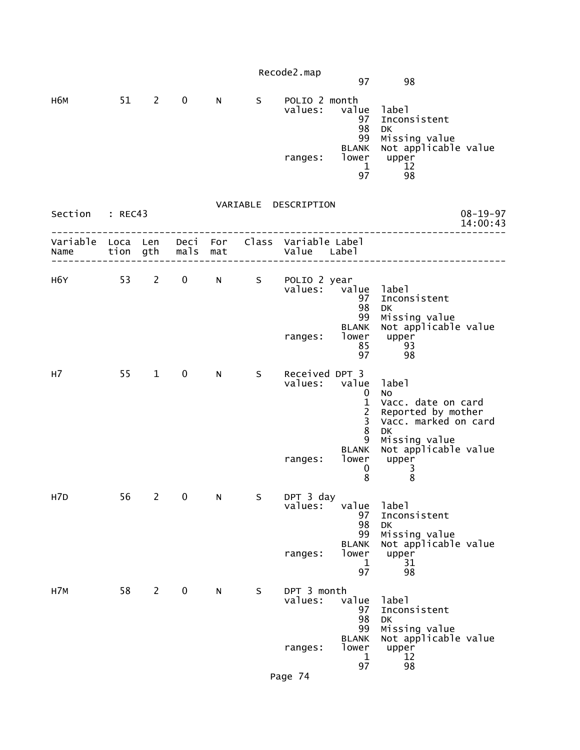|                                                                       |    |                |              |             |   | Recode2.map                     | 97                                                   | 98                                                                                                  |  |
|-----------------------------------------------------------------------|----|----------------|--------------|-------------|---|---------------------------------|------------------------------------------------------|-----------------------------------------------------------------------------------------------------|--|
| н6м                                                                   |    | 51 2           | $\mathbf 0$  | N           | S | POLIO 2 month<br>values:        | value<br>97<br>98<br>99<br><b>BLANK</b>              | label<br>Inconsistent<br><b>DK</b><br>Missing value<br>Not applicable value                         |  |
|                                                                       |    |                |              |             |   | ranges:                         | lower<br>1                                           | upper<br>12<br>98<br>97 — 1                                                                         |  |
| Section : REC43                                                       |    |                |              |             |   | VARIABLE DESCRIPTION            |                                                      | $08 - 19 - 97$<br>14:00:43                                                                          |  |
| Variable Loca Len Deci For Class Variable Label<br>Name tion gth mals |    |                |              | mat         |   | Value Label                     |                                                      |                                                                                                     |  |
| H6Y 53 2                                                              |    |                | $\mathbf{0}$ | $N$ and $N$ | S | POLIO 2 year                    | values: value<br>97<br>98<br>99                      | label<br>Inconsistent<br><b>DK</b><br>Missing value                                                 |  |
|                                                                       |    |                |              |             |   | ranges:                         | <b>BLANK</b><br>lower<br>85<br>97                    | Not applicable value<br>upper<br>93<br>98                                                           |  |
| н7                                                                    | 55 | $\mathbf{1}$   | $\mathbf 0$  | N           | S | Received DPT 3<br>values: value | 0<br>$\mathbf{1}$<br>$\frac{2}{3}$<br>$\overline{8}$ | label<br><b>NO</b><br>Vacc. date on card<br>Reported by mother<br>Vacc. marked on card<br><b>DK</b> |  |
|                                                                       |    |                |              |             |   | ranges:                         | 9<br><b>BLANK</b><br>lower<br>$\bf{0}$<br>8          | Missing value<br>Not applicable value<br>upper<br>3<br>8                                            |  |
| H7D                                                                   | 56 | $\overline{2}$ | $\pmb{0}$    | N           | S | DPT 3 day<br>values:            | value<br>97<br>98<br>99<br><b>BLANK</b>              | label<br>Inconsistent<br><b>DK</b><br>Missing value                                                 |  |
|                                                                       |    |                |              |             |   | ranges:                         | lower<br>1<br>97                                     | Not applicable value<br>upper<br>31<br>98                                                           |  |
| H7M                                                                   | 58 | $2^{\circ}$    | $\mathbf 0$  | N           | S | DPT 3 month<br>values:          | value<br>97<br>98<br>99                              | label<br>Inconsistent<br>DK<br>Missing value                                                        |  |
|                                                                       |    |                |              |             |   | ranges:                         | <b>BLANK</b><br>lower<br>1<br>97                     | Not applicable value<br>upper<br>12<br>98                                                           |  |
|                                                                       |    |                |              |             |   | Page 74                         |                                                      |                                                                                                     |  |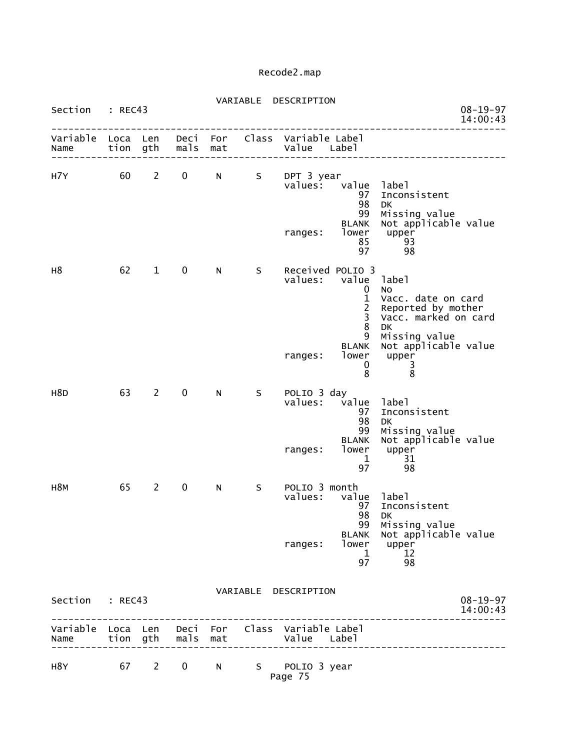| Section : REC43  |                  |                |                   |     |    | VARIABLE DESCRIPTION                                           |                                                                                                                   |                                                                                                                                                 | $08 - 19 - 97$<br>14:00:43 |
|------------------|------------------|----------------|-------------------|-----|----|----------------------------------------------------------------|-------------------------------------------------------------------------------------------------------------------|-------------------------------------------------------------------------------------------------------------------------------------------------|----------------------------|
| Variable<br>Name | Loca Len<br>tion | gth            | mals              | mat |    | Deci For Class Variable Label<br>Value Label                   |                                                                                                                   |                                                                                                                                                 |                            |
| H7Y              | 60               | $\overline{2}$ | 0                 | N   |    | S DPT 3 year<br>values:<br>ranges:                             | value label<br>97<br>98<br>99<br><b>BLANK</b><br>lower<br>85<br>97                                                | Inconsistent<br><b>DK</b><br>Missing value<br>Not applicable value<br>upper<br>93<br>98                                                         |                            |
| н8               | 62               | $\mathbf{1}$   | $\mathbf 0$       | N.  | S. | Received POLIO 3<br>values:<br>ranges:                         | value label<br>0<br>$\mathbf{1}$<br>$\overline{c}$<br>$\overline{3}$<br>8<br>9<br><b>BLANK</b><br>lower<br>0<br>8 | <b>NO</b><br>Vacc. date on card<br>Reported by mother<br>Vacc. marked on card<br>DK<br>Missing value<br>Not applicable value<br>upper<br>3<br>8 |                            |
| H <sub>8</sub> D | 63               | $2^{\circ}$    | $\mathbf 0$       | N   | S  | POLIO 3 day<br>values:<br>ranges:                              | value<br>97<br>98<br>99<br><b>BLANK</b><br>lower<br>$\mathbf 1$<br>97                                             | label<br>Inconsistent<br><b>DK</b><br>Missing value<br>Not applicable value<br>upper<br>31<br>98                                                |                            |
| H <sub>8M</sub>  | 65               | $\mathbf{2}$   | $\mathbf 0$       | N   | S  | POLIO 3 month<br>values:<br>ranges:                            | value<br>97<br>98<br>99<br><b>BLANK</b><br>lower<br>$\mathbf 1$<br>97                                             | label<br>Inconsistent<br>DK<br>Missing value<br>Not applicable value<br>upper<br>12<br>98                                                       |                            |
| Section          | : REC43          |                |                   |     |    | VARIABLE DESCRIPTION                                           |                                                                                                                   |                                                                                                                                                 | $08 - 19 - 97$<br>14:00:43 |
| Name             |                  |                | tion gth mals mat |     |    | Variable Loca Len Deci For Class Variable Label<br>Value Label |                                                                                                                   |                                                                                                                                                 |                            |

| H8Y |  | 67 2 0 N | S POLIO 3 year |
|-----|--|----------|----------------|
|     |  |          | Page 75        |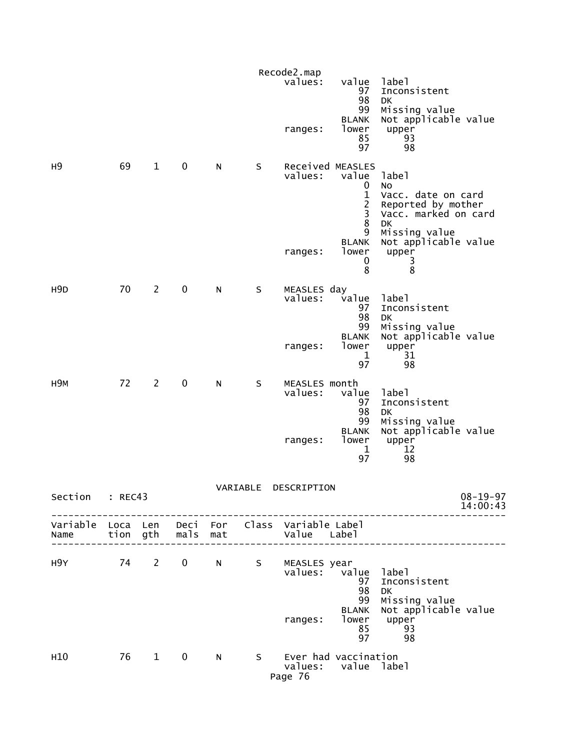|                  |         |                |                   |              |             | Recode2.map                                                    |                                                                           |                                                                                                                      |
|------------------|---------|----------------|-------------------|--------------|-------------|----------------------------------------------------------------|---------------------------------------------------------------------------|----------------------------------------------------------------------------------------------------------------------|
|                  |         |                |                   |              |             | values:<br>ranges:                                             | value<br>97<br>98<br>99<br><b>BLANK</b><br>lower<br>85<br>97              | label<br>Inconsistent<br>DK.<br>Missing value<br>Not applicable value<br>upper<br>93<br>98                           |
| н9               | 69      | $\mathbf{1}$   | $\mathbf 0$       | N            | S           | values:                                                        | Received MEASLES<br>value<br>0<br>$\mathbf{1}$<br>$\frac{2}{3}$<br>8<br>9 | label<br><b>NO</b><br>Vacc. date on card<br>Reported by mother<br>Vacc. marked on card<br><b>DK</b><br>Missing value |
|                  |         |                |                   |              |             | ranges:                                                        | <b>BLANK</b><br>lower<br>0<br>8                                           | Not applicable value<br>upper<br>3<br>8                                                                              |
| H <sub>9</sub> D | 70      | $\overline{2}$ | $\mathbf 0$       | N            | S           | MEASLES day<br>values:                                         | value<br>97<br>98<br>99                                                   | label<br>Inconsistent<br>DK<br>Missing value                                                                         |
|                  |         |                |                   |              |             | ranges:                                                        | <b>BLANK</b><br>lower<br>1<br>97                                          | Not applicable value<br>upper<br>31<br>98                                                                            |
| <b>H9M</b>       | 72      | $\overline{2}$ | 0                 | N            | S           | MEASLES month<br>values:                                       | value<br>97<br>98<br>99                                                   | label<br>Inconsistent<br>DK<br>Missing value                                                                         |
|                  |         |                |                   |              |             | ranges:                                                        | <b>BLANK</b><br>lower<br>1<br>97                                          | Not applicable value<br>upper<br>12<br>98                                                                            |
| Section          | : REC43 |                |                   |              | VARIABLE    | DESCRIPTION                                                    |                                                                           | $08 - 19 - 97$<br>14:00:43                                                                                           |
| Name             |         |                | tion gth mals mat |              |             | Variable Loca Len Deci For Class Variable Label<br>Value Label |                                                                           |                                                                                                                      |
| H9Y 74 2         |         |                | $\mathbf 0$       | N            | $S_{\perp}$ | MEASLES year<br>values:                                        | value<br>97<br>98<br>99                                                   | 1abe1<br>Inconsistent<br><b>DK</b><br>Missing value                                                                  |
|                  |         |                |                   |              |             | ranges:                                                        | <b>BLANK</b><br>lower<br>85<br>97                                         | Not applicable value<br>upper<br>93<br>98                                                                            |
| H <sub>10</sub>  | 76      | $\overline{1}$ | $\mathbf 0$       | $\mathsf{N}$ | S           | Ever had vaccination<br>Page 76                                | values: value label                                                       |                                                                                                                      |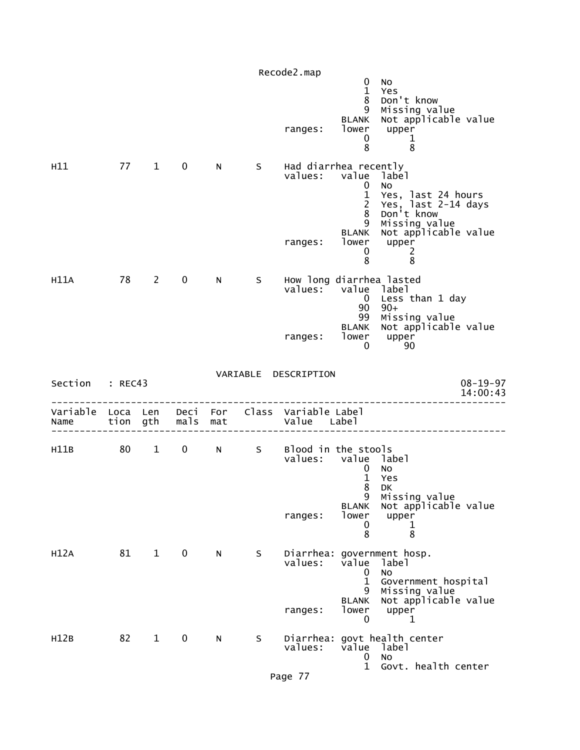|                                    |      |                        |              |     |    | Recode2.map                                           |                                                                                                |                                                                                                                                      |
|------------------------------------|------|------------------------|--------------|-----|----|-------------------------------------------------------|------------------------------------------------------------------------------------------------|--------------------------------------------------------------------------------------------------------------------------------------|
|                                    |      |                        |              |     |    | ranges:                                               | 0<br>$\mathbf{1}$<br>8<br>9<br><b>BLANK</b><br>lower<br>0<br>8                                 | <b>NO</b><br>Yes<br>Don't know<br>Missing value<br>Not applicable value<br>upper<br>1<br>8                                           |
| H11                                | 77 1 |                        | $\mathbf 0$  | N   | S. | Had diarrhea recently<br>values:<br>ranges:           | value<br>$\mathbf 0$<br>$\mathbf{1}$<br>$\overline{2}$<br>8<br>9<br><b>BLANK</b><br>lower<br>0 | label<br><b>NO</b><br>Yes, last 24 hours<br>Yes, last 2-14 days<br>Don't know<br>Missing value<br>Not applicable value<br>upper<br>2 |
| H11A                               | 78 2 |                        | $\mathbf{0}$ | N.  | S  | How long diarrhea lasted<br>values: value<br>ranges:  | 8<br>$\overline{0}$<br>90<br>99<br>BLANK<br>lower<br>$\Omega$                                  | 8<br>label<br>Less than 1 day<br>$90+$<br>Missing value<br>Not applicable value<br>upper<br>90                                       |
| Section : REC43                    |      |                        |              |     |    | VARIABLE DESCRIPTION                                  |                                                                                                | $08 - 19 - 97$<br>14:00:43                                                                                                           |
| Variable Loca Len Deci For<br>Name |      | tion gth               | mals         | mat |    | Class Variable Label<br>Value Label                   |                                                                                                |                                                                                                                                      |
| H11B                               | 80   | $1 \quad \blacksquare$ | $\mathbf{0}$ | N   | S  | Blood in the stools<br>values: value label<br>ranges: | $\mathbf 0$<br>$\mathbf{1}$<br>8<br>9<br><b>BLANK</b><br>lower<br>0<br>8                       | No<br>Yes<br>DK<br>Missing value<br>Not applicable value<br>upper<br>ı<br>8                                                          |
| H12A                               | 81   | $\mathbf{1}$           | $\mathbf 0$  | N   | S  | values:<br>ranges:                                    | value<br>$\mathbf 0$<br>$\mathbf{1}$<br>9<br><b>BLANK</b><br>lower<br>0                        | Diarrhea: government hosp.<br>label<br><b>NO</b><br>Government hospital<br>Missing value<br>Not applicable value<br>upper<br>1       |
| H12B                               | 82   | $\mathbf{1}$           | 0            | N   | S  | values:                                               | value<br>0<br>$\mathbf{1}$                                                                     | Diarrhea: govt health center<br>label<br><b>NO</b><br>Govt. health center                                                            |
|                                    |      |                        |              |     |    | Page 77                                               |                                                                                                |                                                                                                                                      |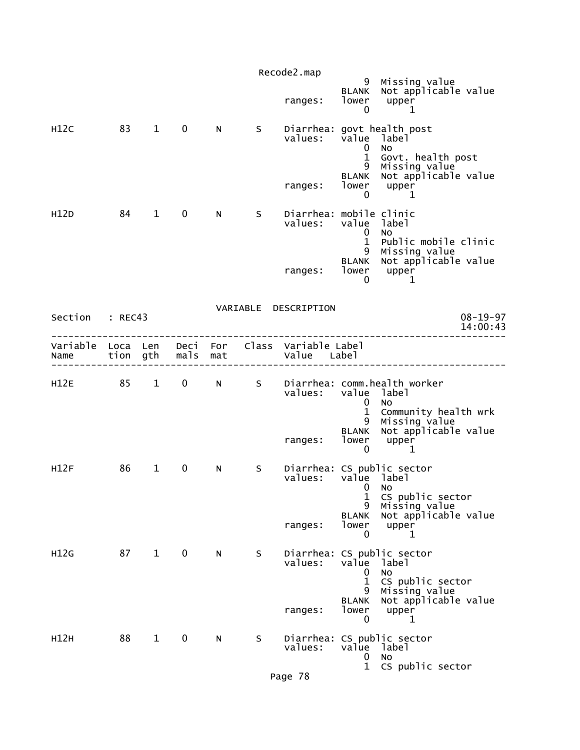|                  | Recode2.map      |                        |              |            |    |                                     |                                                                     |                                                                                                                     |                            |  |  |
|------------------|------------------|------------------------|--------------|------------|----|-------------------------------------|---------------------------------------------------------------------|---------------------------------------------------------------------------------------------------------------------|----------------------------|--|--|
|                  |                  |                        |              |            |    | ranges:                             | 9<br><b>BLANK</b><br>lower<br>$\mathbf 0$                           | Missing value<br>Not applicable value<br>upper<br>1                                                                 |                            |  |  |
| H12C             | 83               | $\mathbf{1}$           | $\mathbf 0$  | N.         | S. | values:<br>ranges:                  | value label<br>0<br>$\mathbf{1}$<br>9<br><b>BLANK</b><br>lower<br>0 | Diarrhea: govt health post<br><b>NO</b><br>Govt. health post<br>Missing value<br>Not applicable value<br>upper<br>1 |                            |  |  |
| H12D             | 84               | $\mathbf{1}$           | $\mathbf 0$  | N.         | S. | Diarrhea: mobile clinic<br>values:  | value label<br>0                                                    | No                                                                                                                  |                            |  |  |
|                  |                  |                        |              |            |    | ranges:                             | $\mathbf{1}$<br>9<br><b>BLANK</b><br>lower<br>0                     | Public mobile clinic<br>Missing value<br>Not applicable value<br>upper<br>1                                         |                            |  |  |
| Section          | : REC43          |                        |              |            |    | VARIABLE DESCRIPTION                |                                                                     |                                                                                                                     | $08 - 19 - 97$<br>14:00:43 |  |  |
| Variable<br>Name | Loca Len<br>tion | gth                    | Deci<br>mals | For<br>mat |    | Class Variable Label<br>Value Label |                                                                     |                                                                                                                     |                            |  |  |
| H12E             | 85               | $1 \quad$              | $\mathbf 0$  | N          | S  | values:                             | value label<br>0<br>$\mathbf{1}$<br>9                               | Diarrhea: comm.health worker<br>No.<br>Community health wrk                                                         |                            |  |  |
|                  |                  |                        |              |            |    | ranges:                             | <b>BLANK</b><br>lower<br>$\mathbf 0$                                | Missing value<br>Not applicable value<br>upper<br>1                                                                 |                            |  |  |
| H12F             | 86               | $\mathbf{1}$           | 0            | N          | S  | values:                             | value label<br>$\mathbf{0}$<br>1<br>9<br><b>BLANK</b>               | Diarrhea: CS public sector<br>No<br>CS public sector<br>Missing value<br>Not applicable value                       |                            |  |  |
|                  |                  |                        |              |            |    | ranges:                             | lower<br>0                                                          | upper<br>1                                                                                                          |                            |  |  |
| H12G             | 87               | $1 \quad \blacksquare$ | $\mathbf 0$  | N.         | S. | values:                             | value<br>0<br>$\mathbf{1}$<br>9<br><b>BLANK</b>                     | Diarrhea: CS public sector<br>label<br>No<br>CS public sector<br>Missing value<br>Not applicable value              |                            |  |  |
|                  |                  |                        |              |            |    | ranges:                             | lower<br>0                                                          | upper<br>1                                                                                                          |                            |  |  |
| H12H             | 88               | $\mathbf{1}$           | $\mathbf 0$  | N          | S  | values:                             | value<br>0                                                          | Diarrhea: CS public sector<br>label<br>No                                                                           |                            |  |  |
|                  |                  |                        |              |            |    | Page 78                             | $\mathbf{1}$                                                        | CS public sector                                                                                                    |                            |  |  |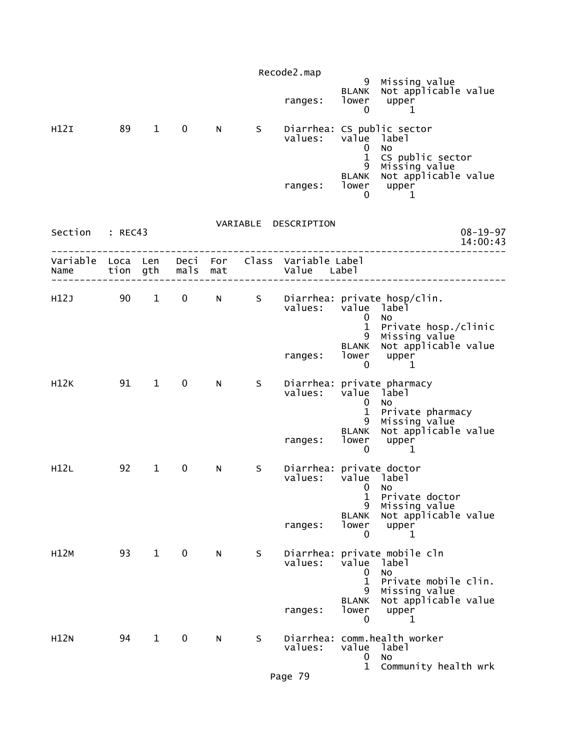|                  |    |                        |                   |   |     | Recode2.map                                       |                                             | 9 Missing value                                                                       |                            |
|------------------|----|------------------------|-------------------|---|-----|---------------------------------------------------|---------------------------------------------|---------------------------------------------------------------------------------------|----------------------------|
|                  |    |                        |                   |   |     | ranges:                                           | lower<br>0                                  | BLANK Not applicable value<br>upper<br>1                                              |                            |
| H12I             | 89 | $1 \quad \blacksquare$ | $\mathbf 0$       | N | S   | Diarrhea: CS public sector<br>values: value label | 0<br>$\mathbf{1}$                           | No<br>CS public sector                                                                |                            |
|                  |    |                        |                   |   |     | ranges:                                           | 9<br>0                                      | Missing value<br>BLANK Not applicable value<br>lower upper<br>1                       |                            |
|                  |    |                        |                   |   |     | VARIABLE DESCRIPTION                              |                                             |                                                                                       |                            |
| Section : REC43  |    |                        |                   |   |     |                                                   |                                             |                                                                                       | $08 - 19 - 97$<br>14:00:43 |
| Variable<br>Name |    | Loca Len               | tion gth mals mat |   |     | Deci For Class Variable Label<br>Value Label      |                                             |                                                                                       |                            |
| H12J             | 90 | $1 \quad \blacksquare$ |                   |   |     | values: value label                               | 0                                           | 0 N S Diarrhea: private hosp/clin.<br>No                                              |                            |
|                  |    |                        |                   |   |     | ranges:                                           | <b>BLANK</b><br>0                           | 1 Private hosp./clinic<br>9 Missing value<br>Not applicable value<br>lower upper<br>1 |                            |
| H12K             | 91 | $\mathbf 1$            | $\mathbf 0$       | N | S - | values:                                           | value label<br>$\mathbf{0}$<br>$\mathbf{1}$ | Diarrhea: private pharmacy<br>No<br>Private pharmacy                                  |                            |
|                  |    |                        |                   |   |     | ranges:                                           | $\mathbf 0$                                 | 9 Missing value<br>BLANK Not applicable value<br>lower upper<br>1                     |                            |
| H12L             | 92 | $\mathbf{1}$           | 0                 | N | S   | Diarrhea: private doctor<br>values:               | value label<br>$\mathbf{0}$<br>$\mathbf{1}$ | No<br>Private doctor                                                                  |                            |
|                  |    |                        |                   |   |     | ranges:                                           | 9<br><b>BLANK</b><br>lower<br>0             | Missing value<br>Not applicable value<br>upper<br>1                                   |                            |
| H12M             | 93 | $1 \quad \blacksquare$ | $\mathbf 0$       | N | S   | values:                                           | value<br>0<br>$\mathbf{1}$                  | Diarrhea: private mobile cln<br>label<br>No                                           |                            |
|                  |    |                        |                   |   |     | ranges:                                           | 9<br><b>BLANK</b><br>lower<br>0             | Private mobile clin.<br>Missing value<br>Not applicable value<br>upper<br>1           |                            |
| <b>H12N</b>      | 94 | $\mathbf{1}$           | 0                 | N | S   | values:                                           | value<br>0<br>$\mathbf{1}$                  | Diarrhea: comm.health worker<br>label<br>No<br>Community health wrk                   |                            |
|                  |    |                        |                   |   |     |                                                   |                                             |                                                                                       |                            |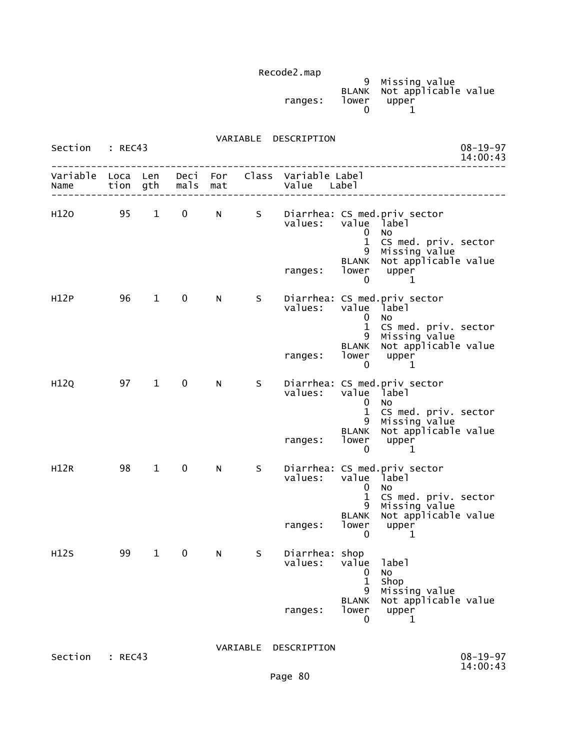|         |       | 9 Missing value            |  |
|---------|-------|----------------------------|--|
|         |       | BLANK Not applicable value |  |
| ranges: | lower | upper                      |  |
|         |       |                            |  |
|         |       |                            |  |

| Section : REC43     |      |                        |                   |   |             | VARIABLE DESCRIPTION                                               |                                                                  |                                                                                                                                                       | $08 - 19 - 97$<br>14:00:43 |
|---------------------|------|------------------------|-------------------|---|-------------|--------------------------------------------------------------------|------------------------------------------------------------------|-------------------------------------------------------------------------------------------------------------------------------------------------------|----------------------------|
| Name                |      |                        | tion gth mals mat |   |             | Variable Loca Len Deci For Class Variable Label<br>Value Label     |                                                                  |                                                                                                                                                       |                            |
| H <sub>120</sub> 95 |      | $1 \quad \blacksquare$ | $0 \qquad \qquad$ |   |             | N S Diarrhea: CS med.priv sector<br>values:<br>ranges: lower upper | value label<br>$\bf{0}$<br>$\mathbf{1}$                          | No<br>CS med. priv. sector<br>9 Missing value<br>BLANK Not applicable value                                                                           |                            |
| H12P                | 96 — | $\mathbf{1}$           | $\mathbf{0}$      | N | $S_{\perp}$ | values: value label<br>ranges:                                     | 0<br>$\mathbf{0}$<br>$\mathbf{1}$<br>0                           | $\mathbf 1$<br>Diarrhea: CS med.priv sector<br><b>NO</b><br>CS med. priv. sector<br>9 Missing value<br>BLANK Not applicable value<br>lower upper<br>1 |                            |
| H12Q                | 97   | $1 \quad$              | $\mathbf 0$       | N | S           | values:<br>ranges:                                                 | value label<br>$\mathbf{0}$<br>$\mathbf{1}$<br>$\mathbf{0}$      | Diarrhea: CS med.priv sector<br>NO<br>CS med. priv. sector<br>9 Missing value<br>BLANK Not applicable value<br>lower upper<br>1                       |                            |
| H12R                | 98   | $1 \quad \blacksquare$ | $0 \qquad \qquad$ | N | S           | values:<br>ranges:                                                 | value label<br>$\mathbf{0}$<br>$\mathbf{1}$<br>lower<br>$\Omega$ | Diarrhea: CS med.priv sector<br><b>NO</b><br>CS med. priv. sector<br>9 Missing value<br>BLANK Not applicable value<br>upper<br>1                      |                            |
| H12S                | 99   |                        | 1 0 N             |   |             | S Diarrhea: shop<br>values:<br>ranges:                             | value<br>0<br>$\mathbf 1$<br>9<br><b>BLANK</b><br>lower<br>0     | label<br>No<br>Shop<br>Missing value<br>Not applicable value<br>upper<br>1                                                                            |                            |
|                     |      |                        |                   |   | VARIABLE    | DESCRIPTION                                                        |                                                                  |                                                                                                                                                       |                            |

Section : REC43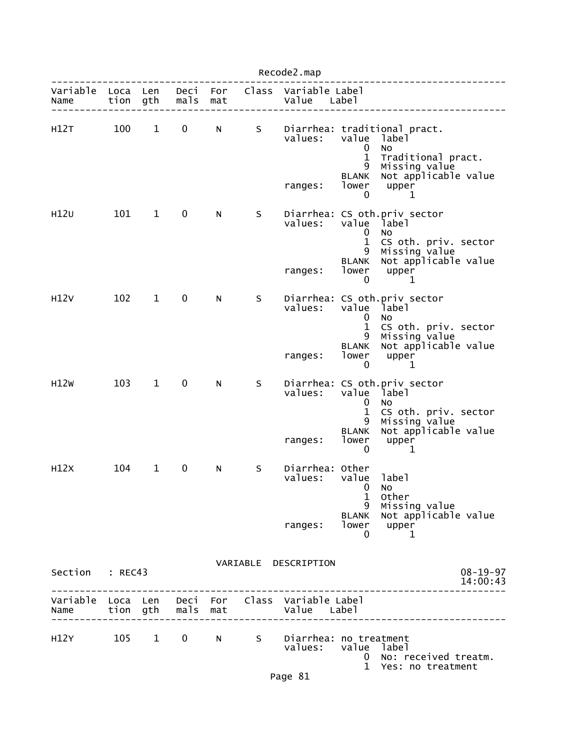| Recode2.map      |              |              |                   |            |    |                                                                |                                              |                                                                                      |  |  |
|------------------|--------------|--------------|-------------------|------------|----|----------------------------------------------------------------|----------------------------------------------|--------------------------------------------------------------------------------------|--|--|
| Variable<br>Name | Loca<br>tion | Len<br>gth   | Deci<br>mals      | For<br>mat |    | Class Variable Label<br>Value Label                            |                                              |                                                                                      |  |  |
| H12T             | 100          | $\mathbf{1}$ | 0                 | N          | S  | values:                                                        | value<br>0<br>$\mathbf{1}$<br>9              | Diarrhea: traditional pract.<br>label<br>No<br>Traditional pract.<br>Missing value   |  |  |
|                  |              |              |                   |            |    | ranges:                                                        | <b>BLANK</b><br>lower<br>0                   | Not applicable value<br>upper<br>1                                                   |  |  |
| H12U             | 101          | $\mathbf{1}$ | 0                 | N          | S. | values:                                                        | value<br>0<br>$\mathbf{1}$                   | Diarrhea: CS oth.priv sector<br>label<br>No<br>CS oth. priv. sector                  |  |  |
|                  |              |              |                   |            |    | ranges:                                                        | 9<br><b>BLANK</b><br>lower<br>0              | Missing value<br>Not applicable value<br>upper<br>1                                  |  |  |
| H12V             | 102          | $\mathbf{1}$ | 0                 | N          | S  | values:                                                        | value<br>$\mathbf 0$<br>1                    | Diarrhea: CS oth.priv sector<br>label<br><b>NO</b><br>CS oth. priv. sector           |  |  |
|                  |              |              |                   |            |    | ranges:                                                        | 9<br><b>BLANK</b><br>lower<br>$\overline{0}$ | Missing value<br>Not applicable value<br>upper<br>1                                  |  |  |
| H12W             | 103          | $\mathbf{1}$ | 0                 | N          | S  | values:                                                        | value<br>0<br>1<br>9                         | Diarrhea: CS oth.priv sector<br>label<br>No<br>CS oth. priv. sector<br>Missing value |  |  |
|                  |              |              |                   |            |    | ranges:                                                        | <b>BLANK</b><br>lower<br>0                   | Not applicable value<br>upper<br>1                                                   |  |  |
| H12X             | 104          | $\mathbf 1$  | 0                 | N          | S  | Diarrhea: Other<br>values:                                     | value<br>$0$ No<br>1                         | label<br>Other                                                                       |  |  |
|                  |              |              |                   |            |    | ranges:                                                        | 9<br><b>BLANK</b><br>lower<br>0              | Missing value<br>Not applicable value<br>upper<br>1                                  |  |  |
| Section : REC43  |              |              |                   |            |    | VARIABLE DESCRIPTION                                           |                                              | $08 - 19 - 97$<br>14:00:43                                                           |  |  |
| Name             |              |              | tion gth mals mat |            |    | Variable Loca Len Deci For Class Variable Label<br>Value Label |                                              |                                                                                      |  |  |
| H12Y 105         |              | 1            | $\mathbf 0$       | N i        | S  | Diarrhea: no treatment<br>values:                              | value label<br>$\mathbf{1}$                  | 0 No: received treatm.<br>Yes: no treatment                                          |  |  |
|                  |              |              |                   |            |    | Page 81                                                        |                                              |                                                                                      |  |  |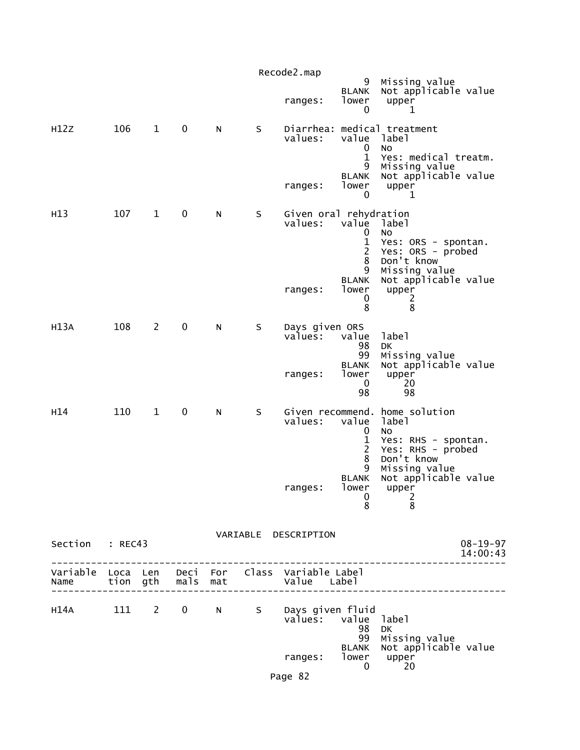|                 |     |                |             |   |   | Recode2.map                       | 9                                                                               | Missing value                                                                                                             |                            |
|-----------------|-----|----------------|-------------|---|---|-----------------------------------|---------------------------------------------------------------------------------|---------------------------------------------------------------------------------------------------------------------------|----------------------------|
|                 |     |                |             |   |   | ranges:                           | <b>BLANK</b><br>lower<br>0                                                      | Not applicable value<br>upper<br>1                                                                                        |                            |
| H12Z            | 106 | $\mathbf{1}$   | $\mathbf 0$ | N | S | values:                           | value<br>0<br>$\mathbf{1}$<br>9<br><b>BLANK</b>                                 | Diarrhea: medical treatment<br>label<br>No<br>Yes: medical treatm.<br>Missing value<br>Not applicable value               |                            |
|                 |     |                |             |   |   | ranges:                           | lower<br>0                                                                      | upper<br>1                                                                                                                |                            |
| H13             | 107 | $\mathbf{1}$   | $\mathbf 0$ | N | S | values:                           | Given oral rehydration<br>value<br>0<br>$\mathbf 1$<br>$\overline{2}$<br>8<br>9 | label<br>No<br>Yes: ORS - spontan.<br>Yes: ORS - probed<br>Don't know<br>Missing value                                    |                            |
|                 |     |                |             |   |   | ranges:                           | <b>BLANK</b><br>lower<br>0<br>8                                                 | Not applicable value<br>upper<br>2<br>8                                                                                   |                            |
| H13A            | 108 | $\overline{2}$ | $\mathbf 0$ | N | S | Days given ORS<br>values:         | value<br>98<br>99                                                               | label<br>DK<br>Missing value                                                                                              |                            |
|                 |     |                |             |   |   | ranges:                           | <b>BLANK</b><br>lower<br>0<br>98                                                | Not applicable value<br>upper<br>20<br>98                                                                                 |                            |
| H <sub>14</sub> | 110 | $\mathbf{1}$   | $\mathbf 0$ | N | S | values:                           | value<br>0<br>1<br>$\overline{c}$<br>8<br>9                                     | Given recommend. home solution<br>label<br>No.<br>Yes: RHS - spontan.<br>Yes: RHS - probed<br>Don't know<br>Missing value |                            |
|                 |     |                |             |   |   | ranges:                           | <b>BLANK</b><br>lower<br>0<br>8                                                 | Not applicable value<br>upper<br>$\overline{2}$<br>8                                                                      |                            |
| Section : REC43 |     |                |             |   |   | VARIABLE DESCRIPTION              |                                                                                 |                                                                                                                           | $08 - 19 - 97$<br>14:00:43 |
|                 |     |                |             |   |   |                                   |                                                                                 | ______________________                                                                                                    |                            |
|                 |     |                |             |   |   | H14A 111 2 0 N S Days given fluid | values: value label<br>98                                                       | DK                                                                                                                        |                            |
|                 |     |                |             |   |   | ranges:                           | 99<br><b>BLANK</b><br>lower<br>$\mathbf{0}$                                     | Missing value<br>Not applicable value<br>upper<br>20                                                                      |                            |
|                 |     |                |             |   |   | Page 82                           |                                                                                 |                                                                                                                           |                            |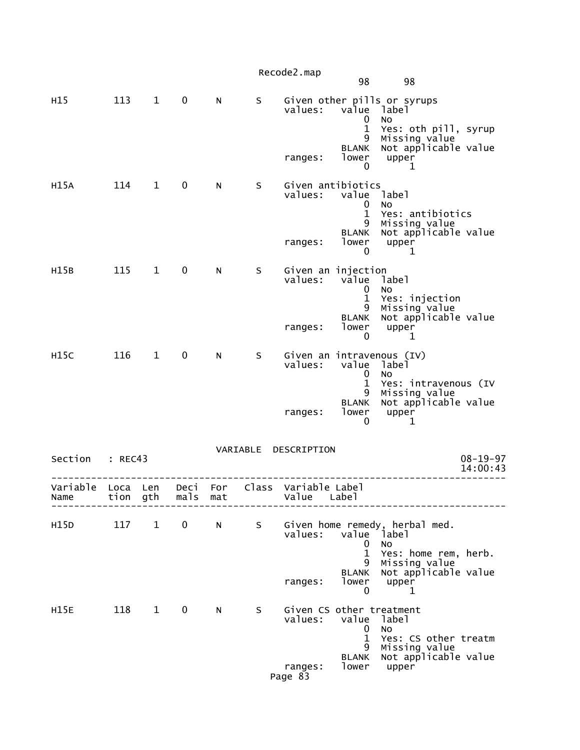|                   |                  |              |              |            |       | Recode2.map                         |                                                           |                                                                                   |                            |
|-------------------|------------------|--------------|--------------|------------|-------|-------------------------------------|-----------------------------------------------------------|-----------------------------------------------------------------------------------|----------------------------|
|                   |                  |              |              |            |       |                                     | 98                                                        | 98                                                                                |                            |
| H <sub>15</sub>   | 113              | $\mathbf{1}$ | $\mathbf 0$  | N          | S     | values:                             | value<br>0<br>$\mathbf{1}$                                | Given other pills or syrups<br>label<br>NO                                        |                            |
|                   |                  |              |              |            |       | ranges:                             | 9<br><b>BLANK</b><br>lower<br>0                           | Yes: oth pill, syrup<br>Missing value<br>Not applicable value<br>upper<br>1       |                            |
| H15A              | 114              | $\mathbf{1}$ | $\mathbf 0$  | N          | S     | Given antibiotics<br>values:        | value<br>0<br>$\mathbf{1}$                                | label<br>No<br>Yes: antibiotics                                                   |                            |
|                   |                  |              |              |            |       | ranges:                             | 9<br><b>BLANK</b><br>lower<br>0                           | Missing value<br>Not applicable value<br>upper<br>1                               |                            |
| H15B              | 115              | $\mathbf{1}$ | $\mathbf 0$  | N          | S     | Given an injection<br>values:       | value<br>0<br>$\mathbf{1}$                                | label<br>No<br>Yes: injection                                                     |                            |
|                   |                  |              |              |            |       | ranges:                             | 9<br><b>BLANK</b><br>lower<br>0                           | Missing value<br>Not applicable value<br>upper<br>1                               |                            |
| H <sub>15</sub> C | 116              | $\mathbf{1}$ | 0            | N          | S     | values:                             | value<br>0<br>1<br>9                                      | Given an intravenous (IV)<br>label<br>No<br>Yes: intravenous (IV<br>Missing value |                            |
|                   |                  |              |              |            |       | ranges:                             | <b>BLANK</b><br>lower<br>0                                | Not applicable value<br>upper<br>1                                                |                            |
| Section           | : REC43          |              |              |            |       | VARIABLE DESCRIPTION                |                                                           |                                                                                   | $08 - 19 - 97$<br>14:00:43 |
| Variable<br>Name  | Loca<br>tion gth | Len          | Deci<br>mals | For<br>mat | Class | Variable Label<br>Value             | Labe]                                                     |                                                                                   |                            |
| H15D              | 117              | $\mathbf{1}$ | $\mathbf 0$  | N          | S     | values:                             | value<br>0                                                | Given home remedy, herbal med.<br><sup>1</sup> abel<br><b>NO</b>                  |                            |
|                   |                  |              |              |            |       | ranges:                             | $\mathbf{1}$<br>9<br><b>BLANK</b><br>lower<br>$\mathbf 0$ | Yes: home rem, herb.<br>Missing value<br>Not applicable value<br>upper<br>1       |                            |
| <b>H15E</b>       | 118              | $\mathbf{1}$ | $\mathbf 0$  | N          | S     | Given CS other treatment<br>values: | value<br>0                                                | ]abe]<br><b>NO</b>                                                                |                            |
|                   |                  |              |              |            |       | ranges:<br>Page 83                  | $\mathbf{1}$<br>9<br>BLANK<br>lower                       | Yes: CS other treatm<br>Missing value<br>Not applicable value<br>upper            |                            |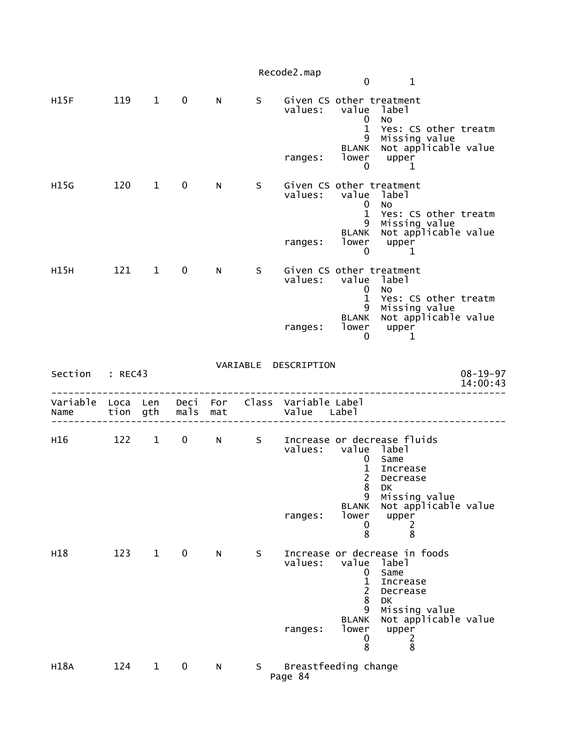|                  |                  |                |              |            |    | Recode2.map                                    | 0                                                                                              | $\mathbf{1}$                                                                                                                             |                            |
|------------------|------------------|----------------|--------------|------------|----|------------------------------------------------|------------------------------------------------------------------------------------------------|------------------------------------------------------------------------------------------------------------------------------------------|----------------------------|
| H15F             | 119              | $\mathbf{1}$   | $\mathbf 0$  | N          | S. | Given CS other treatment<br>values:<br>ranges: | value label<br>$\mathbf 0$<br>$\mathbf{1}$<br>9<br>BLANK<br>lower<br>$\mathbf 0$               | No<br>Yes: CS other treatm<br>Missing value<br>Not applicable value<br>upper<br>1                                                        |                            |
| H15G             | 120              | $\overline{1}$ | $\mathbf 0$  | N          | S  | Given CS other treatment<br>values:<br>ranges: | value<br>$\mathbf 0$<br>$\mathbf{1}$<br>9<br><b>BLANK</b><br>lower<br>$\mathbf 0$              | label<br><b>NO</b><br>Yes: CS other treatm<br>Missing value<br>Not applicable value<br>upper<br>1                                        |                            |
| H15H             | 121              | $\mathbf{1}$   | $\mathbf 0$  | N          | S  | Given CS other treatment<br>values:<br>ranges: | value label<br>0<br>$\mathbf{1}$<br>9<br><b>BLANK</b><br>lower<br>$\mathbf 0$                  | <b>NO</b><br>Yes: CS other treatm<br>Missing value<br>Not applicable value<br>upper<br>1                                                 |                            |
| Section          | : REC43          |                |              |            |    | VARIABLE DESCRIPTION                           |                                                                                                |                                                                                                                                          | $08 - 19 - 97$<br>14:00:43 |
| Variable<br>Name | Loca Len<br>tion | gth            | Deci<br>mals | For<br>mat |    | Class Variable Label<br>Value                  | Label                                                                                          |                                                                                                                                          |                            |
| H16              |                  |                |              |            |    |                                                |                                                                                                |                                                                                                                                          |                            |
|                  | 122              | $\mathbf{1}$   | $\mathbf 0$  | N          | S  | values:<br>ranges:                             | value label<br>0<br>$\mathbf 1$<br>$\overline{2}$<br>8<br>9<br><b>BLANK</b><br>lower<br>0<br>8 | Increase or decrease fluids<br>Same<br>Increase<br>Decrease<br>DK<br>Missing value<br>Not applicable value<br>upper<br>2<br>8            |                            |
| H18              | 123              | $\mathbf{1}$   | $\mathbf 0$  | N          | S. | values:<br>ranges:                             | value<br>0<br>$\mathbf 1$<br>$\overline{2}$<br>8<br>9<br><b>BLANK</b><br>lower<br>0<br>8       | Increase or decrease in foods<br>label<br>Same<br>Increase<br>Decrease<br>DK<br>Missing value<br>Not applicable value<br>upper<br>2<br>8 |                            |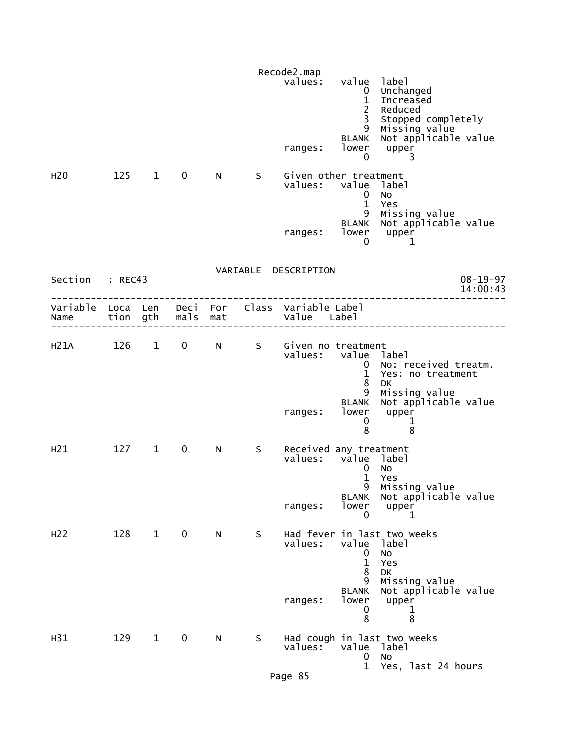| H <sub>20</sub>        |     | 125 1        | $\mathbf 0$ | N        | S. | Recode2.map<br>values:<br>ranges:<br>Given other treatment<br>values: | value<br>$\mathbf{0}$<br>$\mathbf{1}$<br>$\overline{2}$<br>3<br>9<br><b>BLANK</b><br>lower<br>$\mathbf 0$<br>value | 1abe1<br>Unchanged<br>Increased<br>Reduced<br>Stopped completely<br>Missing value<br>Not applicable value<br>upper<br>3<br>label |
|------------------------|-----|--------------|-------------|----------|----|-----------------------------------------------------------------------|--------------------------------------------------------------------------------------------------------------------|----------------------------------------------------------------------------------------------------------------------------------|
|                        |     |              |             |          |    | ranges:                                                               | $\bf{0}$<br>$\mathbf{1}$<br>9<br><b>BLANK</b><br>0                                                                 | No<br>Yes<br>Missing value<br>Not applicable value<br>lower upper<br>1                                                           |
| Section : REC43        |     |              |             |          |    | VARIABLE DESCRIPTION                                                  |                                                                                                                    | $08 - 19 - 97$<br>14:00:43                                                                                                       |
| Name tion gth mals mat |     |              |             |          |    | Variable Loca Len Deci For Class Variable Label<br>Value Label        |                                                                                                                    |                                                                                                                                  |
| H21A 126 1 0           |     |              |             | $N \sim$ | S  | Given no treatment<br>values: value label<br>ranges:                  | $\mathbf{0}$<br>$\mathbf{1}$<br>8<br>9<br><b>BLANK</b><br>lower<br>$\mathbf 0$<br>8                                | No: received treatm.<br>Yes: no treatment<br>DK<br>Missing value<br>Not applicable value<br>upper<br>$\mathbf{1}$<br>8           |
| H <sub>21</sub>        | 127 | $\mathbf{1}$ | 0           | N -      | S. | Received any treatment<br>values: value<br>ranges:                    | $\mathbf{0}$<br>$\mathbf{1}$<br>q<br><b>BLANK</b><br>lower<br>0                                                    | label<br>No<br>Yes<br>Missing value<br>Not applicable value<br>upper<br>1                                                        |
| H <sub>2</sub>         | 128 | $\mathbf 1$  | $\mathbf 0$ | N        | S  | values:<br>ranges:                                                    | value<br>0<br>$\mathbf{1}$<br>8<br>9<br><b>BLANK</b><br>lower<br>0<br>8                                            | Had fever in last two weeks<br>label<br>No<br>Yes<br>DK<br>Missing value<br>Not applicable value<br>upper<br>1<br>8              |
| H31                    | 129 | $\mathbf{1}$ | $\mathbf 0$ | N.       | S. | values:<br>Page 85                                                    | value<br>0<br>$\mathbf{1}$                                                                                         | Had cough in last two weeks<br>label<br>No<br>Yes, last 24 hours                                                                 |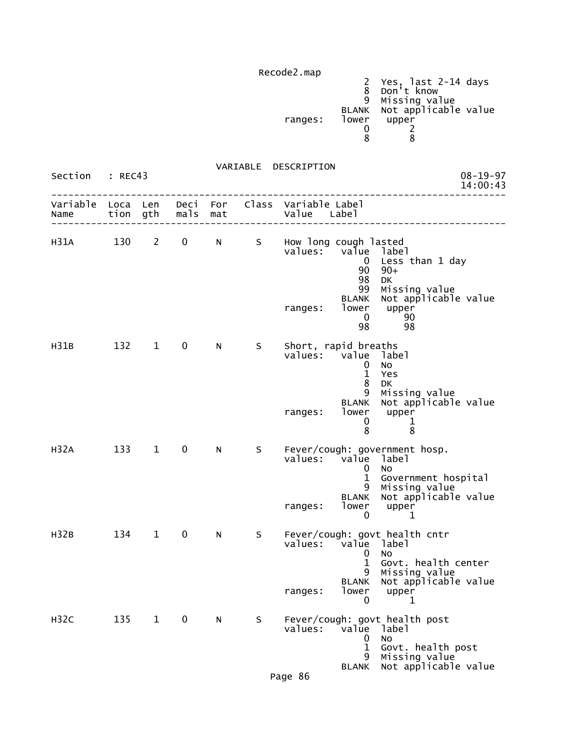| Recode2.map                |                     |  |
|----------------------------|---------------------|--|
|                            | Yes, last 2-14 days |  |
|                            | Don't know          |  |
| 9                          | Missing value       |  |
| BLANK Not applicable value |                     |  |
| lower<br>ranges:<br>upper  |                     |  |
|                            |                     |  |
|                            |                     |  |

VARIABLE DESCRIPTION

| Section<br>: REC43        |          |              |             | $08 - 19 - 97$<br>14:00:43 |    |                                                  |                                                                             |                                                                                                                                        |  |
|---------------------------|----------|--------------|-------------|----------------------------|----|--------------------------------------------------|-----------------------------------------------------------------------------|----------------------------------------------------------------------------------------------------------------------------------------|--|
| Variable Loca Len<br>Name | tion gth |              | mals        | Deci For<br>mat            |    | Class Variable Label<br>Value Label              |                                                                             |                                                                                                                                        |  |
| H31A 130 2                |          |              | $0 \qquad$  | N                          | S  | How long cough lasted<br>values:<br>ranges:      | val̃ue label<br>$\bf{0}$<br>90<br>98<br>99<br>BLANK<br>lower<br>$\mathbf 0$ | Less than 1 day<br>$90+$<br>DK<br>Missing value<br>Not applicable value<br>upper<br>90                                                 |  |
|                           |          |              |             |                            |    |                                                  | 98                                                                          | 98                                                                                                                                     |  |
| H31B                      | 132      | $\mathbf{1}$ | 0           | N                          | S. | Short, rapid breaths<br>values: value<br>ranges: | $\mathbf 0$<br>$\mathbf{1}$<br>8<br>9<br>lower<br>0<br>8                    | label<br>No<br>Yes<br>DK<br>Missing value<br>BLANK Not applicable value<br>upper<br>1<br>8                                             |  |
| H32A                      | 133      | $\mathbf{1}$ | $\mathbf 0$ | N                          | S. | values: value label<br>ranges:                   | 0<br>$\mathbf{1}$<br>lower<br>0                                             | Fever/cough: government hosp.<br>No<br>Government hospital<br>9 Missing value<br>BLANK Not applicable value<br>upper<br>1              |  |
| H32B                      | 134      | $\mathbf{1}$ | $\mathbf 0$ | N                          | S. | values: value label<br>ranges:                   | 0<br>$\mathbf 1$<br>$\mathbf 0$                                             | Fever/cough: govt health cntr<br><b>NO</b><br>Govt. health center<br>9 Missing value<br>BLANK Not applicable value<br>lower upper<br>1 |  |
| <b>H32C</b>               | 135      | $\mathbf{1}$ | $\mathbf 0$ | N                          | S  | values:<br>Page 86                               | value<br>U<br>$\mathbf 1$<br>9<br><b>BLANK</b>                              | Fever/cough: govt health post<br>label<br>No<br>Govt. health post<br>Missing value<br>Not applicable value                             |  |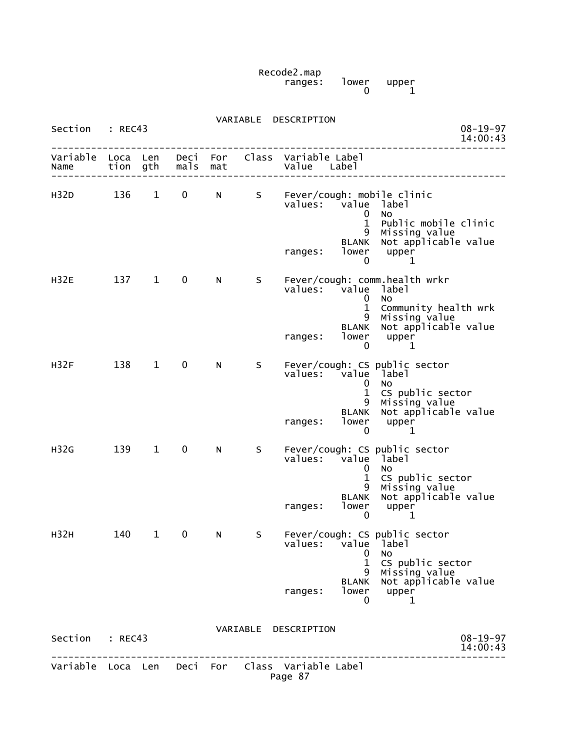Recode2.map ranges: lower upper  $\begin{bmatrix} 1$ ower upper<br>0  $\end{bmatrix}$ 

| Section          | : REC43          |              |              |            | VARIABLE | DESCRIPTION                                       |                                                                      | $08 - 19 - 97$<br>14:00:43                                                                                                         |  |
|------------------|------------------|--------------|--------------|------------|----------|---------------------------------------------------|----------------------------------------------------------------------|------------------------------------------------------------------------------------------------------------------------------------|--|
| Variable<br>Name | Loca Len<br>tion | gth          | Deci<br>mals | For<br>mat |          | Class Variable Label<br>Value Label               |                                                                      |                                                                                                                                    |  |
| H32D             | 136              | $\mathbf{1}$ | 0            | N          | S        | values:                                           | value<br>0<br>$\mathbf{1}$<br>9<br><b>BLANK</b>                      | Fever/cough: mobile clinic<br>label<br>No.<br>Public mobile clinic<br>Missing value<br>Not applicable value                        |  |
|                  |                  |              |              |            |          | ranges:                                           | lower<br>$\mathbf 0$                                                 | upper<br>1                                                                                                                         |  |
| <b>H32E</b>      | 137              | $\mathbf{1}$ | 0            | N          | S.       | values:<br>ranges:                                | value<br>0<br>$\mathbf{1}$<br>9<br><b>BLANK</b><br>lower<br>0        | Fever/cough: comm.health wrkr<br>label<br><b>NO</b><br>Community health wrk<br>Missing value<br>Not applicable value<br>upper<br>1 |  |
| H32F             | 138              | $\mathbf{1}$ | $\mathbf 0$  | N          | S        | values:<br>ranges:                                | value<br>0<br>$\mathbf{1}$<br>9<br><b>BLANK</b><br>lower<br>$\bf{0}$ | Fever/cough: CS public sector<br>label<br>No<br>CS public sector<br>Missing value<br>Not applicable value<br>upper<br>1            |  |
| H32G             | 139              | $\mathbf{1}$ | 0            | N          | S        | values:<br>ranges:                                | value<br>0<br>$\mathbf{1}$<br>9<br><b>BLANK</b><br>lower<br>0        | Fever/cough: CS public sector<br>label<br>No<br>CS public sector<br>Missing value<br>Not applicable value<br>upper<br>1            |  |
| H32H             | 140              | 1            | 0            | N          | S        | values:                                           | value<br>0<br>$\mathbf{1}$<br>9<br><b>BLANK</b>                      | Fever/cough: CS public sector<br>label<br>No<br>CS public sector<br>Missing value<br>Not applicable value                          |  |
|                  |                  |              |              |            |          | ranges:                                           | 0                                                                    | lower upper<br>1                                                                                                                   |  |
| Section : REC43  |                  |              |              |            |          | VARIABLE DESCRIPTION                              |                                                                      | $08 - 19 - 97$<br>14:00:43                                                                                                         |  |
| Variable         |                  |              |              |            |          | Loca Len Deci For Class Variable Label<br>Page 87 |                                                                      |                                                                                                                                    |  |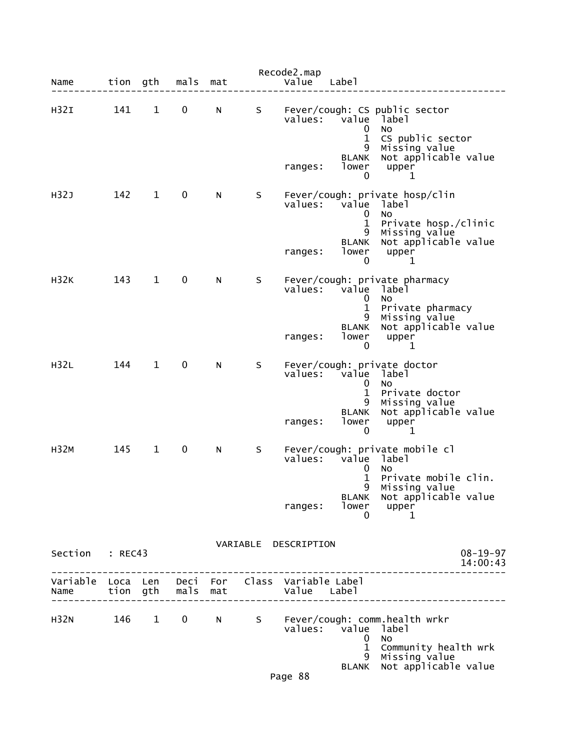| Name                                            | tion gth |              | mals | mat |   | Recode2.map<br>Value | Labe]                                                                |                                                                                                                              |                            |
|-------------------------------------------------|----------|--------------|------|-----|---|----------------------|----------------------------------------------------------------------|------------------------------------------------------------------------------------------------------------------------------|----------------------------|
| H <sub>32I</sub>                                | 141      | $\mathbf{1}$ | 0    | N   | S | values:              | value<br>0<br>1<br>9                                                 | Fever/cough: CS public sector<br>label<br>No<br>CS public sector<br>Missing value                                            |                            |
|                                                 |          |              |      |     |   | ranges:              | <b>BLANK</b><br>lower<br>0                                           | Not applicable value<br>upper<br>1                                                                                           |                            |
| H32J                                            | 142      | 1            | 0    | N   | S | values:              | value<br>0<br>1<br>9                                                 | Fever/cough: private hosp/clin<br>label<br>No<br>Private hosp./clinic<br>Missing value                                       |                            |
|                                                 |          |              |      |     |   | ranges:              | <b>BLANK</b><br>lower<br>0                                           | Not applicable value<br>upper<br>1                                                                                           |                            |
| <b>H32K</b>                                     | 143      | $\mathbf{1}$ | 0    | N   | S | values:              | value<br>0<br>1<br>9                                                 | Fever/cough: private pharmacy<br>label<br>No<br>Private pharmacy<br>Missing value                                            |                            |
|                                                 |          |              |      |     |   | ranges:              | <b>BLANK</b><br>lower<br>0                                           | Not applicable value<br>upper<br>1                                                                                           |                            |
| H32L                                            | 144      | $\mathbf 1$  | 0    | N   | S | values:<br>ranges:   | value<br>0<br>1<br>9<br><b>BLANK</b><br>lower                        | Fever/cough: private doctor<br>label<br>No<br>Private doctor<br>Missing value<br>Not applicable value<br>upper               |                            |
| <b>H32M</b>                                     | 145      | $\mathbf{1}$ | 0    | N   | S | values:              | 0<br>value<br>0<br>1                                                 | 1<br>Fever/cough: private mobile cl<br>label<br>No<br>Private mobile clin.<br>9 Missing value                                |                            |
|                                                 |          |              |      |     |   | ranges:              | BLANK<br>lower<br>0                                                  | Not applicable value<br>upper<br>1                                                                                           |                            |
| Section : REC43                                 |          |              |      |     |   | VARIABLE DESCRIPTION |                                                                      | ____________________                                                                                                         | $08 - 19 - 97$<br>14:00:43 |
| Variable Loca Len Deci For Class Variable Label |          |              |      |     |   |                      |                                                                      |                                                                                                                              |                            |
|                                                 |          |              |      |     |   |                      | values: value label<br>$\bf{0}$<br>$\mathbf{1}$<br>9<br><b>BLANK</b> | H32N 146 1 0 N S Fever/cough: comm.health wrkr<br><b>NO</b><br>Community health wrk<br>Missing value<br>Not applicable value |                            |
|                                                 |          |              |      |     |   | Page 88              |                                                                      |                                                                                                                              |                            |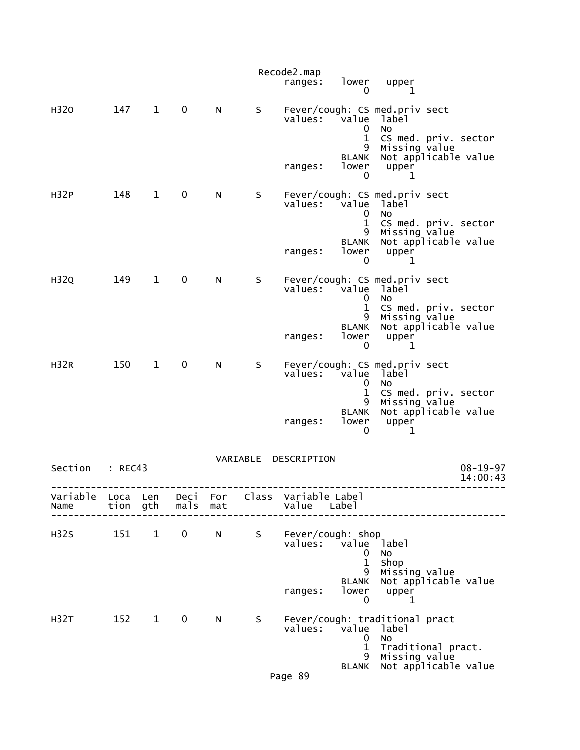|                  |              |              |              |            |          | Recode2.map<br>ranges:  | lower<br>0                                              | upper<br>1                                                                  |                            |
|------------------|--------------|--------------|--------------|------------|----------|-------------------------|---------------------------------------------------------|-----------------------------------------------------------------------------|----------------------------|
| H320             | 147          | $\mathbf{1}$ | $\mathbf 0$  | N          | S        | values:                 | value<br>0                                              | Fever/cough: CS med.priv sect<br>label<br><b>NO</b>                         |                            |
|                  |              |              |              |            |          | ranges:                 | $\mathbf 1$<br>9<br><b>BLANK</b><br>lower<br>0          | CS med. priv. sector<br>Missing value<br>Not applicable value<br>upper<br>1 |                            |
| H32P             | 148          | $\mathbf{1}$ | 0            | N          | S.       | values:                 | value<br>0<br>1                                         | Fever/cough: CS med.priv sect<br>label<br>No<br>CS med. priv. sector        |                            |
|                  |              |              |              |            |          | ranges:                 | 9<br><b>BLANK</b><br>lower<br>0                         | Missing value<br>Not applicable value<br>upper<br>1                         |                            |
| H32Q             | 149          | $\mathbf{1}$ | $\mathbf 0$  | N          | S        | values:                 | value<br>0<br>$\mathbf 1$                               | Fever/cough: CS med.priv sect<br>label<br>NO<br>CS med. priv. sector        |                            |
|                  |              |              |              |            |          | ranges:                 | 9<br><b>BLANK</b><br>lower<br>0                         | Missing value<br>Not applicable value<br>upper<br>1                         |                            |
| <b>H32R</b>      | 150          | $\mathbf{1}$ | $\mathbf 0$  | N          | S        |                         | values: value<br>0                                      | Fever/cough: CS med.priv sect<br>label<br>NO                                |                            |
|                  |              |              |              |            |          | ranges:                 | $\mathbf{1}$<br>9<br><b>BLANK</b><br>lower<br>0         | CS med. priv. sector<br>Missing value<br>Not applicable value<br>upper<br>1 |                            |
| Section          | : REC43      |              |              |            | VARIABLE | DESCRIPTION             |                                                         |                                                                             | $08 - 19 - 97$<br>14:00:43 |
| Variable<br>Name | Loca<br>tion | Len<br>gth   | Deci<br>mals | For<br>mat | Class    | Variable Label<br>Value | Label                                                   |                                                                             |                            |
| H <sub>325</sub> | 151          | $\mathbf{1}$ | $\mathbf 0$  | N          | S.       |                         | Fever/cough: shop<br>values: value<br>0<br>$\mathbf{1}$ | label<br>No<br>Shop                                                         |                            |
|                  |              |              |              |            |          | ranges:                 | 9<br><b>BLANK</b><br>lower<br>0                         | Missing value<br>Not applicable value<br>upper<br>1                         |                            |
| H <sub>32T</sub> | 152          | $\mathbf{1}$ | $\mathbf 0$  | N          | S        | values:                 | value<br>0<br>$\mathbf{1}$                              | Fever/cough: traditional pract<br>label<br>No<br>Traditional pract.         |                            |
|                  |              |              |              |            |          | Page 89                 | 9<br>BLANK                                              | Missing value<br>Not applicable value                                       |                            |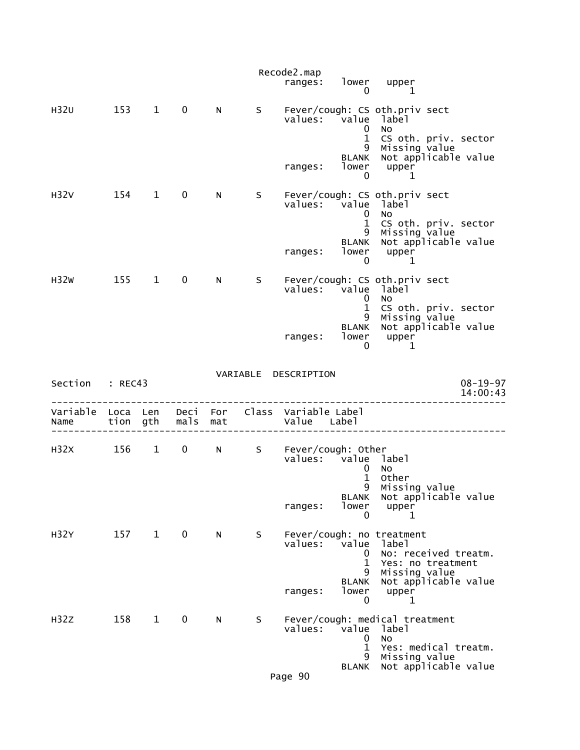|                  |                  |                        |              |            |    | Recode2.map<br>ranges:              | lower<br>0                                                | upper<br>1                                                                             |                            |
|------------------|------------------|------------------------|--------------|------------|----|-------------------------------------|-----------------------------------------------------------|----------------------------------------------------------------------------------------|----------------------------|
| H32U             | 153              | $\mathbf{1}$           | $\mathbf 0$  | N          | S  | values:                             | value<br>0                                                | Fever/cough: CS oth.priv sect<br>label<br><b>NO</b>                                    |                            |
|                  |                  |                        |              |            |    | ranges:                             | $\mathbf{1}$<br>9<br><b>BLANK</b><br>lower<br>$\mathbf 0$ | CS oth. priv. sector<br>Missing value<br>Not applicable value<br>upper<br>1            |                            |
| H <sub>32V</sub> | 154              | $\mathbf{1}$           | $\mathbf 0$  | N          | S. | values:                             | value label<br>0<br>$\mathbf{1}$                          | Fever/cough: CS oth.priv sect<br><b>NO</b><br>CS oth. priv. sector                     |                            |
|                  |                  |                        |              |            |    | ranges:                             | 9<br><b>BLANK</b><br>lower<br>$\mathbf{0}$                | Missing value<br>Not applicable value<br>upper<br>1                                    |                            |
| H32W             | 155              | $\mathbf{1}$           | $\mathbf 0$  | N          | S  | values:                             | value<br>0                                                | Fever/cough: CS oth.priv sect<br>label<br>No                                           |                            |
|                  |                  |                        |              |            |    | ranges:                             | $\mathbf 1$<br>9<br><b>BLANK</b><br>lower<br>0            | CS oth. priv. sector<br>Missing value<br>Not applicable value<br>upper<br>1            |                            |
|                  |                  |                        |              |            |    | VARIABLE DESCRIPTION                |                                                           |                                                                                        |                            |
| Section          | : REC43          |                        |              |            |    |                                     |                                                           |                                                                                        | $08 - 19 - 97$<br>14:00:43 |
| Variable<br>Name | Loca Len<br>tion | gth                    | Deci<br>mals | For<br>mat |    | Class Variable Label<br>Value Label |                                                           |                                                                                        |                            |
| H32X             | 156              | $\mathbf{1}$           | $\mathbf 0$  | N          | S  | Fever/cough: Other<br>values: value | 0<br>$\mathbf 1$                                          | label<br>No<br>Other                                                                   |                            |
|                  |                  |                        |              |            |    | ranges:                             | BLANK<br>lower<br>0                                       | 9 Missing value<br>Not applicable value<br>upper<br>1                                  |                            |
| H32Y             | 157              | $1 \quad \blacksquare$ | $\mathbf 0$  | N.         | S  | values:                             | <i>v</i> alue<br>0<br>1                                   | Fever/cough: no treatment<br>label<br>No: received treatm.<br>Yes: no treatment        |                            |
|                  |                  |                        |              |            |    | ranges:                             | 9<br><b>BLANK</b><br>lower<br>0                           | Missing value<br>Not applicable value<br>upper<br>1                                    |                            |
| H <sub>32Z</sub> | 158              | $\mathbf{1}$           | $\mathbf 0$  | N          | S  | values:                             | value<br>0<br>$\mathbf{1}$<br>9                           | Fever/cough: medical treatment<br>label<br>No<br>Yes: medical treatm.<br>Missing value |                            |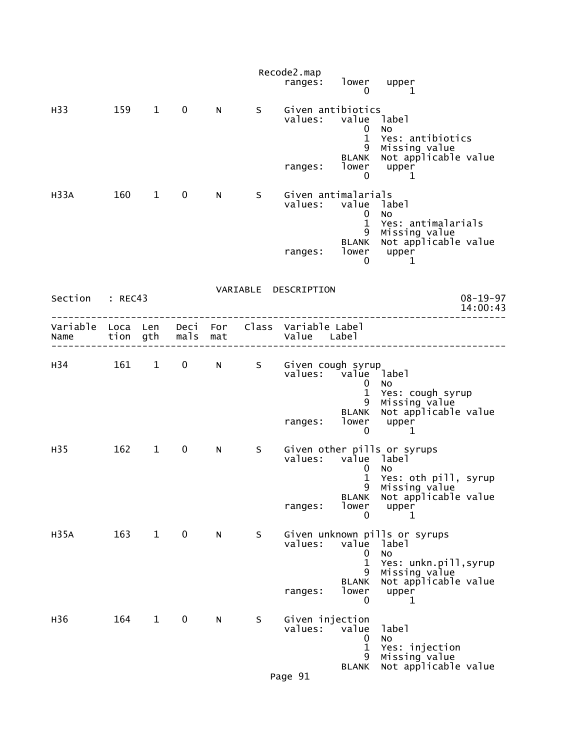|                                                                                           |         |              |              |   |   | Recode2.map                    | ranges: lower upper                                           |                                                                              |                            |
|-------------------------------------------------------------------------------------------|---------|--------------|--------------|---|---|--------------------------------|---------------------------------------------------------------|------------------------------------------------------------------------------|----------------------------|
|                                                                                           |         |              |              |   |   |                                | 0                                                             | 1                                                                            |                            |
| H33                                                                                       | 159 1 0 |              |              | N | S |                                | Given antibiotics<br>values: value label<br>0<br>$\mathbf{1}$ | No<br>Yes: antibiotics                                                       |                            |
|                                                                                           |         |              |              |   |   |                                | 9<br><b>BLANK</b><br>ranges: lower upper<br>0 1               | Missing value<br>Not applicable value                                        |                            |
| H33A                                                                                      | $160$ 1 |              | $\mathbf{0}$ | N | S | Given antimalarials<br>values: | value label<br>$\mathbf{0}$<br>$\mathbf{1}$<br>9              | No<br>Yes: antimalarials<br>Missing value                                    |                            |
|                                                                                           |         |              |              |   |   |                                |                                                               | BLANK Not applicable value<br>ranges: lower upper<br>0 1                     |                            |
| Section : REC43                                                                           |         |              |              |   |   | VARIABLE DESCRIPTION           |                                                               |                                                                              | $08 - 19 - 97$<br>14:00:43 |
| Variable Loca Len Deci For Class Variable-Label<br>Name tion gth mals mat and Value Label |         |              |              |   |   |                                |                                                               |                                                                              |                            |
| H34 161 1 0 N S Given cough syrup                                                         |         |              |              |   |   |                                | values: value label<br>$\overline{0}$<br>$\mathbf{1}$         | No.<br>Yes: cough syrup                                                      |                            |
|                                                                                           |         |              |              |   |   |                                | ranges: lower upper<br>0                                      | 9 Missing value<br>BLANK Not applicable value<br>$\mathbf{1}$                |                            |
| H35                                                                                       |         | 162 1        | $\mathbf{0}$ | N | S |                                | values: value label<br>$\mathbf 0$<br>$\mathbf{1}$<br>9       | Given other pills or syrups<br>No<br>Yes: oth pill, syrup<br>Missing value   |                            |
|                                                                                           |         |              |              |   |   | ranges:                        | <b>BLANK</b><br>lower<br>0                                    | Not applicable value<br>upper<br>ı                                           |                            |
| <b>H35A</b>                                                                               | 163     | $\mathbf{1}$ | $\mathbf 0$  | N | S | values:                        | value<br>0                                                    | Given unknown pills or syrups<br>label<br>NO                                 |                            |
|                                                                                           |         |              |              |   |   | ranges:                        | 1<br>9<br><b>BLANK</b><br>lower<br>0                          | Yes: unkn.pill, syrup<br>Missing value<br>Not applicable value<br>upper<br>1 |                            |
| H36                                                                                       | 164     | $\mathbf{1}$ | 0            | N | S | Given injection<br>values:     | value<br>0<br>1                                               | label<br>NO<br>Yes: injection                                                |                            |
|                                                                                           |         |              |              |   |   | Page 91                        | 9<br><b>BLANK</b>                                             | Missing value<br>Not applicable value                                        |                            |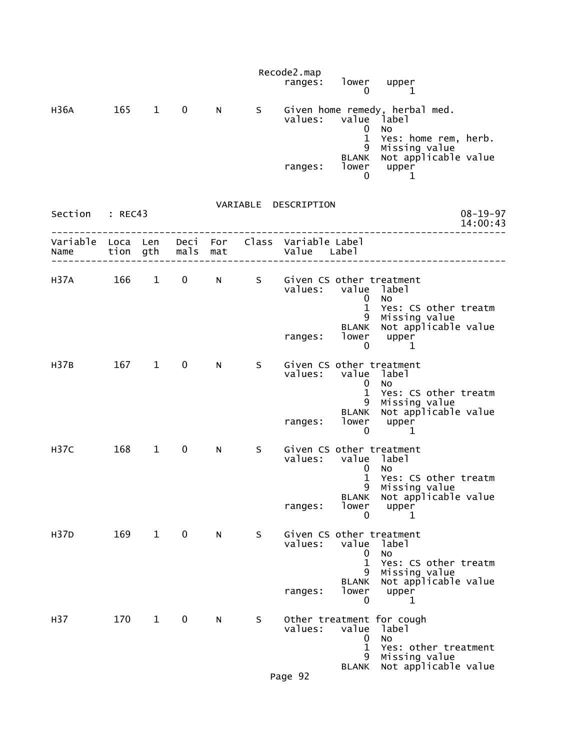|                  |                      |              |              |            |    | Recode2.map<br>ranges:                          | lower<br>$\bf{0}$                                                  | upper<br>1                                                                                                       |  |
|------------------|----------------------|--------------|--------------|------------|----|-------------------------------------------------|--------------------------------------------------------------------|------------------------------------------------------------------------------------------------------------------|--|
| H36A             | 165                  | 1            | $\mathbf 0$  | N          | S  | values:                                         | value <sup>1</sup> abel<br>0                                       | Given home remedy, herbal med.<br>No                                                                             |  |
|                  |                      |              |              |            |    | ranges:                                         | $\mathbf{1}$<br>9<br><b>BLANK</b><br>lower<br>0                    | Yes: home rem, herb.<br>Missing value<br>Not applicable value<br>upper<br>1                                      |  |
| Section          | : REC43              |              |              |            |    | VARIABLE DESCRIPTION                            |                                                                    | $08 - 19 - 97$<br>14:00:43                                                                                       |  |
| Variable<br>Name | Loca Len<br>tion gth |              | Deci<br>mals | For<br>mat |    | Class Variable Label<br>Value Label             |                                                                    |                                                                                                                  |  |
| H37A             | 166                  | $1 \quad$    | $\mathbf 0$  | N          | S  | Given CS other treatment<br>values: value label | 0<br>$\mathbf{1}$<br>9                                             | No<br>Yes: CS other treatm<br>Missing value                                                                      |  |
|                  |                      |              |              |            |    | ranges:                                         | <b>BLANK</b><br>lower<br>0                                         | Not applicable value<br>upper<br>1                                                                               |  |
| H37B             | 167                  | $1 \quad$    | $\mathbf 0$  | N          | S. | Given CS other treatment<br>values:<br>ranges:  | value label<br>0<br>$\mathbf 1$<br>9<br><b>BLANK</b><br>lower<br>0 | No<br>Yes: CS other treatm<br>Missing value<br>Not applicable value<br>upper<br>1                                |  |
| <b>H37C</b>      | 168                  | $\mathbf{1}$ | 0            | N          | S  | Given CS other treatment<br>values:             | value<br>U<br>$\mathbf 1$<br><b>BLANK</b>                          | label<br>No<br>Yes: CS other treatm<br>9 Missing value<br>Not applicable value                                   |  |
|                  |                      |              |              |            |    | ranges:                                         | lower<br>0                                                         | upper<br>1                                                                                                       |  |
| H37D             | 169                  | $\mathbf{1}$ | $\mathbf 0$  | N          | S  | Given CS other treatment<br>values:             | value<br>$\mathbf 0$<br>$\mathbf{1}$<br>9<br><b>BLANK</b>          | label<br><b>NO</b><br>Yes: CS other treatm<br>Missing value<br>Not applicable value                              |  |
|                  |                      |              |              |            |    | ranges:                                         | lower<br>0                                                         | upper<br>1                                                                                                       |  |
| H37              | 170                  | $\mathbf{1}$ | 0            | N          | S. | values:<br>Page 92                              | value<br>0<br>$\mathbf{1}$<br>9<br>BLANK                           | Other treatment for cough<br>label<br><b>NO</b><br>Yes: other treatment<br>Missing value<br>Not applicable value |  |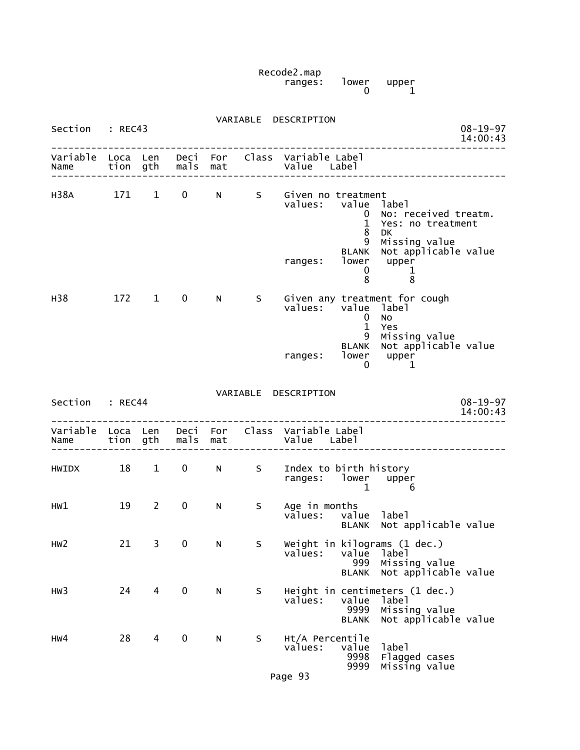Recode2.map ranges: lower upper  $\begin{bmatrix} 1$ ower upper<br>0  $\end{bmatrix}$ 

| Section          | : REC43  |              |             |                 |     | VARIABLE DESCRIPTION<br>$08 - 19 - 97$<br>14:00:43                                                                                             |  |
|------------------|----------|--------------|-------------|-----------------|-----|------------------------------------------------------------------------------------------------------------------------------------------------|--|
| Variable<br>Name | Loca Len | tion gth     | mals        | Deci For<br>mat |     | Class Variable Label<br>Value Label                                                                                                            |  |
| H38A             | 171      | $\mathbf{1}$ | $\mathbf 0$ | N               | S   | Given no treatment<br>value<br>values:<br>label<br>No: received treatm.<br>$\mathbf{0}$<br>$\mathbf{1}$<br>Yes: no treatment<br>8<br><b>DK</b> |  |
|                  |          |              |             |                 |     | 9<br>Missing value<br>Not applicable value<br><b>BLANK</b><br>lower<br>upper<br>ranges:<br>0<br>1<br>8<br>8                                    |  |
| H38              | 172 1    |              | $\mathbf 0$ | N               | S – | Given any treatment for cough<br>values:<br>value<br>label<br>No<br>0<br>$\mathbf{1}$<br>Yes                                                   |  |
|                  |          |              |             |                 |     | 9<br>Missing value<br>Not applicable value<br><b>BLANK</b><br>lower<br>upper<br>ranges:<br>0<br>1                                              |  |
| Section : REC44  |          |              |             |                 |     | VARIABLE DESCRIPTION<br>$08 - 19 - 97$<br>14:00:43                                                                                             |  |
| Variable<br>Name | Loca Len | tion gth     | mals        | Deci For<br>mat |     | Class Variable Label<br>Value Label                                                                                                            |  |
| <b>HWIDX</b>     | 18       | $\mathbf{1}$ | 0           | N               | S   | Index to birth history<br>ranges: lower<br>upper<br>$\mathbf 1$<br>6                                                                           |  |
| HW1              | 19       | 2            | $\mathbf 0$ | N               | S.  | Age in months<br>values: valu<br>value<br>label<br>Not applicable value<br><b>BLANK</b>                                                        |  |
| HW <sub>2</sub>  | 21       | 3            | 0           | N               | S   | Weight in kilograms (1 dec.)<br>values:<br>label<br>value<br>Missing value<br>999<br>Not applicable value<br><b>BLANK</b>                      |  |
| HW <sub>3</sub>  | 24       | 4            | $\pmb{0}$   | N               | S   | Height in centimeters (1 dec.)<br>values:<br>value<br>label<br>9999<br>Missing value<br>Not applicable value<br><b>BLANK</b>                   |  |
| HW4              | 28       | 4            | 0           | N               | S   | Ht/A Percentile<br>label<br>value<br>values:<br>9998<br>Flagged cases<br>9999<br>Missing value                                                 |  |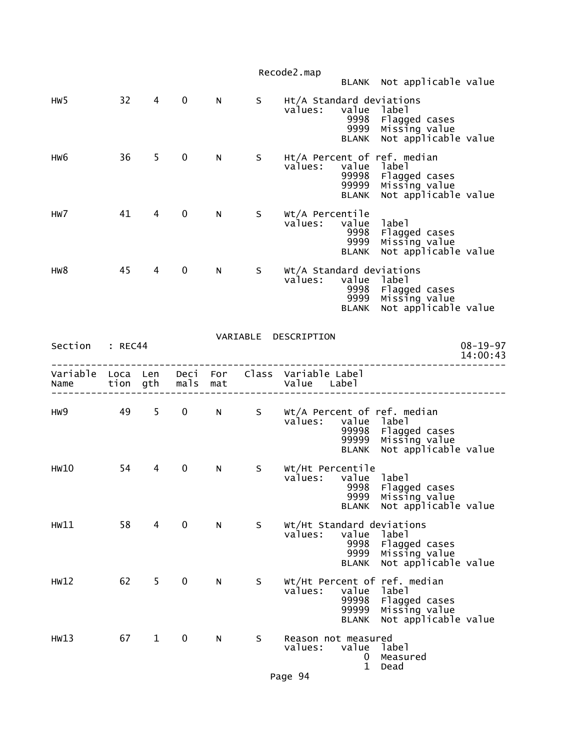|                 |    |                |             |   |      | Recode2.map<br>BLANK Not applicable value                                                                                                                    |                            |
|-----------------|----|----------------|-------------|---|------|--------------------------------------------------------------------------------------------------------------------------------------------------------------|----------------------------|
| HW <sub>5</sub> | 32 | $\overline{4}$ | $\mathbf 0$ | N | S in | Ht/A Standard deviations<br>values:<br>value label<br>9998<br>Flagged cases<br>Missing value<br>9999<br>Not applicable value<br><b>BLANK</b>                 |                            |
| HW6             | 36 | $5^{\circ}$    | 0           | N |      | S Ht/A Percent of ref. median<br>values:<br>value label<br>99998<br>Flagged cases<br>Missing value<br>99999<br>Not applicable value<br><b>BLANK</b>          |                            |
| HW7             | 41 | 4              | 0           | N | S –  | Wt/A Percentile<br>values: value<br>label<br>Flagged cases<br>Missing value<br>9998<br>9999<br>Not applicable value<br><b>BLANK</b>                          |                            |
| HW8             | 45 | $\overline{4}$ | $\mathbf 0$ | N |      | S Wt/A Standard deviations<br>values: value label<br>9998<br>9998 Flagged cases<br>9999 Missing value<br><b>BLANK</b><br>Not applicable value                |                            |
| Section : REC44 |    |                |             |   |      | VARIABLE DESCRIPTION                                                                                                                                         | $08 - 19 - 97$<br>14:00:43 |
| Name            |    |                |             |   |      | Variable Loca Len Deci For Class Variable Label<br>tion gth mals mat and value Label                                                                         |                            |
| HW9             |    |                |             |   |      | 49 5 O N S Wt/A Percent of ref. median<br>values:<br>value label<br>Flagged cases<br>99998<br>Missing value<br>Not applicable value<br>99999<br><b>BLANK</b> |                            |
| HW10            | 54 | 4              | 0           | N | S    | Wt/Ht Percentile<br>values: value label<br>9998  Flagged cases<br>9999  Missing value<br>Not applicable value<br>BLANK                                       |                            |
| HW11            | 58 | $\overline{4}$ | $\mathbf 0$ | N | S.   | Wt/Ht Standard deviations<br>values:<br>value<br>label<br>9998<br>Flagged cases<br>9999<br>Missing value<br>Not applicable value<br><b>BLANK</b>             |                            |
| HW12            | 62 | 5              | 0           | N | S    | Wt/Ht Percent of ref. median<br>label<br>values:<br>value<br>99998<br>Flagged cases<br>99999<br>Missing value<br>Not applicable value<br><b>BLANK</b>        |                            |
| HW13            | 67 | $\mathbf{1}$   | 0           | N | S    | Reason not measured<br>values:<br>value<br>label<br>Measured<br>0<br>$\mathbf{1}$<br>Dead                                                                    |                            |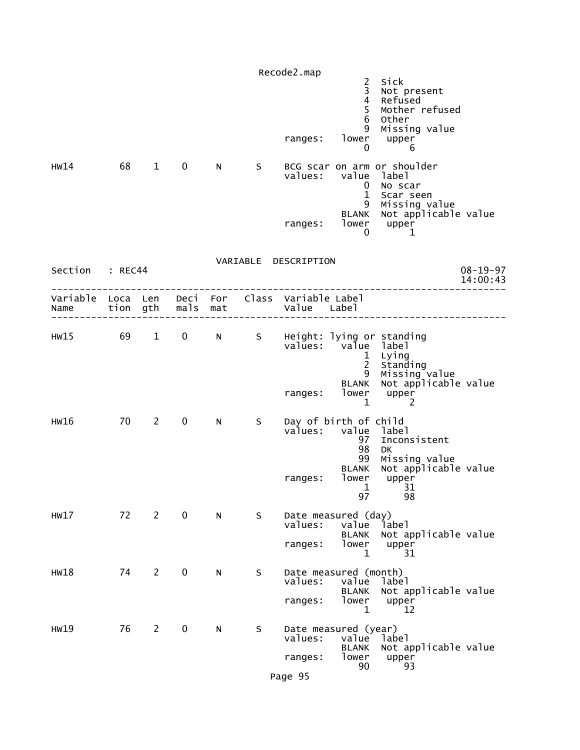|                                                         |    |                        |               |                                                                                                                                                                                                                                |   | Recode2.map                                 | $\overline{c}$<br>3                                                   | Sick<br>Not present                                                                     |                            |
|---------------------------------------------------------|----|------------------------|---------------|--------------------------------------------------------------------------------------------------------------------------------------------------------------------------------------------------------------------------------|---|---------------------------------------------|-----------------------------------------------------------------------|-----------------------------------------------------------------------------------------|----------------------------|
|                                                         |    |                        |               |                                                                                                                                                                                                                                |   | ranges:                                     | $\frac{4}{5}$<br>$\,$ 6<br>9<br>lower<br>0                            | Refused<br>Mother refused<br>Other<br>Missing value<br>upper<br>6                       |                            |
| HW14                                                    | 68 | $\mathbf{1}$           | $\mathbf 0$   | N                                                                                                                                                                                                                              | S | values:                                     | value<br>$\mathbf 0$<br>$\mathbf 1$<br>9                              | BCG scar on arm or shoulder<br>label<br>No scar<br>Scar seen<br>Missing value           |                            |
|                                                         |    |                        |               |                                                                                                                                                                                                                                |   | ranges:                                     | <b>BLANK</b><br>lower<br>0                                            | Not applicable value<br>upper<br>1                                                      |                            |
| Section : REC44                                         |    |                        |               |                                                                                                                                                                                                                                |   | VARIABLE DESCRIPTION                        |                                                                       |                                                                                         | $08 - 19 - 97$<br>14:00:43 |
| Variable Loca Len Deci For Class Variable Label<br>Name |    |                        | tion gth mals | mat                                                                                                                                                                                                                            |   | Value Label                                 |                                                                       |                                                                                         |                            |
| HW15 69                                                 |    | $1 \quad \blacksquare$ | $\mathbf{0}$  | N and the set of the set of the set of the set of the set of the set of the set of the set of the set of the set of the set of the set of the set of the set of the set of the set of the set of the set of the set of the set | S | values: value label                         | $\mathbf{1}$<br>$2^{\circ}$<br>9<br><b>BLANK</b>                      | Height: lying or standing<br>Lying<br>Standing<br>Missing value<br>Not applicable value |                            |
| HW16                                                    | 70 | $2^{\sim}$             | $\mathbf 0$   | N                                                                                                                                                                                                                              | S | ranges:<br>Day of birth of child<br>values: | lower<br>1                                                            | upper<br>2                                                                              |                            |
|                                                         |    |                        |               |                                                                                                                                                                                                                                |   | ranges:                                     | value label<br>97<br>98<br>99<br>BLANK<br>lower<br>$\mathbf{1}$<br>97 | Inconsistent<br><b>DK</b><br>Missing value<br>Not applicable value<br>upper<br>31<br>98 |                            |
| HW17                                                    | 72 | $2^{\sim}$             | $\mathbf 0$   | N                                                                                                                                                                                                                              | S | Date measured (day)<br>values:<br>ranges:   | value<br><b>BLANK</b><br>lower<br>$\mathbf 1$                         | label<br>Not applicable value<br>upper<br>31                                            |                            |
| HW18                                                    | 74 | $2^{\circ}$            | $\mathbf 0$   | N                                                                                                                                                                                                                              | S | Date measured (month)<br>values:<br>ranges: | value<br><b>BLANK</b><br>lower<br>1                                   | label<br>Not applicable value<br>upper<br>12                                            |                            |
| HW19                                                    | 76 | $\overline{2}$         | $\mathbf 0$   | N                                                                                                                                                                                                                              | S | Date measured (year)<br>values:<br>ranges:  | value<br><b>BLANK</b><br>lower<br>90                                  | label<br>Not applicable value<br>upper<br>93                                            |                            |
|                                                         |    |                        |               |                                                                                                                                                                                                                                |   | Page 95                                     |                                                                       |                                                                                         |                            |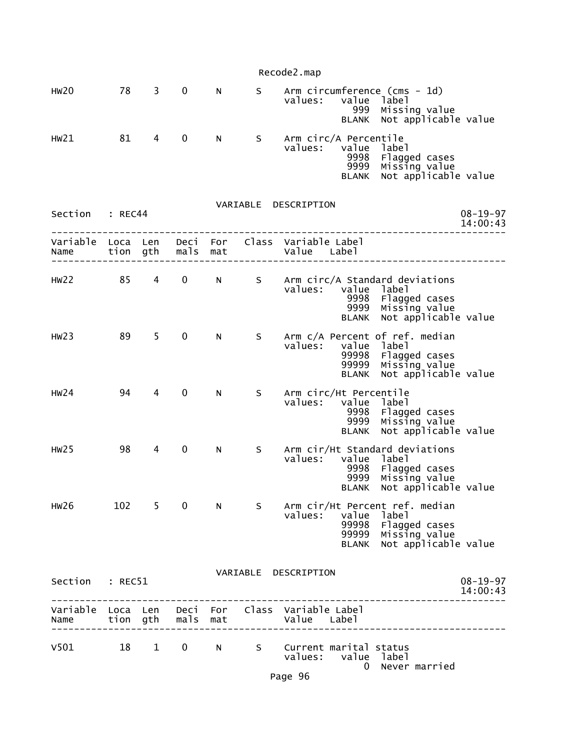|                                    |          |                        |                   |     |          | Recode2.map                                                                          |                                                                       |                            |
|------------------------------------|----------|------------------------|-------------------|-----|----------|--------------------------------------------------------------------------------------|-----------------------------------------------------------------------|----------------------------|
| <b>HW20</b>                        | 78       | $3^{\circ}$            | $\mathbf 0$       | N.  | S        | Arm circumference (cms - 1d)<br>values:<br>value<br>999<br><b>BLANK</b>              | label<br>Missing value<br>Not applicable value                        |                            |
| HW21                               | 81       | 4                      | $\mathbf 0$       | N   | S        | Arm circ/A Percentile<br>values:<br>9998<br>9999<br><b>BLANK</b>                     | value label<br>Flagged cases<br>Missing value<br>Not applicable value |                            |
| Section                            | : REC44  |                        |                   |     |          | VARIABLE DESCRIPTION                                                                 |                                                                       | $08 - 19 - 97$<br>14:00:43 |
| Variable Loca Len Deci For<br>Name | tion gth |                        | mals              | mat |          | Class Variable Label<br>Value Label                                                  |                                                                       |                            |
| HW22                               | 85       | $4 \quad$              | $0 \qquad \qquad$ | N a | S        | Arm circ/A Standard deviations<br>values:<br>value<br>9998<br>9999<br><b>BLANK</b>   | label<br>Flagged cases<br>Missing value<br>Not applicable value       |                            |
| HW23                               | 89       | 5                      | 0                 | N.  | S.       | Arm c/A Percent of ref. median<br>value<br>values:<br>99998<br>99999<br><b>BLANK</b> | label<br>Flagged cases<br>Missing value<br>Not applicable value       |                            |
| HW24                               | 94       | 4                      | $\mathbf 0$       | N.  | S        | Arm circ/Ht Percentile<br>value<br>values:<br>9998<br>9999<br><b>BLANK</b>           | label<br>Flagged cases<br>Missing value<br>Not applicable value       |                            |
| HW25                               | 98       | 4                      | $\mathbf 0$       | N   | S        | Arm cir/Ht Standard deviations<br>values:<br>value<br>9998<br>9999                   | label<br>Flagged cases<br>Missing value<br>BLANK Not applicable value |                            |
| HW26                               | 102      | 5.                     | $\mathbf 0$       | N   | S        | Arm cir/Ht Percent ref. median<br>values:<br>value<br>99998<br>99999<br><b>BLANK</b> | label<br>Flagged cases<br>Missing value<br>Not applicable value       |                            |
| Section                            | : REC51  |                        |                   |     | VARIABLE | DESCRIPTION                                                                          |                                                                       | $08 - 19 - 97$<br>14:00:43 |
| Name                               |          |                        | tion gth mals     | mat |          | Variable Loca Len Deci For Class Variable Label<br>Value Label                       |                                                                       |                            |
| V501                               | 18       | $1 \quad \blacksquare$ | $\mathbf{0}$      | N - | S –      | Current marital status<br>value<br>values:<br>$\Omega$                               | label<br>Never married                                                |                            |

Page 96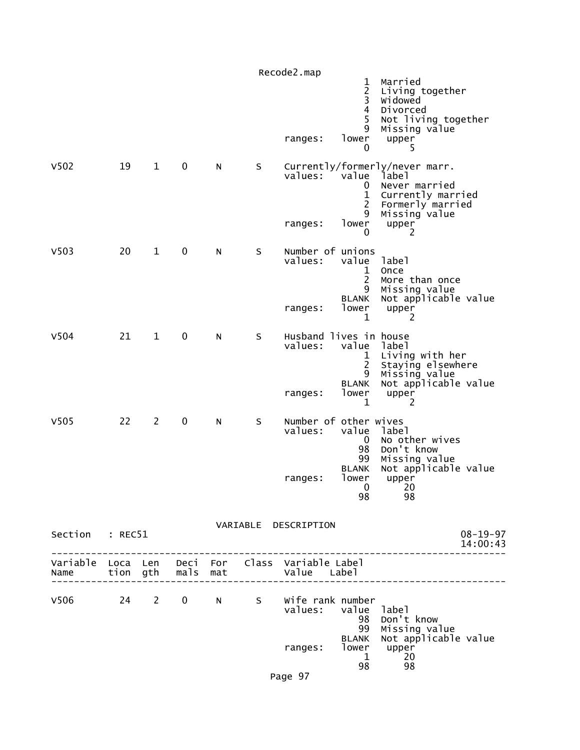| V <sub>503</sub><br>V504 | 20<br>21 | $\mathbf{1}$<br>$\mathbf{1}$ | $\pmb{0}$<br>0 | N<br>N | S<br>S | ranges:<br>Number of unions<br>values:<br>ranges:<br>Husband lives in house<br>values: | 0<br>1<br>$\overline{2}$<br>9<br>lower<br>0<br>value<br>1<br>2<br>9<br><b>BLANK</b><br>lower<br>1<br>value | Never married<br>Currently married<br>Formerly married<br>Missing value<br>upper<br>2<br>label<br>Once<br>More than once<br>Missing value<br>Not applicable value<br>upper<br>2<br>label |
|--------------------------|----------|------------------------------|----------------|--------|--------|----------------------------------------------------------------------------------------|------------------------------------------------------------------------------------------------------------|------------------------------------------------------------------------------------------------------------------------------------------------------------------------------------------|
|                          |          |                              |                |        |        | ranges:                                                                                | $\mathbf 1$<br>$\overline{c}$<br>9<br><b>BLANK</b><br>lower<br>$\mathbf{1}$                                | Living with her<br>Staying elsewhere<br>Missing value<br>Not applicable value<br>upper<br>2                                                                                              |
| V <sub>505</sub>         | 22       | $\overline{2}$               | 0              | N      | S      | Number of other wives<br>values:<br>ranges:                                            | value<br>$\overline{0}$<br>98<br>99<br><b>BLANK</b><br>lower<br>0<br>98                                    | label<br>No other wives<br>Don't know<br>Missing value<br>Not applicable value<br>upper<br>20<br>98                                                                                      |
| Section : REC51          |          |                              |                |        |        | VARIABLE DESCRIPTION                                                                   |                                                                                                            | $08 - 19 - 97$<br>14:00:43                                                                                                                                                               |
| Name tion gth mals mat   |          |                              |                |        |        | Variable Loca Len Deci For Class Variable Label<br>Value Label                         |                                                                                                            |                                                                                                                                                                                          |
|                          |          |                              |                |        |        | V506 24 2 0 N S Wife rank number<br>values: value label<br>ranges:                     | <b>BLANK</b><br>1<br>98                                                                                    | 98 Don't know<br>99 Missing value<br>Not applicable value<br>$1$ ower upper<br>20<br>98                                                                                                  |

Page 97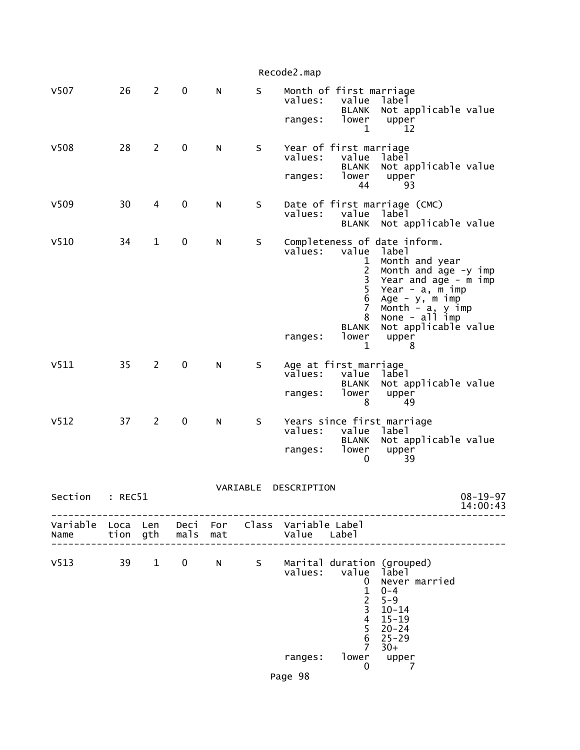|                                                         |         |                |                   |           |          | Recode2.map                   |                                                                                                                      |                                                                                                                                                                                                                                 |                            |
|---------------------------------------------------------|---------|----------------|-------------------|-----------|----------|-------------------------------|----------------------------------------------------------------------------------------------------------------------|---------------------------------------------------------------------------------------------------------------------------------------------------------------------------------------------------------------------------------|----------------------------|
| V507                                                    | 26      | $2^{\circ}$    | $\mathbf 0$       | N         | S        | values:                       | Month of first marriage<br>value<br><b>BLANK</b>                                                                     | label                                                                                                                                                                                                                           |                            |
|                                                         |         |                |                   |           |          | ranges:                       | lower<br>1                                                                                                           | Not applicable value<br>upper<br>12                                                                                                                                                                                             |                            |
| V508                                                    | 28      | $\overline{2}$ | $\mathbf 0$       | N         | S        | values:<br>ranges:            | Year of first marriage<br>value<br><b>BLANK</b><br>lower<br>44                                                       | label<br>Not applicable value<br>upper<br>93                                                                                                                                                                                    |                            |
| V <sub>509</sub>                                        | 30      | 4              | $\mathbf 0$       | N         | S        | values:                       | value<br><b>BLANK</b>                                                                                                | Date of first marriage (CMC)<br>label<br>Not applicable value                                                                                                                                                                   |                            |
| V510                                                    | 34      | $\mathbf 1$    | $\pmb{0}$         | ${\sf N}$ | S        | values:<br>ranges:            | value<br>1<br>$\begin{array}{c}\n2 \\ 3 \\ 5 \\ 6\n\end{array}$<br>$\overline{7}$<br>8<br><b>BLANK</b><br>lower<br>1 | Completeness of date inform.<br>label<br>Month and year<br>Month and age -y imp<br>Year and age - m imp<br>Year - a, m imp<br>Age - $y$ , m imp<br>Month $-$ a, $y$ imp<br>None - all imp<br>Not applicable value<br>upper<br>8 |                            |
| V511                                                    | 35      | $2^{\circ}$    | $\pmb{0}$         | N         | S        | values:<br>ranges:            | Age at first marriage<br>value<br><b>BLANK</b><br>lower<br>8                                                         | label<br>Not applicable value<br>upper<br>49                                                                                                                                                                                    |                            |
| V <sub>512</sub>                                        | 37      | $\overline{2}$ | $\pmb{0}$         | N         | S        | values:<br>ranges:            | value<br><b>BLANK</b><br>lower<br>0                                                                                  | Years since first marriage<br>label<br>Not applicable value<br>upper<br>39                                                                                                                                                      |                            |
| Section                                                 | : REC51 |                |                   |           | VARIABLE | DESCRIPTION                   |                                                                                                                      |                                                                                                                                                                                                                                 | $08 - 19 - 97$<br>14:00:43 |
| Variable Loca Len Deci For Class Variable Label<br>Name |         |                | tion gth mals mat |           |          | Value Label                   |                                                                                                                      |                                                                                                                                                                                                                                 |                            |
| V513 39 1                                               |         |                |                   |           |          | values:<br>ranges:<br>Page 98 | value label<br>0<br>$\frac{1}{2}$<br>3<br>$\overline{\mathbf{4}}$<br>5<br>6<br>$\overline{7}$<br>lower<br>0          | 0 N S Marital duration (grouped)<br>Never married<br>$0 - 4$<br>$5 - 9$<br>$10 - 14$<br>$15 - 19$<br>$20 - 24$<br>$25 - 29$<br>$30+$<br>upper<br>7                                                                              |                            |
|                                                         |         |                |                   |           |          |                               |                                                                                                                      |                                                                                                                                                                                                                                 |                            |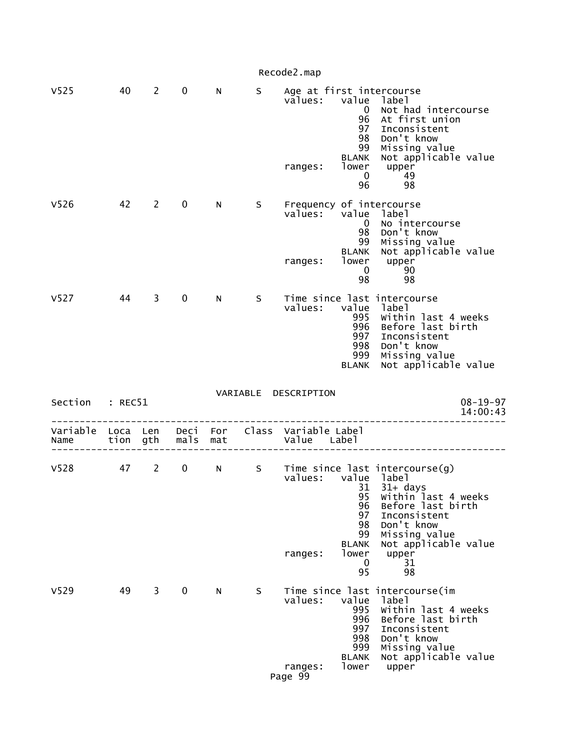|                  |          |              |               |     |    | Recode2.map                                                                                                                       |                                                                                                                                                          |
|------------------|----------|--------------|---------------|-----|----|-----------------------------------------------------------------------------------------------------------------------------------|----------------------------------------------------------------------------------------------------------------------------------------------------------|
| V <sub>525</sub> | 40       | 2            | $\mathbf 0$   | N   |    | S Age at first intercourse<br>values:<br>value<br>$\bf{0}$<br>96<br>97<br>98<br>99<br><b>BLANK</b><br>lower<br>ranges:<br>0<br>96 | label<br>Not had intercourse<br>At first union<br>Inconsistent<br>Don't know<br>Missing value<br>Not applicable value<br>upper<br>49<br>98               |
| V <sub>526</sub> | 42       | $\mathbf{2}$ | 0             | N   | S  | Frequency of intercourse<br>values:<br>value<br>$\mathbf{0}$<br>98<br>99<br><b>BLANK</b><br>lower<br>ranges:<br>0<br>98           | label<br>No intercourse<br>Don't know<br>Missing value<br>Not applicable value<br>upper<br>90<br>98                                                      |
| V527             | 44       | 3            | 0             | N   | S. | Time since last intercourse<br>values:<br>value<br>995<br>996<br>997<br>998<br>999<br><b>BLANK</b>                                | label<br>Within last 4 weeks<br>Before last birth<br>Inconsistent<br>Don't know<br>Missing value<br>Not applicable value                                 |
| Section : REC51  |          |              |               |     |    | VARIABLE DESCRIPTION                                                                                                              | $08 - 19 - 97$<br>14:00:43                                                                                                                               |
| Variable<br>Name | Loca Len |              | tion gth mals | mat |    | Deci For Class Variable Label<br>Value Label                                                                                      |                                                                                                                                                          |
| V <sub>528</sub> |          | 47 2         | $\mathbf 0$   | N   | S  | Time since last intercourse(g)<br>values: value label<br>96<br>97<br>98<br>99<br><b>BLANK</b><br>lower<br>ranges:<br>0<br>95      | 31  31+ days<br>95  within last 4 weeks<br>Before last birth<br>Inconsistent<br>Don't know<br>Missing value<br>Not applicable value<br>upper<br>31<br>98 |
| V <sub>529</sub> | 49       | 3            | 0             | N   | S  | Time since last intercourse(im<br>values:<br>value<br>995<br>996<br>997<br>998<br>999                                             | label<br>Within last 4 weeks<br>Before last birth<br>Inconsistent<br>Don't know<br>Missing value                                                         |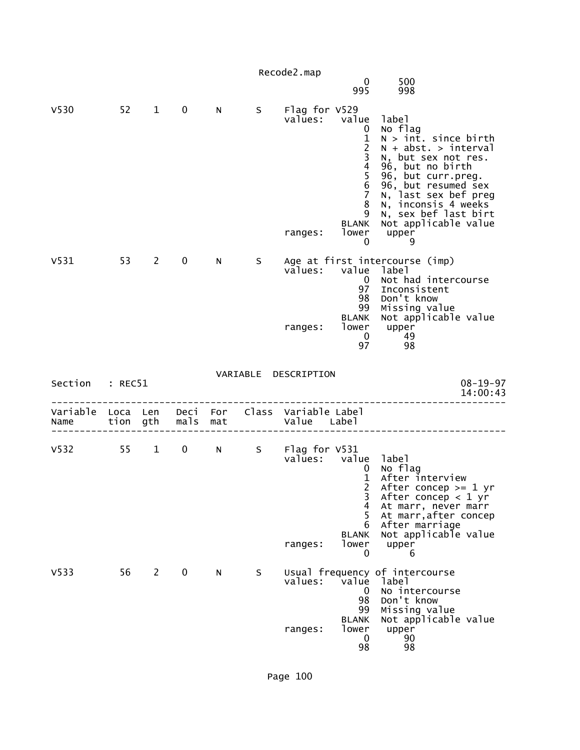|                                    |    |                |                   |     |          | Recode2.map                                 |                                                                                                                                      |                                                                                                                                                                                                                                                                           |
|------------------------------------|----|----------------|-------------------|-----|----------|---------------------------------------------|--------------------------------------------------------------------------------------------------------------------------------------|---------------------------------------------------------------------------------------------------------------------------------------------------------------------------------------------------------------------------------------------------------------------------|
|                                    |    |                |                   |     |          |                                             | $\mathbf 0$<br>995                                                                                                                   | 500<br>998                                                                                                                                                                                                                                                                |
| V <sub>530</sub>                   | 52 | $\mathbf{1}$   | 0                 | N   | S.       | Flag for V529<br>values:<br>ranges:         | value<br>0<br>$\frac{1}{2}$<br>$\overline{3}$<br>4<br>5<br>$\,6$<br>$\overline{7}$<br>8<br>9<br><b>BLANK</b><br>lower<br>$\mathbf 0$ | label<br>No flag<br>$N > int.$ since birth<br>$N + abst. > interval$<br>N, but sex not res.<br>96, but no birth<br>96, but curr.preg.<br>96, but resumed sex<br>N, last sex bef preg<br>N, inconsis 4 weeks<br>N, sex bef last birt<br>Not applicable value<br>upper<br>9 |
| V531                               | 53 | $\overline{2}$ | 0                 | N   | S        | values:<br>ranges:                          | value<br>$\mathbf 0$<br>97<br>98<br>99<br>BLANK<br>lower<br>$\Omega$<br>97                                                           | Age at first intercourse (imp)<br>label<br>Not had intercourse<br>Inconsistent<br>Don't know<br>Missing value<br>Not applicable value<br>upper<br>49<br>98                                                                                                                |
| Section : REC51                    |    |                |                   |     | VARIABLE | DESCRIPTION                                 |                                                                                                                                      | $08 - 19 - 97$<br>14:00:43                                                                                                                                                                                                                                                |
| Variable Loca Len Deci For<br>Name |    | tion gth       | mals              | mat |          | Class Variable Label<br>Value Label         |                                                                                                                                      |                                                                                                                                                                                                                                                                           |
| V532 55                            |    | 1              | $0 \qquad \qquad$ | N   |          | S Flag for V531<br>values: value<br>ranges: | $\mathbf 0$<br>1<br>2<br>3<br>4<br>5<br>6<br><b>BLANK</b><br>lower<br>0                                                              | label<br>No flag<br>After interview<br>After concep $>= 1$ yr<br>After concep $<$ 1 yr<br>At marr, never marr<br>At marr, after concep<br>After marriage<br>Not applicable value<br>upper<br>6                                                                            |
| V <sub>533</sub>                   | 56 | $\overline{2}$ | 0                 | N   | S        | values:                                     | value<br>0<br>98<br>99<br><b>BLANK</b>                                                                                               | Usual frequency of intercourse<br>label<br>No intercourse<br>Don't know<br>Missing value<br>Not applicable value                                                                                                                                                          |
|                                    |    |                |                   |     |          | ranges:                                     | lower<br>0<br>98                                                                                                                     | upper<br>90<br>98                                                                                                                                                                                                                                                         |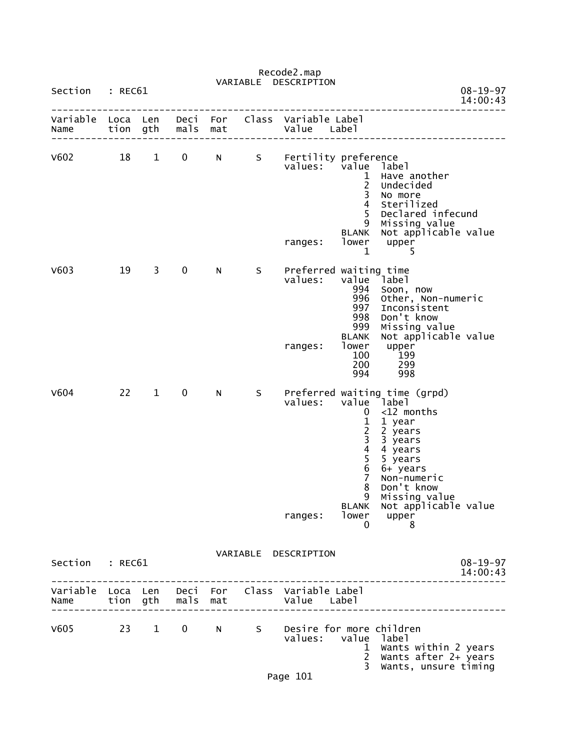| Section                   | : REC61      |                        |                   |            | VARIABLE | DESCRIPTION                                     |                                                                                                 | $08 - 19 - 97$                                                                                                                                                                                                            |
|---------------------------|--------------|------------------------|-------------------|------------|----------|-------------------------------------------------|-------------------------------------------------------------------------------------------------|---------------------------------------------------------------------------------------------------------------------------------------------------------------------------------------------------------------------------|
| Variable<br>Name          | Loca<br>tion | Len<br>gth             | Deci<br>mals      | For<br>mat | Class    | Variable Label<br>Value Label                   |                                                                                                 | 14:00:43                                                                                                                                                                                                                  |
| V602                      | 18           | $\mathbf{1}$           | 0                 | N          | S        | Fertility preference<br>values:<br>ranges:      | value<br>1<br>$\frac{2}{3}$<br>$\overline{4}$<br>5<br>9<br><b>BLANK</b><br>lower<br>$\mathbf 1$ | label<br>Have another<br>Undecided<br>No more<br>Sterilized<br>Declared infecund<br>Missing value<br>Not applicable value<br>upper<br>5                                                                                   |
| V603                      | 19           | 3                      | $\mathbf 0$       | N          | S        | Preferred waiting time<br>values:<br>ranges:    | value<br>994<br>996<br>997<br>998<br>999<br><b>BLANK</b><br>lower<br>100<br>200<br>994          | dabel <sup>1</sup><br>Soon, now<br>Other, Non-numeric<br>Inconsistent<br>Don't know<br>Missing value<br>Not applicable value<br>upper<br><b>199</b><br>299<br>998                                                         |
| V604                      | 22           | $\mathbf{1}$           | $\mathbf 0$       | N          | S        | values:<br>ranges:                              | 0<br>1<br>2<br>3<br>4<br>$\overline{5}$<br>$\,$ 6<br>7<br>8<br>9<br>lower<br>0                  | Preferred waiting time (grpd)<br>value label<br>$<$ 12 months<br>1 year<br>2 years<br>3 years<br>4 years<br>5 years<br>6+ years<br>Non-numeric<br>Don't know<br>Missing value<br>BLANK Not applicable value<br>upper<br>8 |
| Section                   | : REC61      |                        |                   |            |          | VARIABLE DESCRIPTION                            |                                                                                                 | $08 - 19 - 97$<br>14:00:43                                                                                                                                                                                                |
| Variable Loca Len<br>Name | tion gth     |                        | Deci For<br>mals  | mat        |          | Class Variable Label<br>Value Label             |                                                                                                 |                                                                                                                                                                                                                           |
| V605                      | 23           | $1 \quad \blacksquare$ | $0 \qquad \qquad$ | N          | S        | Desire for more children<br>values: value label | 1.<br>$2^{\circ}$<br>3                                                                          | Wants within 2 years<br>Wants after 2+ years<br>Wants, unsure timing                                                                                                                                                      |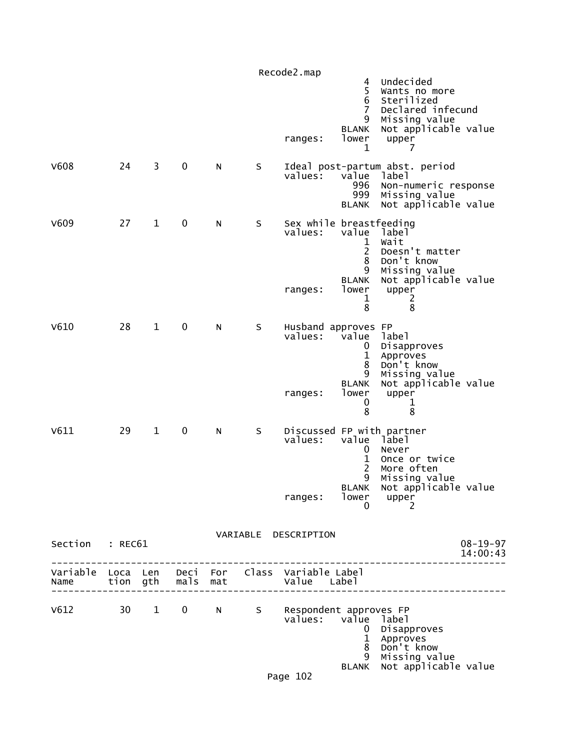|                 |    |              |               |             |   | Recode2.map                                                    | 4<br>5<br>6                                           | Undecided<br>Wants no more<br>Sterilized                                                                 |                            |
|-----------------|----|--------------|---------------|-------------|---|----------------------------------------------------------------|-------------------------------------------------------|----------------------------------------------------------------------------------------------------------|----------------------------|
|                 |    |              |               |             |   | ranges:                                                        | $\overline{7}$<br>9<br><b>BLANK</b><br>lower<br>1     | Declared infecund<br>Missing value<br>Not applicable value<br>upper<br>7                                 |                            |
| V608            | 24 | 3            | 0             | N           | S | values:                                                        | value<br>996<br>999<br><b>BLANK</b>                   | Ideal post-partum abst. period<br>label<br>Non-numeric response<br>Missing value<br>Not applicable value |                            |
| V609            | 27 | $\mathbf{1}$ | 0             | N           | S | Sex while breastfeeding<br>values:                             | value<br>1<br>2<br>8<br>9<br><b>BLANK</b>             | label<br>Wait<br>Doesn't matter<br>Don't know<br>Missing value<br>Not applicable value                   |                            |
|                 |    |              |               |             |   | ranges:                                                        | lower<br>1<br>8                                       | upper<br>2<br>8                                                                                          |                            |
| V610            | 28 | $\mathbf 1$  | 0             | N           | S | Husband approves FP<br>values:                                 | value<br>0<br>1<br>8<br>9                             | label<br>Disapproves<br>Approves<br>Don't know<br>Missing value                                          |                            |
|                 |    |              |               |             |   | ranges:                                                        | <b>BLANK</b><br>lower<br>0<br>8                       | Not applicable value<br>upper<br>1<br>8                                                                  |                            |
| V611            | 29 | $\mathbf{1}$ | $\pmb{0}$     | N           | S | values:                                                        | value<br>0<br>$\mathbf 1$<br>$\overline{2}$<br>9      | Discussed FP with partner<br>label<br>Never<br>Once or twice<br>More often<br>Missing value              |                            |
|                 |    |              |               |             |   | ranges:                                                        | <b>BLANK</b><br>lower<br>0                            | Not applicable value<br>upper<br>2                                                                       |                            |
|                 |    |              |               |             |   | VARIABLE DESCRIPTION                                           |                                                       |                                                                                                          |                            |
| Section : REC61 |    |              |               |             |   |                                                                |                                                       |                                                                                                          | $08 - 19 - 97$<br>14:00:43 |
| Name            |    |              | tion gth mals | mat         |   | Variable Loca Len Deci For Class Variable Label<br>Value Label |                                                       |                                                                                                          |                            |
| V612 30 1       |    |              |               | $0 \quad N$ |   | S Respondent approves FP<br>values:                            | value label<br>$\mathbf{0}$<br>$\mathbf{1}$<br>8<br>9 | Disapproves<br>Approves<br>Don't know<br>Missing value                                                   |                            |
|                 |    |              |               |             |   | Page 102                                                       | <b>BLANK</b>                                          | Not applicable value                                                                                     |                            |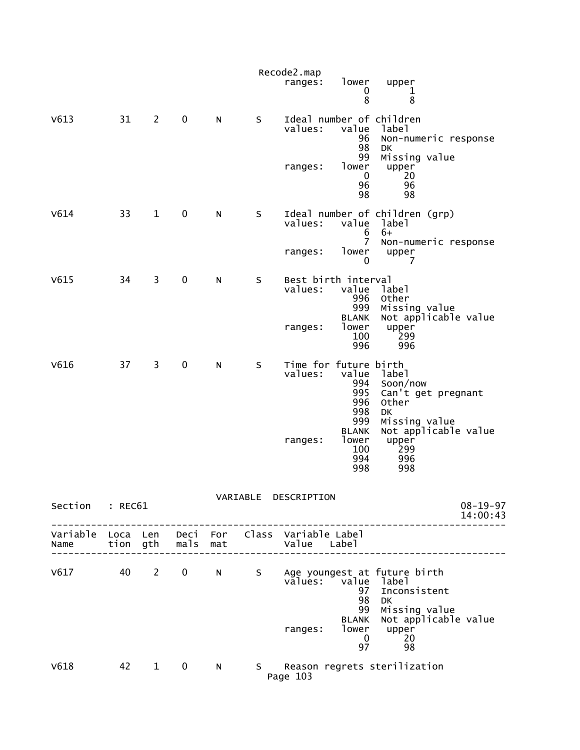|                 |      |                |              |              |                   | Recode2.map<br>ranges:               | lower<br>0<br>8                                   | upper<br>1<br>8                                                                                                             |
|-----------------|------|----------------|--------------|--------------|-------------------|--------------------------------------|---------------------------------------------------|-----------------------------------------------------------------------------------------------------------------------------|
| V613            | 31   | $\overline{2}$ | $\mathbf 0$  | N            | S                 | values:<br>ranges:                   | value<br>96<br>98<br>99<br>lower                  | Ideal number of children<br>label<br>Non-numeric response<br>DK<br>Missing value<br>upper                                   |
|                 |      |                |              |              |                   |                                      | 0<br>96<br>98                                     | 20<br>96<br>98                                                                                                              |
| V614            | 33   | $\mathbf{1}$   | $\mathbf 0$  | N            | S                 | values:                              | value<br>6                                        | Ideal number of children (grp)<br>label<br>$6+$                                                                             |
|                 |      |                |              |              |                   | ranges:                              | $\overline{7}$<br>lower<br>0                      | Non-numeric response<br>upper<br>7                                                                                          |
| V615            | 34   | $\overline{3}$ | $\pmb{0}$    | N            | S                 | Best birth interval<br>values:       | value<br>996<br>999                               | label<br>Other<br>Missing value                                                                                             |
|                 |      |                |              |              |                   | ranges:                              | <b>BLANK</b><br>lower<br>100<br>996               | Not applicable value<br>upper<br>299<br>996                                                                                 |
| V616            | 37   | 3              | $\pmb{0}$    | N            | S                 | Time for future birth<br>values:     | value<br>994<br>995<br>996<br>998                 | label<br>Soon/now<br>Can't get pregnant<br>Other<br>DK                                                                      |
|                 |      |                |              |              |                   | ranges:                              | 999<br><b>BLANK</b><br>lower<br>100<br>994<br>998 | Missing value<br>Not applicable value<br>upper<br>299<br>996<br>998                                                         |
| Section : REC61 |      |                |              |              |                   | VARIABLE DESCRIPTION                 |                                                   | $08 - 19 - 97$                                                                                                              |
|                 |      |                |              |              |                   |                                      |                                                   | 14:00:43<br>. _ _ _ _ _ _ _ _ _ _ _ _ _ _ _                                                                                 |
|                 |      |                |              |              |                   |                                      |                                                   |                                                                                                                             |
|                 |      |                |              |              |                   | values: value<br>ranges: lower upper | 97<br>98<br>99<br><b>BLANK</b>                    | V617 40 2 0 N S Age youngest at future birth<br>1abe1<br>Inconsistent<br><b>DK</b><br>Missing value<br>Not applicable value |
|                 |      |                |              |              |                   |                                      | 97                                                | $\begin{bmatrix} 0 & 20 \\ 20 & 20 \end{bmatrix}$<br>98                                                                     |
| V618            | 42 1 |                | $\mathbf{0}$ | $\mathsf{N}$ | $S \qquad \qquad$ | Page 103                             |                                                   | Reason regrets sterilization                                                                                                |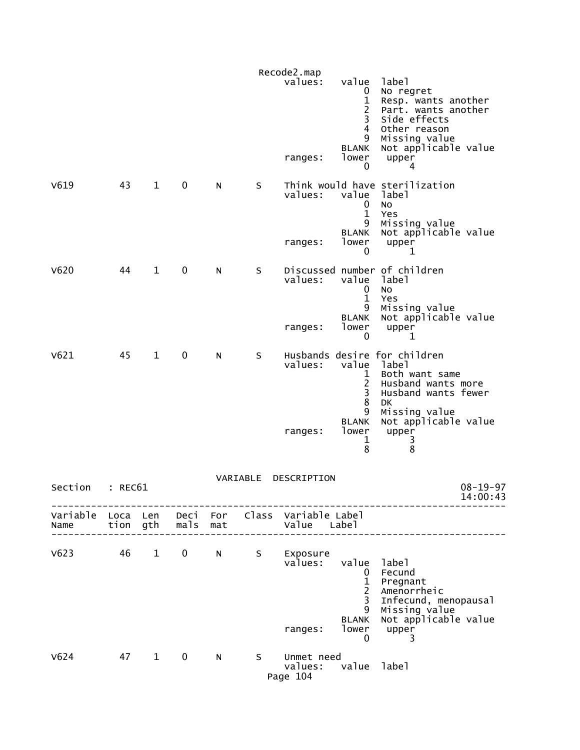|           |         |              |               |     |          | Recode2.map                                                    |                                                                                      |                                                                                                                   |  |
|-----------|---------|--------------|---------------|-----|----------|----------------------------------------------------------------|--------------------------------------------------------------------------------------|-------------------------------------------------------------------------------------------------------------------|--|
|           |         |              |               |     |          | values:                                                        | value<br>$\mathbf{0}$<br>$\mathbf{1}$<br>2<br>3<br>4                                 | label<br>No regret<br>Resp. wants another<br>Part. wants another<br>Side effects<br>Other reason                  |  |
|           |         |              |               |     |          | ranges:                                                        | 9<br><b>BLANK</b><br>lower<br>0                                                      | Missing value<br>Not applicable value<br>upper<br>4                                                               |  |
| V619      | 43      | $\mathbf{1}$ | 0             | N   | S        | values:                                                        | value label<br>0<br>$\mathbf{1}$<br>9                                                | Think would have sterilization<br><b>NO</b><br>Yes<br>Missing value                                               |  |
|           |         |              |               |     |          | ranges:                                                        | <b>BLANK</b><br>lower<br>$\mathbf{0}$                                                | Not applicable value<br>upper<br>1                                                                                |  |
| V620      | 44      | $\mathbf{1}$ | $\mathbf 0$   | N   | S        | values:                                                        | value<br>0<br>$\mathbf{1}$<br>9                                                      | Discussed number of children<br>label<br><b>NO</b><br>Yes                                                         |  |
|           |         |              |               |     |          | ranges:                                                        | <b>BLANK</b><br>lower<br>0                                                           | Missing value<br>Not applicable value<br>upper<br>1                                                               |  |
| V621      | 45      | $\mathbf{1}$ | $\mathbf 0$   | N   | S        | values:                                                        | value<br>1<br>$\overline{2}$<br>3<br>$\bf 8$                                         | Husbands desire for children<br>1abe1<br>Both want same<br>Husband wants more<br>Husband wants fewer<br><b>DK</b> |  |
|           |         |              |               |     |          | ranges:                                                        | 9<br><b>BLANK</b><br>lower<br>1<br>8                                                 | Missing value<br>Not applicable value<br>upper<br>3<br>8                                                          |  |
| Section   | : REC61 |              |               |     | VARIABLE | DESCRIPTION                                                    |                                                                                      | $08 - 19 - 97$<br>14:00:43                                                                                        |  |
| Name      |         |              | tion gth mals | mat |          | Variable Loca Len Deci For Class Variable Label<br>Value Label |                                                                                      |                                                                                                                   |  |
| $V623$ 46 |         | $\mathbf{1}$ | $\mathbf 0$   | N a | S        | Exposure<br>values:                                            | value label<br>$\mathbf{0}$<br>$\mathbf{1}$<br>$\overline{2}$<br>$\overline{3}$<br>9 | Fecund<br>Pregnant<br>Amenorrheic<br>Infecund, menopausal<br>Missing value                                        |  |
|           |         |              |               |     |          | ranges:                                                        | <b>BLANK</b><br>lower<br>$\mathbf 0$                                                 | Not applicable value<br>upper<br>3                                                                                |  |
| V624      | 47      | $\mathbf{1}$ | $\mathbf 0$   | N   | S –      | Unmet need<br>values: value label<br>Page 104                  |                                                                                      |                                                                                                                   |  |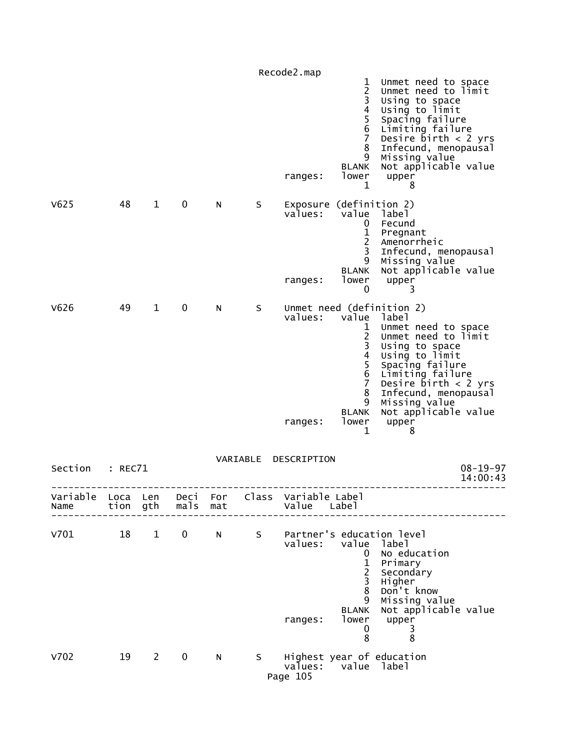|                  |                  |              |              |            |          | Recode2.map                                   |                                                                                                                            |                                                                                                                                                                                                                                                                      |
|------------------|------------------|--------------|--------------|------------|----------|-----------------------------------------------|----------------------------------------------------------------------------------------------------------------------------|----------------------------------------------------------------------------------------------------------------------------------------------------------------------------------------------------------------------------------------------------------------------|
|                  |                  |              |              |            |          | ranges:                                       | 1<br>$\begin{array}{c} 2 \\ 3 \\ 4 \end{array}$<br>$\frac{5}{6}$<br>$\overline{7}$<br>8<br>9<br><b>BLANK</b><br>lower<br>1 | Unmet need to space<br>Unmet need to limit<br>Using to space<br>Using to limit<br>Spacing failure<br>Limiting failure<br>Desire $\bar{b}$ irth < 2 yrs<br>Infecund, menopausal<br>Missing value<br>Not applicable value<br>upper<br>8                                |
| V625             | 48               | $\mathbf 1$  | 0            | N          | S        | Exposure (definition 2)<br>values:<br>ranges: | value<br>0<br>$\mathbf 1$<br>$\overline{c}$<br>3<br>9<br><b>BLANK</b><br>lower<br>0                                        | label<br>Fecund<br>Pregnant<br>Amenorrheic<br>Infecund, menopausal<br>Missing value<br>Not applicable value<br>upper<br>3                                                                                                                                            |
| V626             | 49               | $\mathbf{1}$ | 0            | N          | S        | values:<br>ranges:                            | value<br>1<br>$\frac{2}{3}$<br>$\frac{4}{5}$<br>$\overline{6}$<br>$\overline{7}$<br>8<br>9<br><b>BLANK</b><br>lower<br>1   | Unmet need (definition 2)<br>label<br>Unmet need to space<br>Unmet need to limit<br>Using to space<br>Using to limit<br>Spacing failure<br>Limiting failure<br>Desire $birth < 2$ yrs<br>Infecund, menopausal<br>Missing value<br>Not applicable value<br>upper<br>8 |
| Section          | : REC71          |              |              |            | VARIABLE | DESCRIPTION                                   |                                                                                                                            | $08 - 19 - 97$<br>14:00:43                                                                                                                                                                                                                                           |
| Variable<br>Name | Loca Len<br>tion | gth          | Deci<br>mals | For<br>mat |          | Class Variable Label<br>Value                 | Label                                                                                                                      |                                                                                                                                                                                                                                                                      |
| V701             | 18               | $\mathbf{1}$ | $\mathbf 0$  | N          | S        | values:<br>ranges:                            | value<br>$\mathbf{0}$<br>$\mathbf{1}$<br>$\overline{c}$<br>3<br>8<br>9<br><b>BLANK</b><br>lower<br>0<br>8                  | Partner's education level<br>label<br>No education<br>Primary<br>Secondary<br>Higher<br>Don't know<br>Missing value<br>Not applicable value<br>upper<br>3<br>8                                                                                                       |
| V702             | 19               | $2^{\circ}$  | $\mathbf 0$  | N          | S.       | values:<br>Page 105                           |                                                                                                                            | Highest year of education<br>value label                                                                                                                                                                                                                             |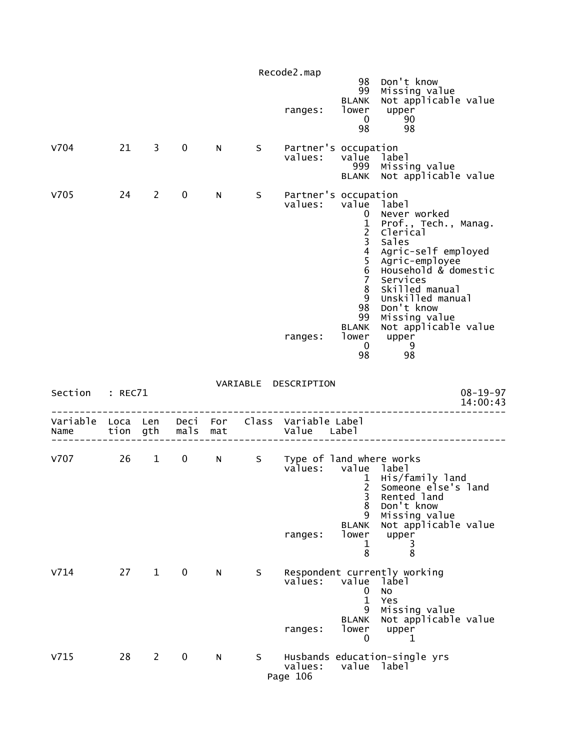|                  |          |                        |             |                 |    | Recode2.map                                                |                                                                                                                                                                                    |                                                                                                                                                                                                                                                                   |
|------------------|----------|------------------------|-------------|-----------------|----|------------------------------------------------------------|------------------------------------------------------------------------------------------------------------------------------------------------------------------------------------|-------------------------------------------------------------------------------------------------------------------------------------------------------------------------------------------------------------------------------------------------------------------|
|                  |          |                        |             |                 |    | ranges:                                                    | 98<br>99<br>BLANK<br>lower<br>$\mathbf 0$<br>98                                                                                                                                    | Don't know<br>Missing value<br>Not applicable value<br>upper<br>90<br>98                                                                                                                                                                                          |
| v704             | 21       | 3                      | $\mathbf 0$ | N               | S  | Partner's occupation<br>values:                            | value<br>999<br><b>BLANK</b>                                                                                                                                                       | label<br>Missing value<br>Not applicable value                                                                                                                                                                                                                    |
| V705             | 24       | $\overline{2}$         | $\mathbf 0$ | N               | S  | Partner's occupation<br>values:<br>ranges:                 | value<br>0<br>$\frac{1}{2}$<br>$\overline{3}$<br>$\overline{4}$<br>$\overline{5}$<br>$\,$ 6<br>$\overline{7}$<br>8<br>9<br>98<br>99<br><b>BLANK</b><br>lower<br>$\mathbf{0}$<br>98 | label<br>Never worked<br>Prof., Tech., Manag.<br>Clerical<br>Sales<br>Agric-self employed<br>Agric-employee<br>Household & domestic<br>Services<br>Skilled manual<br>Unskilled manual<br>Don't know<br>Missing value<br>Not applicable value<br>upper<br>-9<br>98 |
| Section          | : REC71  |                        |             |                 |    | VARIABLE DESCRIPTION                                       |                                                                                                                                                                                    | $08 - 19 - 97$<br>14:00:43                                                                                                                                                                                                                                        |
| Variable<br>Name | Loca Len | tion gth               | mals        | Deci For<br>mat |    | Class Variable Label<br>Value Label                        |                                                                                                                                                                                    |                                                                                                                                                                                                                                                                   |
| v707             | 26       | $1 \quad \blacksquare$ | $\mathbf 0$ | N               | S  | Type of land where works<br>values: value label<br>ranges: | $\mathbf{1}$<br>$\overline{2}$<br>3<br>8<br>9<br><b>BLANK</b><br>lower<br>$\mathbf 1$<br>8                                                                                         | His/family land<br>Someone else's land<br>Rented land<br>Don't know<br>Missing value<br>Not applicable value<br>upper<br>3<br>8                                                                                                                                   |
| V714             | 27       | $\mathbf{1}$           | 0           | N.              | S  | values:<br>ranges:                                         | value<br>0<br>$\mathbf{1}$<br>9<br><b>BLANK</b><br>lower<br>0                                                                                                                      | Respondent currently working<br>label<br>No<br>Yes<br>Missing value<br>Not applicable value<br>upper<br>1                                                                                                                                                         |
| V715             | 28       | $2^{\circ}$            | $\mathbf 0$ | N               | S. |                                                            |                                                                                                                                                                                    | Husbands education-single yrs                                                                                                                                                                                                                                     |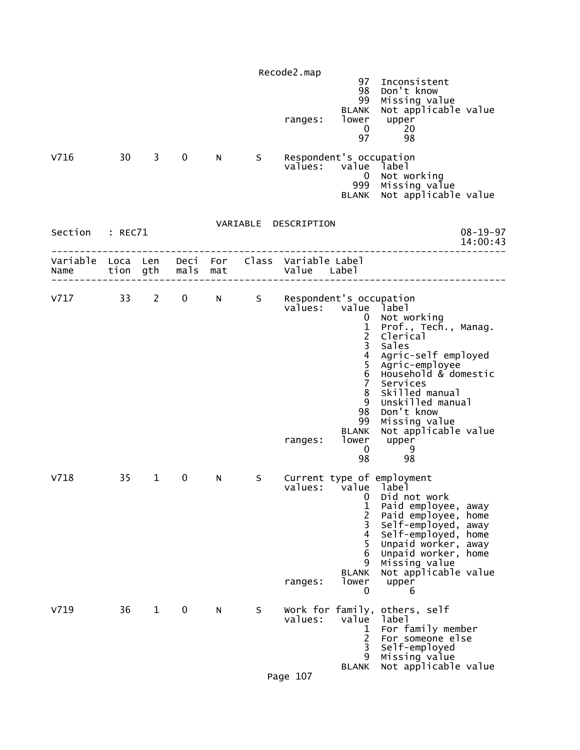| V716                                                             | 30 <sup>7</sup> | 3            | $\mathbf 0$       | N. | S. | Recode2.map<br>ranges:<br>values: value           | 97<br>98<br>99<br><b>BLANK</b><br>lower<br>$\mathbf 0$<br>97<br>Respondent's occupation<br>$\overline{0}$<br>999<br><b>BLANK</b>                                                                | Inconsistent<br>Don't know<br>Missing value<br>Not applicable value<br>upper<br>20<br>98<br>label<br>Not working<br>Missing value<br>Not applicable value                                                                                              |
|------------------------------------------------------------------|-----------------|--------------|-------------------|----|----|---------------------------------------------------|-------------------------------------------------------------------------------------------------------------------------------------------------------------------------------------------------|--------------------------------------------------------------------------------------------------------------------------------------------------------------------------------------------------------------------------------------------------------|
| Section : REC71                                                  |                 |              |                   |    |    | VARIABLE DESCRIPTION                              |                                                                                                                                                                                                 | $08 - 19 - 97$<br>14:00:43                                                                                                                                                                                                                             |
| Variable Loca Len Deci For Class Variable Label<br>Name tion gth |                 |              | mals mat          |    |    | Value Label                                       |                                                                                                                                                                                                 |                                                                                                                                                                                                                                                        |
| $V717$ 33                                                        |                 | $2^{\circ}$  | $0 \qquad \qquad$ |    |    | N S Respondent's occupation<br>values:<br>ranges: | value label<br>$\mathbf{0}$<br>$\mathbf{1}$<br>$\overline{2}$<br>$\overline{3}$<br>$\frac{4}{5}$<br>$6\phantom{1}6$<br>$\overline{7}$<br>8<br>9<br>98<br>99<br><b>BLANK</b><br>lower<br>0<br>98 | Not working<br>Prof., Tech., Manag.<br>Clerical<br>Sales<br>Agric-self employed<br>Agric-employee<br>Household & domestic<br>Services<br>Skilled manual<br>Unskilled manual<br>Don't know<br>Missing value<br>Not applicable value<br>upper<br>9<br>98 |
| V718                                                             | 35              | 1            | 0                 | N  | S. | ranges:                                           | values: value label<br>0<br>1<br>2<br>3<br>4<br>5<br>6<br>9<br><b>BLANK</b><br>lower<br>0                                                                                                       | Current type of employment<br>Did not work<br>Paid employee, away<br>Paid employee, home<br>Self-employed, away<br>Self-employed, home<br>Unpaid worker, away<br>Unpaid worker, home<br>Missing value<br>Not applicable value<br>upper<br>6            |
| V719                                                             | 36              | $\mathbf{1}$ | 0                 | N  | S  | values:<br>Page 107                               | value<br>1<br>2<br>3<br>9<br><b>BLANK</b>                                                                                                                                                       | Work for family, others, self<br>label<br>For family member<br>For someone else<br>Self-employed<br>Missing value<br>Not applicable value                                                                                                              |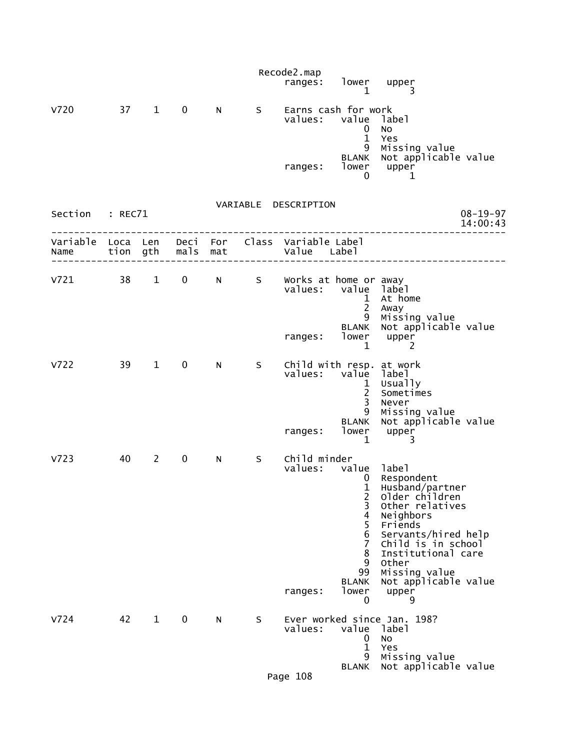|                           |    |                        |                   |          |         | Recode2.map<br>ranges:                          | $\mathbf{1}$                                                                                                     | lower upper<br>3                                                                                                                                                                                   |
|---------------------------|----|------------------------|-------------------|----------|---------|-------------------------------------------------|------------------------------------------------------------------------------------------------------------------|----------------------------------------------------------------------------------------------------------------------------------------------------------------------------------------------------|
| v720                      | 37 | $\mathbf{1}$           | $\mathbf 0$       | N        | S.      | Earns cash for work<br>values: value            | 0<br>$\mathbf{1}$                                                                                                | label<br><b>NO</b><br>Yes                                                                                                                                                                          |
|                           |    |                        |                   |          |         | ranges:                                         | 9<br><b>BLANK</b><br>lower<br>0                                                                                  | Missing value<br>Not applicable value<br>upper<br>1                                                                                                                                                |
| Section : REC71           |    |                        |                   |          |         | VARIABLE DESCRIPTION                            |                                                                                                                  | $08 - 19 - 97$<br>14:00:43                                                                                                                                                                         |
| Variable Loca Len<br>Name |    |                        | tion gth mals mat | Deci For |         | Class Variable Label<br>Value Label             |                                                                                                                  |                                                                                                                                                                                                    |
| V721                      | 38 | $1 \quad$              | $\mathbf 0$       | N        |         | S Works at home or away<br>values: value label  | $\mathbf{1}$<br>$2^{\circ}$<br>9                                                                                 | At home<br>Away<br>Missing value                                                                                                                                                                   |
|                           |    |                        |                   |          |         | ranges:                                         | <b>BLANK</b><br>lower<br>1                                                                                       | Not applicable value<br>upper<br>2                                                                                                                                                                 |
| V722                      | 39 | $1 \quad \blacksquare$ | $\mathbf 0$       | N        | S       | Child with resp. at work<br>values: value label | $\mathbf{1}$<br>$\overline{2}$<br>3<br>9                                                                         | Usually<br>Sometimes<br>Never<br>Missing value                                                                                                                                                     |
|                           |    |                        |                   |          |         | ranges:                                         | <b>BLANK</b><br>lower<br>$\mathbf{1}$                                                                            | Not applicable value<br>upper<br>3                                                                                                                                                                 |
| V723                      | 40 | $\mathbf{2}$           | $\mathbf 0$       | N        | S.      | Child minder<br>values:                         | value<br>$\mathbf{0}$<br>$\overline{\mathbf{c}}$<br>3<br>4<br>5<br>$\,$ 6 $\,$<br>$\overline{7}$<br>8<br>9<br>99 | 1abe1<br>Respondent<br>1 Husband/partner<br>older children<br>Other relatives<br>Neighbors<br>Friends<br>Servants/hired help<br>Child is in school<br>Institutional care<br>Other<br>Missing value |
|                           |    |                        |                   |          |         | ranges:                                         | <b>BLANK</b><br>lower<br>0                                                                                       | Not applicable value<br>upper<br>9                                                                                                                                                                 |
| V724                      | 42 | $\mathbf{1}$           | $\pmb{0}$         | N        | $\sf S$ | values:                                         | value<br>0<br>$\mathbf 1$<br>9<br><b>BLANK</b>                                                                   | Ever worked since Jan. 198?<br>label<br><b>NO</b><br>Yes<br>Missing value<br>Not applicable value                                                                                                  |
|                           |    |                        |                   |          |         | Page 108                                        |                                                                                                                  |                                                                                                                                                                                                    |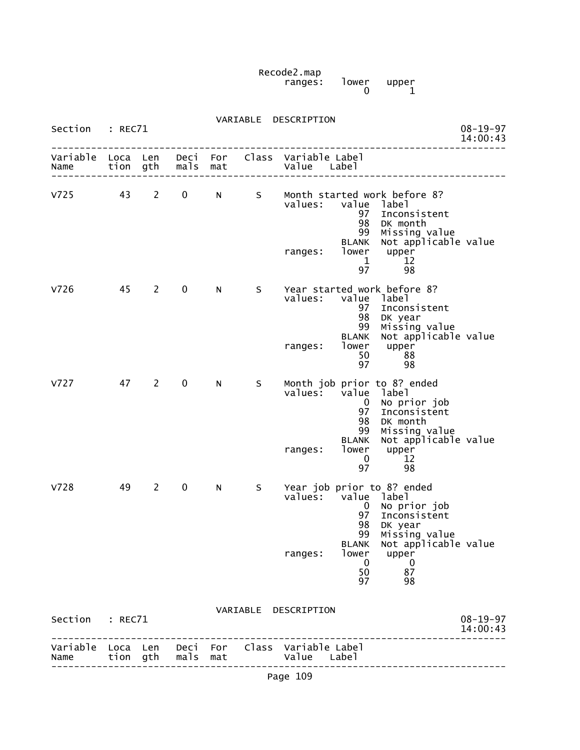Recode2.map ranges: lower upper  $\begin{bmatrix} 1$ ower upper<br>0  $\end{bmatrix}$ 

| Variable Loca Len<br>Name | tion    | gth          | Deci<br>mals | For<br>mat |          | Class Variable Label<br>Value                | Label                                                                    |                                                                                                                                      |                            |
|---------------------------|---------|--------------|--------------|------------|----------|----------------------------------------------|--------------------------------------------------------------------------|--------------------------------------------------------------------------------------------------------------------------------------|----------------------------|
| Section                   | : REC71 |              |              |            | VARIABLE | DESCRIPTION                                  |                                                                          |                                                                                                                                      | $08 - 19 - 97$<br>14:00:43 |
|                           |         |              |              |            |          | values: value label<br>ranges:               | $\mathbf{0}$<br>97<br>98<br>99<br><b>BLANK</b><br>lower<br>0<br>50<br>97 | No prior job<br>Inconsistent<br>DK year<br>Missing value<br>Not applicable value<br>upper<br>$\bf{0}$<br>87<br>98                    |                            |
| V728                      | 49      | $\mathbf{2}$ | $\mathbf 0$  | N          | S        | ranges:                                      | 99<br><b>BLANK</b><br>lower<br>$\mathbf 0$<br>97                         | Missing value<br>Not applicable value<br>upper<br>12<br>98<br>Year job prior to 8? ended                                             |                            |
| V727                      | 47      | $\mathbf{2}$ | $\mathbf 0$  | N          | S        | values:                                      | value<br>$\mathbf{0}$<br>97<br>98                                        | Month job prior to 8? ended<br>label<br>No prior job<br>Inconsistent<br>DK month                                                     |                            |
|                           |         |              |              |            |          | values:<br>ranges:                           | 97<br>98<br>99<br><b>BLANK</b><br>lower<br>50<br>97                      | value label<br>Inconsistent<br>DK year<br>Missing value<br>Not applicable value<br>upper<br>88<br>98                                 |                            |
| V726                      | 45      | $2^{\sim}$   | $\mathbf 0$  | N          | S.       | values:<br>ranges:                           | 97<br>98<br>99<br>BLANK<br>lower<br>$\mathbf{1}$<br>97                   | value label<br>Inconsistent<br>DK month<br>Missing value<br>Not applicable value<br>upper<br>12<br>98<br>Year started work before 8? |                            |
| V <sub>725</sub>          | 43      | $\mathbf{2}$ | $\mathbf 0$  | N          | S        |                                              |                                                                          | Month started work before 8?                                                                                                         |                            |
| Variable Loca Len<br>Name |         | tion gth     | mals         | mat        |          | Deci For Class Variable Label<br>Value Label |                                                                          |                                                                                                                                      |                            |
| Section : REC71           |         |              |              |            |          | VARIABLE DESCRIPTION                         |                                                                          |                                                                                                                                      | $08 - 19 - 97$<br>14:00:43 |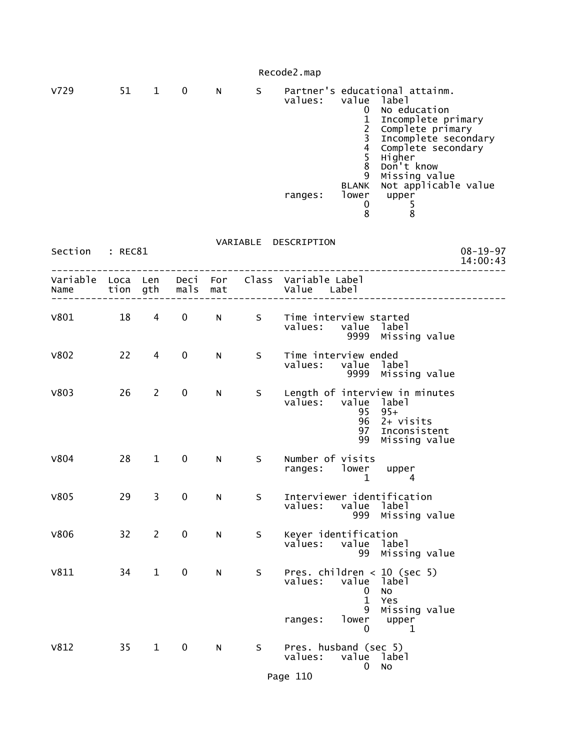Recode2.map

| v729        | 51      | 1              | 0                 | N | S. | Partner's educational attainm.<br>value<br>values:<br>label<br>No education<br>0<br>$\mathbf{1}$<br>Incomplete primary<br>$\overline{2}$<br>Complete primary<br>3<br>Incomplete secondary<br>$\overline{4}$<br>Complete secondary<br>5<br>Higher<br>Don't know<br>8<br>9<br>Missing value<br>Not applicable value<br><b>BLANK</b><br>lower<br>ranges:<br>upper<br>0<br>5<br>8<br>8 |
|-------------|---------|----------------|-------------------|---|----|------------------------------------------------------------------------------------------------------------------------------------------------------------------------------------------------------------------------------------------------------------------------------------------------------------------------------------------------------------------------------------|
| Section     | : REC81 |                |                   |   |    | VARIABLE DESCRIPTION<br>$08 - 19 - 97$<br>14:00:43                                                                                                                                                                                                                                                                                                                                 |
| Name        |         |                | tion gth mals mat |   |    | Variable Loca Len Deci For Class Variable Label<br>Value Label                                                                                                                                                                                                                                                                                                                     |
| V801        | 18      | $\overline{4}$ | $\mathbf 0$       | N | S  | Time interview started<br>values: value label<br>9999 Missing value                                                                                                                                                                                                                                                                                                                |
| <b>V802</b> | 22      | 4              | 0                 | N | S  | Time interview ended<br>values:<br>value label<br>9999 Missing value                                                                                                                                                                                                                                                                                                               |
| V803        | 26      | 2              | 0                 | N | S  | Length of interview in minutes<br>values:<br>value<br>label<br>95<br>$95+$<br>96<br>2+ visits<br>Inconsistent<br>97<br>99<br>Missing value                                                                                                                                                                                                                                         |
| V804        | 28      | $\mathbf{1}$   | $\mathbf 0$       | N | S  | Number of visits<br>ranges: lower<br>upper<br>$\mathbf 1$<br>4                                                                                                                                                                                                                                                                                                                     |
| <b>V805</b> | 29      | 3              | 0                 | N | S  | Interviewer identification<br>values: value label<br>Missing value<br>999                                                                                                                                                                                                                                                                                                          |
| <b>V806</b> | 32      | $\overline{2}$ | $\pmb{0}$         | N | S  | Keyer identification<br>values:<br>value<br>label<br>99<br>Missing value                                                                                                                                                                                                                                                                                                           |
| V811        | 34      | $\mathbf{1}$   | $\pmb{0}$         | N | S  | Pres. children $<$ 10 (sec 5)<br>values:<br>value label<br>0<br>No<br>$\mathbf{1}$<br>Yes<br>9<br>Missing value<br>ranges:<br>lower<br>upper<br>0<br>1                                                                                                                                                                                                                             |
| V812        | 35      | $\mathbf{1}$   | $\mathbf 0$       | N | S  | Pres. husband (sec 5)<br>values:<br>value<br>label<br>No<br>0                                                                                                                                                                                                                                                                                                                      |

Page 110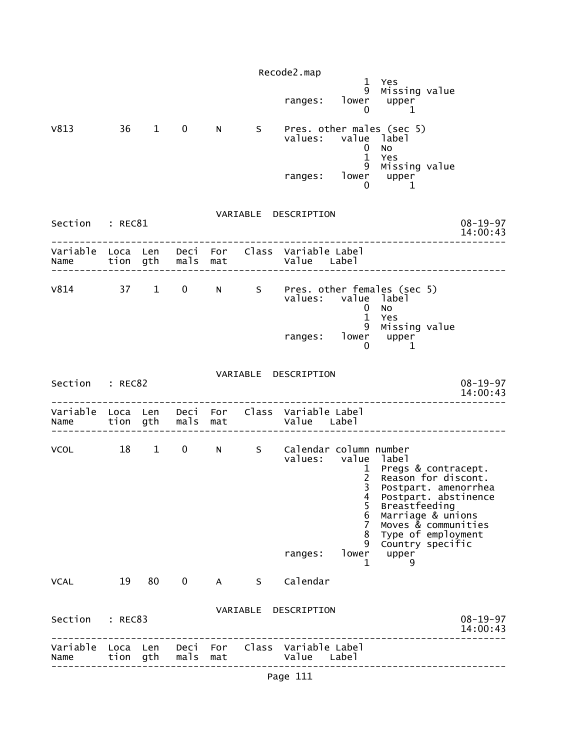|                 |         |    |          |     |   | Recode2.map                                                                           |                                |                                                                                                                                                                                              |                            |
|-----------------|---------|----|----------|-----|---|---------------------------------------------------------------------------------------|--------------------------------|----------------------------------------------------------------------------------------------------------------------------------------------------------------------------------------------|----------------------------|
|                 |         |    |          |     |   | ranges:                                                                               | 0                              | 1 Yes<br>9 Missing value<br>lower upper<br>$\blacksquare$                                                                                                                                    |                            |
| V813 36 1 0     |         |    |          | N   |   | S Pres. other males (sec 5)<br>values: value label                                    | $\mathbf{0}$                   | <b>NO</b>                                                                                                                                                                                    |                            |
|                 |         |    |          |     |   |                                                                                       | $\mathbf{1}$                   | Yes<br>$\frac{9}{9}$ Missing value<br>ranges: lower upper<br>0 1                                                                                                                             |                            |
| Section : REC81 |         |    |          |     |   | VARIABLE DESCRIPTION                                                                  |                                |                                                                                                                                                                                              | $08 - 19 - 97$<br>14:00:43 |
|                 |         |    |          |     |   | Variable Loca Len Deci For Class Variable Label<br>Name tion gth mals mat value Label |                                |                                                                                                                                                                                              |                            |
|                 |         |    |          |     |   | values: value label                                                                   | $\overline{0}$<br>$\mathbf{1}$ | V814 37 1 0 N S Pres. other females (sec 5)<br><b>NO</b><br>Yes                                                                                                                              |                            |
|                 |         |    |          |     |   | ranges: lower upper                                                                   | 0                              | 9 Missing value<br>1                                                                                                                                                                         |                            |
| Section : REC82 |         |    |          |     |   | VARIABLE DESCRIPTION                                                                  |                                |                                                                                                                                                                                              | $08 - 19 - 97$<br>14:00:43 |
|                 |         |    |          |     |   |                                                                                       |                                |                                                                                                                                                                                              |                            |
|                 |         |    |          |     |   |                                                                                       |                                |                                                                                                                                                                                              |                            |
|                 |         |    |          |     |   | VCOL 18 1 0 N S Calendar column number<br>values: value                               | 4<br>5<br>6<br>7<br>8          | label<br>1 Pregs & contracept.<br>2 Reason for discont.<br>3 Postpart. amenorrhea<br>Postpart. abstinence<br>Breastfeeding<br>Marriage & unions<br>Moves & communities<br>Type of employment |                            |
|                 |         |    |          |     |   | ranges:                                                                               | 9<br>lower<br>1                | Country specific<br>upper<br>9                                                                                                                                                               |                            |
| <b>VCAL</b>     | 19      | 80 | 0        | A   | S | Calendar                                                                              |                                |                                                                                                                                                                                              |                            |
| Section         | : REC83 |    |          |     |   | VARIABLE DESCRIPTION                                                                  |                                |                                                                                                                                                                                              | $08 - 19 - 97$<br>14:00:43 |
| Name            | tion    |    | gth mals | mat |   | Variable Loca Len Deci For Class Variable Label<br>Value Label                        |                                | ----------------                                                                                                                                                                             |                            |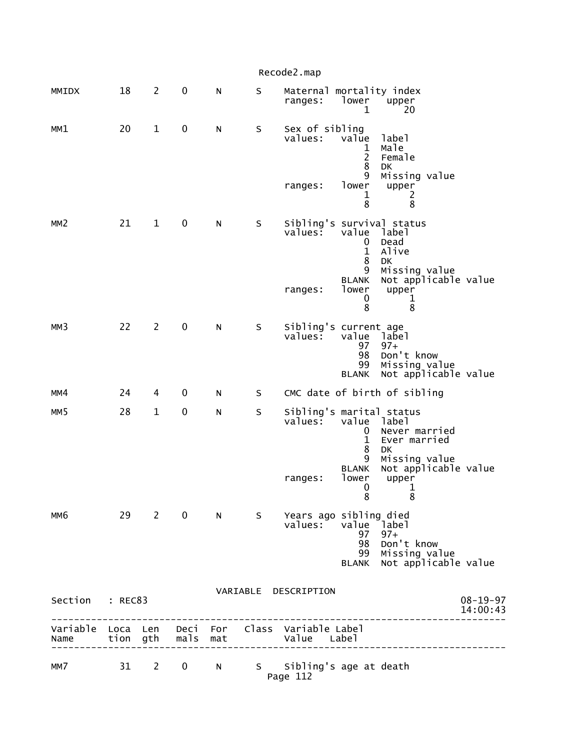|                 |    |                |                   |             |         | Recode2.map                                                    |                                                              |                                                                                          |                            |
|-----------------|----|----------------|-------------------|-------------|---------|----------------------------------------------------------------|--------------------------------------------------------------|------------------------------------------------------------------------------------------|----------------------------|
| MMIDX           | 18 | $\overline{2}$ | $\mathbf 0$       | N           | $\sf S$ | Maternal mortality index<br>ranges:                            | lower<br>1                                                   | upper<br>20                                                                              |                            |
| MM1             | 20 | $\mathbf{1}$   | 0                 | N           | $\sf S$ | Sex of sibling<br>values:                                      | value<br>1<br>$\overline{c}$<br>8<br>9                       | label<br>Male<br>Female<br>DK<br>Missing value                                           |                            |
|                 |    |                |                   |             |         | ranges:                                                        | lower<br>1<br>8                                              | upper<br>2<br>8                                                                          |                            |
| MM <sub>2</sub> | 21 | $\mathbf{1}$   | 0                 | N           | S       | Sibling's survival status<br>values:                           | value<br>0<br>$\mathbf{1}$<br>8<br>9                         | label<br>Dead<br>Alive<br><b>DK</b><br>Missing value                                     |                            |
|                 |    |                |                   |             |         | ranges:                                                        | <b>BLANK</b><br>lower<br>0<br>8                              | Not applicable value<br>upper<br>1<br>8                                                  |                            |
| MM3             | 22 | $\overline{2}$ | $\mathbf 0$       | ${\sf N}$   | $\sf S$ | Sibling's current age<br>values:                               | value<br>97<br>98<br>99<br><b>BLANK</b>                      | label<br>$97+$<br>Don't know<br>Missing value<br>Not applicable value                    |                            |
| MM4             | 24 | 4              | 0                 | N           | S       |                                                                |                                                              | CMC date of birth of sibling                                                             |                            |
| MM <sub>5</sub> | 28 | $\mathbf 1$    | $\mathbf 0$       | N           | $\sf S$ | Sibling's marital status<br>values:                            | value<br>0<br>$\mathbf 1$<br>8<br>9<br><b>BLANK</b><br>lower | label<br>Never married<br>Ever married<br>DK<br>Missing value<br>Not applicable value    |                            |
|                 |    |                |                   |             |         | ranges:                                                        | $\overline{\mathbf{0}}$<br>8                                 | upper<br>$\mathbf{1}$<br>8                                                               |                            |
| MM <sub>6</sub> |    | 29 2           | $\mathbf 0$       | $N$ and $N$ |         | S Years ago sibling died<br>values:                            | value<br>97<br>98<br>99                                      | Iabel <sup>-</sup><br>$97+$<br>Don't know<br>Missing value<br>BLANK Not applicable value |                            |
| Section : REC83 |    |                |                   |             |         | VARIABLE DESCRIPTION                                           |                                                              | ------------                                                                             | $08 - 19 - 97$<br>14:00:43 |
| Name            |    |                | tion gth mals mat |             |         | Variable Loca Len Deci For Class Variable Label<br>Value Label |                                                              | _______________________                                                                  |                            |
| MM7             |    |                |                   |             |         | 31 2 0 N S Sibling's age at death<br>Page 112                  |                                                              |                                                                                          |                            |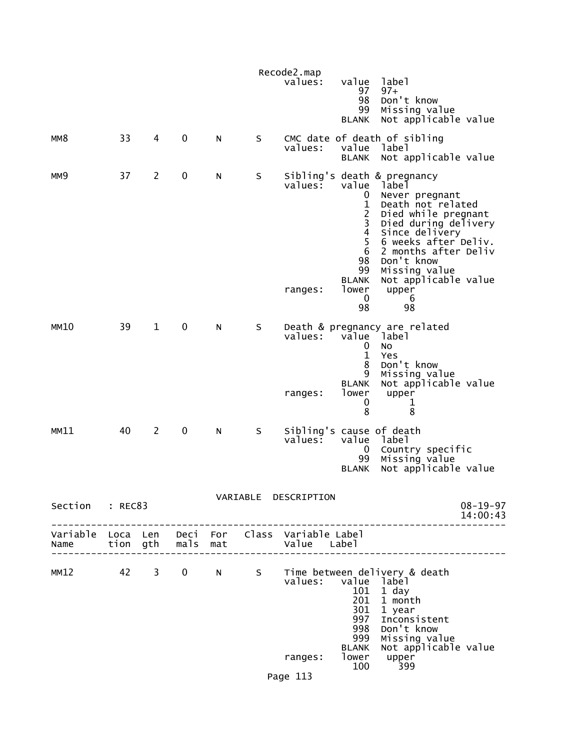|    |                |                 |           |                                           | values:            | value<br>97<br>98<br>99<br><b>BLANK</b>                                                                                              | label<br>$97+$<br>Don't know<br>Missing value                                                                |                                                                                                                                                                                                                                                                                                                                                                                                                                                                                                                                                         |
|----|----------------|-----------------|-----------|-------------------------------------------|--------------------|--------------------------------------------------------------------------------------------------------------------------------------|--------------------------------------------------------------------------------------------------------------|---------------------------------------------------------------------------------------------------------------------------------------------------------------------------------------------------------------------------------------------------------------------------------------------------------------------------------------------------------------------------------------------------------------------------------------------------------------------------------------------------------------------------------------------------------|
| 33 | $\overline{4}$ | $\mathbf 0$     | N         | S                                         | values:            | value<br><b>BLANK</b>                                                                                                                | label                                                                                                        |                                                                                                                                                                                                                                                                                                                                                                                                                                                                                                                                                         |
| 37 | $\overline{c}$ | 0               | N         | S                                         | values:<br>ranges: | value<br>$\mathbf 0$<br>$\mathbf 1$<br>$\frac{2}{3}$<br>$\overline{4}$<br>5<br>6<br>98<br>99<br><b>BLANK</b><br>lower<br>$\mathbf 0$ | label<br>Don't know<br>upper<br>6                                                                            |                                                                                                                                                                                                                                                                                                                                                                                                                                                                                                                                                         |
| 39 | $\mathbf{1}$   | 0               | N         | S                                         | values:<br>ranges: | 0<br>$\mathbf{1}$<br>8<br>9<br><b>BLANK</b><br>lower<br>0                                                                            | <sup>1</sup> abel<br>No<br>Yes<br>Don't know<br>Missing value<br>upper<br>1                                  |                                                                                                                                                                                                                                                                                                                                                                                                                                                                                                                                                         |
| 40 | $\overline{2}$ | 0               | N         | S                                         | values:            | value<br>0<br>99<br><b>BLANK</b>                                                                                                     | label<br>Missing value                                                                                       |                                                                                                                                                                                                                                                                                                                                                                                                                                                                                                                                                         |
|    |                |                 |           |                                           |                    |                                                                                                                                      |                                                                                                              | $08 - 19 - 97$<br>14:00:43                                                                                                                                                                                                                                                                                                                                                                                                                                                                                                                              |
|    |                |                 |           |                                           |                    |                                                                                                                                      |                                                                                                              |                                                                                                                                                                                                                                                                                                                                                                                                                                                                                                                                                         |
|    |                | $\overline{0}$  |           | S                                         | ranges:            | 101<br>201<br>301<br>998<br><b>BLANK</b><br>lower<br>100                                                                             | 1 day<br>1 month<br>1 year<br>Inconsistent<br>Don't know<br>Missing value<br>upper<br>399                    |                                                                                                                                                                                                                                                                                                                                                                                                                                                                                                                                                         |
|    |                | Section : REC83 | MM12 42 3 | tion gth mals mat<br>-------------------- | N                  | Recode2.map<br>Page 113                                                                                                              | 98<br>8<br>VARIABLE DESCRIPTION<br>Variable Loca Len Deci For Class Variable Label<br>Value Label<br>values: | Not applicable value<br>CMC date of death of sibling<br>Not applicable value<br>Sibling's death & pregnancy<br>Never pregnant<br>Death not related<br>Died while pregnant<br>Died during delivery<br>Since delivery<br>6 weeks after Deliv.<br>2 months after Deliv<br>Missing value<br>Not applicable value<br>98<br>Death & pregnancy are related<br>value<br>Not applicable value<br>8<br>Sibling's cause of death<br>Country specific<br>Not applicable value<br>Time between delivery & death<br>value label<br>997<br>999<br>Not applicable value |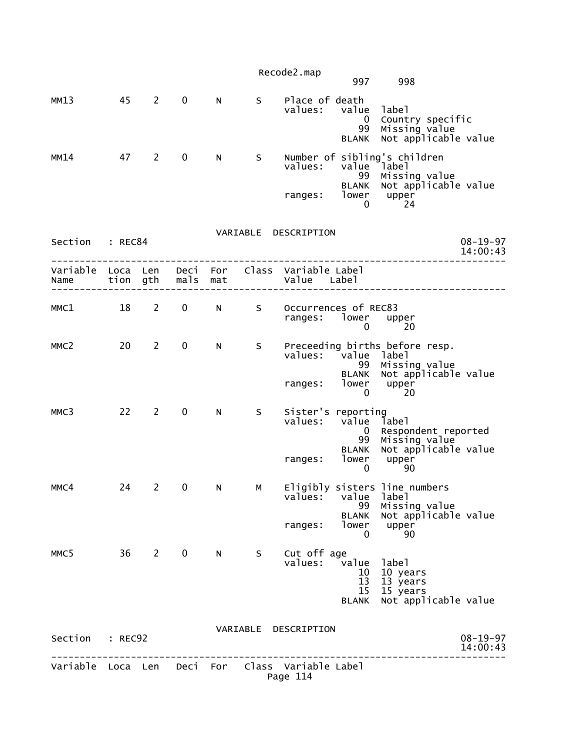|                 |         |                                |             |             |                     | Recode2.map<br>997                                                                                          | 998                                                                               |
|-----------------|---------|--------------------------------|-------------|-------------|---------------------|-------------------------------------------------------------------------------------------------------------|-----------------------------------------------------------------------------------|
| MM13            | 45      | $\mathbf{2}$                   | $\mathbf 0$ | N.          | S                   | Place of death<br>values: value<br>$\bf{0}$<br>99<br><b>BLANK</b>                                           | label<br>Country specific<br>Missing value<br>Not applicable value                |
| MM14            | 47      | 2                              | $\mathbf 0$ | N           | S                   | Number of sibling's children<br>values:<br>value label<br>ranges:<br>0                                      | 99 Missing value<br>BLANK Not applicable value<br>lower upper<br>24               |
| Section : REC84 |         |                                |             |             |                     | VARIABLE DESCRIPTION                                                                                        | $08 - 19 - 97$<br>14:00:43                                                        |
| Name            |         |                                |             |             | tion gth  mals  mat | Variable Loca Len Deci For Class Variable Label<br>Value Label                                              |                                                                                   |
| MMC1            |         | 18 2                           | $\mathbf 0$ | $N$ and $N$ | S                   | Occurrences of REC83<br>ranges: lower upper<br>0                                                            | -20                                                                               |
| MMC2            | 20      | 2                              | $\mathbf 0$ | N           | S                   | Preceeding births before resp.<br>values: value label<br>99<br><b>BLANK</b><br>ranges: lower<br>$\mathbf 0$ | Missing value<br>Not applicable value<br>upper<br>20                              |
| MMC3            |         | $22 \t 2$                      | $\mathbf 0$ | N           | S.                  | Sister's reporting<br>values: value label<br>$\overline{0}$<br>99<br>lower<br>ranges:<br>0                  | Respondent reported<br>Missing value<br>BLANK Not applicable value<br>upper<br>90 |
| MMC4            | 24      | <sup>2</sup>                   | $0$ N       |             | M                   | Eligibly sisters line numbers<br>value label<br>values:<br>99<br><b>BLANK</b><br>lower<br>ranges:<br>0      | Missing value<br>Not applicable value<br>upper<br>90                              |
| MMC5            | 36      | $2 \left( \frac{1}{2} \right)$ | $\mathbf 0$ | N.          | S.                  | Cut off age<br>values:<br>value<br>10<br>13<br>15 <sub>1</sub><br><b>BLANK</b>                              | label<br>10 years<br>13 years<br>15 years<br>Not applicable value                 |
| Section         | : REC92 |                                |             |             |                     | VARIABLE DESCRIPTION                                                                                        | $08 - 19 - 97$<br>14:00:43                                                        |
|                 |         |                                |             |             |                     | Variable Loca Len Deci For Class Variable Label<br>Page 114                                                 |                                                                                   |